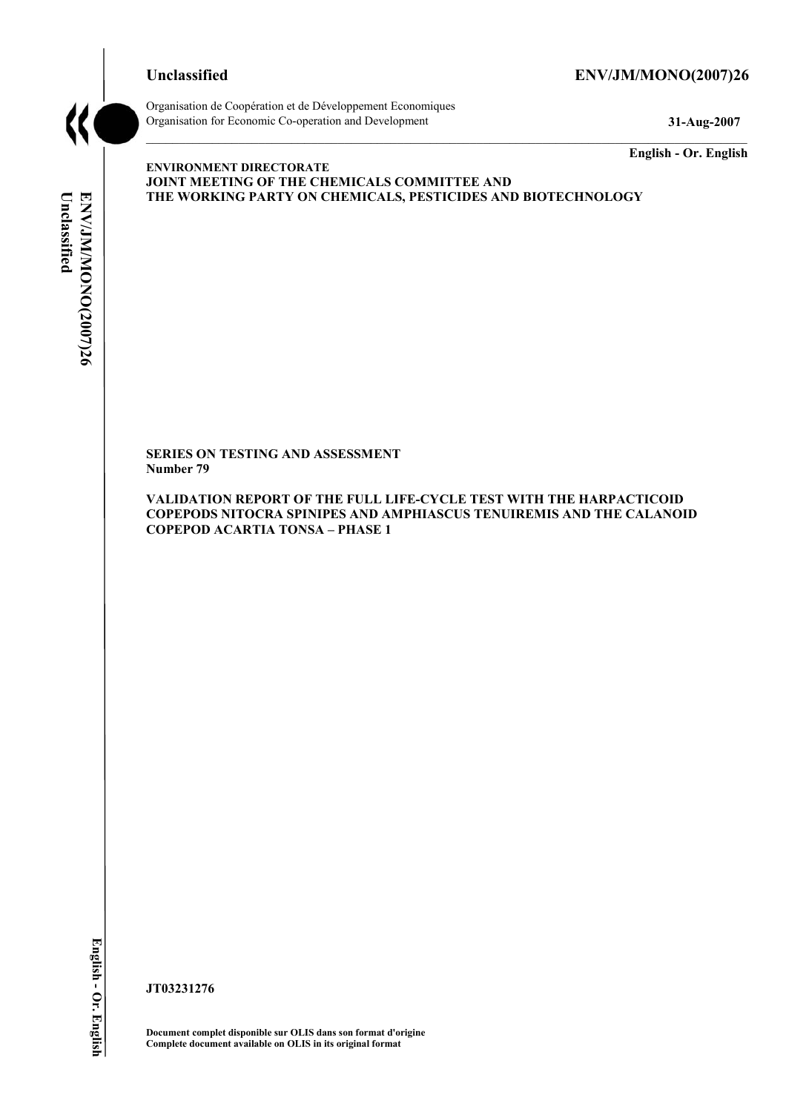# **Unclassified ENV/JM/MONO(2007)26**



Organisation de Coopération et de Développement Economiques Organisation for Economic Co-operation and Development **31-Aug-2007** 

**English - Or. English** 

# Unclassified **Unclassified**  ENV/JM/MONO(2007)26 **ENV/JM/MONO(2007)26 English - Or. English**

**ENVIRONMENT DIRECTORATE JOINT MEETING OF THE CHEMICALS COMMITTEE AND THE WORKING PARTY ON CHEMICALS, PESTICIDES AND BIOTECHNOLOGY** 

**SERIES ON TESTING AND ASSESSMENT Number 79** 

**VALIDATION REPORT OF THE FULL LIFE-CYCLE TEST WITH THE HARPACTICOID COPEPODS NITOCRA SPINIPES AND AMPHIASCUS TENUIREMIS AND THE CALANOID COPEPOD ACARTIA TONSA – PHASE 1** 

**JT03231276** 

**Document complet disponible sur OLIS dans son format d'origine Complete document available on OLIS in its original format**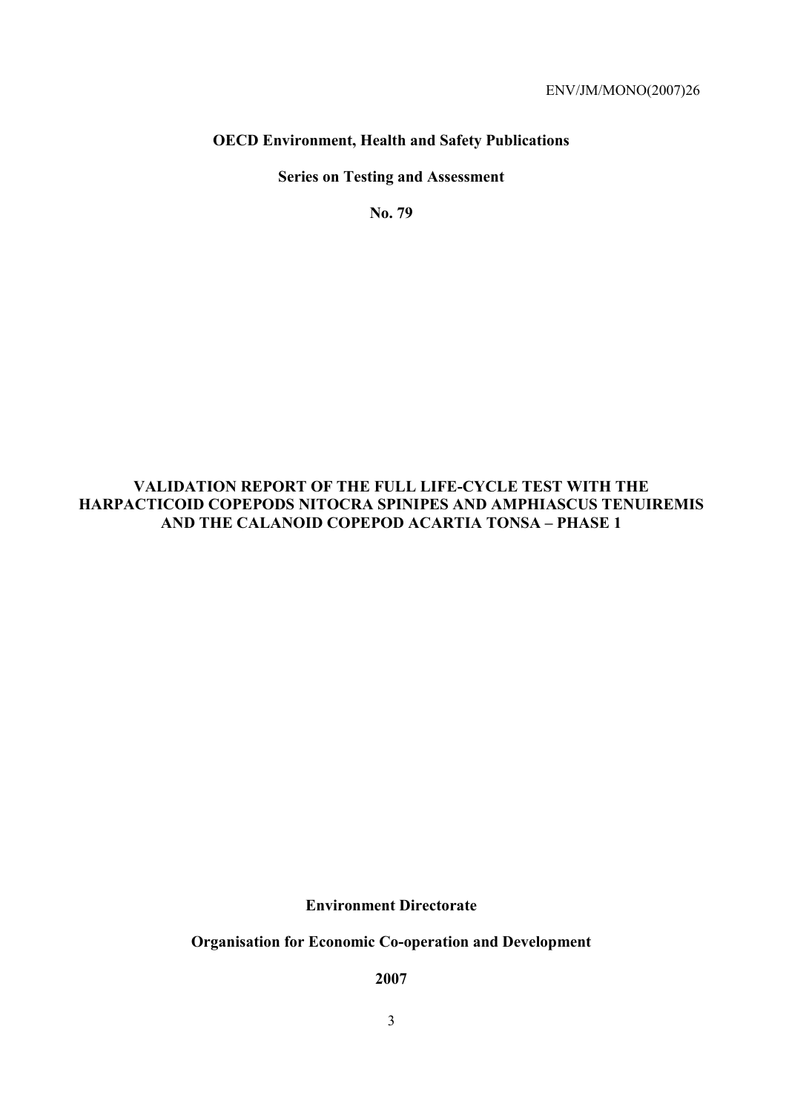# **OECD Environment, Health and Safety Publications**

**Series on Testing and Assessment** 

**No. 79** 

# **VALIDATION REPORT OF THE FULL LIFE-CYCLE TEST WITH THE HARPACTICOID COPEPODS NITOCRA SPINIPES AND AMPHIASCUS TENUIREMIS AND THE CALANOID COPEPOD ACARTIA TONSA – PHASE 1**

**Environment Directorate** 

**Organisation for Economic Co-operation and Development** 

**2007**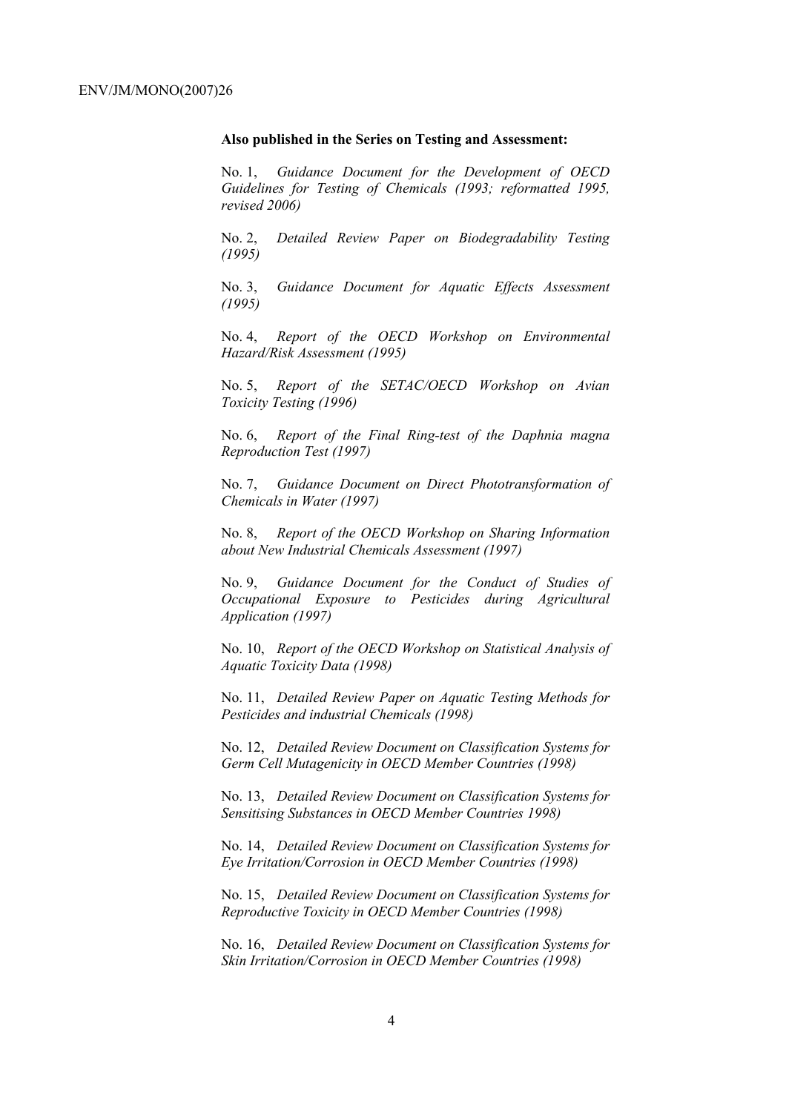#### **Also published in the Series on Testing and Assessment:**

No. 1, *Guidance Document for the Development of OECD Guidelines for Testing of Chemicals (1993; reformatted 1995, revised 2006)* 

No. 2, *Detailed Review Paper on Biodegradability Testing (1995)* 

No. 3, *Guidance Document for Aquatic Effects Assessment (1995)* 

No. 4, *Report of the OECD Workshop on Environmental Hazard/Risk Assessment (1995)* 

No. 5, *Report of the SETAC/OECD Workshop on Avian Toxicity Testing (1996)* 

No. 6, *Report of the Final Ring-test of the Daphnia magna Reproduction Test (1997)* 

No. 7, *Guidance Document on Direct Phototransformation of Chemicals in Water (1997)* 

No. 8, *Report of the OECD Workshop on Sharing Information about New Industrial Chemicals Assessment (1997)* 

No. 9, *Guidance Document for the Conduct of Studies of Occupational Exposure to Pesticides during Agricultural Application (1997)* 

No. 10, *Report of the OECD Workshop on Statistical Analysis of Aquatic Toxicity Data (1998)* 

No. 11, *Detailed Review Paper on Aquatic Testing Methods for Pesticides and industrial Chemicals (1998)* 

No. 12, *Detailed Review Document on Classification Systems for Germ Cell Mutagenicity in OECD Member Countries (1998)* 

No. 13, *Detailed Review Document on Classification Systems for Sensitising Substances in OECD Member Countries 1998)* 

No. 14, *Detailed Review Document on Classification Systems for Eye Irritation/Corrosion in OECD Member Countries (1998)* 

No. 15, *Detailed Review Document on Classification Systems for Reproductive Toxicity in OECD Member Countries (1998)* 

No. 16, *Detailed Review Document on Classification Systems for Skin Irritation/Corrosion in OECD Member Countries (1998)*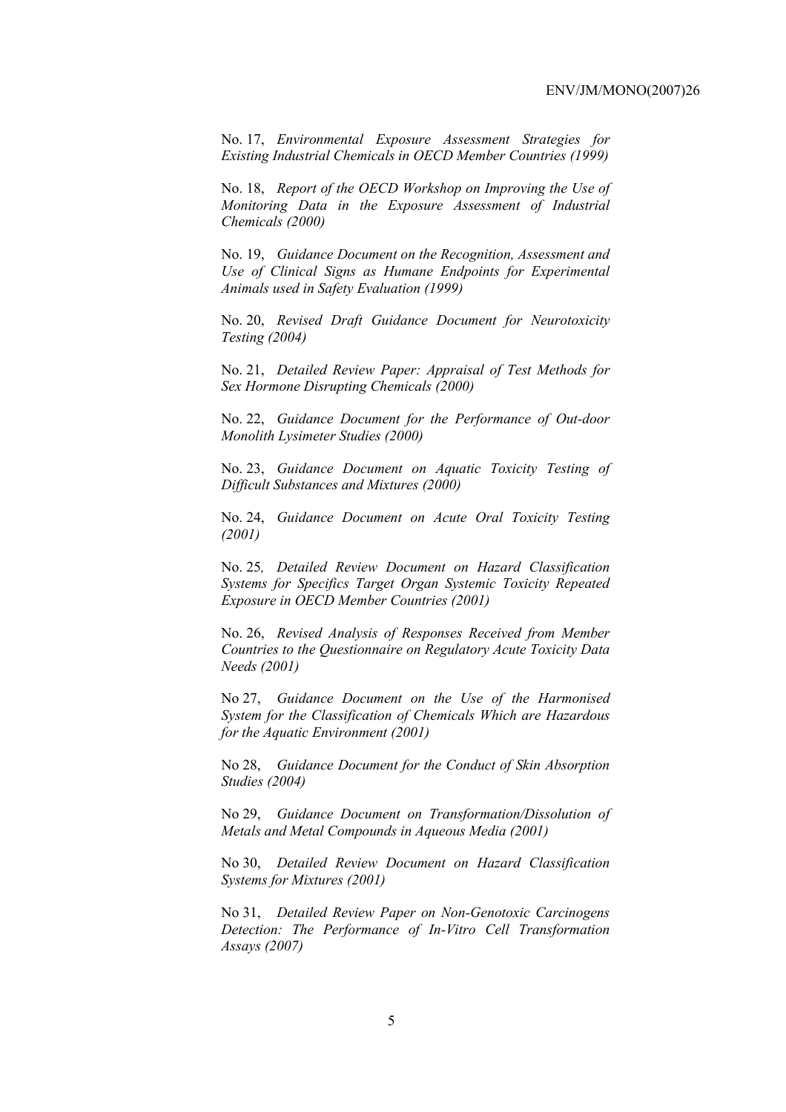No. 17, *Environmental Exposure Assessment Strategies for Existing Industrial Chemicals in OECD Member Countries (1999)* 

No. 18, *Report of the OECD Workshop on Improving the Use of Monitoring Data in the Exposure Assessment of Industrial Chemicals (2000)* 

No. 19, *Guidance Document on the Recognition, Assessment and Use of Clinical Signs as Humane Endpoints for Experimental Animals used in Safety Evaluation (1999)* 

No. 20, *Revised Draft Guidance Document for Neurotoxicity Testing (2004)* 

No. 21, *Detailed Review Paper: Appraisal of Test Methods for Sex Hormone Disrupting Chemicals (2000)* 

No. 22, *Guidance Document for the Performance of Out-door Monolith Lysimeter Studies (2000)* 

No. 23, *Guidance Document on Aquatic Toxicity Testing of Difficult Substances and Mixtures (2000)* 

No. 24, *Guidance Document on Acute Oral Toxicity Testing (2001)* 

No. 25*, Detailed Review Document on Hazard Classification Systems for Specifics Target Organ Systemic Toxicity Repeated Exposure in OECD Member Countries (2001)* 

No. 26, *Revised Analysis of Responses Received from Member Countries to the Questionnaire on Regulatory Acute Toxicity Data Needs (2001)* 

No 27, *Guidance Document on the Use of the Harmonised System for the Classification of Chemicals Which are Hazardous for the Aquatic Environment (2001)* 

No 28, *Guidance Document for the Conduct of Skin Absorption Studies (2004)* 

No 29, *Guidance Document on Transformation/Dissolution of Metals and Metal Compounds in Aqueous Media (2001)* 

No 30, *Detailed Review Document on Hazard Classification Systems for Mixtures (2001)* 

No 31, *Detailed Review Paper on Non-Genotoxic Carcinogens Detection: The Performance of In-Vitro Cell Transformation Assays (2007)*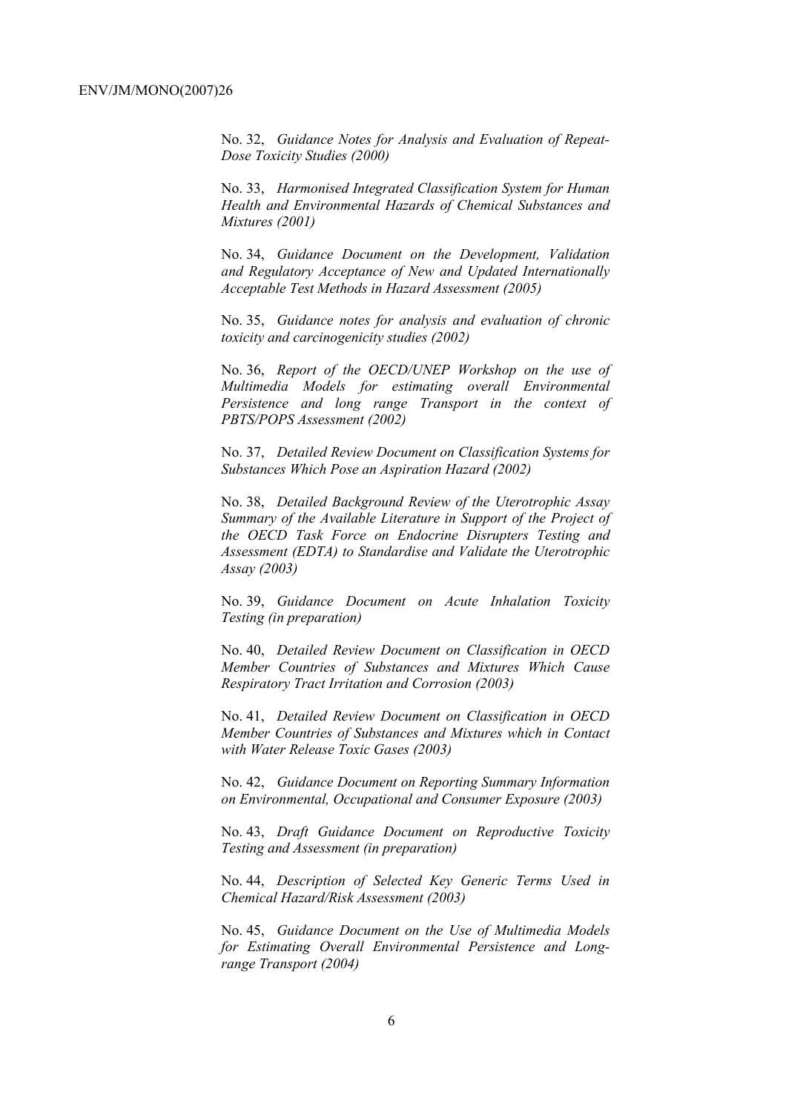No. 32, *Guidance Notes for Analysis and Evaluation of Repeat-Dose Toxicity Studies (2000)* 

No. 33, *Harmonised Integrated Classification System for Human Health and Environmental Hazards of Chemical Substances and Mixtures (2001)* 

No. 34, *Guidance Document on the Development, Validation and Regulatory Acceptance of New and Updated Internationally Acceptable Test Methods in Hazard Assessment (2005)* 

No. 35, *Guidance notes for analysis and evaluation of chronic toxicity and carcinogenicity studies (2002)* 

No. 36, *Report of the OECD/UNEP Workshop on the use of Multimedia Models for estimating overall Environmental Persistence and long range Transport in the context of PBTS/POPS Assessment (2002)* 

No. 37, *Detailed Review Document on Classification Systems for Substances Which Pose an Aspiration Hazard (2002)* 

No. 38, *Detailed Background Review of the Uterotrophic Assay Summary of the Available Literature in Support of the Project of the OECD Task Force on Endocrine Disrupters Testing and Assessment (EDTA) to Standardise and Validate the Uterotrophic Assay (2003)* 

No. 39, *Guidance Document on Acute Inhalation Toxicity Testing (in preparation)* 

No. 40, *Detailed Review Document on Classification in OECD Member Countries of Substances and Mixtures Which Cause Respiratory Tract Irritation and Corrosion (2003)* 

No. 41, *Detailed Review Document on Classification in OECD Member Countries of Substances and Mixtures which in Contact with Water Release Toxic Gases (2003)* 

No. 42, *Guidance Document on Reporting Summary Information on Environmental, Occupational and Consumer Exposure (2003)* 

No. 43, *Draft Guidance Document on Reproductive Toxicity Testing and Assessment (in preparation)* 

No. 44, *Description of Selected Key Generic Terms Used in Chemical Hazard/Risk Assessment (2003)* 

No. 45, *Guidance Document on the Use of Multimedia Models for Estimating Overall Environmental Persistence and Longrange Transport (2004)*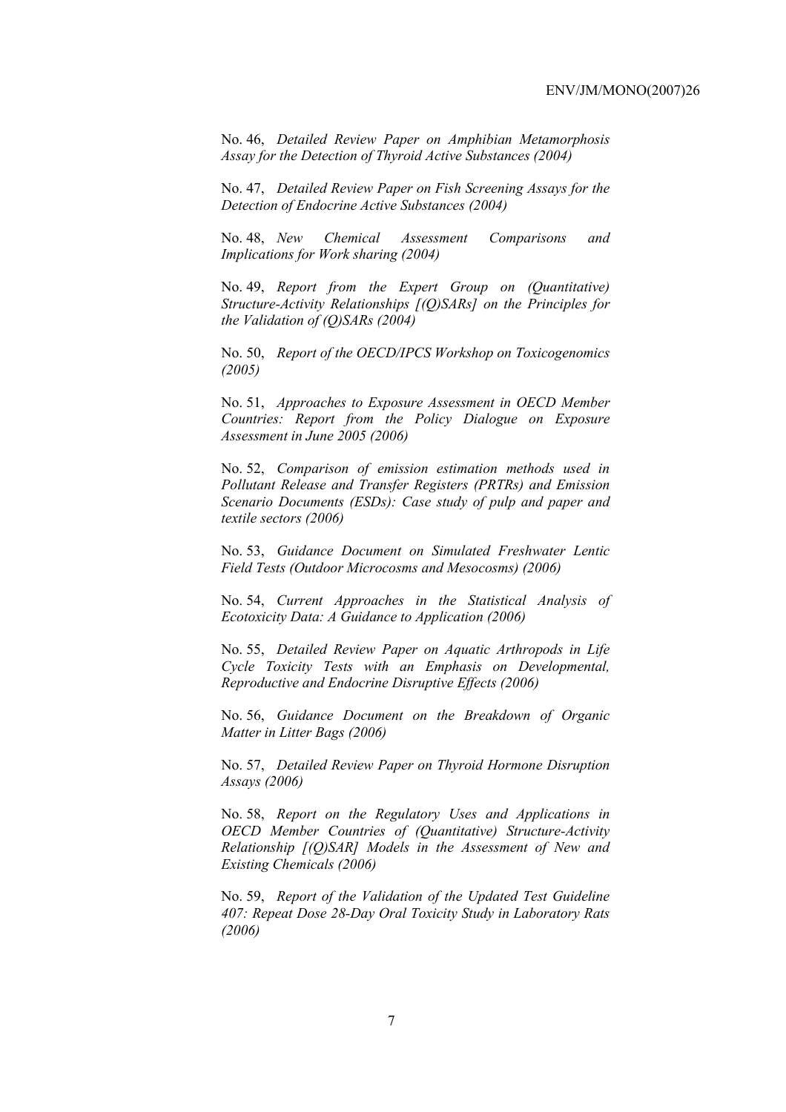No. 46, *Detailed Review Paper on Amphibian Metamorphosis Assay for the Detection of Thyroid Active Substances (2004)* 

No. 47, *Detailed Review Paper on Fish Screening Assays for the Detection of Endocrine Active Substances (2004)* 

No. 48, *New Chemical Assessment Comparisons and Implications for Work sharing (2004)* 

No. 49, *Report from the Expert Group on (Quantitative) Structure-Activity Relationships [(Q)SARs] on the Principles for the Validation of (Q)SARs (2004)* 

No. 50, *Report of the OECD/IPCS Workshop on Toxicogenomics (2005)* 

No. 51, *Approaches to Exposure Assessment in OECD Member Countries: Report from the Policy Dialogue on Exposure Assessment in June 2005 (2006)* 

No. 52, *Comparison of emission estimation methods used in Pollutant Release and Transfer Registers (PRTRs) and Emission Scenario Documents (ESDs): Case study of pulp and paper and textile sectors (2006)* 

No. 53, *Guidance Document on Simulated Freshwater Lentic Field Tests (Outdoor Microcosms and Mesocosms) (2006)* 

No. 54, *Current Approaches in the Statistical Analysis of Ecotoxicity Data: A Guidance to Application (2006)* 

No. 55, *Detailed Review Paper on Aquatic Arthropods in Life Cycle Toxicity Tests with an Emphasis on Developmental, Reproductive and Endocrine Disruptive Effects (2006)* 

No. 56, *Guidance Document on the Breakdown of Organic Matter in Litter Bags (2006)* 

No. 57, *Detailed Review Paper on Thyroid Hormone Disruption Assays (2006)* 

No. 58, *Report on the Regulatory Uses and Applications in OECD Member Countries of (Quantitative) Structure-Activity Relationship [(Q)SAR] Models in the Assessment of New and Existing Chemicals (2006)* 

No. 59, *Report of the Validation of the Updated Test Guideline 407: Repeat Dose 28-Day Oral Toxicity Study in Laboratory Rats (2006)*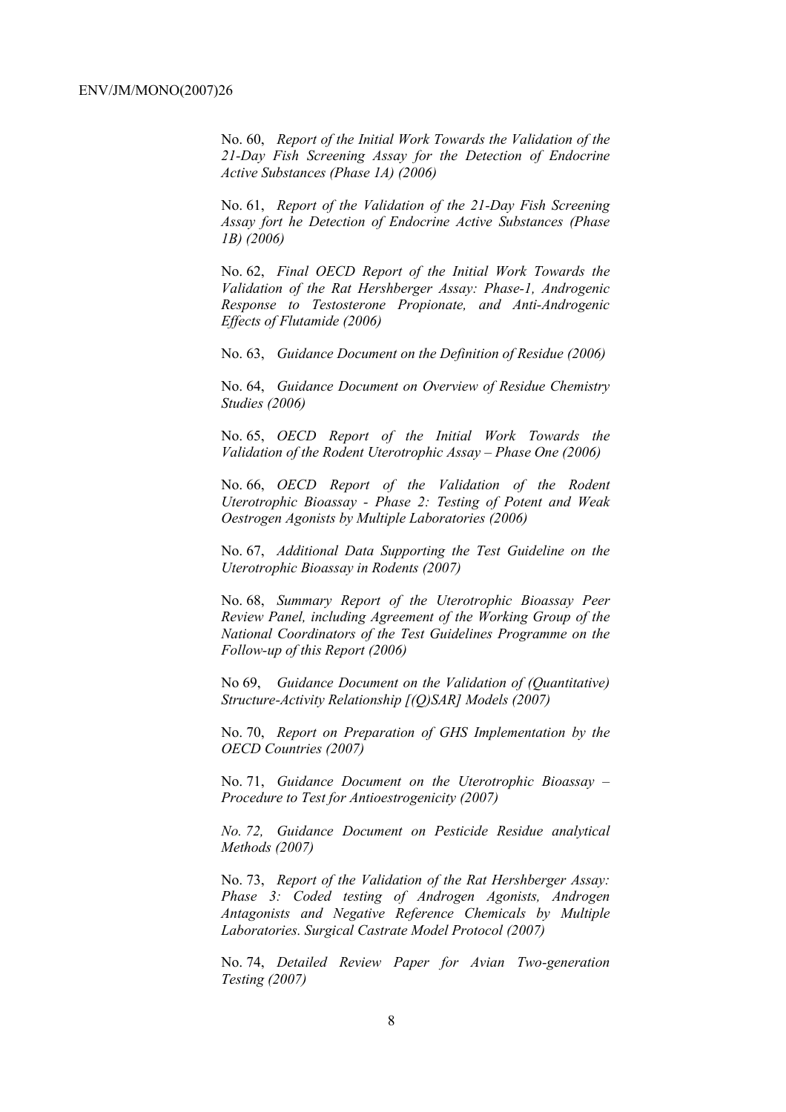No. 60, *Report of the Initial Work Towards the Validation of the 21-Day Fish Screening Assay for the Detection of Endocrine Active Substances (Phase 1A) (2006)* 

No. 61, *Report of the Validation of the 21-Day Fish Screening Assay fort he Detection of Endocrine Active Substances (Phase 1B) (2006)* 

No. 62, *Final OECD Report of the Initial Work Towards the Validation of the Rat Hershberger Assay: Phase-1, Androgenic Response to Testosterone Propionate, and Anti-Androgenic Effects of Flutamide (2006)* 

No. 63, *Guidance Document on the Definition of Residue (2006)* 

No. 64, *Guidance Document on Overview of Residue Chemistry Studies (2006)* 

No. 65, *OECD Report of the Initial Work Towards the Validation of the Rodent Uterotrophic Assay – Phase One (2006)* 

No. 66, *OECD Report of the Validation of the Rodent Uterotrophic Bioassay - Phase 2: Testing of Potent and Weak Oestrogen Agonists by Multiple Laboratories (2006)* 

No. 67, *Additional Data Supporting the Test Guideline on the Uterotrophic Bioassay in Rodents (2007)* 

No. 68, *Summary Report of the Uterotrophic Bioassay Peer Review Panel, including Agreement of the Working Group of the National Coordinators of the Test Guidelines Programme on the Follow-up of this Report (2006)* 

No 69, *Guidance Document on the Validation of (Quantitative) Structure-Activity Relationship [(Q)SAR] Models (2007)* 

No. 70, *Report on Preparation of GHS Implementation by the OECD Countries (2007)* 

No. 71, *Guidance Document on the Uterotrophic Bioassay – Procedure to Test for Antioestrogenicity (2007)* 

*No. 72, Guidance Document on Pesticide Residue analytical Methods (2007)*

No. 73, *Report of the Validation of the Rat Hershberger Assay: Phase 3: Coded testing of Androgen Agonists, Androgen Antagonists and Negative Reference Chemicals by Multiple Laboratories. Surgical Castrate Model Protocol (2007)*

No. 74, *Detailed Review Paper for Avian Two-generation Testing (2007)*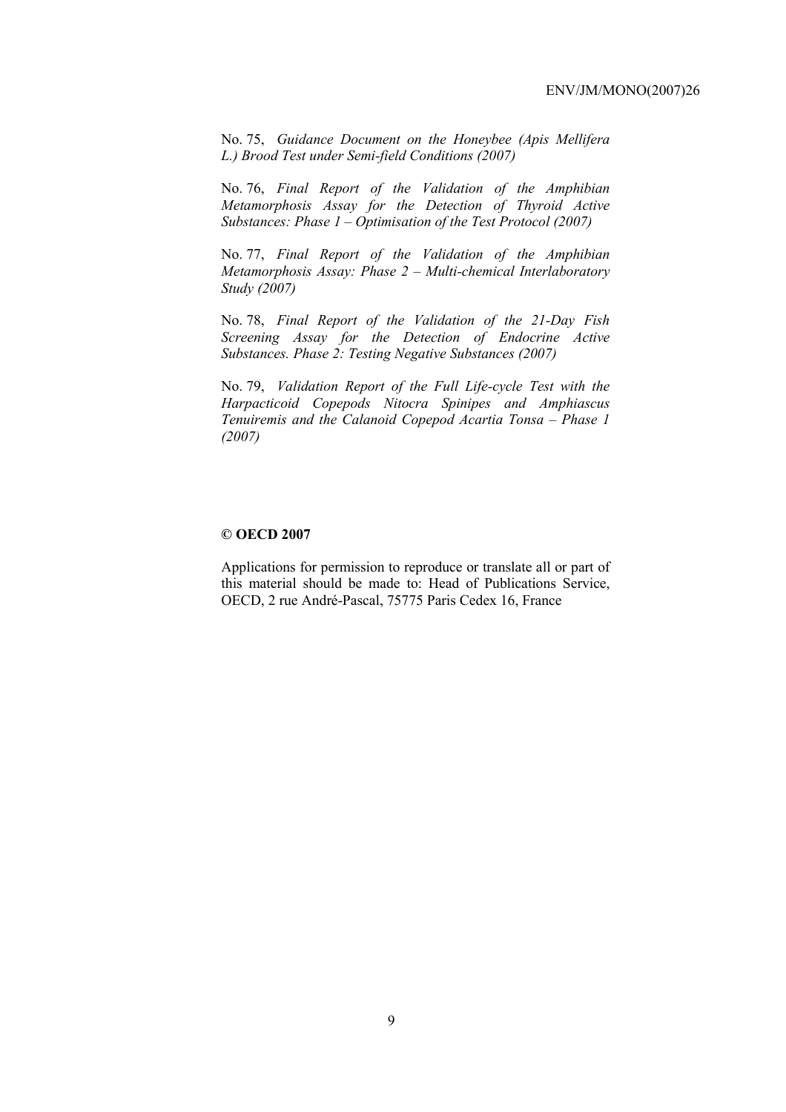No. 75, *Guidance Document on the Honeybee (Apis Mellifera L.) Brood Test under Semi-field Conditions (2007)*

No. 76, *Final Report of the Validation of the Amphibian Metamorphosis Assay for the Detection of Thyroid Active Substances: Phase 1 – Optimisation of the Test Protocol (2007)*

No. 77, *Final Report of the Validation of the Amphibian Metamorphosis Assay: Phase 2 – Multi-chemical Interlaboratory Study (2007)*

No. 78, *Final Report of the Validation of the 21-Day Fish Screening Assay for the Detection of Endocrine Active Substances. Phase 2: Testing Negative Substances (2007)*

No. 79, *Validation Report of the Full Life-cycle Test with the Harpacticoid Copepods Nitocra Spinipes and Amphiascus Tenuiremis and the Calanoid Copepod Acartia Tonsa – Phase 1 (2007)*

# **© OECD 2007**

Applications for permission to reproduce or translate all or part of this material should be made to: Head of Publications Service, OECD, 2 rue André-Pascal, 75775 Paris Cedex 16, France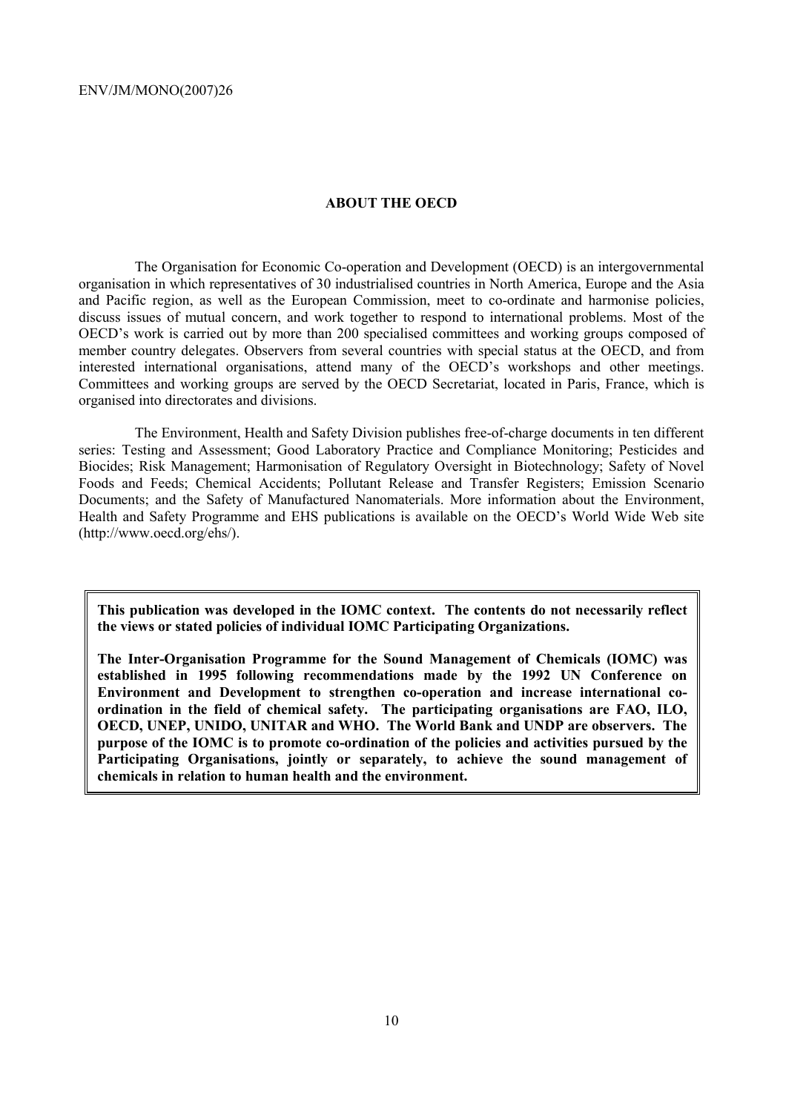#### **ABOUT THE OECD**

The Organisation for Economic Co-operation and Development (OECD) is an intergovernmental organisation in which representatives of 30 industrialised countries in North America, Europe and the Asia and Pacific region, as well as the European Commission, meet to co-ordinate and harmonise policies, discuss issues of mutual concern, and work together to respond to international problems. Most of the OECD's work is carried out by more than 200 specialised committees and working groups composed of member country delegates. Observers from several countries with special status at the OECD, and from interested international organisations, attend many of the OECD's workshops and other meetings. Committees and working groups are served by the OECD Secretariat, located in Paris, France, which is organised into directorates and divisions.

The Environment, Health and Safety Division publishes free-of-charge documents in ten different series: Testing and Assessment; Good Laboratory Practice and Compliance Monitoring; Pesticides and Biocides; Risk Management; Harmonisation of Regulatory Oversight in Biotechnology; Safety of Novel Foods and Feeds; Chemical Accidents; Pollutant Release and Transfer Registers; Emission Scenario Documents; and the Safety of Manufactured Nanomaterials. More information about the Environment, Health and Safety Programme and EHS publications is available on the OECD's World Wide Web site (http://www.oecd.org/ehs/).

**This publication was developed in the IOMC context. The contents do not necessarily reflect the views or stated policies of individual IOMC Participating Organizations.** 

**The Inter-Organisation Programme for the Sound Management of Chemicals (IOMC) was established in 1995 following recommendations made by the 1992 UN Conference on Environment and Development to strengthen co-operation and increase international coordination in the field of chemical safety. The participating organisations are FAO, ILO, OECD, UNEP, UNIDO, UNITAR and WHO. The World Bank and UNDP are observers. The purpose of the IOMC is to promote co-ordination of the policies and activities pursued by the Participating Organisations, jointly or separately, to achieve the sound management of chemicals in relation to human health and the environment.**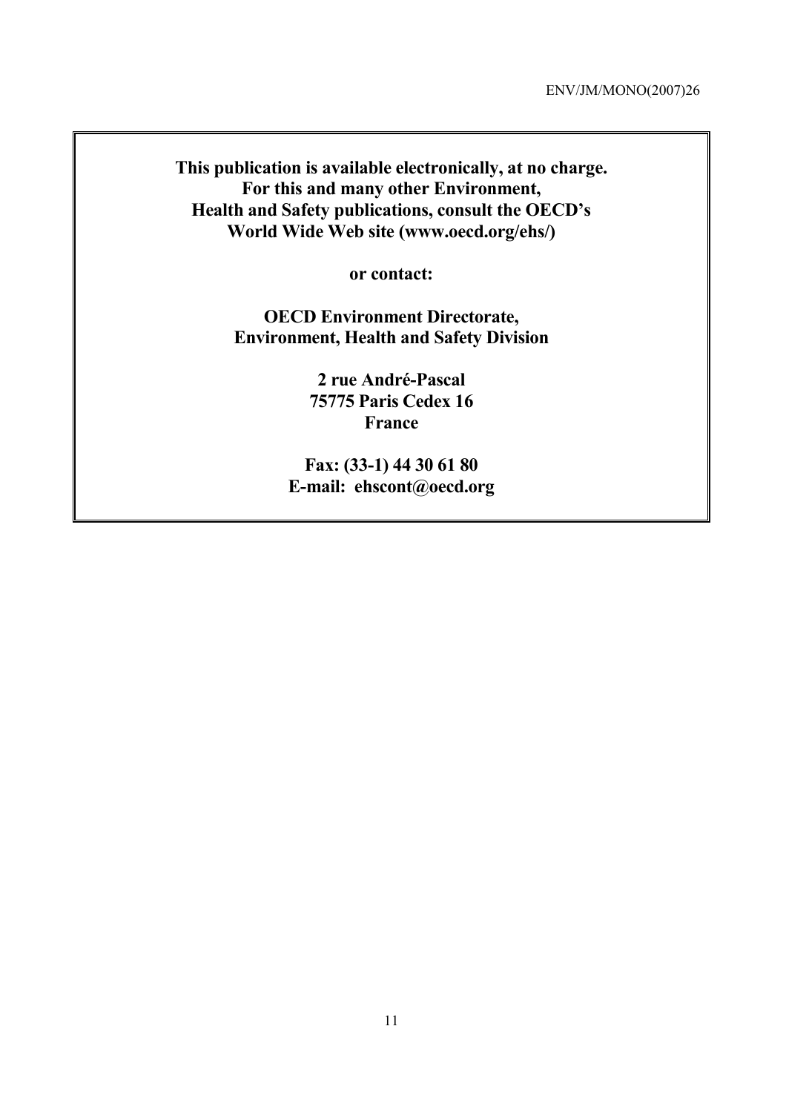**This publication is available electronically, at no charge. For this and many other Environment, Health and Safety publications, consult the OECD's World Wide Web site (www.oecd.org/ehs/)** 

**or contact:** 

**OECD Environment Directorate, Environment, Health and Safety Division** 

> **2 rue André-Pascal 75775 Paris Cedex 16 France**

**Fax: (33-1) 44 30 61 80 E-mail: ehscont@oecd.org**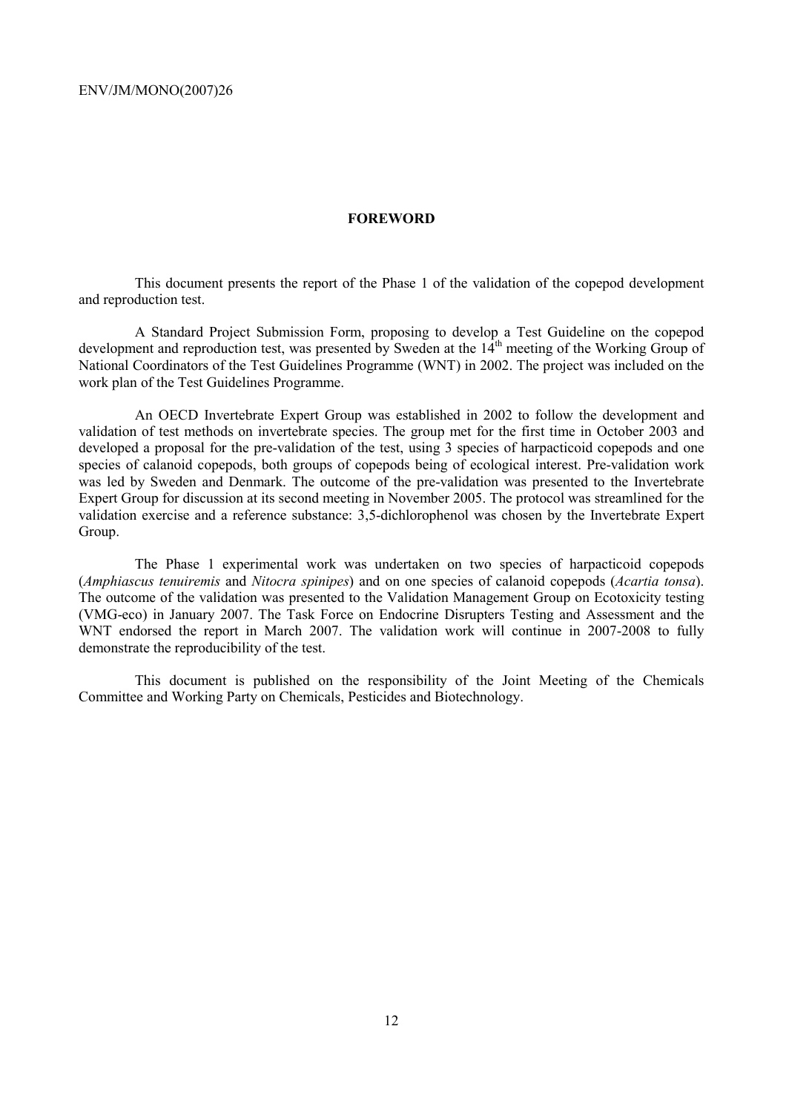#### **FOREWORD**

This document presents the report of the Phase 1 of the validation of the copepod development and reproduction test.

A Standard Project Submission Form, proposing to develop a Test Guideline on the copepod development and reproduction test, was presented by Sweden at the 14th meeting of the Working Group of National Coordinators of the Test Guidelines Programme (WNT) in 2002. The project was included on the work plan of the Test Guidelines Programme.

An OECD Invertebrate Expert Group was established in 2002 to follow the development and validation of test methods on invertebrate species. The group met for the first time in October 2003 and developed a proposal for the pre-validation of the test, using 3 species of harpacticoid copepods and one species of calanoid copepods, both groups of copepods being of ecological interest. Pre-validation work was led by Sweden and Denmark. The outcome of the pre-validation was presented to the Invertebrate Expert Group for discussion at its second meeting in November 2005. The protocol was streamlined for the validation exercise and a reference substance: 3,5-dichlorophenol was chosen by the Invertebrate Expert Group.

The Phase 1 experimental work was undertaken on two species of harpacticoid copepods (*Amphiascus tenuiremis* and *Nitocra spinipes*) and on one species of calanoid copepods (*Acartia tonsa*). The outcome of the validation was presented to the Validation Management Group on Ecotoxicity testing (VMG-eco) in January 2007. The Task Force on Endocrine Disrupters Testing and Assessment and the WNT endorsed the report in March 2007. The validation work will continue in 2007-2008 to fully demonstrate the reproducibility of the test.

This document is published on the responsibility of the Joint Meeting of the Chemicals Committee and Working Party on Chemicals, Pesticides and Biotechnology.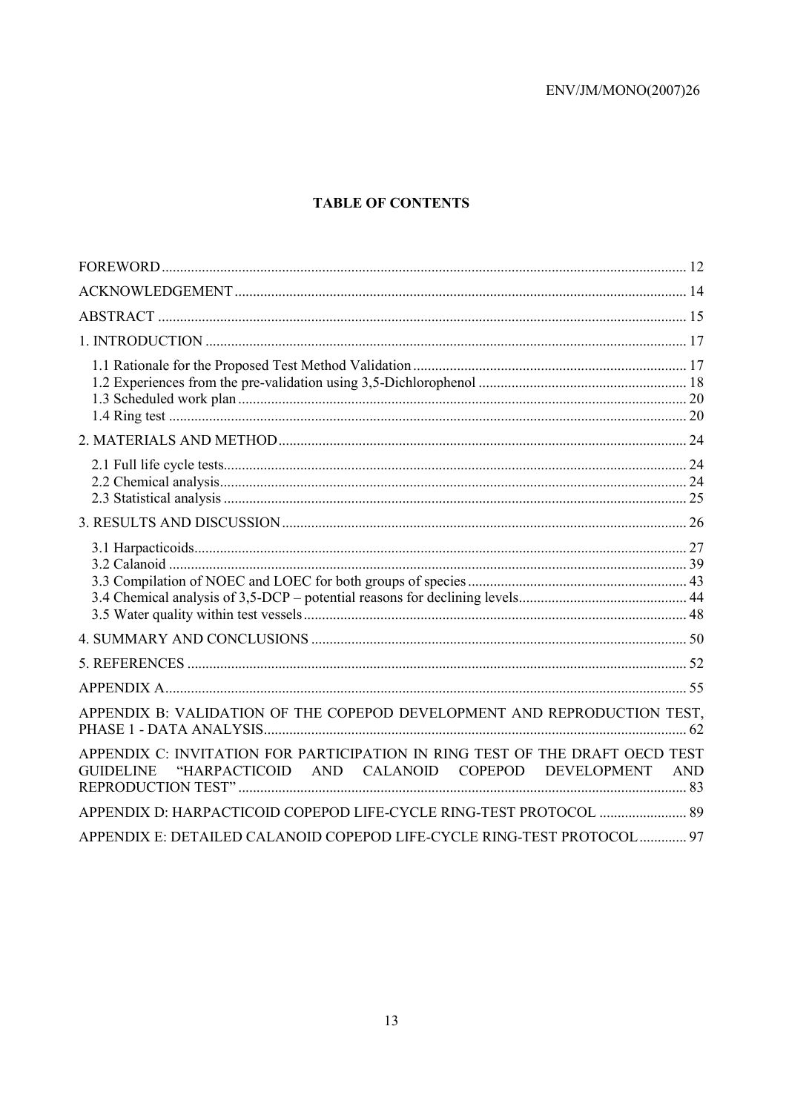# **TABLE OF CONTENTS**

| APPENDIX B: VALIDATION OF THE COPEPOD DEVELOPMENT AND REPRODUCTION TEST,                                                                           |     |
|----------------------------------------------------------------------------------------------------------------------------------------------------|-----|
| APPENDIX C: INVITATION FOR PARTICIPATION IN RING TEST OF THE DRAFT OECD TEST<br>"HARPACTICOID AND CALANOID COPEPOD DEVELOPMENT<br><b>GUIDELINE</b> | AND |
| APPENDIX D: HARPACTICOID COPEPOD LIFE-CYCLE RING-TEST PROTOCOL  89                                                                                 |     |
| APPENDIX E: DETAILED CALANOID COPEPOD LIFE-CYCLE RING-TEST PROTOCOL  97                                                                            |     |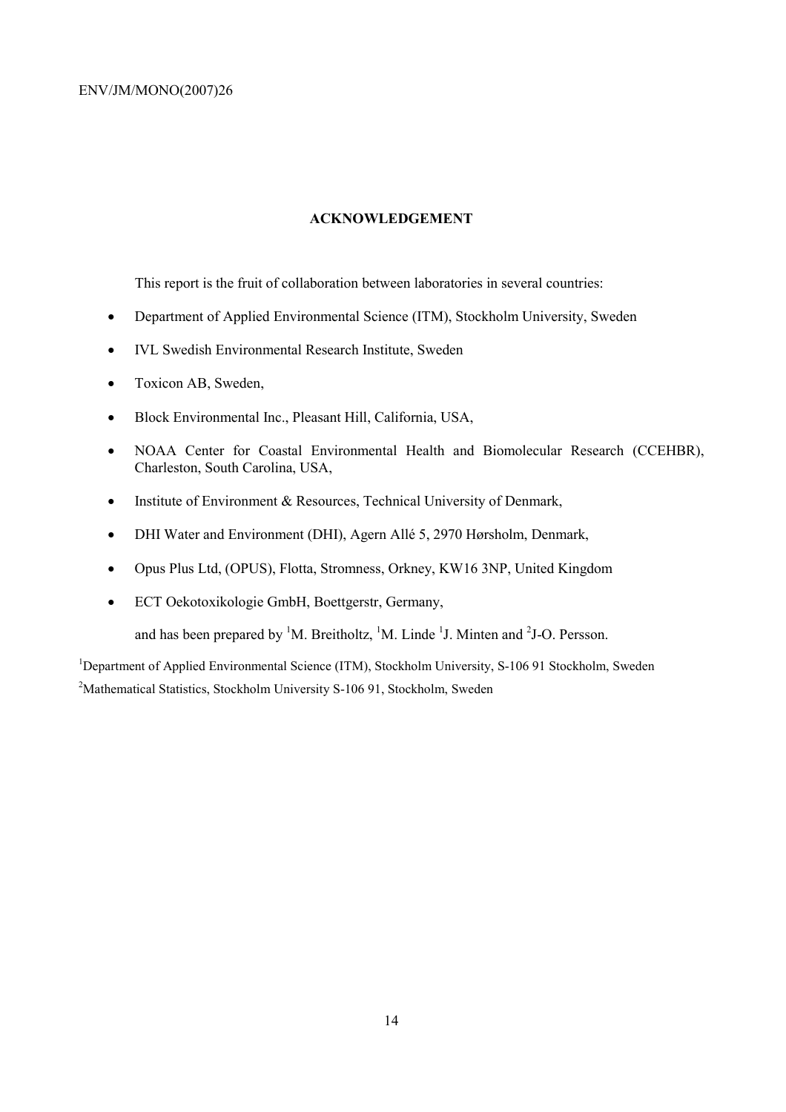# **ACKNOWLEDGEMENT**

This report is the fruit of collaboration between laboratories in several countries:

- Department of Applied Environmental Science (ITM), Stockholm University, Sweden
- IVL Swedish Environmental Research Institute, Sweden
- Toxicon AB, Sweden,
- Block Environmental Inc., Pleasant Hill, California, USA,
- NOAA Center for Coastal Environmental Health and Biomolecular Research (CCEHBR), Charleston, South Carolina, USA,
- Institute of Environment & Resources, Technical University of Denmark,
- DHI Water and Environment (DHI), Agern Allé 5, 2970 Hørsholm, Denmark,
- Opus Plus Ltd, (OPUS), Flotta, Stromness, Orkney, KW16 3NP, United Kingdom
- ECT Oekotoxikologie GmbH, Boettgerstr, Germany,

and has been prepared by <sup>1</sup>M. Breitholtz, <sup>1</sup>M. Linde <sup>1</sup>J. Minten and <sup>2</sup>J-O. Persson.

<sup>1</sup>Department of Applied Environmental Science (ITM), Stockholm University, S-106 91 Stockholm, Sweden <sup>2</sup>Mathematical Statistics, Stockholm University S-106 91, Stockholm, Sweden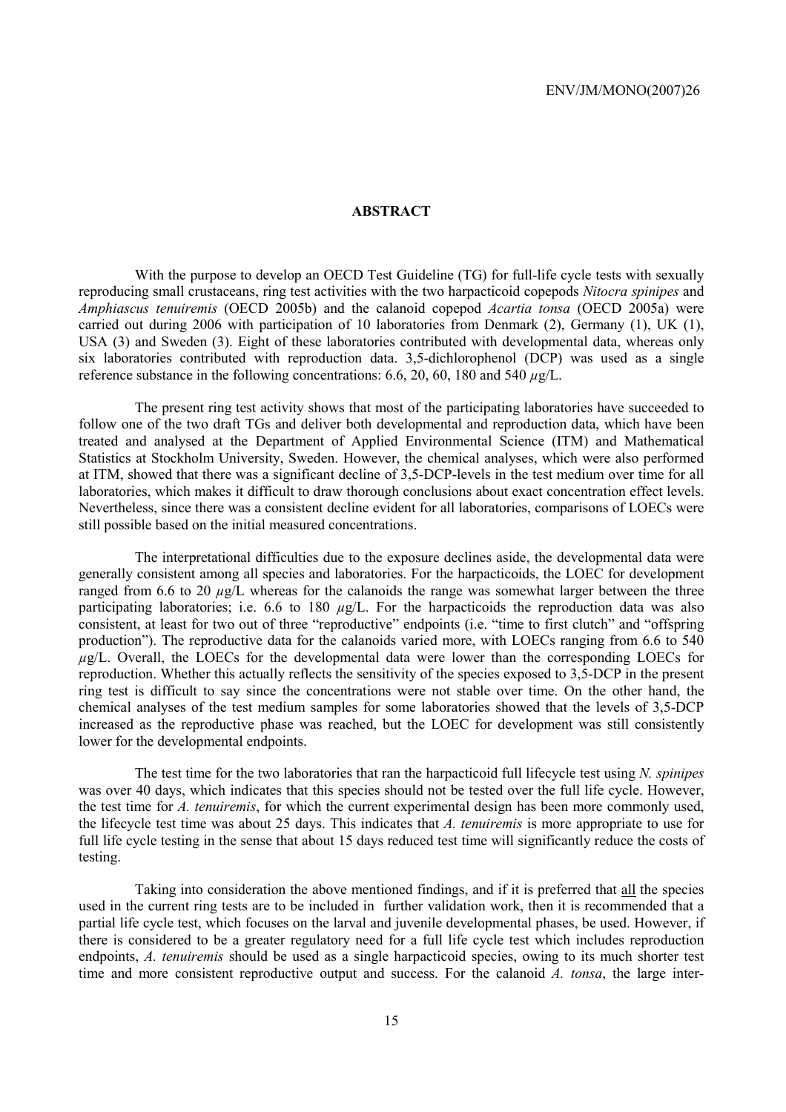#### **ABSTRACT**

With the purpose to develop an OECD Test Guideline (TG) for full-life cycle tests with sexually reproducing small crustaceans, ring test activities with the two harpacticoid copepods *Nitocra spinipes* and *Amphiascus tenuiremis* (OECD 2005b) and the calanoid copepod *Acartia tonsa* (OECD 2005a) were carried out during 2006 with participation of 10 laboratories from Denmark (2), Germany (1), UK (1), USA (3) and Sweden (3). Eight of these laboratories contributed with developmental data, whereas only six laboratories contributed with reproduction data. 3,5-dichlorophenol (DCP) was used as a single reference substance in the following concentrations: 6.6, 20, 60, 180 and 540 *µ*g/L.

The present ring test activity shows that most of the participating laboratories have succeeded to follow one of the two draft TGs and deliver both developmental and reproduction data, which have been treated and analysed at the Department of Applied Environmental Science (ITM) and Mathematical Statistics at Stockholm University, Sweden. However, the chemical analyses, which were also performed at ITM, showed that there was a significant decline of 3,5-DCP-levels in the test medium over time for all laboratories, which makes it difficult to draw thorough conclusions about exact concentration effect levels. Nevertheless, since there was a consistent decline evident for all laboratories, comparisons of LOECs were still possible based on the initial measured concentrations.

The interpretational difficulties due to the exposure declines aside, the developmental data were generally consistent among all species and laboratories. For the harpacticoids, the LOEC for development ranged from 6.6 to 20 *µ*g/L whereas for the calanoids the range was somewhat larger between the three participating laboratories; i.e. 6.6 to 180  $\mu$ g/L. For the harpacticoids the reproduction data was also consistent, at least for two out of three "reproductive" endpoints (i.e. "time to first clutch" and "offspring production"). The reproductive data for the calanoids varied more, with LOECs ranging from 6.6 to 540 *µ*g/L. Overall, the LOECs for the developmental data were lower than the corresponding LOECs for reproduction. Whether this actually reflects the sensitivity of the species exposed to 3,5-DCP in the present ring test is difficult to say since the concentrations were not stable over time. On the other hand, the chemical analyses of the test medium samples for some laboratories showed that the levels of 3,5-DCP increased as the reproductive phase was reached, but the LOEC for development was still consistently lower for the developmental endpoints.

The test time for the two laboratories that ran the harpacticoid full lifecycle test using *N. spinipes*  was over 40 days, which indicates that this species should not be tested over the full life cycle. However, the test time for *A. tenuiremis*, for which the current experimental design has been more commonly used, the lifecycle test time was about 25 days. This indicates that *A. tenuiremis* is more appropriate to use for full life cycle testing in the sense that about 15 days reduced test time will significantly reduce the costs of testing.

Taking into consideration the above mentioned findings, and if it is preferred that all the species used in the current ring tests are to be included in further validation work, then it is recommended that a partial life cycle test, which focuses on the larval and juvenile developmental phases, be used. However, if there is considered to be a greater regulatory need for a full life cycle test which includes reproduction endpoints, *A. tenuiremis* should be used as a single harpacticoid species, owing to its much shorter test time and more consistent reproductive output and success. For the calanoid *A. tonsa*, the large inter-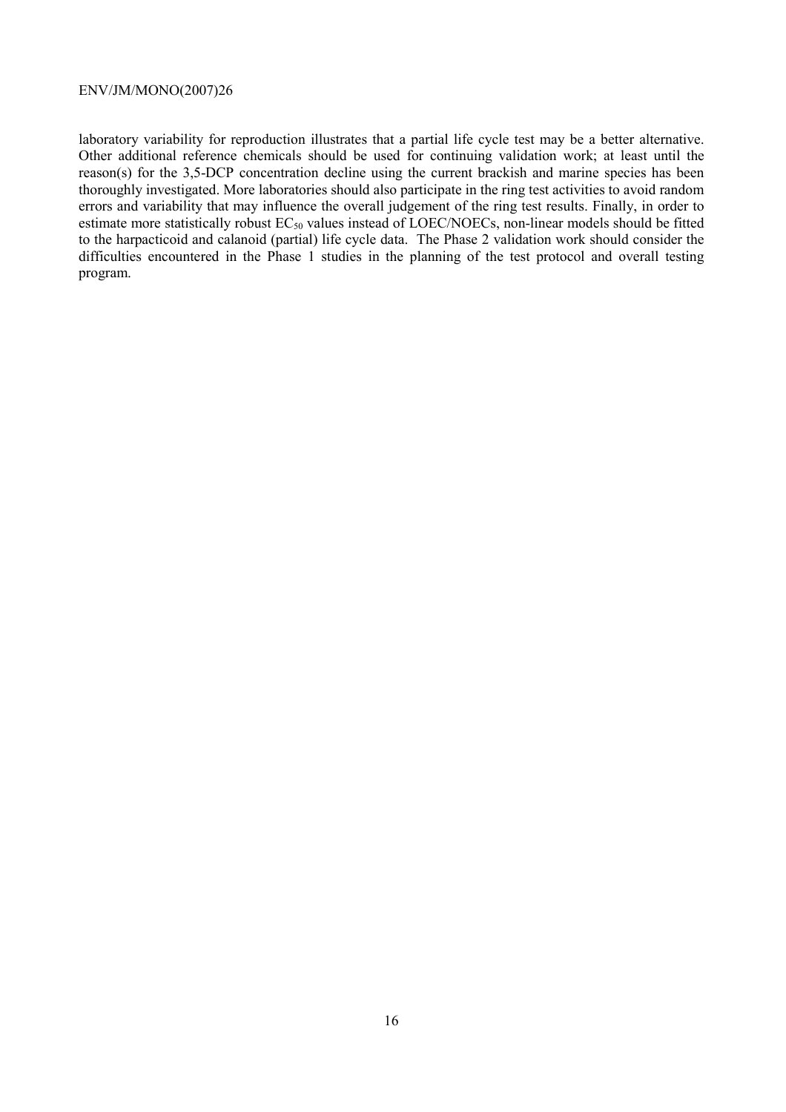laboratory variability for reproduction illustrates that a partial life cycle test may be a better alternative. Other additional reference chemicals should be used for continuing validation work; at least until the reason(s) for the 3,5-DCP concentration decline using the current brackish and marine species has been thoroughly investigated. More laboratories should also participate in the ring test activities to avoid random errors and variability that may influence the overall judgement of the ring test results. Finally, in order to estimate more statistically robust  $EC_{50}$  values instead of LOEC/NOECs, non-linear models should be fitted to the harpacticoid and calanoid (partial) life cycle data. The Phase 2 validation work should consider the difficulties encountered in the Phase 1 studies in the planning of the test protocol and overall testing program.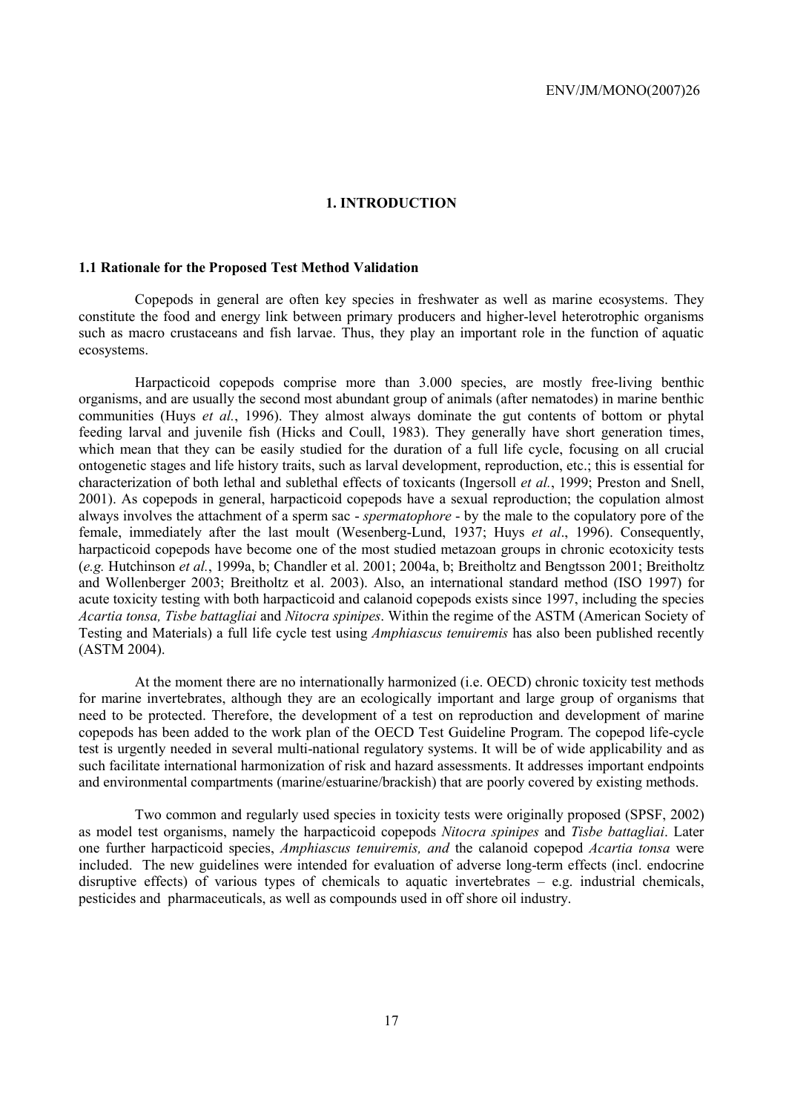#### **1. INTRODUCTION**

# **1.1 Rationale for the Proposed Test Method Validation**

Copepods in general are often key species in freshwater as well as marine ecosystems. They constitute the food and energy link between primary producers and higher-level heterotrophic organisms such as macro crustaceans and fish larvae. Thus, they play an important role in the function of aquatic ecosystems.

Harpacticoid copepods comprise more than 3.000 species, are mostly free-living benthic organisms, and are usually the second most abundant group of animals (after nematodes) in marine benthic communities (Huys *et al.*, 1996). They almost always dominate the gut contents of bottom or phytal feeding larval and juvenile fish (Hicks and Coull, 1983). They generally have short generation times, which mean that they can be easily studied for the duration of a full life cycle, focusing on all crucial ontogenetic stages and life history traits, such as larval development, reproduction, etc.; this is essential for characterization of both lethal and sublethal effects of toxicants (Ingersoll *et al.*, 1999; Preston and Snell, 2001). As copepods in general, harpacticoid copepods have a sexual reproduction; the copulation almost always involves the attachment of a sperm sac - *spermatophore* - by the male to the copulatory pore of the female, immediately after the last moult (Wesenberg-Lund, 1937; Huys *et al*., 1996). Consequently, harpacticoid copepods have become one of the most studied metazoan groups in chronic ecotoxicity tests (*e.g.* Hutchinson *et al.*, 1999a, b; Chandler et al. 2001; 2004a, b; Breitholtz and Bengtsson 2001; Breitholtz and Wollenberger 2003; Breitholtz et al. 2003). Also, an international standard method (ISO 1997) for acute toxicity testing with both harpacticoid and calanoid copepods exists since 1997, including the species *Acartia tonsa, Tisbe battagliai* and *Nitocra spinipes*. Within the regime of the ASTM (American Society of Testing and Materials) a full life cycle test using *Amphiascus tenuiremis* has also been published recently (ASTM 2004).

At the moment there are no internationally harmonized (i.e. OECD) chronic toxicity test methods for marine invertebrates, although they are an ecologically important and large group of organisms that need to be protected. Therefore, the development of a test on reproduction and development of marine copepods has been added to the work plan of the OECD Test Guideline Program. The copepod life-cycle test is urgently needed in several multi-national regulatory systems. It will be of wide applicability and as such facilitate international harmonization of risk and hazard assessments. It addresses important endpoints and environmental compartments (marine/estuarine/brackish) that are poorly covered by existing methods.

Two common and regularly used species in toxicity tests were originally proposed (SPSF, 2002) as model test organisms, namely the harpacticoid copepods *Nitocra spinipes* and *Tisbe battagliai*. Later one further harpacticoid species, *Amphiascus tenuiremis, and* the calanoid copepod *Acartia tonsa* were included. The new guidelines were intended for evaluation of adverse long-term effects (incl. endocrine disruptive effects) of various types of chemicals to aquatic invertebrates – e.g. industrial chemicals, pesticides and pharmaceuticals, as well as compounds used in off shore oil industry.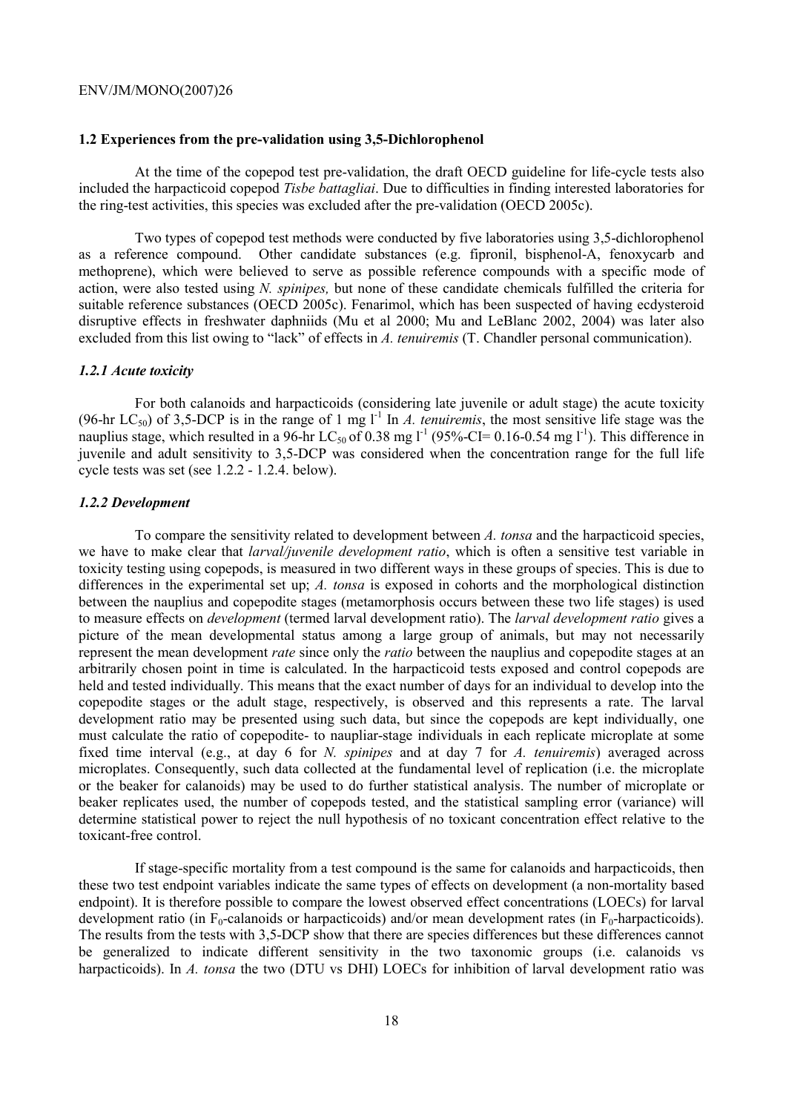#### **1.2 Experiences from the pre-validation using 3,5-Dichlorophenol**

At the time of the copepod test pre-validation, the draft OECD guideline for life-cycle tests also included the harpacticoid copepod *Tisbe battagliai*. Due to difficulties in finding interested laboratories for the ring-test activities, this species was excluded after the pre-validation (OECD 2005c).

Two types of copepod test methods were conducted by five laboratories using 3,5-dichlorophenol as a reference compound. Other candidate substances (e.g. fipronil, bisphenol-A, fenoxycarb and methoprene), which were believed to serve as possible reference compounds with a specific mode of action, were also tested using *N. spinipes,* but none of these candidate chemicals fulfilled the criteria for suitable reference substances (OECD 2005c). Fenarimol, which has been suspected of having ecdysteroid disruptive effects in freshwater daphniids (Mu et al 2000; Mu and LeBlanc 2002, 2004) was later also excluded from this list owing to "lack" of effects in *A. tenuiremis* (T. Chandler personal communication).

#### *1.2.1 Acute toxicity*

For both calanoids and harpacticoids (considering late juvenile or adult stage) the acute toxicity (96-hr LC<sub>50</sub>) of 3,5-DCP is in the range of 1 mg  $l^{-1}$  In *A. tenuiremis*, the most sensitive life stage was the nauplius stage, which resulted in a 96-hr LC<sub>50</sub> of 0.38 mg l<sup>-1</sup> (95%-CI= 0.16-0.54 mg l<sup>-1</sup>). This difference in juvenile and adult sensitivity to 3,5-DCP was considered when the concentration range for the full life cycle tests was set (see 1.2.2 - 1.2.4. below).

#### *1.2.2 Development*

To compare the sensitivity related to development between *A. tonsa* and the harpacticoid species, we have to make clear that *larval/juvenile development ratio*, which is often a sensitive test variable in toxicity testing using copepods, is measured in two different ways in these groups of species. This is due to differences in the experimental set up; *A. tonsa* is exposed in cohorts and the morphological distinction between the nauplius and copepodite stages (metamorphosis occurs between these two life stages) is used to measure effects on *development* (termed larval development ratio). The *larval development ratio* gives a picture of the mean developmental status among a large group of animals, but may not necessarily represent the mean development *rate* since only the *ratio* between the nauplius and copepodite stages at an arbitrarily chosen point in time is calculated. In the harpacticoid tests exposed and control copepods are held and tested individually. This means that the exact number of days for an individual to develop into the copepodite stages or the adult stage, respectively, is observed and this represents a rate. The larval development ratio may be presented using such data, but since the copepods are kept individually, one must calculate the ratio of copepodite- to naupliar-stage individuals in each replicate microplate at some fixed time interval (e.g., at day 6 for *N. spinipes* and at day 7 for *A. tenuiremis*) averaged across microplates. Consequently, such data collected at the fundamental level of replication (i.e. the microplate or the beaker for calanoids) may be used to do further statistical analysis. The number of microplate or beaker replicates used, the number of copepods tested, and the statistical sampling error (variance) will determine statistical power to reject the null hypothesis of no toxicant concentration effect relative to the toxicant-free control.

If stage-specific mortality from a test compound is the same for calanoids and harpacticoids, then these two test endpoint variables indicate the same types of effects on development (a non-mortality based endpoint). It is therefore possible to compare the lowest observed effect concentrations (LOECs) for larval development ratio (in  $F_0$ -calanoids or harpacticoids) and/or mean development rates (in  $F_0$ -harpacticoids). The results from the tests with 3,5-DCP show that there are species differences but these differences cannot be generalized to indicate different sensitivity in the two taxonomic groups (i.e. calanoids vs harpacticoids). In *A. tonsa* the two (DTU vs DHI) LOECs for inhibition of larval development ratio was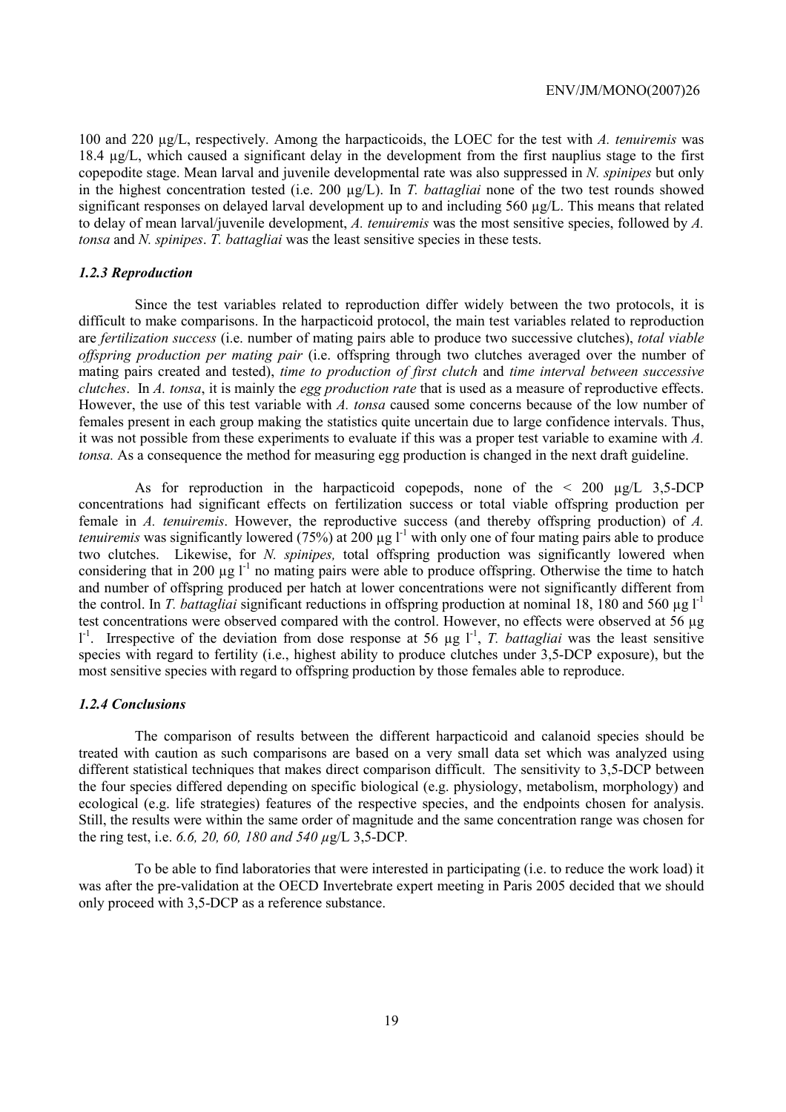100 and 220 µg/L, respectively. Among the harpacticoids, the LOEC for the test with *A. tenuiremis* was 18.4 µg/L, which caused a significant delay in the development from the first nauplius stage to the first copepodite stage. Mean larval and juvenile developmental rate was also suppressed in *N. spinipes* but only in the highest concentration tested (i.e. 200 µg/L). In *T. battagliai* none of the two test rounds showed significant responses on delayed larval development up to and including 560  $\mu$ g/L. This means that related to delay of mean larval/juvenile development, *A. tenuiremis* was the most sensitive species, followed by *A. tonsa* and *N. spinipes*. *T. battagliai* was the least sensitive species in these tests.

### *1.2.3 Reproduction*

Since the test variables related to reproduction differ widely between the two protocols, it is difficult to make comparisons. In the harpacticoid protocol, the main test variables related to reproduction are *fertilization success* (i.e. number of mating pairs able to produce two successive clutches), *total viable offspring production per mating pair* (i.e. offspring through two clutches averaged over the number of mating pairs created and tested), *time to production of first clutch* and *time interval between successive clutches*. In *A. tonsa*, it is mainly the *egg production rate* that is used as a measure of reproductive effects. However, the use of this test variable with *A. tonsa* caused some concerns because of the low number of females present in each group making the statistics quite uncertain due to large confidence intervals. Thus, it was not possible from these experiments to evaluate if this was a proper test variable to examine with *A. tonsa.* As a consequence the method for measuring egg production is changed in the next draft guideline.

As for reproduction in the harpacticoid copepods, none of the  $\leq 200 \text{ µg/L}$  3.5-DCP concentrations had significant effects on fertilization success or total viable offspring production per female in *A. tenuiremis*. However, the reproductive success (and thereby offspring production) of *A. tenuiremis* was significantly lowered (75%) at 200  $\mu$ g l<sup>-1</sup> with only one of four mating pairs able to produce two clutches. Likewise, for *N. spinipes,* total offspring production was significantly lowered when considering that in 200  $\mu$ g l<sup>-1</sup> no mating pairs were able to produce offspring. Otherwise the time to hatch and number of offspring produced per hatch at lower concentrations were not significantly different from the control. In *T. battagliai* significant reductions in offspring production at nominal 18, 180 and 560  $\mu$ g l<sup>-1</sup> test concentrations were observed compared with the control. However, no effects were observed at 56 µg  $1^{-1}$ . Irrespective of the deviation from dose response at 56 µg  $1^{-1}$ , *T. battagliai* was the least sensitive species with regard to fertility (i.e., highest ability to produce clutches under 3,5-DCP exposure), but the most sensitive species with regard to offspring production by those females able to reproduce.

#### *1.2.4 Conclusions*

The comparison of results between the different harpacticoid and calanoid species should be treated with caution as such comparisons are based on a very small data set which was analyzed using different statistical techniques that makes direct comparison difficult. The sensitivity to 3,5-DCP between the four species differed depending on specific biological (e.g. physiology, metabolism, morphology) and ecological (e.g. life strategies) features of the respective species, and the endpoints chosen for analysis. Still, the results were within the same order of magnitude and the same concentration range was chosen for the ring test, i.e. *6.6, 20, 60, 180 and 540 µ*g/L 3,5-DCP*.*

To be able to find laboratories that were interested in participating (i.e. to reduce the work load) it was after the pre-validation at the OECD Invertebrate expert meeting in Paris 2005 decided that we should only proceed with 3,5-DCP as a reference substance.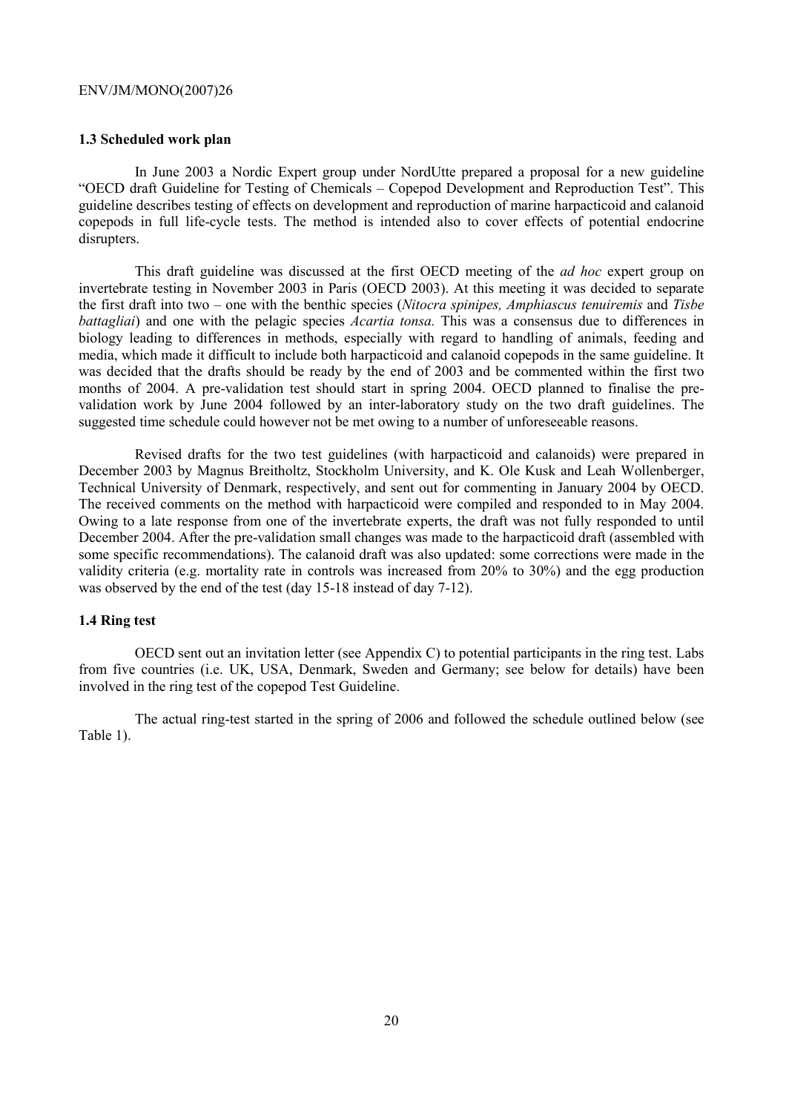#### **1.3 Scheduled work plan**

In June 2003 a Nordic Expert group under NordUtte prepared a proposal for a new guideline "OECD draft Guideline for Testing of Chemicals – Copepod Development and Reproduction Test". This guideline describes testing of effects on development and reproduction of marine harpacticoid and calanoid copepods in full life-cycle tests. The method is intended also to cover effects of potential endocrine disrupters.

This draft guideline was discussed at the first OECD meeting of the *ad hoc* expert group on invertebrate testing in November 2003 in Paris (OECD 2003). At this meeting it was decided to separate the first draft into two – one with the benthic species (*Nitocra spinipes, Amphiascus tenuiremis* and *Tisbe battagliai*) and one with the pelagic species *Acartia tonsa*. This was a consensus due to differences in biology leading to differences in methods, especially with regard to handling of animals, feeding and media, which made it difficult to include both harpacticoid and calanoid copepods in the same guideline. It was decided that the drafts should be ready by the end of 2003 and be commented within the first two months of 2004. A pre-validation test should start in spring 2004. OECD planned to finalise the prevalidation work by June 2004 followed by an inter-laboratory study on the two draft guidelines. The suggested time schedule could however not be met owing to a number of unforeseeable reasons.

Revised drafts for the two test guidelines (with harpacticoid and calanoids) were prepared in December 2003 by Magnus Breitholtz, Stockholm University, and K. Ole Kusk and Leah Wollenberger, Technical University of Denmark, respectively, and sent out for commenting in January 2004 by OECD. The received comments on the method with harpacticoid were compiled and responded to in May 2004. Owing to a late response from one of the invertebrate experts, the draft was not fully responded to until December 2004. After the pre-validation small changes was made to the harpacticoid draft (assembled with some specific recommendations). The calanoid draft was also updated: some corrections were made in the validity criteria (e.g. mortality rate in controls was increased from 20% to 30%) and the egg production was observed by the end of the test (day 15-18 instead of day 7-12).

#### **1.4 Ring test**

OECD sent out an invitation letter (see Appendix C) to potential participants in the ring test. Labs from five countries (i.e. UK, USA, Denmark, Sweden and Germany; see below for details) have been involved in the ring test of the copepod Test Guideline.

The actual ring-test started in the spring of 2006 and followed the schedule outlined below (see Table 1).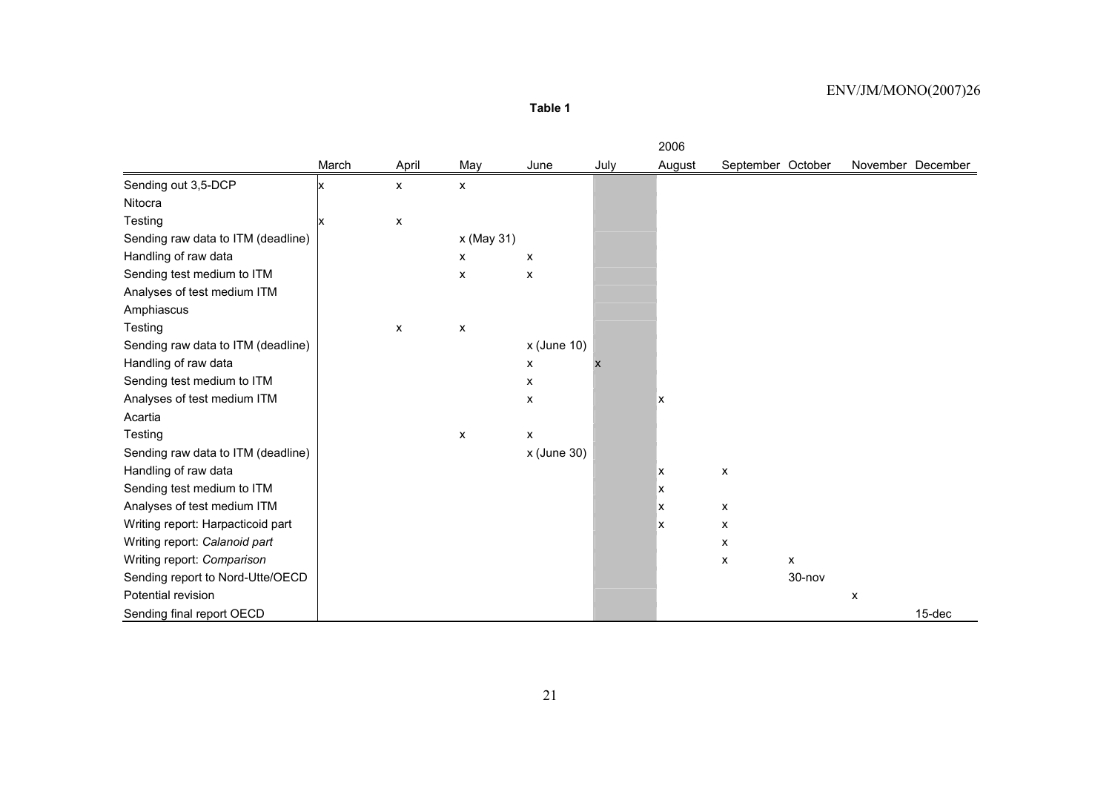**Table 1** 

|                                    |       |                    |            |                |      | 2006   |                   |                |   |                   |
|------------------------------------|-------|--------------------|------------|----------------|------|--------|-------------------|----------------|---|-------------------|
|                                    | March | April              | May        | June           | July | August | September October |                |   | November December |
| Sending out 3,5-DCP                |       | $\pmb{\mathsf{X}}$ | X          |                |      |        |                   |                |   |                   |
| Nitocra                            |       |                    |            |                |      |        |                   |                |   |                   |
| Testing                            |       | X                  |            |                |      |        |                   |                |   |                   |
| Sending raw data to ITM (deadline) |       |                    | x (May 31) |                |      |        |                   |                |   |                   |
| Handling of raw data               |       |                    | X          | X              |      |        |                   |                |   |                   |
| Sending test medium to ITM         |       |                    | X          | X              |      |        |                   |                |   |                   |
| Analyses of test medium ITM        |       |                    |            |                |      |        |                   |                |   |                   |
| Amphiascus                         |       |                    |            |                |      |        |                   |                |   |                   |
| Testing                            |       | X                  | X          |                |      |        |                   |                |   |                   |
| Sending raw data to ITM (deadline) |       |                    |            | $x$ (June 10)  |      |        |                   |                |   |                   |
| Handling of raw data               |       |                    |            | $\pmb{\times}$ |      |        |                   |                |   |                   |
| Sending test medium to ITM         |       |                    |            | X              |      |        |                   |                |   |                   |
| Analyses of test medium ITM        |       |                    |            | X              |      | x      |                   |                |   |                   |
| Acartia                            |       |                    |            |                |      |        |                   |                |   |                   |
| Testing                            |       |                    | X          | X              |      |        |                   |                |   |                   |
| Sending raw data to ITM (deadline) |       |                    |            | x (June 30)    |      |        |                   |                |   |                   |
| Handling of raw data               |       |                    |            |                |      | x      | X                 |                |   |                   |
| Sending test medium to ITM         |       |                    |            |                |      | x      |                   |                |   |                   |
| Analyses of test medium ITM        |       |                    |            |                |      | х      | X                 |                |   |                   |
| Writing report: Harpacticoid part  |       |                    |            |                |      | x      | X                 |                |   |                   |
| Writing report: Calanoid part      |       |                    |            |                |      |        | X                 |                |   |                   |
| Writing report: Comparison         |       |                    |            |                |      |        | X                 | $\pmb{\times}$ |   |                   |
| Sending report to Nord-Utte/OECD   |       |                    |            |                |      |        |                   | 30-nov         |   |                   |
| Potential revision                 |       |                    |            |                |      |        |                   |                | X |                   |
| Sending final report OECD          |       |                    |            |                |      |        |                   |                |   | 15-dec            |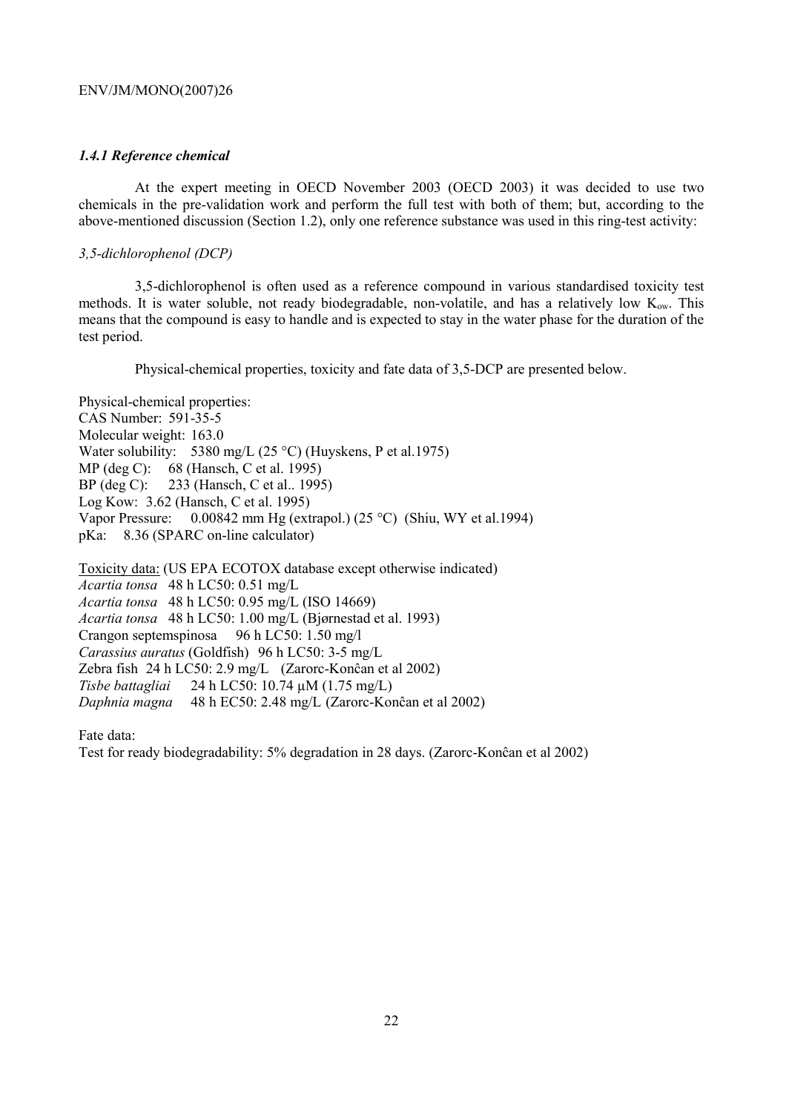# *1.4.1 Reference chemical*

At the expert meeting in OECD November 2003 (OECD 2003) it was decided to use two chemicals in the pre-validation work and perform the full test with both of them; but, according to the above-mentioned discussion (Section 1.2), only one reference substance was used in this ring-test activity:

# *3,5-dichlorophenol (DCP)*

3,5-dichlorophenol is often used as a reference compound in various standardised toxicity test methods. It is water soluble, not ready biodegradable, non-volatile, and has a relatively low  $K_{ow}$ . This means that the compound is easy to handle and is expected to stay in the water phase for the duration of the test period.

Physical-chemical properties, toxicity and fate data of 3,5-DCP are presented below.

Physical-chemical properties: CAS Number: 591-35-5 Molecular weight: 163.0 Water solubility: 5380 mg/L (25 °C) (Huyskens, P et al.1975) MP (deg C): 68 (Hansch, C et al. 1995) BP (deg C): 233 (Hansch, C et al.. 1995) Log Kow: 3.62 (Hansch, C et al. 1995) Vapor Pressure: 0.00842 mm Hg (extrapol.) (25 °C) (Shiu, WY et al.1994) pKa: 8.36 (SPARC on-line calculator)

Toxicity data: (US EPA ECOTOX database except otherwise indicated) *Acartia tonsa* 48 h LC50: 0.51 mg/L *Acartia tonsa* 48 h LC50: 0.95 mg/L (ISO 14669) *Acartia tonsa* 48 h LC50: 1.00 mg/L (Bjørnestad et al. 1993) Crangon septemspinosa 96 h LC50: 1.50 mg/l *Carassius auratus* (Goldfish) 96 h LC50: 3-5 mg/L Zebra fish 24 h LC50: 2.9 mg/L (Zarorc-Konĉan et al 2002) *Tisbe battagliai* 24 h LC50: 10.74 µM (1.75 mg/L) *Daphnia magna* 48 h EC50: 2.48 mg/L (Zarorc-Konĉan et al 2002)

Fate data:

Test for ready biodegradability: 5% degradation in 28 days. (Zarorc-Konĉan et al 2002)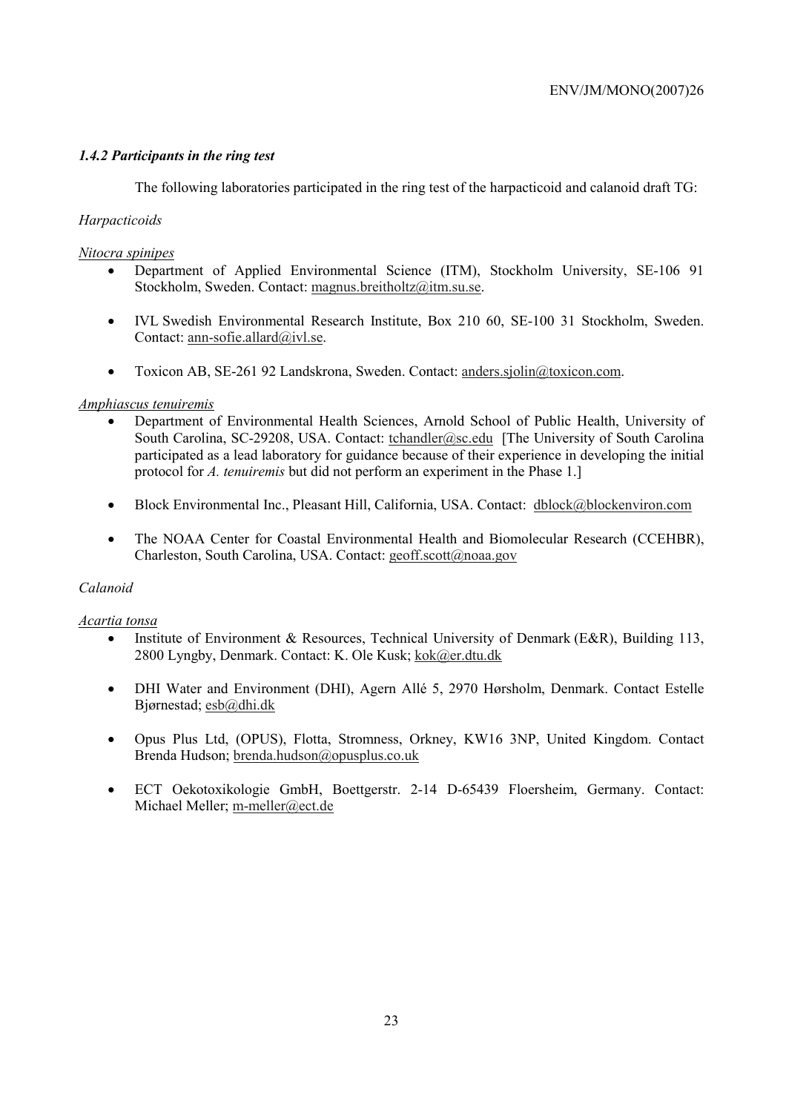# *1.4.2 Participants in the ring test*

The following laboratories participated in the ring test of the harpacticoid and calanoid draft TG:

# *Harpacticoids*

# *Nitocra spinipes*

- Department of Applied Environmental Science (ITM), Stockholm University, SE-106 91 Stockholm, Sweden. Contact: magnus.breitholtz@itm.su.se.
- IVL Swedish Environmental Research Institute, Box 210 60, SE-100 31 Stockholm, Sweden. Contact: ann-sofie.allard@ivl.se.
- Toxicon AB, SE-261 92 Landskrona, Sweden. Contact: anders.sjolin@toxicon.com.

# *Amphiascus tenuiremis*

- Department of Environmental Health Sciences, Arnold School of Public Health, University of South Carolina, SC-29208, USA. Contact: tchandler@sc.edu [The University of South Carolina participated as a lead laboratory for guidance because of their experience in developing the initial protocol for *A. tenuiremis* but did not perform an experiment in the Phase 1.]
- Block Environmental Inc., Pleasant Hill, California, USA. Contact: dblock@blockenviron.com
- The NOAA Center for Coastal Environmental Health and Biomolecular Research (CCEHBR), Charleston, South Carolina, USA. Contact: geoff.scott@noaa.gov

# *Calanoid*

# *Acartia tonsa*

- Institute of Environment & Resources, Technical University of Denmark (E&R), Building 113, 2800 Lyngby, Denmark. Contact: K. Ole Kusk; kok@er.dtu.dk
- DHI Water and Environment (DHI), Agern Allé 5, 2970 Hørsholm, Denmark. Contact Estelle Bjørnestad; esb@dhi.dk
- Opus Plus Ltd, (OPUS), Flotta, Stromness, Orkney, KW16 3NP, United Kingdom. Contact Brenda Hudson; brenda.hudson@opusplus.co.uk
- ECT Oekotoxikologie GmbH, Boettgerstr. 2-14 D-65439 Floersheim, Germany. Contact: Michael Meller; m-meller@ect.de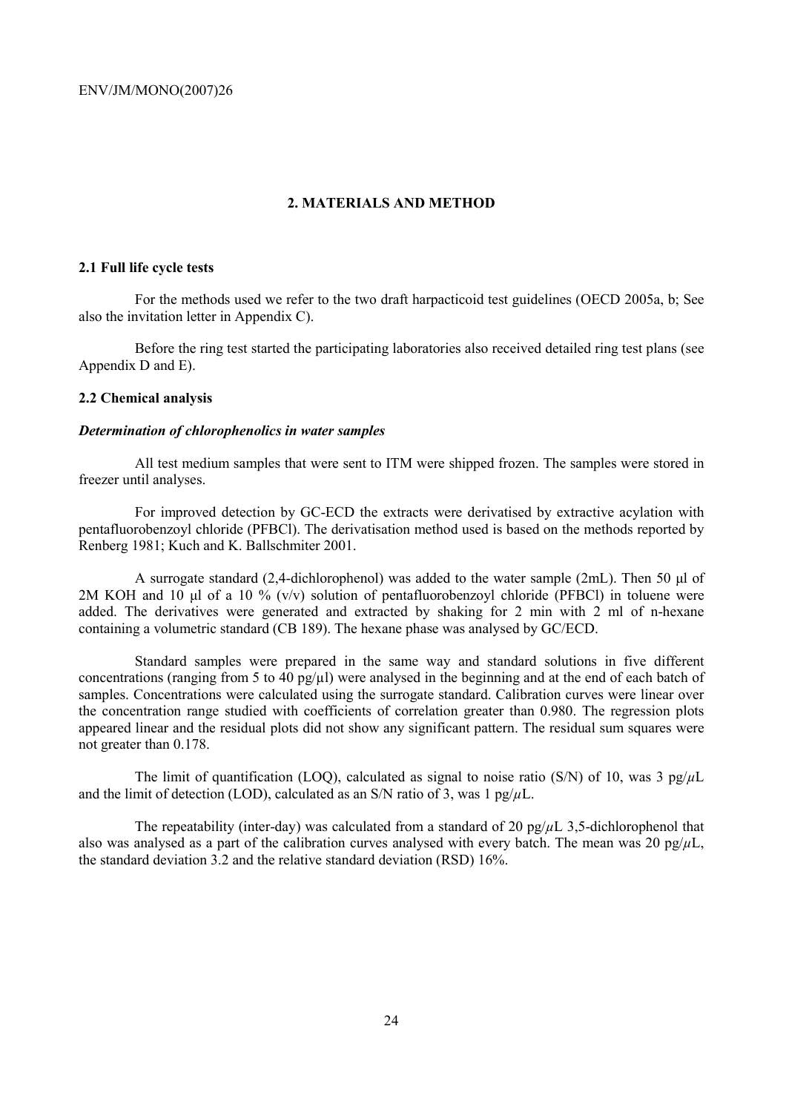# **2. MATERIALS AND METHOD**

# **2.1 Full life cycle tests**

For the methods used we refer to the two draft harpacticoid test guidelines (OECD 2005a, b; See also the invitation letter in Appendix C).

Before the ring test started the participating laboratories also received detailed ring test plans (see Appendix D and E).

# **2.2 Chemical analysis**

# *Determination of chlorophenolics in water samples*

All test medium samples that were sent to ITM were shipped frozen. The samples were stored in freezer until analyses.

For improved detection by GC-ECD the extracts were derivatised by extractive acylation with pentafluorobenzoyl chloride (PFBCl). The derivatisation method used is based on the methods reported by Renberg 1981; Kuch and K. Ballschmiter 2001.

A surrogate standard (2,4-dichlorophenol) was added to the water sample (2mL). Then 50 µl of 2M KOH and 10  $\mu$ l of a 10 % (v/v) solution of pentafluorobenzoyl chloride (PFBCl) in toluene were added. The derivatives were generated and extracted by shaking for 2 min with 2 ml of n-hexane containing a volumetric standard (CB 189). The hexane phase was analysed by GC/ECD.

Standard samples were prepared in the same way and standard solutions in five different concentrations (ranging from 5 to 40 pg/µl) were analysed in the beginning and at the end of each batch of samples. Concentrations were calculated using the surrogate standard. Calibration curves were linear over the concentration range studied with coefficients of correlation greater than 0.980. The regression plots appeared linear and the residual plots did not show any significant pattern. The residual sum squares were not greater than 0.178.

The limit of quantification (LOQ), calculated as signal to noise ratio (S/N) of 10, was 3 pg/*µ*L and the limit of detection (LOD), calculated as an S/N ratio of 3, was 1  $pg/\mu L$ .

The repeatability (inter-day) was calculated from a standard of 20  $pg/dL$  3.5-dichlorophenol that also was analysed as a part of the calibration curves analysed with every batch. The mean was 20  $pg/\mu L$ , the standard deviation 3.2 and the relative standard deviation (RSD) 16%.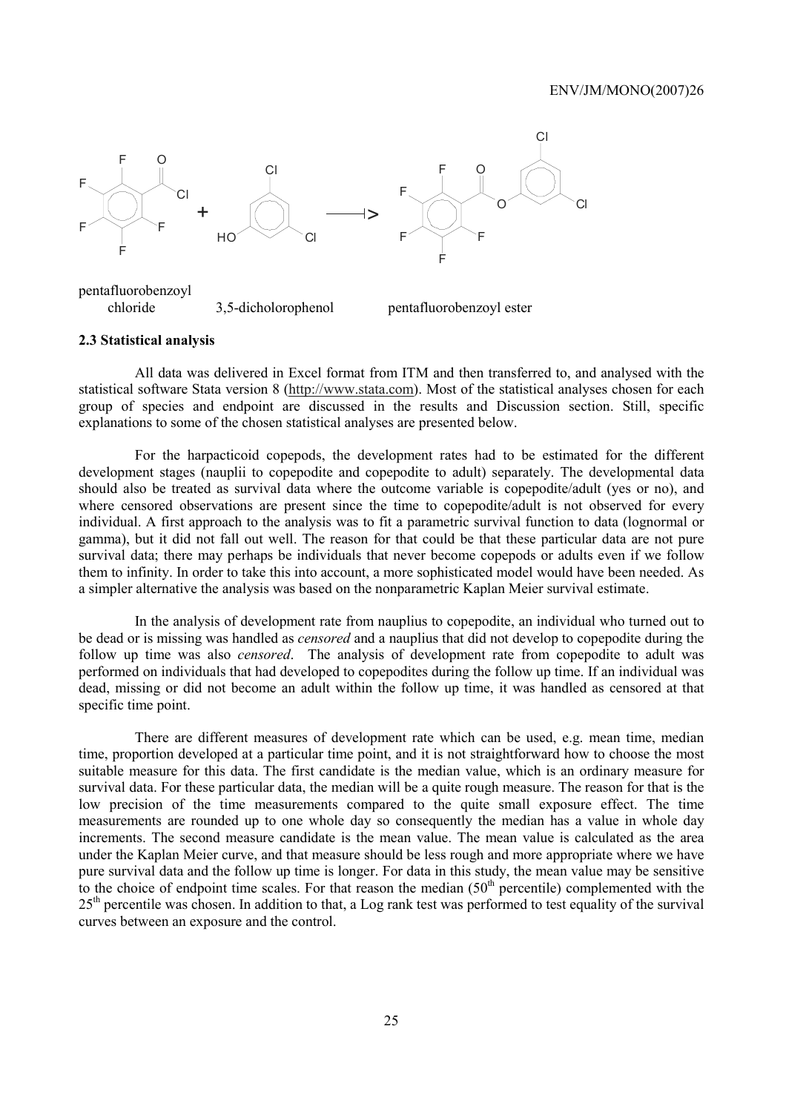

pentafluorobenzoyl chloride 3,5-dicholorophenol pentafluorobenzoyl ester

#### **2.3 Statistical analysis**

All data was delivered in Excel format from ITM and then transferred to, and analysed with the statistical software Stata version 8 (http://www.stata.com). Most of the statistical analyses chosen for each group of species and endpoint are discussed in the results and Discussion section. Still, specific explanations to some of the chosen statistical analyses are presented below.

For the harpacticoid copepods, the development rates had to be estimated for the different development stages (nauplii to copepodite and copepodite to adult) separately. The developmental data should also be treated as survival data where the outcome variable is copepodite/adult (yes or no), and where censored observations are present since the time to copepodite/adult is not observed for every individual. A first approach to the analysis was to fit a parametric survival function to data (lognormal or gamma), but it did not fall out well. The reason for that could be that these particular data are not pure survival data; there may perhaps be individuals that never become copepods or adults even if we follow them to infinity. In order to take this into account, a more sophisticated model would have been needed. As a simpler alternative the analysis was based on the nonparametric Kaplan Meier survival estimate.

In the analysis of development rate from nauplius to copepodite, an individual who turned out to be dead or is missing was handled as *censored* and a nauplius that did not develop to copepodite during the follow up time was also *censored*. The analysis of development rate from copepodite to adult was performed on individuals that had developed to copepodites during the follow up time. If an individual was dead, missing or did not become an adult within the follow up time, it was handled as censored at that specific time point.

There are different measures of development rate which can be used, e.g. mean time, median time, proportion developed at a particular time point, and it is not straightforward how to choose the most suitable measure for this data. The first candidate is the median value, which is an ordinary measure for survival data. For these particular data, the median will be a quite rough measure. The reason for that is the low precision of the time measurements compared to the quite small exposure effect. The time measurements are rounded up to one whole day so consequently the median has a value in whole day increments. The second measure candidate is the mean value. The mean value is calculated as the area under the Kaplan Meier curve, and that measure should be less rough and more appropriate where we have pure survival data and the follow up time is longer. For data in this study, the mean value may be sensitive to the choice of endpoint time scales. For that reason the median  $(50<sup>th</sup>$  percentile) complemented with the  $25<sup>th</sup>$  percentile was chosen. In addition to that, a Log rank test was performed to test equality of the survival curves between an exposure and the control.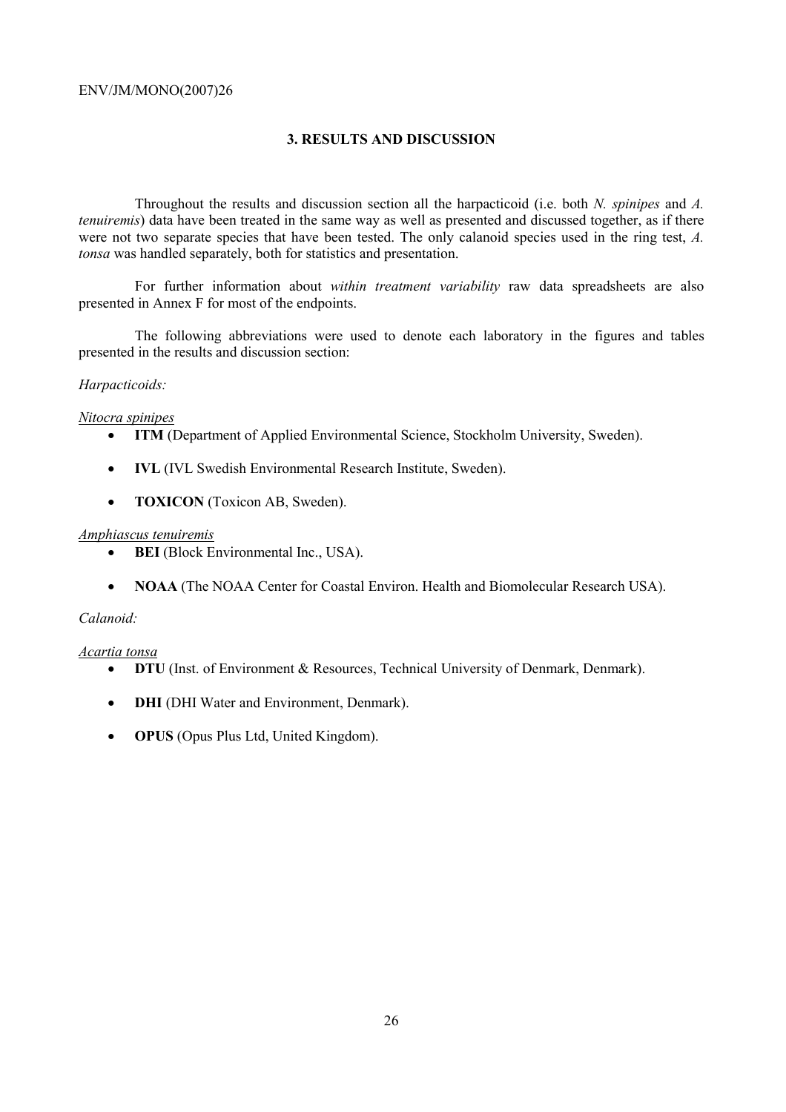# **3. RESULTS AND DISCUSSION**

Throughout the results and discussion section all the harpacticoid (i.e. both *N. spinipes* and *A. tenuiremis*) data have been treated in the same way as well as presented and discussed together, as if there were not two separate species that have been tested. The only calanoid species used in the ring test, *A. tonsa* was handled separately, both for statistics and presentation.

For further information about *within treatment variability* raw data spreadsheets are also presented in Annex F for most of the endpoints.

The following abbreviations were used to denote each laboratory in the figures and tables presented in the results and discussion section:

# *Harpacticoids:*

# *Nitocra spinipes*

- **ITM** (Department of Applied Environmental Science, Stockholm University, Sweden).
- **IVL** (IVL Swedish Environmental Research Institute, Sweden).
- **TOXICON** (Toxicon AB, Sweden).

# *Amphiascus tenuiremis*

- **BEI** (Block Environmental Inc., USA).
- **NOAA** (The NOAA Center for Coastal Environ. Health and Biomolecular Research USA).

# *Calanoid:*

# *Acartia tonsa*

- **DTU** (Inst. of Environment & Resources, Technical University of Denmark, Denmark).
- **DHI** (DHI Water and Environment, Denmark).
- **OPUS** (Opus Plus Ltd, United Kingdom).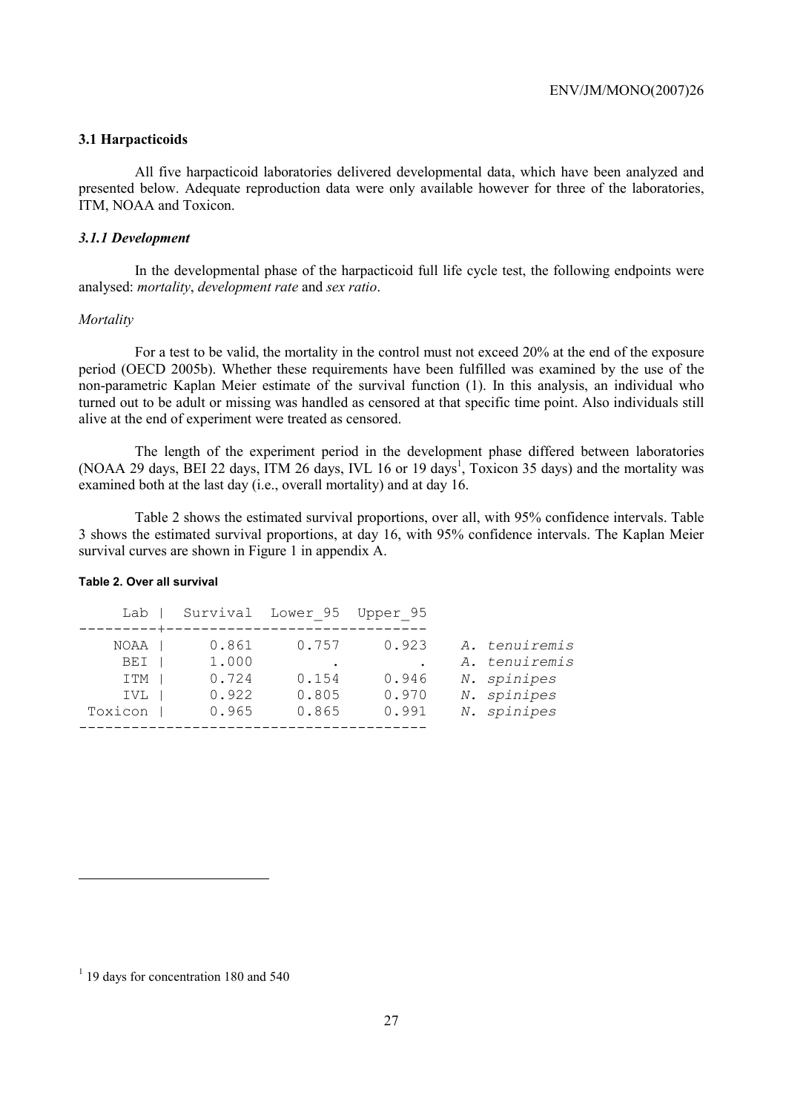# **3.1 Harpacticoids**

All five harpacticoid laboratories delivered developmental data, which have been analyzed and presented below. Adequate reproduction data were only available however for three of the laboratories, ITM, NOAA and Toxicon.

# *3.1.1 Development*

In the developmental phase of the harpacticoid full life cycle test, the following endpoints were analysed: *mortality*, *development rate* and *sex ratio*.

#### *Mortality*

For a test to be valid, the mortality in the control must not exceed 20% at the end of the exposure period (OECD 2005b). Whether these requirements have been fulfilled was examined by the use of the non-parametric Kaplan Meier estimate of the survival function (1). In this analysis, an individual who turned out to be adult or missing was handled as censored at that specific time point. Also individuals still alive at the end of experiment were treated as censored.

The length of the experiment period in the development phase differed between laboratories (NOAA 29 days, BEI 22 days, ITM 26 days, IVL 16 or 19 days<sup>1</sup>, Toxicon 35 days) and the mortality was examined both at the last day (i.e., overall mortality) and at day 16.

Table 2 shows the estimated survival proportions, over all, with 95% confidence intervals. Table 3 shows the estimated survival proportions, at day 16, with 95% confidence intervals. The Kaplan Meier survival curves are shown in Figure 1 in appendix A.

#### **Table 2. Over all survival**

| Lab            |                | Survival Lower 95 Upper 95 |                |                                |
|----------------|----------------|----------------------------|----------------|--------------------------------|
| NOAA<br>BEI    | 0.861<br>1,000 | 0.757                      | 0.923          | A. tenuiremis<br>A. tenuiremis |
| ITM            | 0.724          | 0.154                      | 0.946          | N. spinipes                    |
| IVL<br>Toxicon | 0.922<br>0.965 | 0.805<br>0.865             | 0.970<br>0.991 | N. spinipes<br>N. spinipes     |
|                |                |                            |                |                                |

 $\overline{a}$ 

<sup>&</sup>lt;sup>1</sup> 19 days for concentration 180 and 540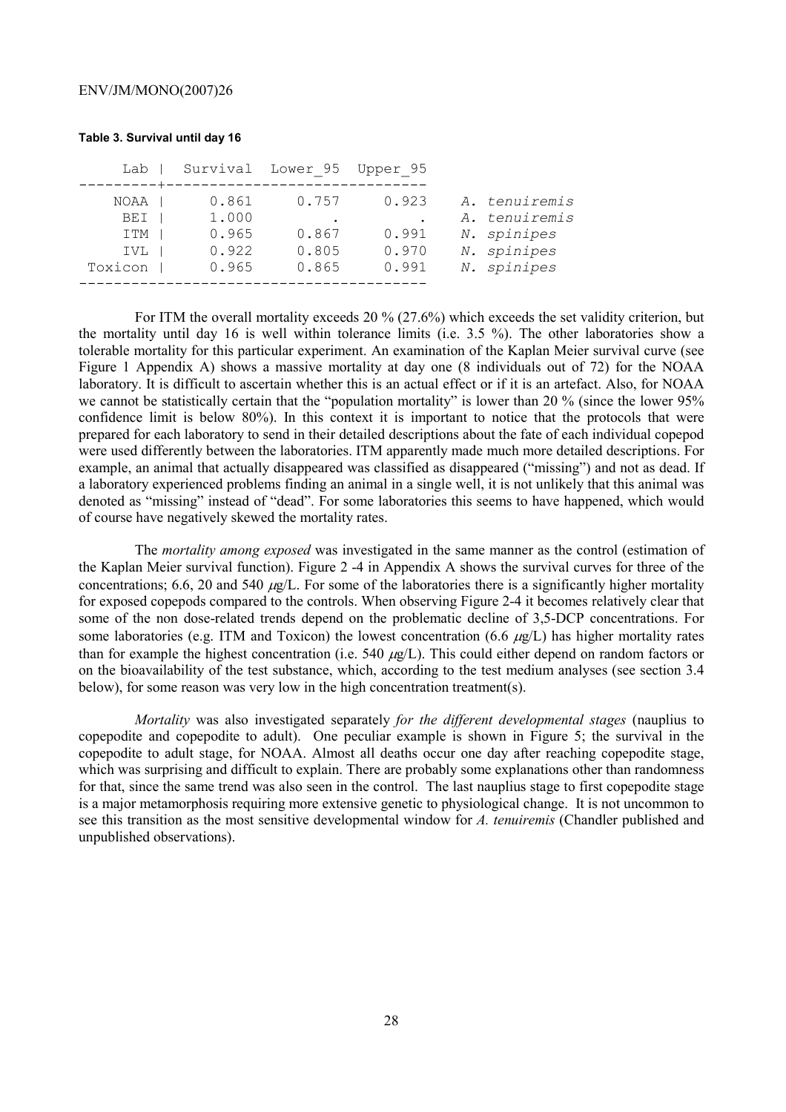# Lab | Survival Lower 95 Upper 95 ---------+------------------------------ NOAA | 0.861 0.757 0.923 *A. tenuiremis* BEI | 1.000 . A. tenuiremis ITM | 0.965 0.867 0.991 *N. spinipes* IVL | 0.922 0.805 0.970 *N. spinipes* Toxicon | 0.965 0.865 0.991 *N. spinipes* ----------------------------------------

**Table 3. Survival until day 16** 

For ITM the overall mortality exceeds 20 % (27.6%) which exceeds the set validity criterion, but the mortality until day 16 is well within tolerance limits (i.e. 3.5 %). The other laboratories show a tolerable mortality for this particular experiment. An examination of the Kaplan Meier survival curve (see Figure 1 Appendix A) shows a massive mortality at day one (8 individuals out of 72) for the NOAA laboratory. It is difficult to ascertain whether this is an actual effect or if it is an artefact. Also, for NOAA we cannot be statistically certain that the "population mortality" is lower than 20 % (since the lower 95% confidence limit is below 80%). In this context it is important to notice that the protocols that were prepared for each laboratory to send in their detailed descriptions about the fate of each individual copepod were used differently between the laboratories. ITM apparently made much more detailed descriptions. For example, an animal that actually disappeared was classified as disappeared ("missing") and not as dead. If a laboratory experienced problems finding an animal in a single well, it is not unlikely that this animal was denoted as "missing" instead of "dead". For some laboratories this seems to have happened, which would of course have negatively skewed the mortality rates.

The *mortality among exposed* was investigated in the same manner as the control (estimation of the Kaplan Meier survival function). Figure 2 -4 in Appendix A shows the survival curves for three of the concentrations; 6.6, 20 and 540  $\mu$ g/L. For some of the laboratories there is a significantly higher mortality for exposed copepods compared to the controls. When observing Figure 2-4 it becomes relatively clear that some of the non dose-related trends depend on the problematic decline of 3,5-DCP concentrations. For some laboratories (e.g. ITM and Toxicon) the lowest concentration (6.6  $\mu$ g/L) has higher mortality rates than for example the highest concentration (i.e. 540  $\mu$ g/L). This could either depend on random factors or on the bioavailability of the test substance, which, according to the test medium analyses (see section 3.4 below), for some reason was very low in the high concentration treatment(s).

*Mortality* was also investigated separately *for the different developmental stages* (nauplius to copepodite and copepodite to adult). One peculiar example is shown in Figure 5; the survival in the copepodite to adult stage, for NOAA. Almost all deaths occur one day after reaching copepodite stage, which was surprising and difficult to explain. There are probably some explanations other than randomness for that, since the same trend was also seen in the control. The last nauplius stage to first copepodite stage is a major metamorphosis requiring more extensive genetic to physiological change. It is not uncommon to see this transition as the most sensitive developmental window for *A. tenuiremis* (Chandler published and unpublished observations).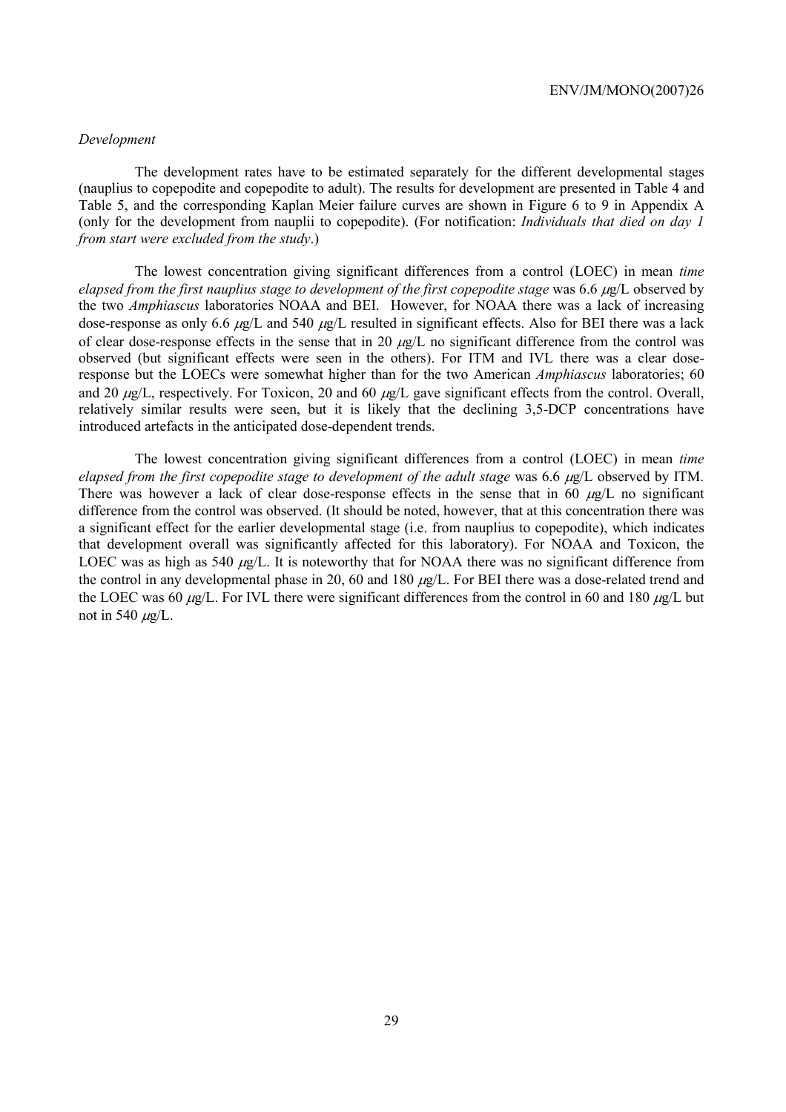# *Development*

The development rates have to be estimated separately for the different developmental stages (nauplius to copepodite and copepodite to adult). The results for development are presented in Table 4 and Table 5, and the corresponding Kaplan Meier failure curves are shown in Figure 6 to 9 in Appendix A (only for the development from nauplii to copepodite). (For notification: *Individuals that died on day 1 from start were excluded from the study*.)

The lowest concentration giving significant differences from a control (LOEC) in mean *time elapsed from the first nauplius stage to development of the first copepodite stage* was 6.6 µg/L observed by the two *Amphiascus* laboratories NOAA and BEI. However, for NOAA there was a lack of increasing dose-response as only 6.6  $\mu$ g/L and 540  $\mu$ g/L resulted in significant effects. Also for BEI there was a lack of clear dose-response effects in the sense that in 20  $\mu$ g/L no significant difference from the control was observed (but significant effects were seen in the others). For ITM and IVL there was a clear doseresponse but the LOECs were somewhat higher than for the two American *Amphiascus* laboratories; 60 and 20  $\mu$ g/L, respectively. For Toxicon, 20 and 60  $\mu$ g/L gave significant effects from the control. Overall, relatively similar results were seen, but it is likely that the declining 3,5-DCP concentrations have introduced artefacts in the anticipated dose-dependent trends.

The lowest concentration giving significant differences from a control (LOEC) in mean *time elapsed from the first copepodite stage to development of the adult stage* was 6.6 µg/L observed by ITM. There was however a lack of clear dose-response effects in the sense that in 60  $\mu$ g/L no significant difference from the control was observed. (It should be noted, however, that at this concentration there was a significant effect for the earlier developmental stage (i.e. from nauplius to copepodite), which indicates that development overall was significantly affected for this laboratory). For NOAA and Toxicon, the LOEC was as high as 540  $\mu$ g/L. It is noteworthy that for NOAA there was no significant difference from the control in any developmental phase in 20, 60 and 180  $\mu$ g/L. For BEI there was a dose-related trend and the LOEC was 60  $\mu$ g/L. For IVL there were significant differences from the control in 60 and 180  $\mu$ g/L but not in 540  $\mu$ g/L.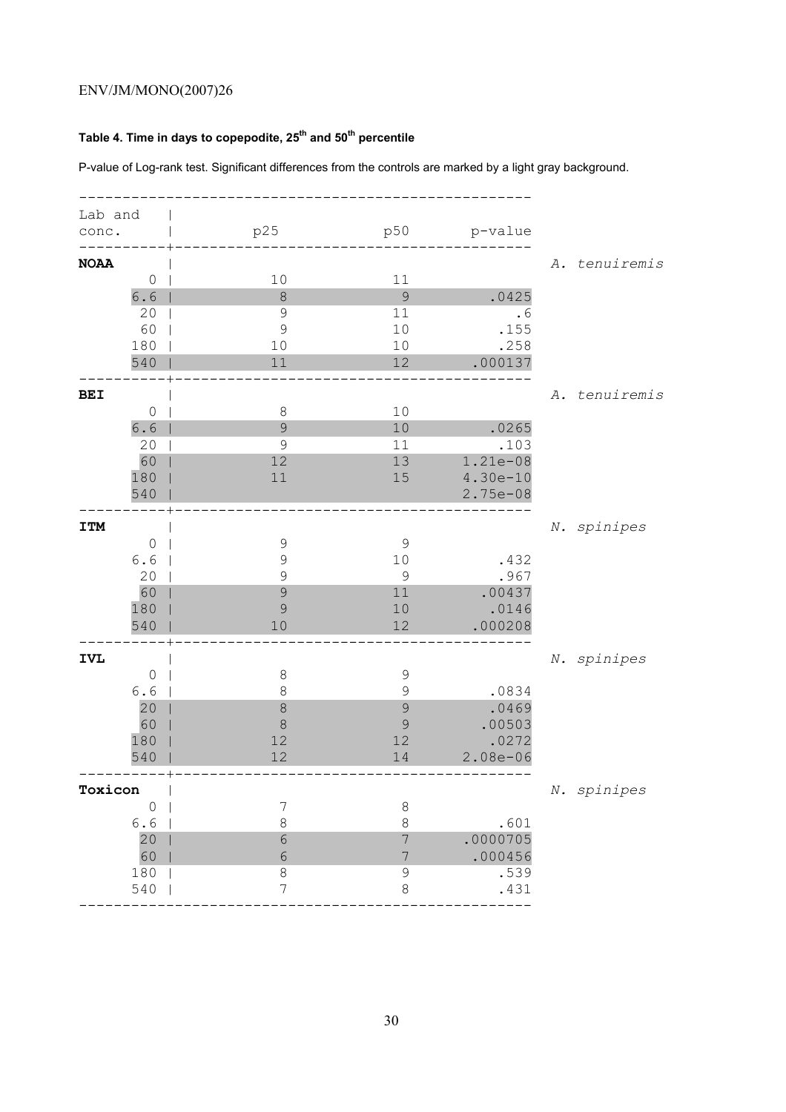# **Table 4. Time in days to copepodite, 25th and 50th percentile**

P-value of Log-rank test. Significant differences from the controls are marked by a light gray background.

| Lab and     |             |                |                  |              |               |
|-------------|-------------|----------------|------------------|--------------|---------------|
| conc.       |             | p25            | p50              | p-value      |               |
|             |             |                |                  |              |               |
| <b>NOAA</b> |             |                |                  |              | A. tenuiremis |
|             | 0           | 10             | 11               |              |               |
|             | 6.6         | $\,8\,$        | $\mathcal{G}$    | .0425        |               |
|             | 20          | $\mathcal{G}$  | 11               | .6           |               |
|             | 60          | $\mathcal{G}$  | 10               | .155         |               |
|             | 180         | 10             | 10               | .258         |               |
|             | 540         | 11             | 12               | .000137      |               |
| <b>BEI</b>  |             |                |                  |              | A. tenuiremis |
|             | $\circ$     | $\,8\,$        | 10               |              |               |
|             | 6.6         | $\mathcal{G}$  | 10               | .0265        |               |
|             | 20          | $\mathcal{G}$  | 11               | .103         |               |
|             | 60          | 12             | 13               | 1.21e-08     |               |
|             | 180         | 11             | 15               | $4.30e-10$   |               |
|             | 540         |                |                  | $2.75e-08$   |               |
|             |             |                |                  |              |               |
| <b>ITM</b>  |             |                |                  |              | N. spinipes   |
|             | $\circ$     | $\mathsf 9$    | $\mathcal{G}$    |              |               |
|             | 6.6         | 9              | 10               | .432         |               |
|             | 20          | $\mathcal{G}$  | $\mathcal{G}$    | .967         |               |
|             | 60          | $\mathcal{G}$  | 11               | .00437       |               |
|             | 180         | 9              | $10$             | .0146        |               |
|             | 540         | 10             | 12               | .000208      |               |
| <b>IVL</b>  |             |                |                  |              | N. spinipes   |
|             | 0           | $\,8\,$        | $\mathcal{G}$    |              |               |
|             | 6.6         | 8              | $\mathcal{G}$    | .0834        |               |
|             | 20          | $\delta$       | 9                | .0469        |               |
|             | 60          | $\delta$       | 9                | .00503       |               |
|             | 180         | 12             | 12               | .0272        |               |
|             | 540         | 12             | 14               | $2.08e - 06$ |               |
|             |             |                |                  |              |               |
| Toxicon     |             |                |                  |              | N. spinipes   |
|             | $\mathbb O$ | $\overline{7}$ | $\,8\,$          |              |               |
|             | 6.6         | 8              | 8                | .601         |               |
|             | 20          | $\overline{6}$ | 7                | .0000705     |               |
|             | 60          | $\overline{6}$ | $\boldsymbol{7}$ | .000456      |               |
|             | 180         | $\,8\,$        | 9                | .539         |               |
|             | 540         | $\overline{7}$ | 8                | .431         |               |
|             |             |                |                  |              |               |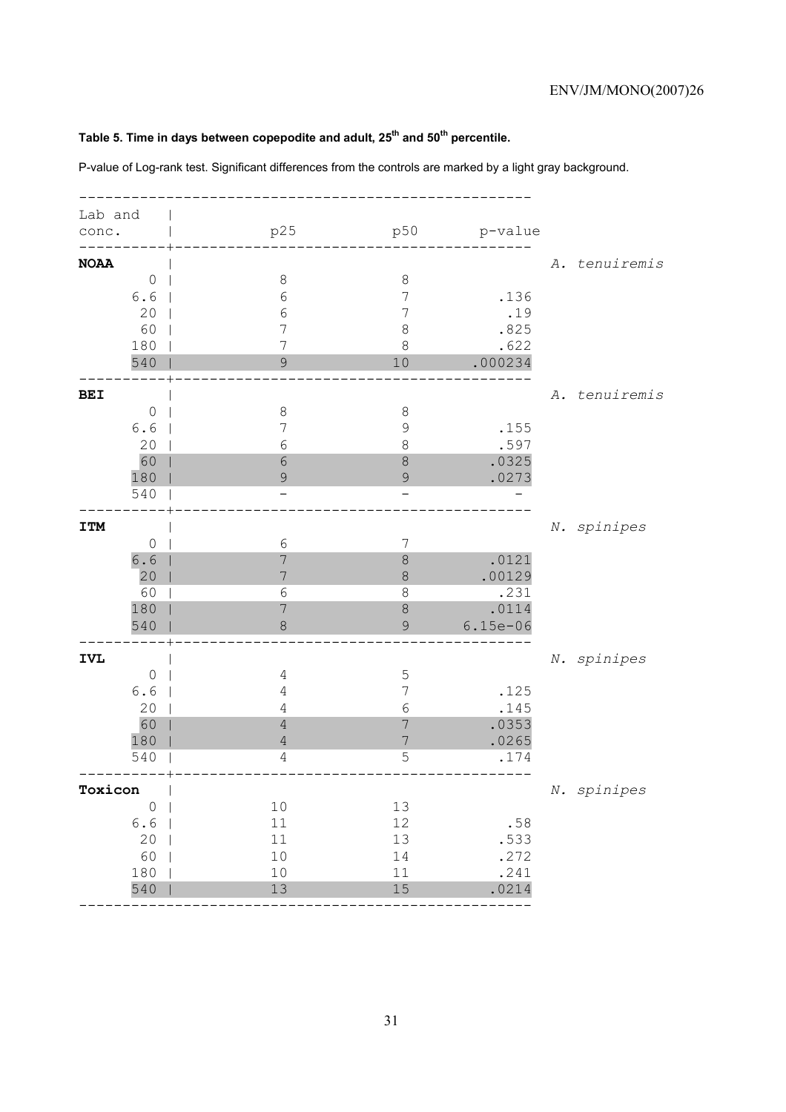# Table 5. Time in days between copepodite and adult, 25<sup>th</sup> and 50<sup>th</sup> percentile.

P-value of Log-rank test. Significant differences from the controls are marked by a light gray background.

| Lab and     |                |                |                |            |               |
|-------------|----------------|----------------|----------------|------------|---------------|
| conc.       |                | p25            | p50            | p-value    |               |
|             |                |                |                |            |               |
| <b>NOAA</b> |                |                |                |            | A. tenuiremis |
|             | $\circ$        | $\,8\,$        | $\,8\,$        |            |               |
|             | 6.6            | $\sqrt{6}$     | 7              | .136       |               |
|             | 20             | $\sqrt{6}$     | 7              | .19        |               |
|             | 60             | 7              | 8              | .825       |               |
|             | 180            | 7              | 8              | .622       |               |
|             | 540            | $\mathcal{G}$  | 10             | .000234    |               |
|             |                |                |                |            |               |
| <b>BEI</b>  |                |                |                |            | A. tenuiremis |
|             | $\circ$        | 8              | $\,8\,$        |            |               |
|             | 6.6            | 7              | 9              | .155       |               |
|             | 20             | $\epsilon$     | 8              | .597       |               |
|             | 60             | 6              | 8              | .0325      |               |
|             | 180            | 9              | 9              | .0273      |               |
|             | 540            |                |                |            |               |
|             |                |                |                |            |               |
| <b>ITM</b>  |                |                |                |            | N. spinipes   |
|             | $\circ$        | $\sqrt{6}$     | 7              |            |               |
|             | $6.6$          | 7              | 8              | .0121      |               |
|             | 20             | 7              | 8              | .00129     |               |
|             | 60             | 6              | 8              | .231       |               |
|             | 180            | 7              | 8              | .0114      |               |
|             | 540            | $\,8\,$        | 9              | $6.15e-06$ |               |
|             |                |                |                |            |               |
| <b>IVL</b>  |                |                |                |            | N. spinipes   |
|             | $\circ$        | 4              | 5              |            |               |
|             | 6.6            | 4              | 7              | .125       |               |
|             | 20             | 4              | 6              | .145       |               |
|             | 60             | $\sqrt{4}$     | 7              | .0353      |               |
|             | 180            | $\sqrt{4}$     | $\overline{7}$ | .0265      |               |
|             | 540            | $\overline{4}$ | 5              | .174       |               |
| Toxicon     |                |                |                |            |               |
|             |                |                |                |            | N. spinipes   |
|             | $\circledcirc$ | $10$           | 13             |            |               |
|             | 6.6            | $11\,$         | $12\,$         | .58        |               |
|             | 20             | $11$           | 13             | .533       |               |
|             | 60             | $10$           | 14             | .272       |               |
|             | 180            | 10             | 11             | .241       |               |
|             | 540            | 13             | 15             | .0214      |               |
|             |                |                |                |            |               |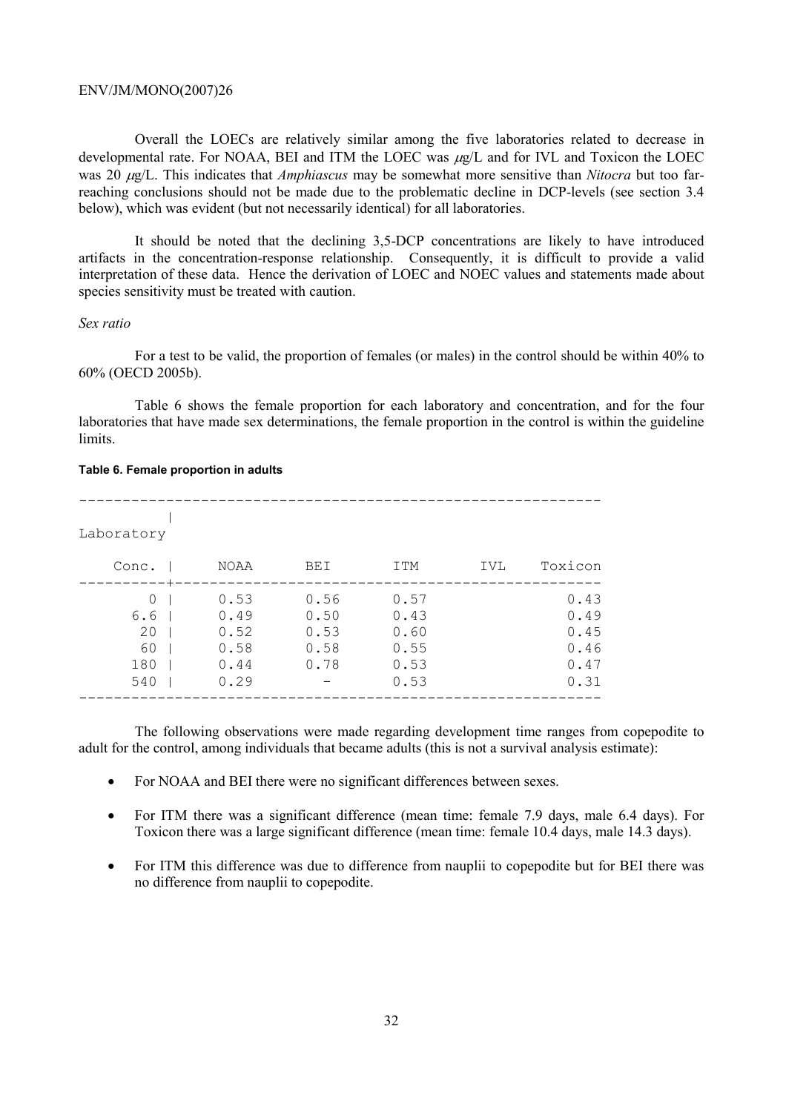Overall the LOECs are relatively similar among the five laboratories related to decrease in developmental rate. For NOAA, BEI and ITM the LOEC was  $\mu$ g/L and for IVL and Toxicon the LOEC was 20 µg/L. This indicates that *Amphiascus* may be somewhat more sensitive than *Nitocra* but too farreaching conclusions should not be made due to the problematic decline in DCP-levels (see section 3.4 below), which was evident (but not necessarily identical) for all laboratories.

It should be noted that the declining 3,5-DCP concentrations are likely to have introduced artifacts in the concentration-response relationship. Consequently, it is difficult to provide a valid interpretation of these data. Hence the derivation of LOEC and NOEC values and statements made about species sensitivity must be treated with caution.

# *Sex ratio*

For a test to be valid, the proportion of females (or males) in the control should be within 40% to 60% (OECD 2005b).

Table 6 shows the female proportion for each laboratory and concentration, and for the four laboratories that have made sex determinations, the female proportion in the control is within the guideline limits.

#### **Table 6. Female proportion in adults**

| Laboratory |             |            |      |            |         |
|------------|-------------|------------|------|------------|---------|
| Conc.      | <b>NOAA</b> | <b>BEI</b> | ITM  | <b>IVL</b> | Toxicon |
| $\cap$     | 0.53        | 0.56       | 0.57 |            | 0.43    |
| 6.6        | 0.49        | 0.50       | 0.43 |            | 0.49    |
| 20         | 0.52        | 0.53       | 0.60 |            | 0.45    |
| 60         | 0.58        | 0.58       | 0.55 |            | 0.46    |
| 180        | 0.44        | 0.78       | 0.53 |            | 0.47    |
| 540        | 0.29        |            | 0.53 |            | 0.31    |
|            |             |            |      |            |         |

The following observations were made regarding development time ranges from copepodite to adult for the control, among individuals that became adults (this is not a survival analysis estimate):

- For NOAA and BEI there were no significant differences between sexes.
- For ITM there was a significant difference (mean time: female 7.9 days, male 6.4 days). For Toxicon there was a large significant difference (mean time: female 10.4 days, male 14.3 days).
- For ITM this difference was due to difference from nauplii to copepodite but for BEI there was no difference from nauplii to copepodite.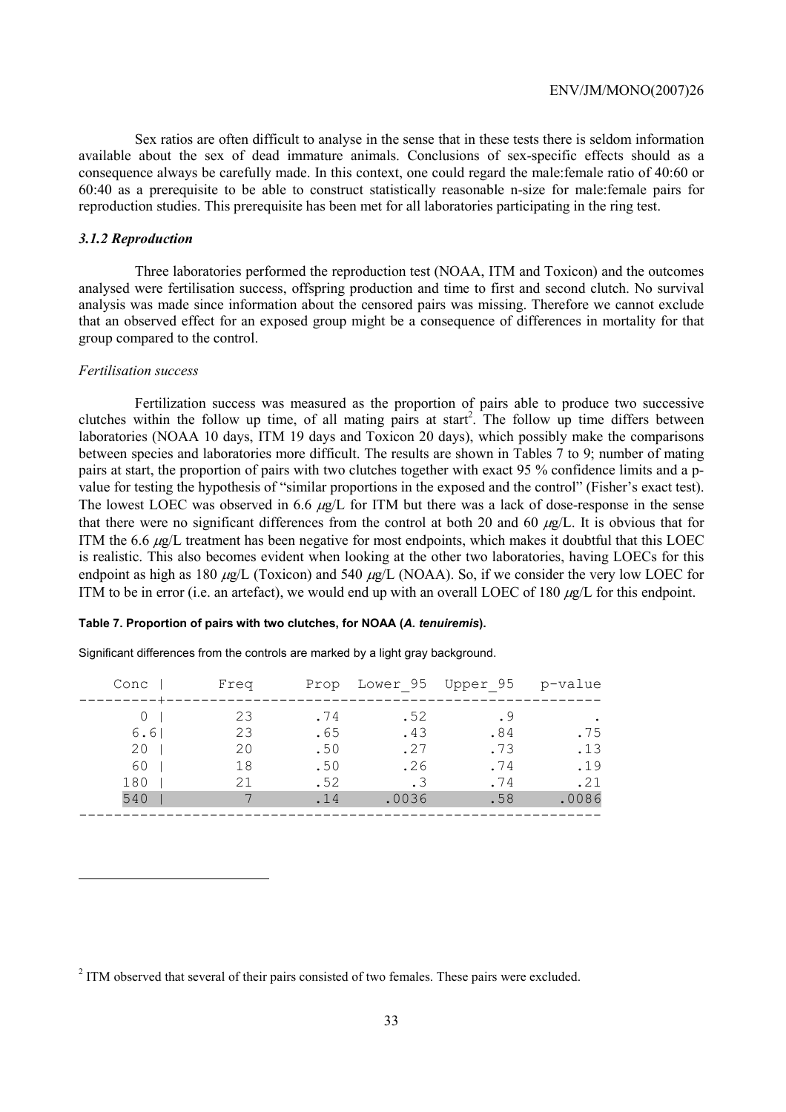Sex ratios are often difficult to analyse in the sense that in these tests there is seldom information available about the sex of dead immature animals. Conclusions of sex-specific effects should as a consequence always be carefully made. In this context, one could regard the male:female ratio of 40:60 or 60:40 as a prerequisite to be able to construct statistically reasonable n-size for male:female pairs for reproduction studies. This prerequisite has been met for all laboratories participating in the ring test.

# *3.1.2 Reproduction*

Three laboratories performed the reproduction test (NOAA, ITM and Toxicon) and the outcomes analysed were fertilisation success, offspring production and time to first and second clutch. No survival analysis was made since information about the censored pairs was missing. Therefore we cannot exclude that an observed effect for an exposed group might be a consequence of differences in mortality for that group compared to the control.

# *Fertilisation success*

 $\overline{a}$ 

Fertilization success was measured as the proportion of pairs able to produce two successive clutches within the follow up time, of all mating pairs at start<sup>2</sup>. The follow up time differs between laboratories (NOAA 10 days, ITM 19 days and Toxicon 20 days), which possibly make the comparisons between species and laboratories more difficult. The results are shown in Tables 7 to 9; number of mating pairs at start, the proportion of pairs with two clutches together with exact 95 % confidence limits and a pvalue for testing the hypothesis of "similar proportions in the exposed and the control" (Fisher's exact test). The lowest LOEC was observed in 6.6  $\mu$ g/L for ITM but there was a lack of dose-response in the sense that there were no significant differences from the control at both 20 and 60  $\mu$ g/L. It is obvious that for ITM the 6.6  $\mu$ g/L treatment has been negative for most endpoints, which makes it doubtful that this LOEC is realistic. This also becomes evident when looking at the other two laboratories, having LOECs for this endpoint as high as 180  $\mu$ g/L (Toxicon) and 540  $\mu$ g/L (NOAA). So, if we consider the very low LOEC for ITM to be in error (i.e. an artefact), we would end up with an overall LOEC of 180  $\mu$ g/L for this endpoint.

#### **Table 7. Proportion of pairs with two clutches, for NOAA (***A. tenuiremis***).**

Significant differences from the controls are marked by a light gray background.

| Conc | Freq     |            |            | Prop Lower 95 Upper 95 p-value |       |
|------|----------|------------|------------|--------------------------------|-------|
| 6.61 | 23<br>23 | .74<br>.65 | .52<br>.43 | .84                            | .75   |
| 20   | 20       | .50        | .27        | .73                            | .13   |
| 60   | 18       | .50        | .26        | .74                            | .19   |
| 180  | 21       | .52        | . 3        | .74                            | .21   |
| 540  |          | .14        | .0036      | .58                            | .0086 |
|      |          |            |            |                                |       |

 $2$  ITM observed that several of their pairs consisted of two females. These pairs were excluded.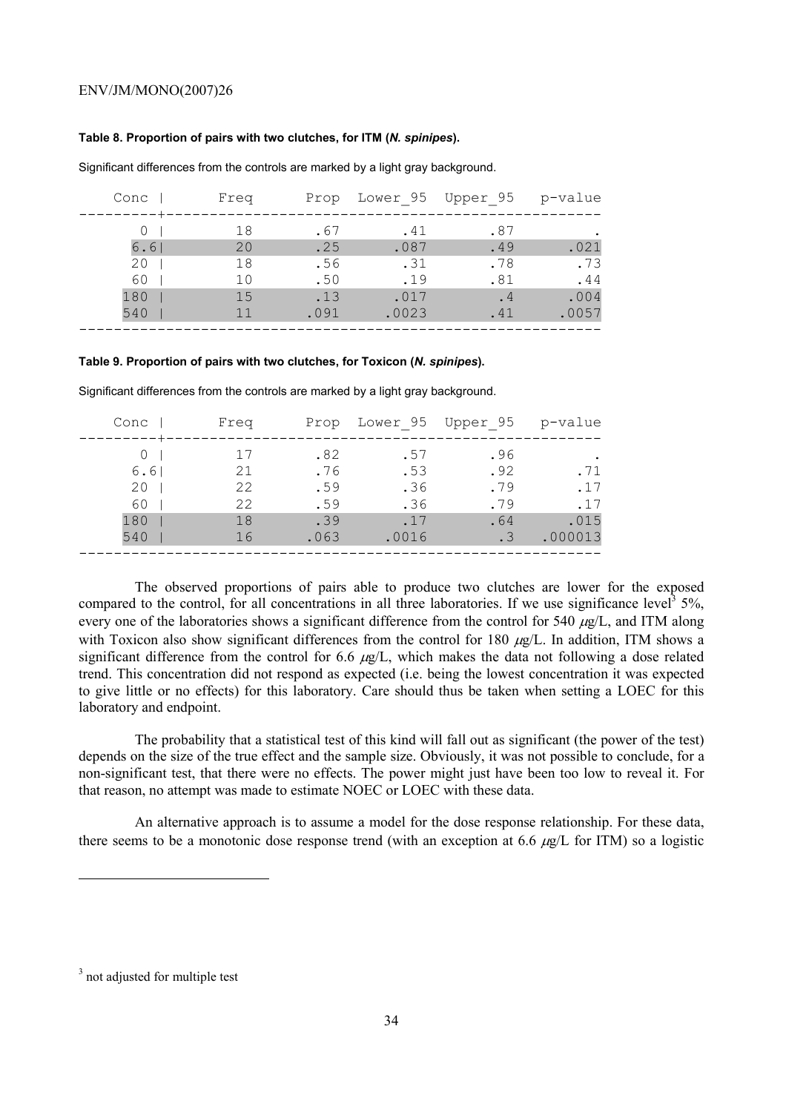#### **Table 8. Proportion of pairs with two clutches, for ITM (***N. spinipes***).**

| Conc       | Freq     |             |               | Prop Lower 95 Upper 95 | p-value       |
|------------|----------|-------------|---------------|------------------------|---------------|
|            | 18       | .67         | .41           | .87                    |               |
| 6.6<br>20  | 20<br>18 | .25<br>.56  | .087<br>.31   | .49<br>.78             | .021<br>.73   |
| 60         | 10       | .50         | .19           | .81                    | .44           |
| 180<br>540 | 15<br>11 | .13<br>.091 | .017<br>.0023 | .4<br>.41              | .004<br>.0057 |
|            |          |             |               |                        |               |

Significant differences from the controls are marked by a light gray background.

#### **Table 9. Proportion of pairs with two clutches, for Toxicon (***N. spinipes***).**

| Conc | Freq |      | Prop Lower 95 Upper 95 |           | p-value |
|------|------|------|------------------------|-----------|---------|
|      |      |      |                        |           |         |
|      | 17   | .82  | .57                    | .96       |         |
| 6.61 | 21   | .76  | .53                    | .92       | .71     |
| 20   | 22   | .59  | .36                    | .79       | .17     |
| 60   | 22   | .59  | .36                    | .79       | .17     |
| 180  | 18   | .39  | .17                    | .64       | .015    |
| 540  | 16   | .063 | .0016                  | $\cdot$ 3 | .000013 |
|      |      |      |                        |           |         |

Significant differences from the controls are marked by a light gray background.

The observed proportions of pairs able to produce two clutches are lower for the exposed compared to the control, for all concentrations in all three laboratories. If we use significance level<sup>3</sup> 5%, every one of the laboratories shows a significant difference from the control for 540  $\mu$ g/L, and ITM along with Toxicon also show significant differences from the control for 180  $\mu g/L$ . In addition, ITM shows a significant difference from the control for 6.6  $\mu$ g/L, which makes the data not following a dose related trend. This concentration did not respond as expected (i.e. being the lowest concentration it was expected to give little or no effects) for this laboratory. Care should thus be taken when setting a LOEC for this laboratory and endpoint.

The probability that a statistical test of this kind will fall out as significant (the power of the test) depends on the size of the true effect and the sample size. Obviously, it was not possible to conclude, for a non-significant test, that there were no effects. The power might just have been too low to reveal it. For that reason, no attempt was made to estimate NOEC or LOEC with these data.

An alternative approach is to assume a model for the dose response relationship. For these data, there seems to be a monotonic dose response trend (with an exception at 6.6  $\mu$ g/L for ITM) so a logistic

 $\overline{a}$ 

<sup>&</sup>lt;sup>3</sup> not adjusted for multiple test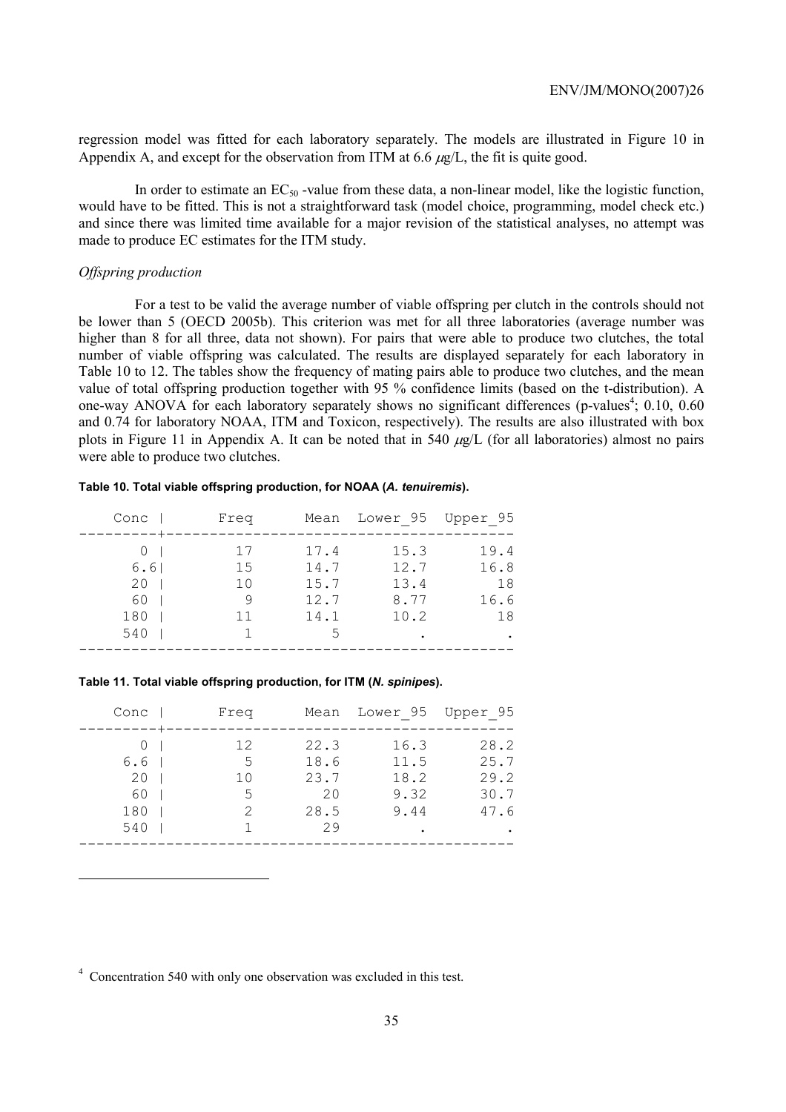regression model was fitted for each laboratory separately. The models are illustrated in Figure 10 in Appendix A, and except for the observation from ITM at 6.6  $\mu g/L$ , the fit is quite good.

In order to estimate an  $EC_{50}$ -value from these data, a non-linear model, like the logistic function, would have to be fitted. This is not a straightforward task (model choice, programming, model check etc.) and since there was limited time available for a major revision of the statistical analyses, no attempt was made to produce EC estimates for the ITM study.

# *Offspring production*

 $\overline{a}$ 

For a test to be valid the average number of viable offspring per clutch in the controls should not be lower than 5 (OECD 2005b). This criterion was met for all three laboratories (average number was higher than 8 for all three, data not shown). For pairs that were able to produce two clutches, the total number of viable offspring was calculated. The results are displayed separately for each laboratory in Table 10 to 12. The tables show the frequency of mating pairs able to produce two clutches, and the mean value of total offspring production together with 95 % confidence limits (based on the t-distribution). A one-way ANOVA for each laboratory separately shows no significant differences (p-values<sup>4</sup>; 0.10, 0.60 and 0.74 for laboratory NOAA, ITM and Toxicon, respectively). The results are also illustrated with box plots in Figure 11 in Appendix A. It can be noted that in 540  $\mu$ g/L (for all laboratories) almost no pairs were able to produce two clutches.

#### **Table 10. Total viable offspring production, for NOAA (***A. tenuiremis***).**

| Conc | Freq |      | Mean Lower 95 Upper 95 |      |
|------|------|------|------------------------|------|
|      | 17   | 17.4 | 15.3                   | 19.4 |
| 6.6  | 15   | 14.7 | 12.7                   | 16.8 |
| 20   | 10   | 15.7 | 13.4                   | 18   |
| 60   | 9    | 12.7 | 8.77                   | 16.6 |
| 180  | 11   | 14.1 | 10.2                   | 18   |
| 540  |      | 5    |                        |      |
|      |      |      |                        |      |

#### **Table 11. Total viable offspring production, for ITM (***N. spinipes***).**

| Conc      | Freq    |              | Mean Lower 95 Upper 95 |              |
|-----------|---------|--------------|------------------------|--------------|
|           | 12      | 22.3         | 16.3                   | 28.2         |
| 6.6<br>20 | 5<br>10 | 18.6<br>23.7 | 11.5<br>18.2           | 25.7<br>29.2 |
| 60        | 5       | 20           | 9.32                   | 30.7         |
| 180       | 2       | 28.5<br>29   | 9.44                   | 47.6         |
| 540       |         |              |                        |              |

<sup>4</sup> Concentration 540 with only one observation was excluded in this test.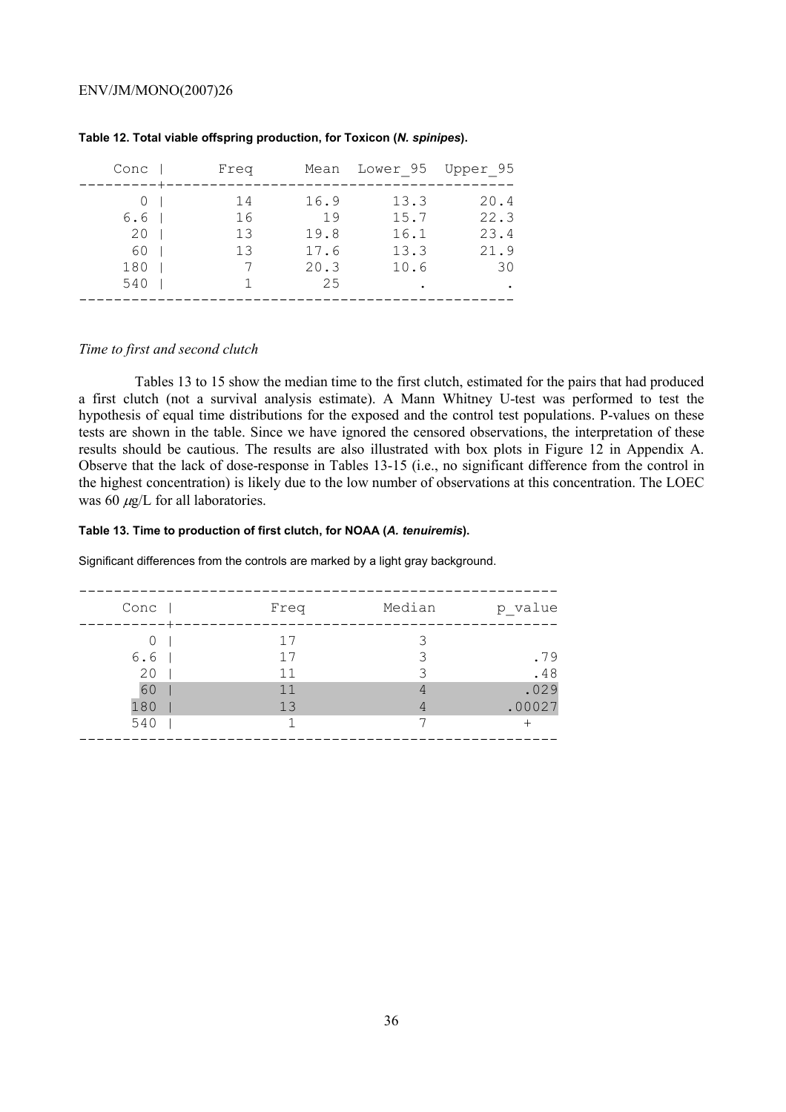| Conc                          | Freq                 |                                          | Mean Lower 95 Upper 95               |                                    |
|-------------------------------|----------------------|------------------------------------------|--------------------------------------|------------------------------------|
| 6.6<br>20<br>60<br>180<br>540 | 14<br>16<br>13<br>13 | 16.9<br>19<br>19.8<br>17.6<br>20.3<br>25 | 13.3<br>15.7<br>16.1<br>13.3<br>10.6 | 20.4<br>22.3<br>23.4<br>21.9<br>30 |
|                               |                      |                                          |                                      |                                    |

# **Table 12. Total viable offspring production, for Toxicon (***N. spinipes***).**

# *Time to first and second clutch*

Tables 13 to 15 show the median time to the first clutch, estimated for the pairs that had produced a first clutch (not a survival analysis estimate). A Mann Whitney U-test was performed to test the hypothesis of equal time distributions for the exposed and the control test populations. P-values on these tests are shown in the table. Since we have ignored the censored observations, the interpretation of these results should be cautious. The results are also illustrated with box plots in Figure 12 in Appendix A. Observe that the lack of dose-response in Tables 13-15 (i.e., no significant difference from the control in the highest concentration) is likely due to the low number of observations at this concentration. The LOEC was 60  $\mu$ g/L for all laboratories.

#### **Table 13. Time to production of first clutch, for NOAA (***A. tenuiremis***).**

Significant differences from the controls are marked by a light gray background.

| Conc             | Freq | Median | p value |
|------------------|------|--------|---------|
|                  |      |        |         |
| $\left( \right)$ | 17   |        |         |
| 6.6              | 17   | २      | .79     |
| 20               | 11   |        | .48     |
| 60               | 11   | 4      | .029    |
| 180              | 13   | 4      | .00027  |
| 540              |      | ⇁      |         |
|                  |      |        |         |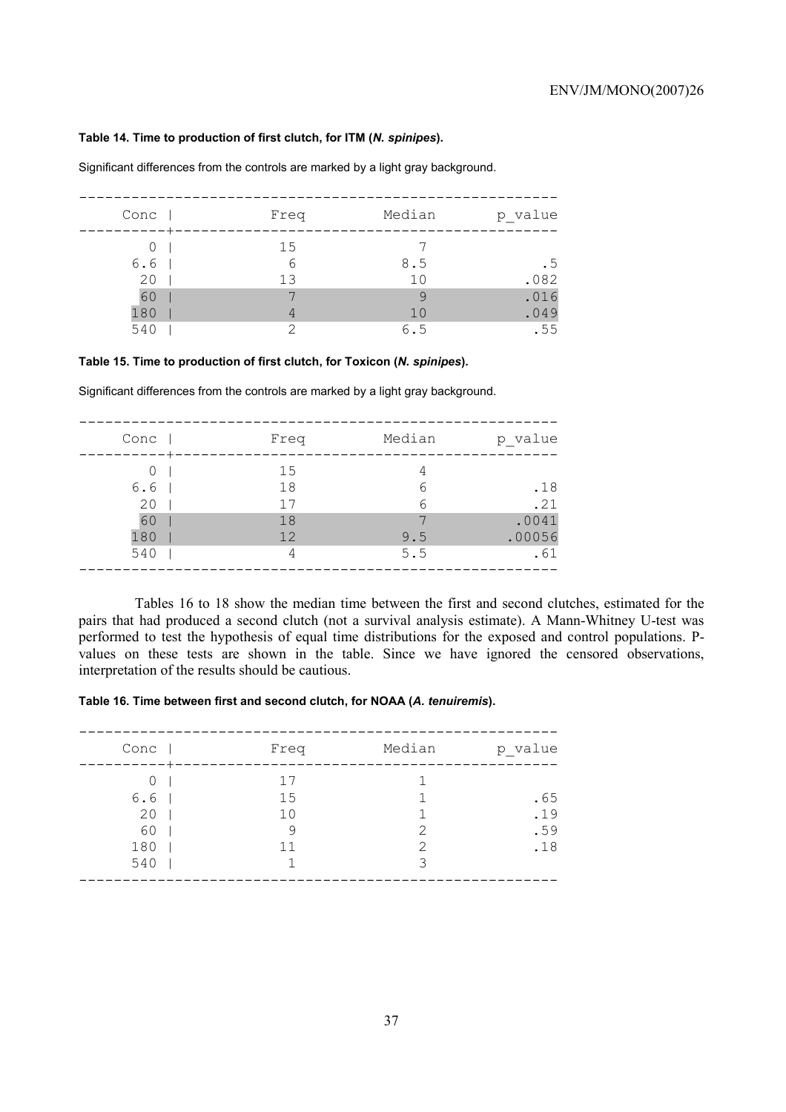#### **Table 14. Time to production of first clutch, for ITM (***N. spinipes***).**

| Conc | Freq | Median | p value |
|------|------|--------|---------|
|      | 15   |        |         |
| 6.6  | 6    | 8.5    | . 5     |
| 20   | 1.3  | 10     | .082    |
| 60   |      | 9      | .016    |
| 180  | 4    | 10     | .049    |
| 540  | ⌒    | 6.5    | .55     |

Significant differences from the controls are marked by a light gray background.

#### **Table 15. Time to production of first clutch, for Toxicon (***N. spinipes***).**

Significant differences from the controls are marked by a light gray background.

| Conc                          | Freq           | Median     | p value                |
|-------------------------------|----------------|------------|------------------------|
| $\left( \right)$<br>6.6<br>20 | 15<br>18<br>17 | 6<br>6     | .18<br>.21             |
| 60<br>180<br>540              | 18<br>12<br>4  | 9.5<br>5.5 | .0041<br>.00056<br>.61 |

Tables 16 to 18 show the median time between the first and second clutches, estimated for the pairs that had produced a second clutch (not a survival analysis estimate). A Mann-Whitney U-test was performed to test the hypothesis of equal time distributions for the exposed and control populations. Pvalues on these tests are shown in the table. Since we have ignored the censored observations, interpretation of the results should be cautious.

## **Table 16. Time between first and second clutch, for NOAA (***A. tenuiremis***).**

| Conc | Freq | Median        | p_value |
|------|------|---------------|---------|
| 0    | 17   |               |         |
| 6.6  | 15   |               | .65     |
| 20   | 10   |               | .19     |
| 60   | 9    | $\mathcal{P}$ | .59     |
| 180  | 11   | 2             | .18     |
| 540  |      | ς             |         |
|      |      |               |         |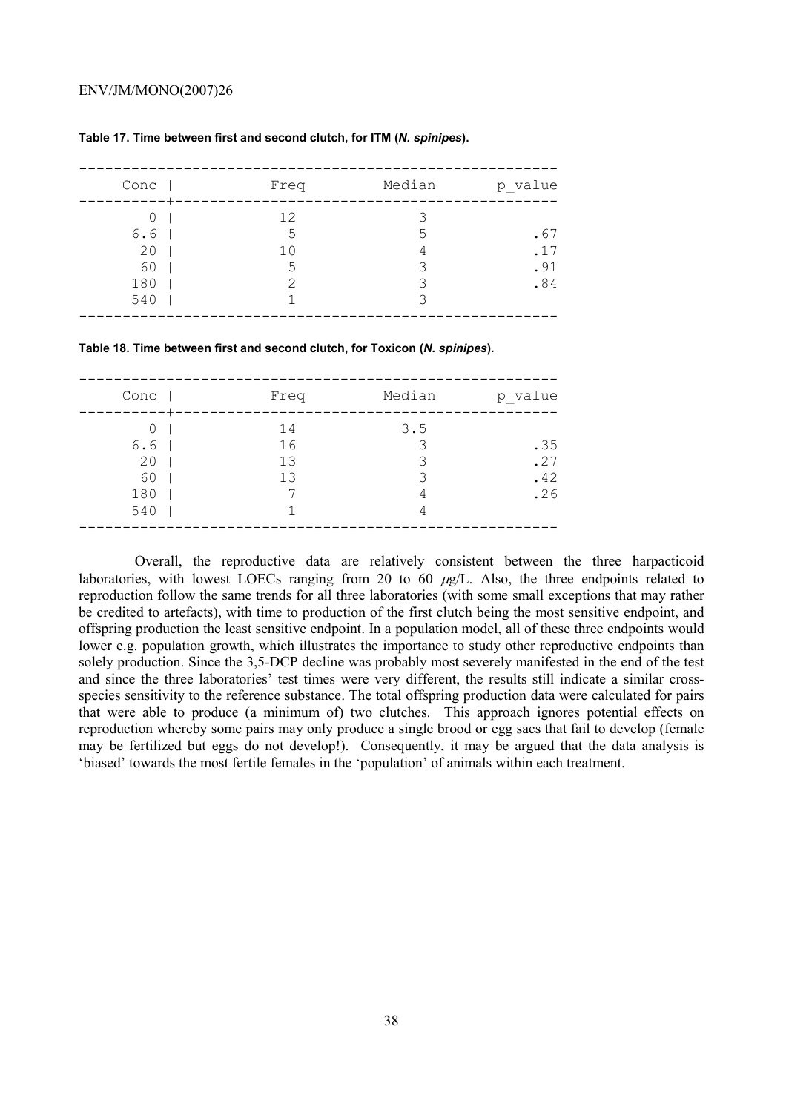| 12<br>0                                                                 | p_value                  | Median | Freq | Conc |
|-------------------------------------------------------------------------|--------------------------|--------|------|------|
| .5<br>.5<br>20<br>10<br>4<br>60<br>.5<br>3<br>180<br>२<br>っ<br>540<br>२ | .67<br>.17<br>.91<br>.84 |        |      | 6.6  |

#### **Table 17. Time between first and second clutch, for ITM (***N. spinipes***).**

**Table 18. Time between first and second clutch, for Toxicon (***N. spinipes***).** 

| Conc | Freq | Median | p_value |
|------|------|--------|---------|
| 0    | 14   | 3.5    |         |
| 6.6  | 16   | 3      | .35     |
| 20   | 13   | ς      | .27     |
| 60   | 13   | 3      | .42     |
| 180  | ⇁    | 4      | .26     |
| 540  |      | 4      |         |
|      |      |        |         |

Overall, the reproductive data are relatively consistent between the three harpacticoid laboratories, with lowest LOECs ranging from 20 to 60  $\mu$ g/L. Also, the three endpoints related to reproduction follow the same trends for all three laboratories (with some small exceptions that may rather be credited to artefacts), with time to production of the first clutch being the most sensitive endpoint, and offspring production the least sensitive endpoint. In a population model, all of these three endpoints would lower e.g. population growth, which illustrates the importance to study other reproductive endpoints than solely production. Since the 3,5-DCP decline was probably most severely manifested in the end of the test and since the three laboratories' test times were very different, the results still indicate a similar crossspecies sensitivity to the reference substance. The total offspring production data were calculated for pairs that were able to produce (a minimum of) two clutches. This approach ignores potential effects on reproduction whereby some pairs may only produce a single brood or egg sacs that fail to develop (female may be fertilized but eggs do not develop!). Consequently, it may be argued that the data analysis is 'biased' towards the most fertile females in the 'population' of animals within each treatment.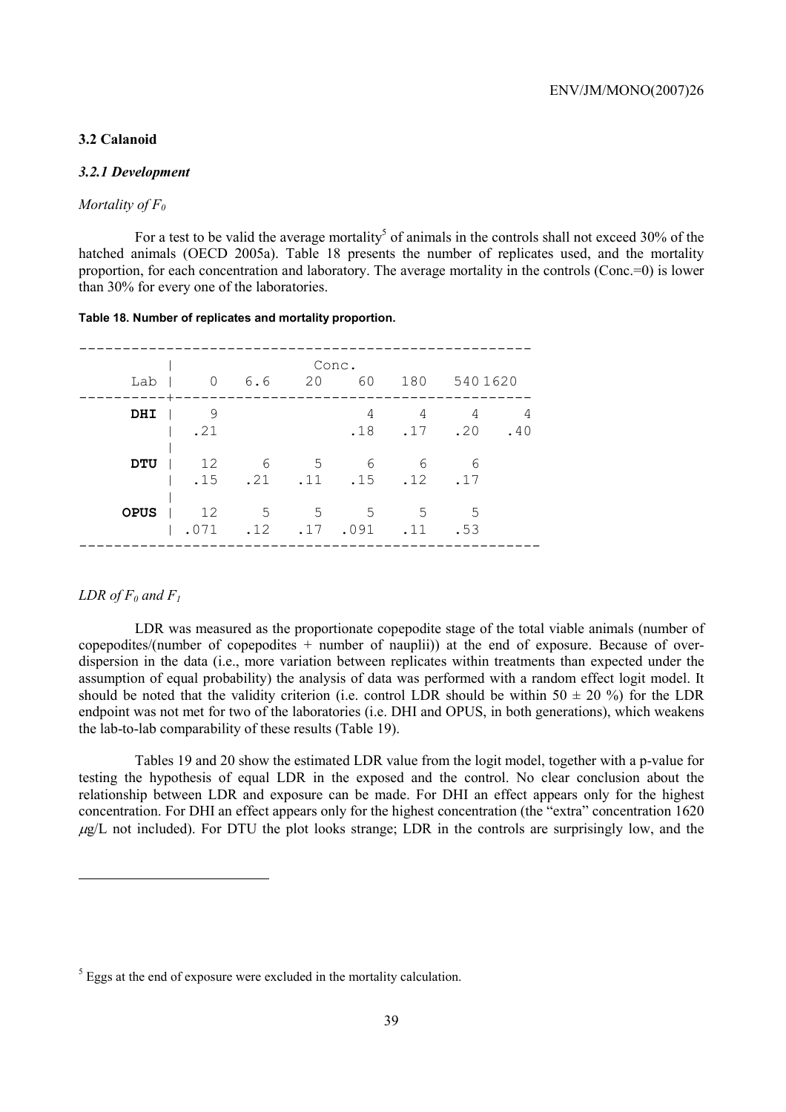## **3.2 Calanoid**

## *3.2.1 Development*

## *Mortality of F0*

For a test to be valid the average mortality<sup>5</sup> of animals in the controls shall not exceed 30% of the hatched animals (OECD 2005a). Table 18 presents the number of replicates used, and the mortality proportion, for each concentration and laboratory. The average mortality in the controls (Conc.=0) is lower than 30% for every one of the laboratories.

#### **Table 18. Number of replicates and mortality proportion.**

| Lab         | 0 6.6 |                           |     | Conc.<br>20 60 180 5401620          |                 |                   |     |
|-------------|-------|---------------------------|-----|-------------------------------------|-----------------|-------------------|-----|
|             |       |                           |     |                                     |                 |                   |     |
| DHI         | - 9   |                           |     | 4                                   | 4               | $\overline{4}$    | 4   |
|             | .21   |                           |     |                                     |                 | $.18$ $.17$ $.20$ | .40 |
| <b>DTU</b>  | 12    | $6\overline{6}$           |     | 5 6                                 | 6               | - 6               |     |
|             |       |                           |     | $.15$ $.21$ $.11$ $.15$ $.12$ $.17$ |                 |                   |     |
| <b>OPUS</b> | 12    | $5^{\circ}$               | - 5 | $5^{\circ}$                         | $5\overline{)}$ | $5^{\circ}$       |     |
|             |       | $.071$ $.12$ $.17$ $.091$ |     |                                     | $\ldots$        | .53               |     |
|             |       |                           |     |                                     |                 |                   |     |

#### *LDR* of  $F_0$  and  $F_1$

 $\overline{a}$ 

LDR was measured as the proportionate copepodite stage of the total viable animals (number of copepodites/(number of copepodites  $+$  number of nauplii)) at the end of exposure. Because of overdispersion in the data (i.e., more variation between replicates within treatments than expected under the assumption of equal probability) the analysis of data was performed with a random effect logit model. It should be noted that the validity criterion (i.e. control LDR should be within  $50 \pm 20$  %) for the LDR endpoint was not met for two of the laboratories (i.e. DHI and OPUS, in both generations), which weakens the lab-to-lab comparability of these results (Table 19).

Tables 19 and 20 show the estimated LDR value from the logit model, together with a p-value for testing the hypothesis of equal LDR in the exposed and the control. No clear conclusion about the relationship between LDR and exposure can be made. For DHI an effect appears only for the highest concentration. For DHI an effect appears only for the highest concentration (the "extra" concentration 1620  $\mu$ g/L not included). For DTU the plot looks strange; LDR in the controls are surprisingly low, and the

 $<sup>5</sup>$  Eggs at the end of exposure were excluded in the mortality calculation.</sup>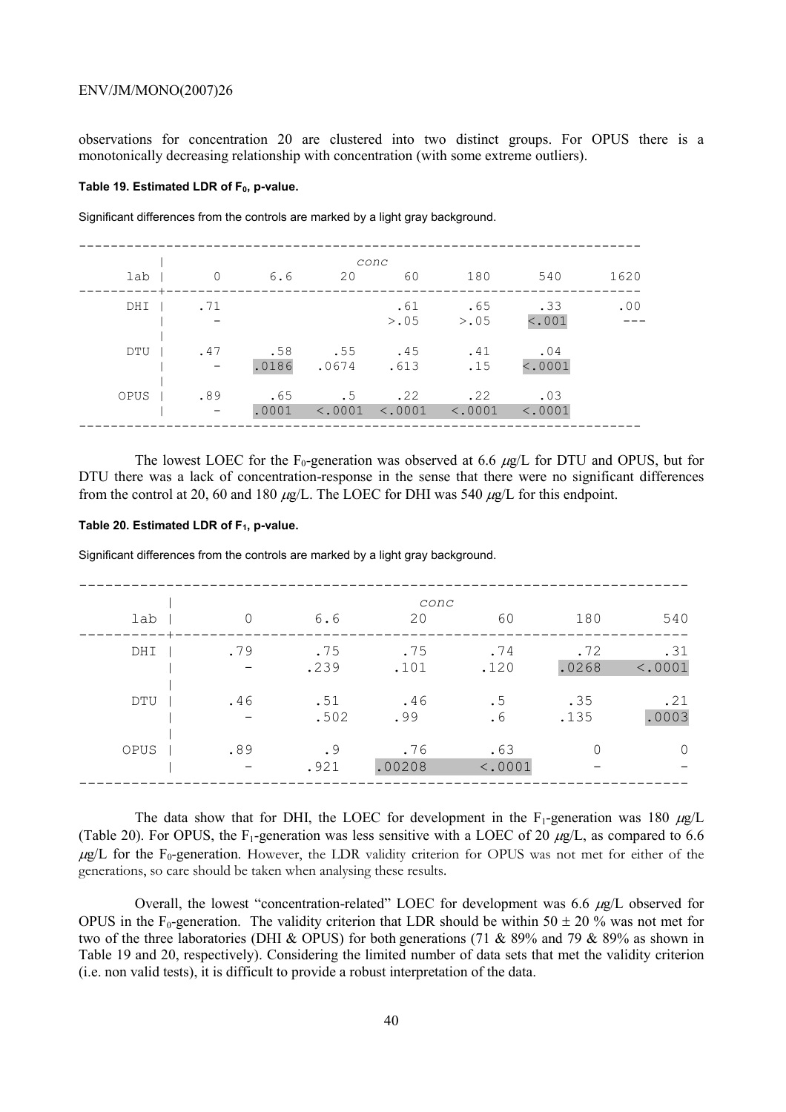observations for concentration 20 are clustered into two distinct groups. For OPUS there is a monotonically decreasing relationship with concentration (with some extreme outliers).

#### Table 19. Estimated LDR of F<sub>0</sub>, p-value.

|      |                |              |                    | conc                                                   |                                |                |      |
|------|----------------|--------------|--------------------|--------------------------------------------------------|--------------------------------|----------------|------|
| lab  | $\overline{0}$ | 6.6          | 20                 | 60                                                     | 180                            | 540            | 1620 |
| DHI  | . 71           |              |                    | .61                                                    | .65<br>$> 0.05$ $> 0.05$       | .33<br>< .001  | .00  |
| DTU  | .47            | .0186        | $.58$ .55<br>.0674 | .45<br>.613                                            | .41<br>.15                     | .04<br>< .0001 |      |
| OPUS | .89<br>$\sim$  | .65<br>.0001 | .5                 | .22<br>$\langle .0001 \rangle$ $\langle .0001 \rangle$ | .22<br>$\langle .0001 \rangle$ | .03<br>< .0001 |      |

Significant differences from the controls are marked by a light gray background.

The lowest LOEC for the F<sub>0</sub>-generation was observed at 6.6  $\mu$ g/L for DTU and OPUS, but for DTU there was a lack of concentration-response in the sense that there were no significant differences from the control at 20, 60 and 180  $\mu$ g/L. The LOEC for DHI was 540  $\mu$ g/L for this endpoint.

#### Table 20. Estimated LDR of F<sub>1</sub>, p-value.

Significant differences from the controls are marked by a light gray background.

|      |                          |      |        | conc    |       |         |
|------|--------------------------|------|--------|---------|-------|---------|
| lab  | $\Omega$                 | 6.6  | 20     | 60      | 180   | 540     |
| DHI  | .79                      | .75  | .75    | .74     | .72   | .31     |
|      | $\overline{\phantom{m}}$ | .239 | .101   | .120    | .0268 | < .0001 |
| DTU  | .46                      | .51  | .46    | .5      | .35   | .21     |
|      |                          | .502 | .99    | .6      | .135  | .0003   |
| OPUS | .89                      | .9   | .76    | .63     |       |         |
|      |                          | .921 | .00208 | < .0001 |       |         |

The data show that for DHI, the LOEC for development in the  $F_1$ -generation was 180  $\mu g/L$ (Table 20). For OPUS, the F<sub>1</sub>-generation was less sensitive with a LOEC of 20  $\mu$ g/L, as compared to 6.6  $\mu$ g/L for the F<sub>0</sub>-generation. However, the LDR validity criterion for OPUS was not met for either of the generations, so care should be taken when analysing these results.

Overall, the lowest "concentration-related" LOEC for development was  $6.6 \mu g/L$  observed for OPUS in the F<sub>0</sub>-generation. The validity criterion that LDR should be within 50  $\pm$  20 % was not met for two of the three laboratories (DHI & OPUS) for both generations (71 & 89% and 79 & 89% as shown in Table 19 and 20, respectively). Considering the limited number of data sets that met the validity criterion (i.e. non valid tests), it is difficult to provide a robust interpretation of the data.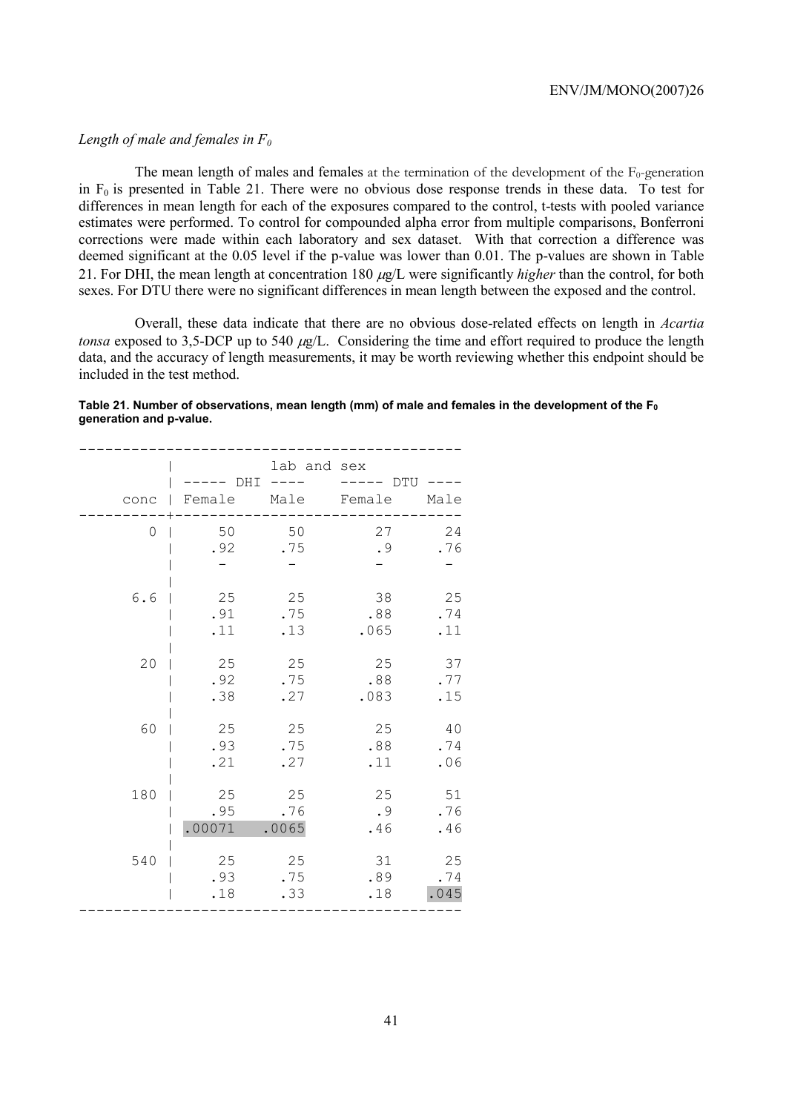## *Length of male and females in F0*

The mean length of males and females at the termination of the development of the  $F_0$ -generation in  $F_0$  is presented in Table 21. There were no obvious dose response trends in these data. To test for differences in mean length for each of the exposures compared to the control, t-tests with pooled variance estimates were performed. To control for compounded alpha error from multiple comparisons, Bonferroni corrections were made within each laboratory and sex dataset. With that correction a difference was deemed significant at the 0.05 level if the p-value was lower than 0.01. The p-values are shown in Table 21. For DHI, the mean length at concentration 180 µg/L were significantly *higher* than the control, for both sexes. For DTU there were no significant differences in mean length between the exposed and the control.

Overall, these data indicate that there are no obvious dose-related effects on length in *Acartia tonsa* exposed to 3,5-DCP up to 540  $\mu$ g/L. Considering the time and effort required to produce the length data, and the accuracy of length measurements, it may be worth reviewing whether this endpoint should be included in the test method.

### Table 21. Number of observations, mean length (mm) of male and females in the development of the F<sub>0</sub> **generation and p-value.**

| conc<br>$\Box$ | DHI<br>Female | lab and sex<br>$- - - -$<br>Male | DTU<br>Female | Male |
|----------------|---------------|----------------------------------|---------------|------|
| 0              | 50            | 50                               | 27            | 24   |
|                | .92           | .75                              | .9            | .76  |
| 6.6            | 25            | 25                               | 38            | 25   |
|                | .91           | .75                              | .88           | .74  |
|                | .11           | .13                              | .065          | .11  |
| 20             | 25            | 25                               | 25            | 37   |
|                | .92           | .75                              | .88           | .77  |
|                | .38           | .27                              | .083          | .15  |
| 60             | 25            | 25                               | 25            | 40   |
|                | .93           | .75                              | .88           | .74  |
|                | .21           | .27                              | .11           | .06  |
| 180            | 25            | 25                               | 25            | 51   |
|                | .95           | .76                              | .9            | .76  |
|                | .00071        | .0065                            | .46           | .46  |
| 540            | 25            | 25                               | 31            | 25   |
|                | .93           | .75                              | .89           | .74  |
|                | .18           | .33                              | .18           | .045 |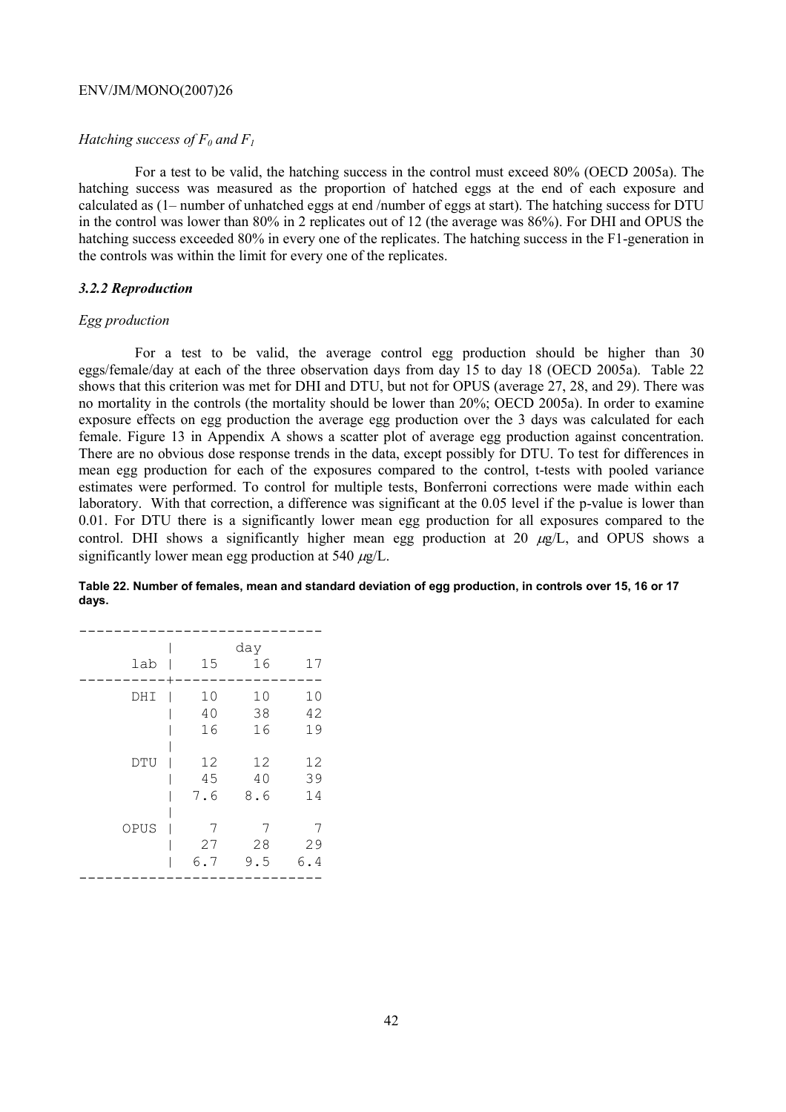## *Hatching success of*  $F_0$  *and*  $F_1$

For a test to be valid, the hatching success in the control must exceed 80% (OECD 2005a). The hatching success was measured as the proportion of hatched eggs at the end of each exposure and calculated as (1– number of unhatched eggs at end /number of eggs at start). The hatching success for DTU in the control was lower than 80% in 2 replicates out of 12 (the average was 86%). For DHI and OPUS the hatching success exceeded 80% in every one of the replicates. The hatching success in the F1-generation in the controls was within the limit for every one of the replicates.

## *3.2.2 Reproduction*

#### *Egg production*

For a test to be valid, the average control egg production should be higher than 30 eggs/female/day at each of the three observation days from day 15 to day 18 (OECD 2005a). Table 22 shows that this criterion was met for DHI and DTU, but not for OPUS (average 27, 28, and 29). There was no mortality in the controls (the mortality should be lower than 20%; OECD 2005a). In order to examine exposure effects on egg production the average egg production over the 3 days was calculated for each female. Figure 13 in Appendix A shows a scatter plot of average egg production against concentration. There are no obvious dose response trends in the data, except possibly for DTU. To test for differences in mean egg production for each of the exposures compared to the control, t-tests with pooled variance estimates were performed. To control for multiple tests, Bonferroni corrections were made within each laboratory. With that correction, a difference was significant at the 0.05 level if the p-value is lower than 0.01. For DTU there is a significantly lower mean egg production for all exposures compared to the control. DHI shows a significantly higher mean egg production at 20  $\mu$ g/L, and OPUS shows a significantly lower mean egg production at 540  $\mu$ g/L.

| Table 22. Number of females, mean and standard deviation of egg production, in controls over 15, 16 or 17 |  |
|-----------------------------------------------------------------------------------------------------------|--|
| days.                                                                                                     |  |

| lab  | 15  | day<br>16 | 17  |
|------|-----|-----------|-----|
| DHI  | 10  | 10        | 10  |
|      | 40  | 38        | 42  |
|      | 16  | 16        | 19  |
| DTU  | 12  | 12        | 12  |
|      | 45  | 40        | 39  |
|      | 7.6 | 8.6       | 14  |
| OPUS | 7   | 7         | 7   |
|      | 27  | 28        | 29  |
|      | 6.7 | 9.5       | 6.4 |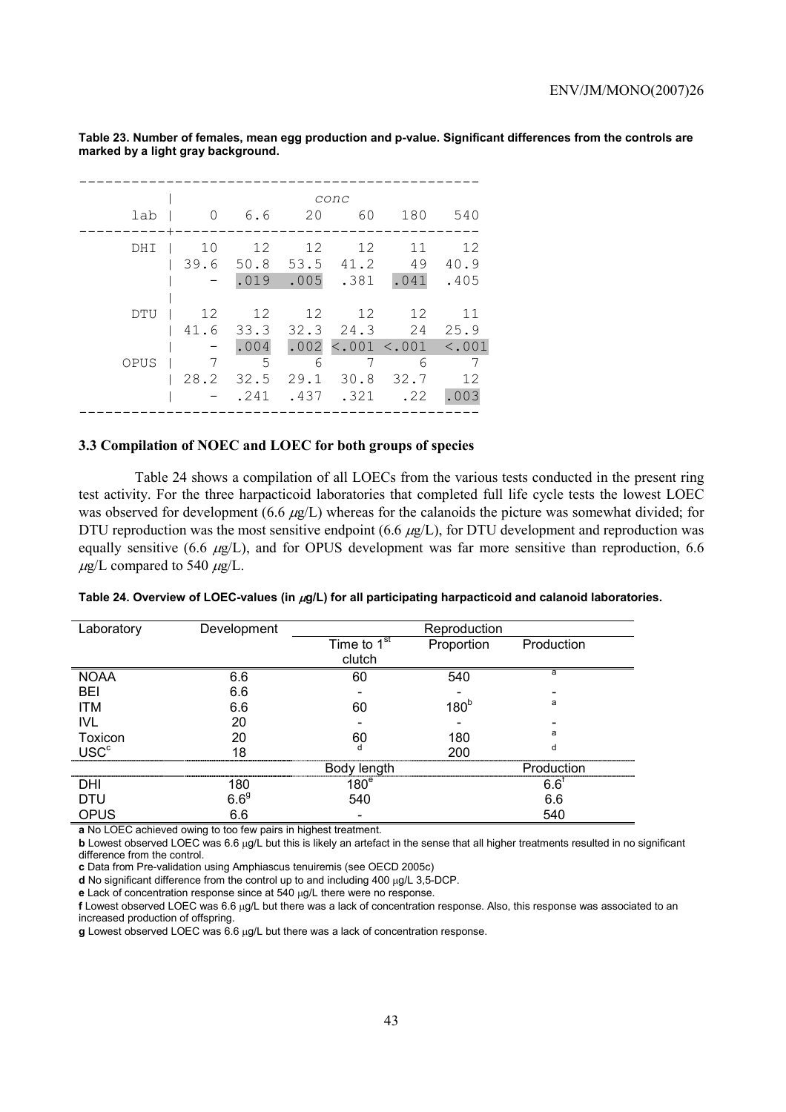| 0                       | 6.6               | 20              | conc       |                               |                                                           |
|-------------------------|-------------------|-----------------|------------|-------------------------------|-----------------------------------------------------------|
|                         |                   |                 | 60         | 180                           | 540                                                       |
| 10<br>39.6              | 12<br>.019        | 12              | 12         | 11<br>49<br>.041              | 12<br>40.9<br>.405                                        |
| 12<br>41.6<br>7<br>28.2 | .004<br>5<br>32.5 | 12<br>6<br>29.1 | 12<br>30.8 | 12<br>6<br>32.7<br>.22        | 11<br>25.9<br>12<br>.003                                  |
|                         |                   | 12              | .241       | 50.8 53.5 41.2<br>$.005-.381$ | 33.3 32.3 24.3 24<br>$.002$ <.001 <.001 <.001<br>.437.321 |

**Table 23. Number of females, mean egg production and p-value. Significant differences from the controls are marked by a light gray background.** 

## **3.3 Compilation of NOEC and LOEC for both groups of species**

Table 24 shows a compilation of all LOECs from the various tests conducted in the present ring test activity. For the three harpacticoid laboratories that completed full life cycle tests the lowest LOEC was observed for development (6.6  $\mu$ g/L) whereas for the calanoids the picture was somewhat divided; for DTU reproduction was the most sensitive endpoint (6.6  $\mu$ g/L), for DTU development and reproduction was equally sensitive (6.6  $\mu$ g/L), and for OPUS development was far more sensitive than reproduction, 6.6  $\mu$ g/L compared to 540  $\mu$ g/L.

| Laboratory             | Development | Reproduction     |                  |               |  |  |
|------------------------|-------------|------------------|------------------|---------------|--|--|
|                        |             | Time to $1st$    | Proportion       | Production    |  |  |
|                        |             | clutch           |                  |               |  |  |
| <b>NOAA</b>            | 6.6         | 60               | 540              | a             |  |  |
| BEI                    | 6.6         |                  |                  |               |  |  |
| <b>ITM</b>             | 6.6         | 60               | 180 <sup>b</sup> | a             |  |  |
| <b>IVL</b>             | 20          |                  |                  |               |  |  |
| Toxicon                | 20          | 60               | 180              | a             |  |  |
| <b>USC<sup>c</sup></b> | 18          |                  | 200              | d             |  |  |
|                        |             | Body length      |                  | Production    |  |  |
| DHI                    | 180         | 180 <sup>e</sup> |                  | $6.6^\dagger$ |  |  |
| <b>DTU</b>             | $6.6^{9}$   | 540              |                  | 6.6           |  |  |
| OPUS                   | 6.6         |                  |                  | 540           |  |  |

**a** No LOEC achieved owing to too few pairs in highest treatment.

**b** Lowest observed LOEC was 6.6 µg/L but this is likely an artefact in the sense that all higher treatments resulted in no significant difference from the control.

**c** Data from Pre-validation using Amphiascus tenuiremis (see OECD 2005c)

**d** No significant difference from the control up to and including 400 µg/L 3,5-DCP.

**e** Lack of concentration response since at 540 µg/L there were no response.

**f** Lowest observed LOEC was 6.6 µg/L but there was a lack of concentration response. Also, this response was associated to an increased production of offspring.

**g** Lowest observed LOEC was 6.6 µg/L but there was a lack of concentration response.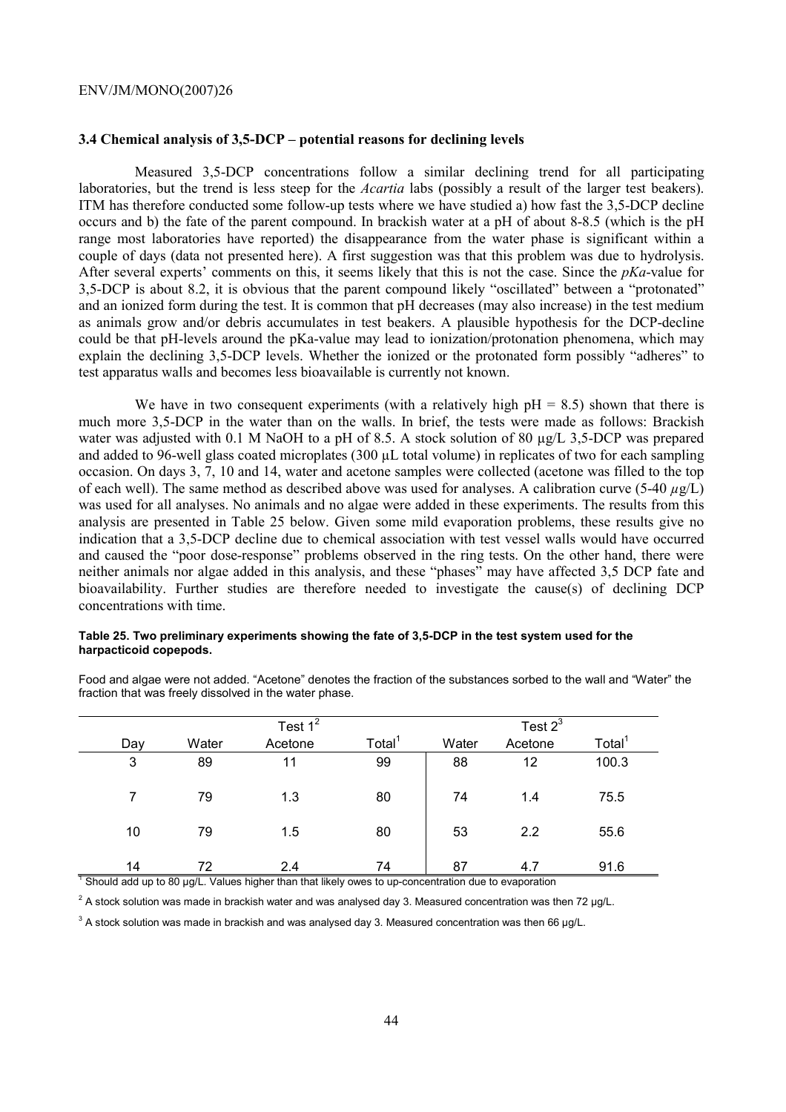## **3.4 Chemical analysis of 3,5-DCP – potential reasons for declining levels**

Measured 3,5-DCP concentrations follow a similar declining trend for all participating laboratories, but the trend is less steep for the *Acartia* labs (possibly a result of the larger test beakers). ITM has therefore conducted some follow-up tests where we have studied a) how fast the 3,5-DCP decline occurs and b) the fate of the parent compound. In brackish water at a pH of about 8-8.5 (which is the pH range most laboratories have reported) the disappearance from the water phase is significant within a couple of days (data not presented here). A first suggestion was that this problem was due to hydrolysis. After several experts' comments on this, it seems likely that this is not the case. Since the *pKa*-value for 3,5-DCP is about 8.2, it is obvious that the parent compound likely "oscillated" between a "protonated" and an ionized form during the test. It is common that pH decreases (may also increase) in the test medium as animals grow and/or debris accumulates in test beakers. A plausible hypothesis for the DCP-decline could be that pH-levels around the pKa-value may lead to ionization/protonation phenomena, which may explain the declining 3,5-DCP levels. Whether the ionized or the protonated form possibly "adheres" to test apparatus walls and becomes less bioavailable is currently not known.

We have in two consequent experiments (with a relatively high  $pH = 8.5$ ) shown that there is much more 3,5-DCP in the water than on the walls. In brief, the tests were made as follows: Brackish water was adjusted with 0.1 M NaOH to a pH of 8.5. A stock solution of 80  $\mu$ g/L 3,5-DCP was prepared and added to 96-well glass coated microplates (300 µL total volume) in replicates of two for each sampling occasion. On days 3, 7, 10 and 14, water and acetone samples were collected (acetone was filled to the top of each well). The same method as described above was used for analyses. A calibration curve (5-40 *µ*g/L) was used for all analyses. No animals and no algae were added in these experiments. The results from this analysis are presented in Table 25 below. Given some mild evaporation problems, these results give no indication that a 3,5-DCP decline due to chemical association with test vessel walls would have occurred and caused the "poor dose-response" problems observed in the ring tests. On the other hand, there were neither animals nor algae added in this analysis, and these "phases" may have affected 3,5 DCP fate and bioavailability. Further studies are therefore needed to investigate the cause(s) of declining DCP concentrations with time.

#### **Table 25. Two preliminary experiments showing the fate of 3,5-DCP in the test system used for the harpacticoid copepods.**

|     |       | Test $1^2$                                                                                           |                    |       | Test $2^3$ |                    |
|-----|-------|------------------------------------------------------------------------------------------------------|--------------------|-------|------------|--------------------|
| Day | Water | Acetone                                                                                              | Total <sup>1</sup> | Water | Acetone    | Total <sup>1</sup> |
| 3   | 89    | 11                                                                                                   | 99                 | 88    | 12         | 100.3              |
|     | 79    | 1.3                                                                                                  | 80                 | 74    | 1.4        | 75.5               |
| 10  | 79    | 1.5                                                                                                  | 80                 | 53    | 2.2        | 55.6               |
| 14  | 72    | 2.4                                                                                                  | 74                 | 87    | 4.7        | 91.6               |
|     |       | Should add up to 80 µg/L. Values higher than that likely owes to up-concentration due to evaporation |                    |       |            |                    |

Food and algae were not added. "Acetone" denotes the fraction of the substances sorbed to the wall and "Water" the fraction that was freely dissolved in the water phase.

<sup>2</sup> A stock solution was made in brackish water and was analysed day 3. Measured concentration was then 72 µg/L.

 $3$  A stock solution was made in brackish and was analysed day 3. Measured concentration was then 66  $\mu$ g/L.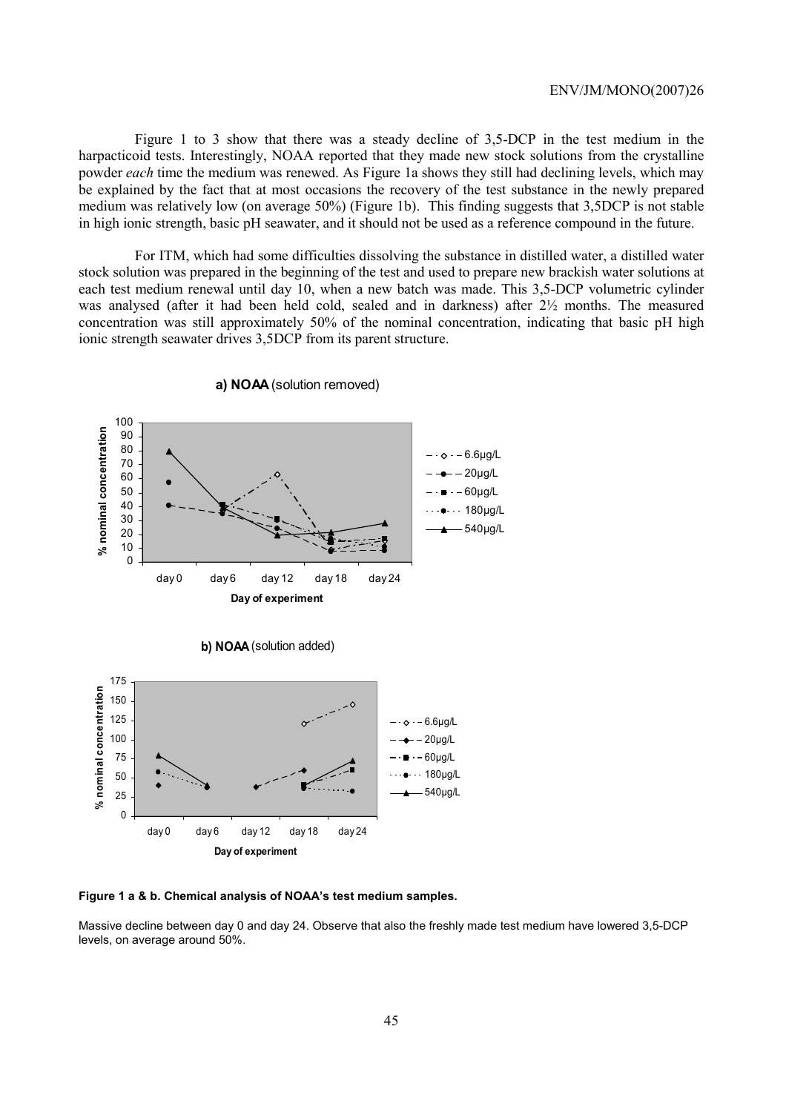Figure 1 to 3 show that there was a steady decline of 3,5-DCP in the test medium in the harpacticoid tests. Interestingly, NOAA reported that they made new stock solutions from the crystalline powder *each* time the medium was renewed. As Figure 1a shows they still had declining levels, which may be explained by the fact that at most occasions the recovery of the test substance in the newly prepared medium was relatively low (on average 50%) (Figure 1b). This finding suggests that 3,5DCP is not stable in high ionic strength, basic pH seawater, and it should not be used as a reference compound in the future.

For ITM, which had some difficulties dissolving the substance in distilled water, a distilled water stock solution was prepared in the beginning of the test and used to prepare new brackish water solutions at each test medium renewal until day 10, when a new batch was made. This 3,5-DCP volumetric cylinder was analysed (after it had been held cold, sealed and in darkness) after 2½ months. The measured concentration was still approximately 50% of the nominal concentration, indicating that basic pH high ionic strength seawater drives 3,5DCP from its parent structure.



**a) NOAA** (solution removed)

**Figure 1 a & b. Chemical analysis of NOAA's test medium samples.** 

Massive decline between day 0 and day 24. Observe that also the freshly made test medium have lowered 3,5-DCP levels, on average around 50%.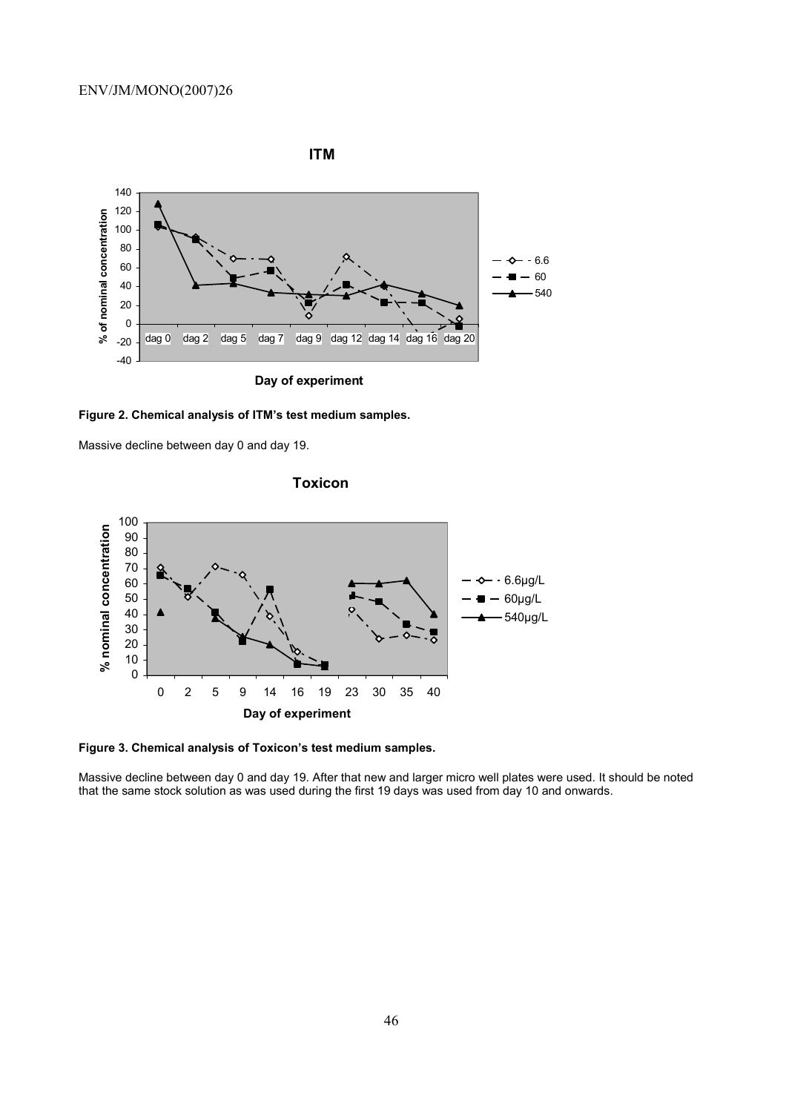



Massive decline between day 0 and day 19.



**Toxicon**

**Figure 3. Chemical analysis of Toxicon's test medium samples.** 

Massive decline between day 0 and day 19. After that new and larger micro well plates were used. It should be noted that the same stock solution as was used during the first 19 days was used from day 10 and onwards.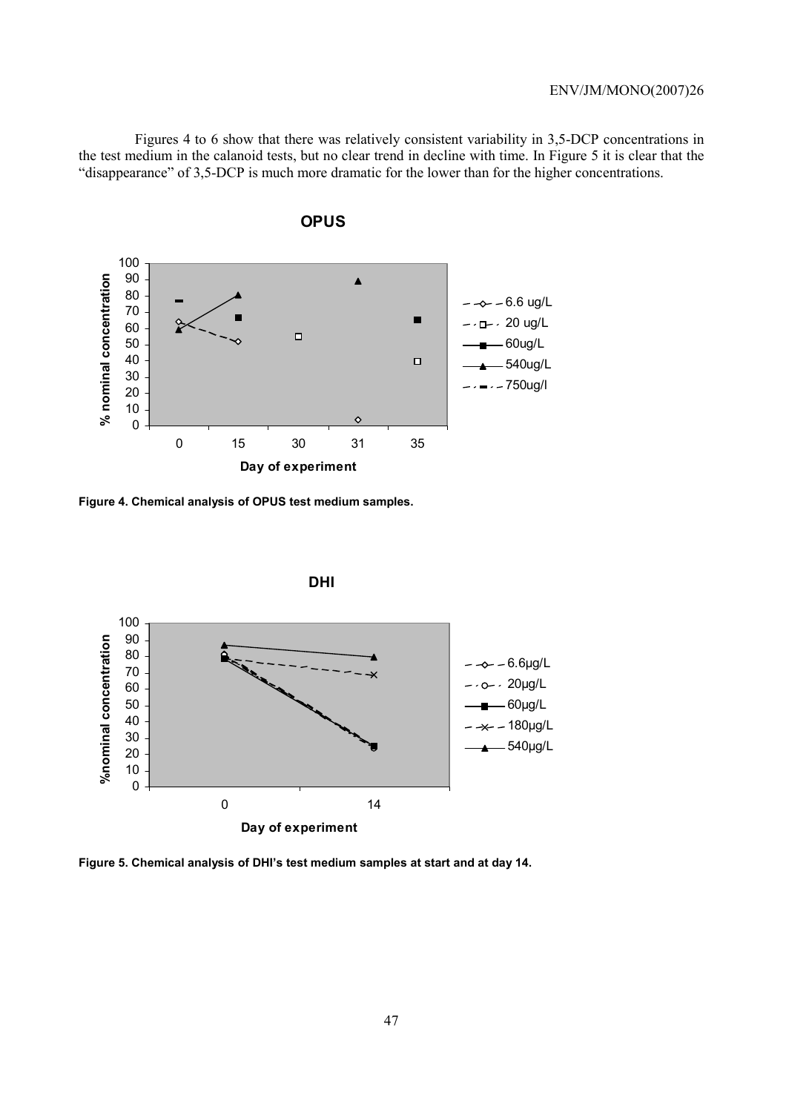Figures 4 to 6 show that there was relatively consistent variability in 3,5-DCP concentrations in the test medium in the calanoid tests, but no clear trend in decline with time. In Figure 5 it is clear that the "disappearance" of 3,5-DCP is much more dramatic for the lower than for the higher concentrations.



 **OPUS**

**Figure 4. Chemical analysis of OPUS test medium samples.** 



**Figure 5. Chemical analysis of DHI's test medium samples at start and at day 14.**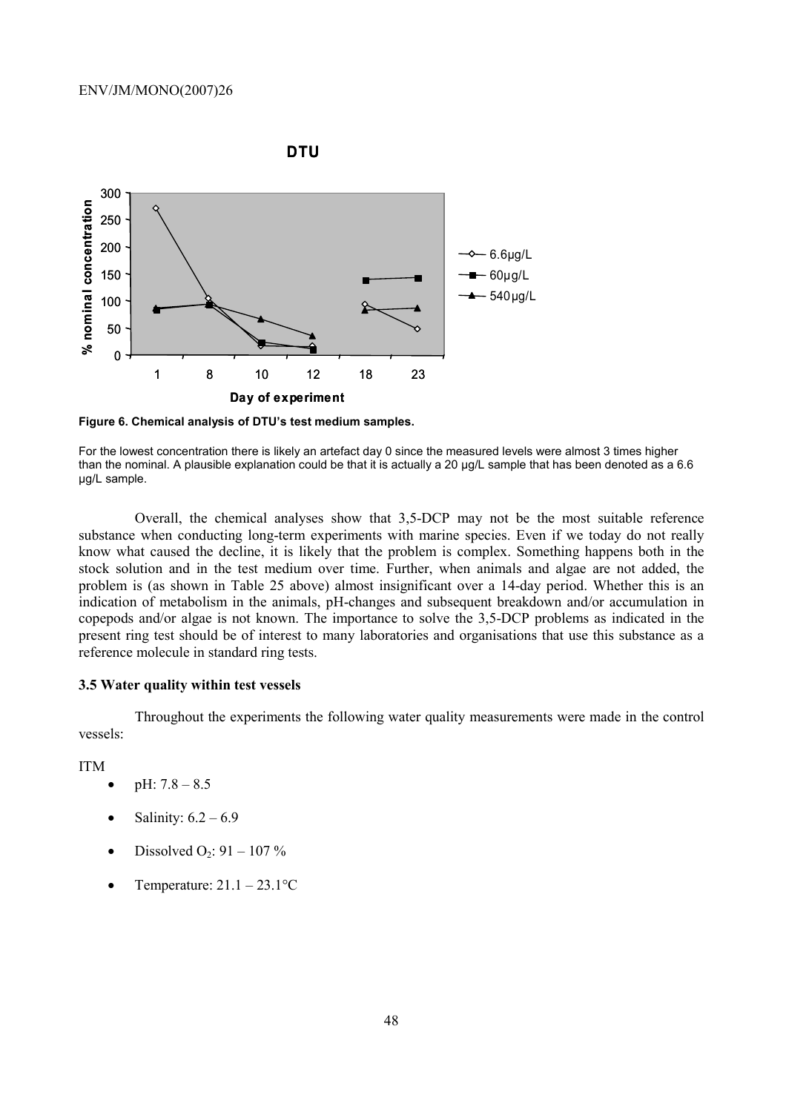

**Figure 6. Chemical analysis of DTU's test medium samples.** 

For the lowest concentration there is likely an artefact day 0 since the measured levels were almost 3 times higher than the nominal. A plausible explanation could be that it is actually a 20 µg/L sample that has been denoted as a 6.6 µg/L sample.

Overall, the chemical analyses show that 3,5-DCP may not be the most suitable reference substance when conducting long-term experiments with marine species. Even if we today do not really know what caused the decline, it is likely that the problem is complex. Something happens both in the stock solution and in the test medium over time. Further, when animals and algae are not added, the problem is (as shown in Table 25 above) almost insignificant over a 14-day period. Whether this is an indication of metabolism in the animals, pH-changes and subsequent breakdown and/or accumulation in copepods and/or algae is not known. The importance to solve the 3,5-DCP problems as indicated in the present ring test should be of interest to many laboratories and organisations that use this substance as a reference molecule in standard ring tests.

## **3.5 Water quality within test vessels**

Throughout the experiments the following water quality measurements were made in the control vessels:

ITM

- $pH: 7.8 8.5$
- Salinity:  $6.2 6.9$
- Dissolved  $O_2$ : 91 107 %
- Temperature:  $21.1 23.1$ <sup>o</sup>C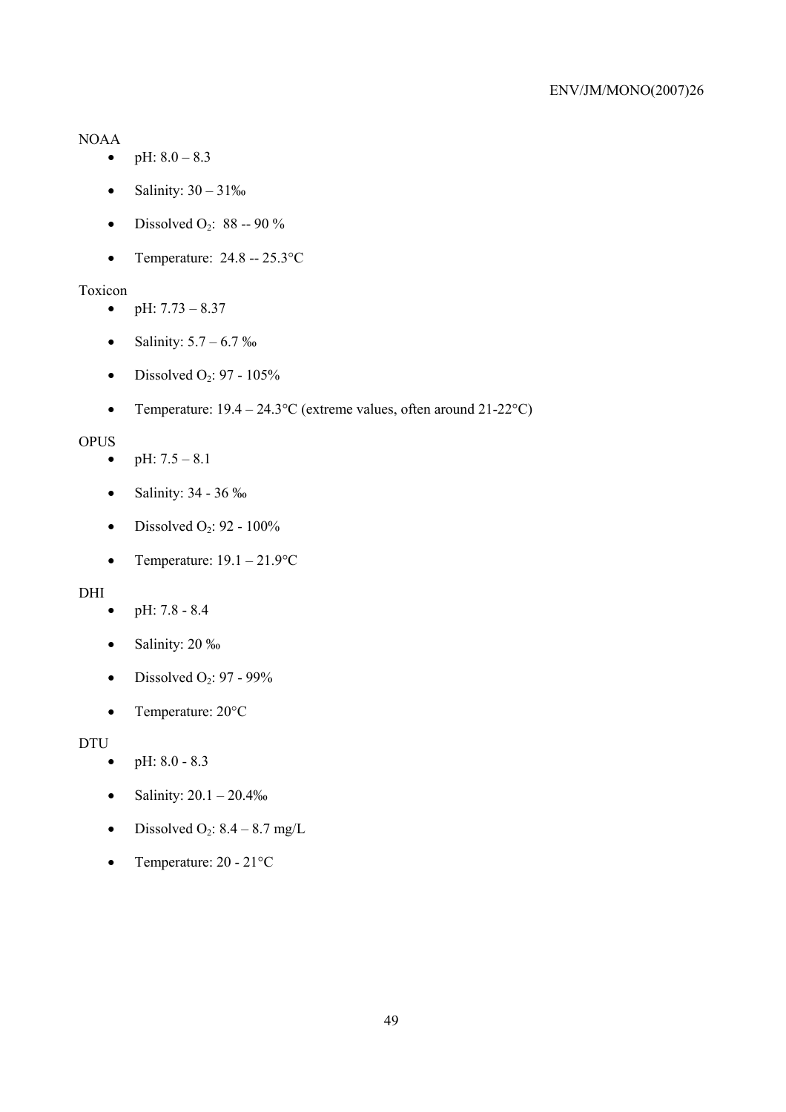## NOAA

- pH:  $8.0 8.3$
- Salinity:  $30 31\%$
- Dissolved O<sub>2</sub>: 88 -- 90 %
- Temperature:  $24.8 25.3$ °C

## Toxicon

- pH:  $7.73 8.37$
- Salinity:  $5.7 6.7 \%$
- Dissolved  $O_2$ : 97 105%
- Temperature:  $19.4 24.3$ °C (extreme values, often around 21-22°C)

## **OPUS**

- pH:  $7.5 8.1$
- Salinity: 34 36 ‰
- Dissolved  $O_2$ : 92 100%
- Temperature:  $19.1 21.9$ °C

## DHI

- pH:  $7.8 8.4$
- Salinity: 20 ‰
- Dissolved  $O_2$ : 97 99%
- Temperature: 20°C

## DTU

- pH:  $8.0 8.3$
- Salinity:  $20.1 20.4\%$
- Dissolved O<sub>2</sub>:  $8.4 8.7$  mg/L
- Temperature:  $20 21$ °C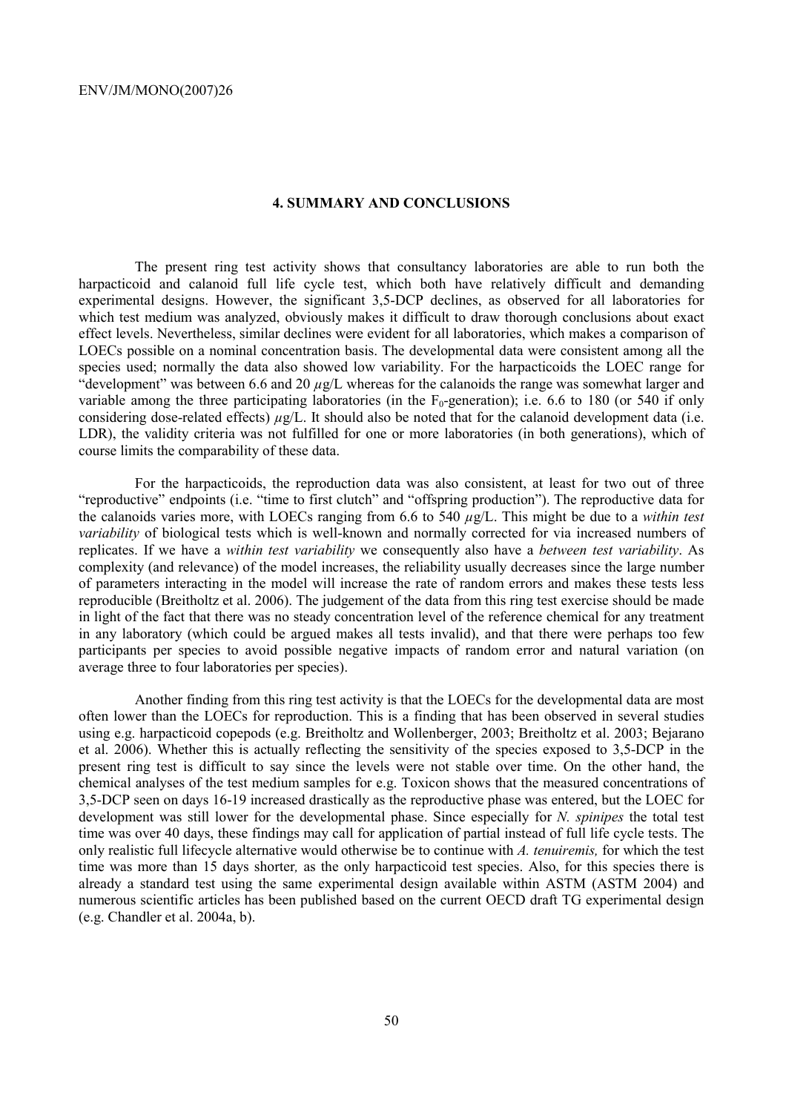#### **4. SUMMARY AND CONCLUSIONS**

The present ring test activity shows that consultancy laboratories are able to run both the harpacticoid and calanoid full life cycle test, which both have relatively difficult and demanding experimental designs. However, the significant 3,5-DCP declines, as observed for all laboratories for which test medium was analyzed, obviously makes it difficult to draw thorough conclusions about exact effect levels. Nevertheless, similar declines were evident for all laboratories, which makes a comparison of LOECs possible on a nominal concentration basis. The developmental data were consistent among all the species used; normally the data also showed low variability. For the harpacticoids the LOEC range for "development" was between 6.6 and 20 *µ*g/L whereas for the calanoids the range was somewhat larger and variable among the three participating laboratories (in the  $F_0$ -generation); i.e. 6.6 to 180 (or 540 if only considering dose-related effects)  $\mu$ g/L. It should also be noted that for the calanoid development data (i.e. LDR), the validity criteria was not fulfilled for one or more laboratories (in both generations), which of course limits the comparability of these data.

For the harpacticoids, the reproduction data was also consistent, at least for two out of three "reproductive" endpoints (i.e. "time to first clutch" and "offspring production"). The reproductive data for the calanoids varies more, with LOECs ranging from 6.6 to 540 *µ*g/L. This might be due to a *within test variability* of biological tests which is well-known and normally corrected for via increased numbers of replicates. If we have a *within test variability* we consequently also have a *between test variability*. As complexity (and relevance) of the model increases, the reliability usually decreases since the large number of parameters interacting in the model will increase the rate of random errors and makes these tests less reproducible (Breitholtz et al. 2006). The judgement of the data from this ring test exercise should be made in light of the fact that there was no steady concentration level of the reference chemical for any treatment in any laboratory (which could be argued makes all tests invalid), and that there were perhaps too few participants per species to avoid possible negative impacts of random error and natural variation (on average three to four laboratories per species).

Another finding from this ring test activity is that the LOECs for the developmental data are most often lower than the LOECs for reproduction. This is a finding that has been observed in several studies using e.g. harpacticoid copepods (e.g. Breitholtz and Wollenberger, 2003; Breitholtz et al. 2003; Bejarano et al. 2006). Whether this is actually reflecting the sensitivity of the species exposed to 3,5-DCP in the present ring test is difficult to say since the levels were not stable over time. On the other hand, the chemical analyses of the test medium samples for e.g. Toxicon shows that the measured concentrations of 3,5-DCP seen on days 16-19 increased drastically as the reproductive phase was entered, but the LOEC for development was still lower for the developmental phase. Since especially for *N. spinipes* the total test time was over 40 days, these findings may call for application of partial instead of full life cycle tests. The only realistic full lifecycle alternative would otherwise be to continue with *A. tenuiremis,* for which the test time was more than 15 days shorter*,* as the only harpacticoid test species. Also, for this species there is already a standard test using the same experimental design available within ASTM (ASTM 2004) and numerous scientific articles has been published based on the current OECD draft TG experimental design (e.g. Chandler et al. 2004a, b).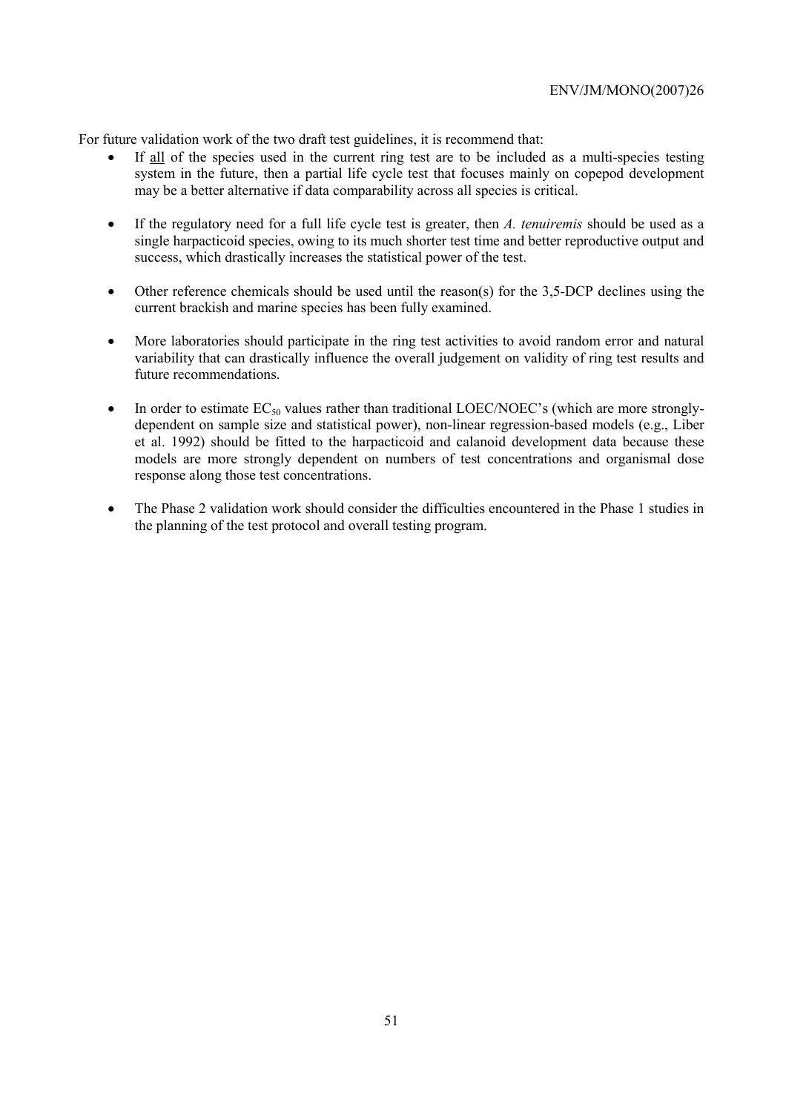For future validation work of the two draft test guidelines, it is recommend that:

- If all of the species used in the current ring test are to be included as a multi-species testing system in the future, then a partial life cycle test that focuses mainly on copepod development may be a better alternative if data comparability across all species is critical.
- If the regulatory need for a full life cycle test is greater, then *A. tenuiremis* should be used as a single harpacticoid species, owing to its much shorter test time and better reproductive output and success, which drastically increases the statistical power of the test.
- Other reference chemicals should be used until the reason(s) for the 3,5-DCP declines using the current brackish and marine species has been fully examined.
- More laboratories should participate in the ring test activities to avoid random error and natural variability that can drastically influence the overall judgement on validity of ring test results and future recommendations.
- In order to estimate  $EC_{50}$  values rather than traditional LOEC/NOEC's (which are more stronglydependent on sample size and statistical power), non-linear regression-based models (e.g., Liber et al. 1992) should be fitted to the harpacticoid and calanoid development data because these models are more strongly dependent on numbers of test concentrations and organismal dose response along those test concentrations.
- The Phase 2 validation work should consider the difficulties encountered in the Phase 1 studies in the planning of the test protocol and overall testing program.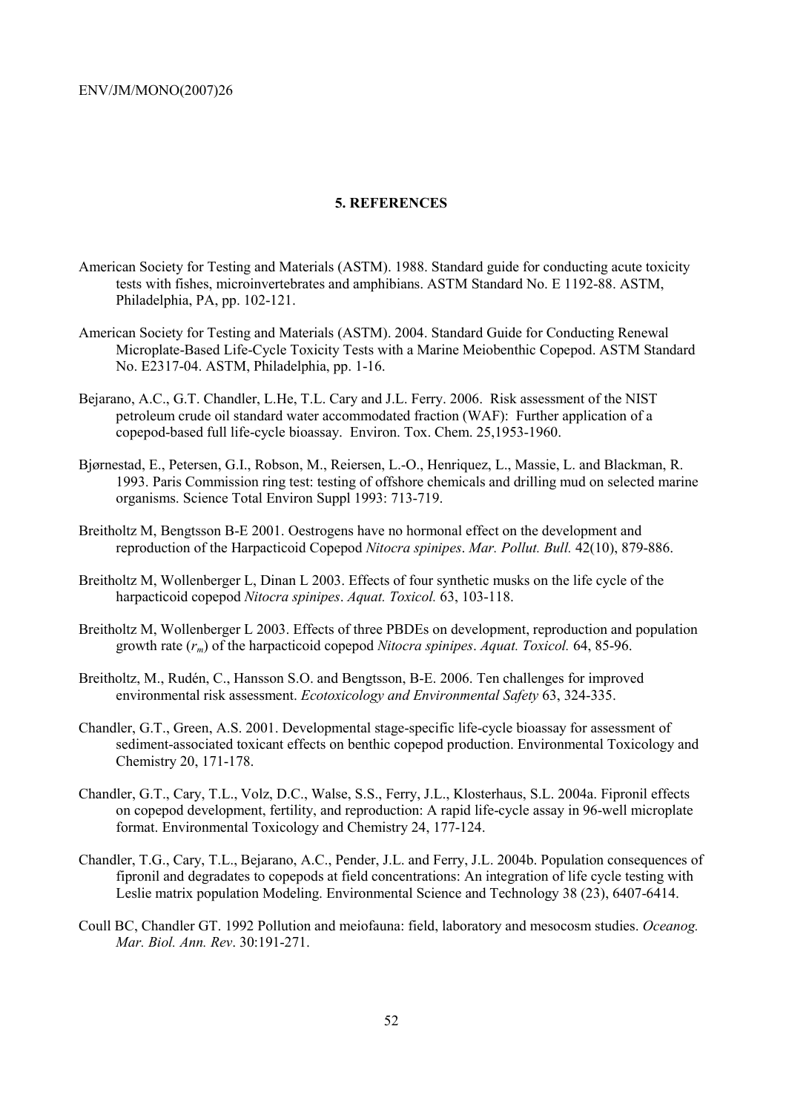### **5. REFERENCES**

- American Society for Testing and Materials (ASTM). 1988. Standard guide for conducting acute toxicity tests with fishes, microinvertebrates and amphibians. ASTM Standard No. E 1192-88. ASTM, Philadelphia, PA, pp. 102-121.
- American Society for Testing and Materials (ASTM). 2004. Standard Guide for Conducting Renewal Microplate-Based Life-Cycle Toxicity Tests with a Marine Meiobenthic Copepod. ASTM Standard No. E2317-04. ASTM, Philadelphia, pp. 1-16.
- Bejarano, A.C., G.T. Chandler, L.He, T.L. Cary and J.L. Ferry. 2006. Risk assessment of the NIST petroleum crude oil standard water accommodated fraction (WAF): Further application of a copepod-based full life-cycle bioassay. Environ. Tox. Chem. 25,1953-1960.
- Bjørnestad, E., Petersen, G.I., Robson, M., Reiersen, L.-O., Henriquez, L., Massie, L. and Blackman, R. 1993. Paris Commission ring test: testing of offshore chemicals and drilling mud on selected marine organisms. Science Total Environ Suppl 1993: 713-719.
- Breitholtz M, Bengtsson B-E 2001. Oestrogens have no hormonal effect on the development and reproduction of the Harpacticoid Copepod *Nitocra spinipes*. *Mar. Pollut. Bull.* 42(10), 879-886.
- Breitholtz M, Wollenberger L, Dinan L 2003. Effects of four synthetic musks on the life cycle of the harpacticoid copepod *Nitocra spinipes*. *Aquat. Toxicol.* 63, 103-118.
- Breitholtz M, Wollenberger L 2003. Effects of three PBDEs on development, reproduction and population growth rate (*rm*) of the harpacticoid copepod *Nitocra spinipes*. *Aquat. Toxicol.* 64, 85-96.
- Breitholtz, M., Rudén, C., Hansson S.O. and Bengtsson, B-E. 2006. Ten challenges for improved environmental risk assessment. *Ecotoxicology and Environmental Safety* 63, 324-335.
- Chandler, G.T., Green, A.S. 2001. Developmental stage-specific life-cycle bioassay for assessment of sediment-associated toxicant effects on benthic copepod production. Environmental Toxicology and Chemistry 20, 171-178.
- Chandler, G.T., Cary, T.L., Volz, D.C., Walse, S.S., Ferry, J.L., Klosterhaus, S.L. 2004a. Fipronil effects on copepod development, fertility, and reproduction: A rapid life-cycle assay in 96-well microplate format. Environmental Toxicology and Chemistry 24, 177-124.
- Chandler, T.G., Cary, T.L., Bejarano, A.C., Pender, J.L. and Ferry, J.L. 2004b. Population consequences of fipronil and degradates to copepods at field concentrations: An integration of life cycle testing with Leslie matrix population Modeling. Environmental Science and Technology 38 (23), 6407-6414.
- Coull BC, Chandler GT. 1992 Pollution and meiofauna: field, laboratory and mesocosm studies. *Oceanog. Mar. Biol. Ann. Rev*. 30:191-271.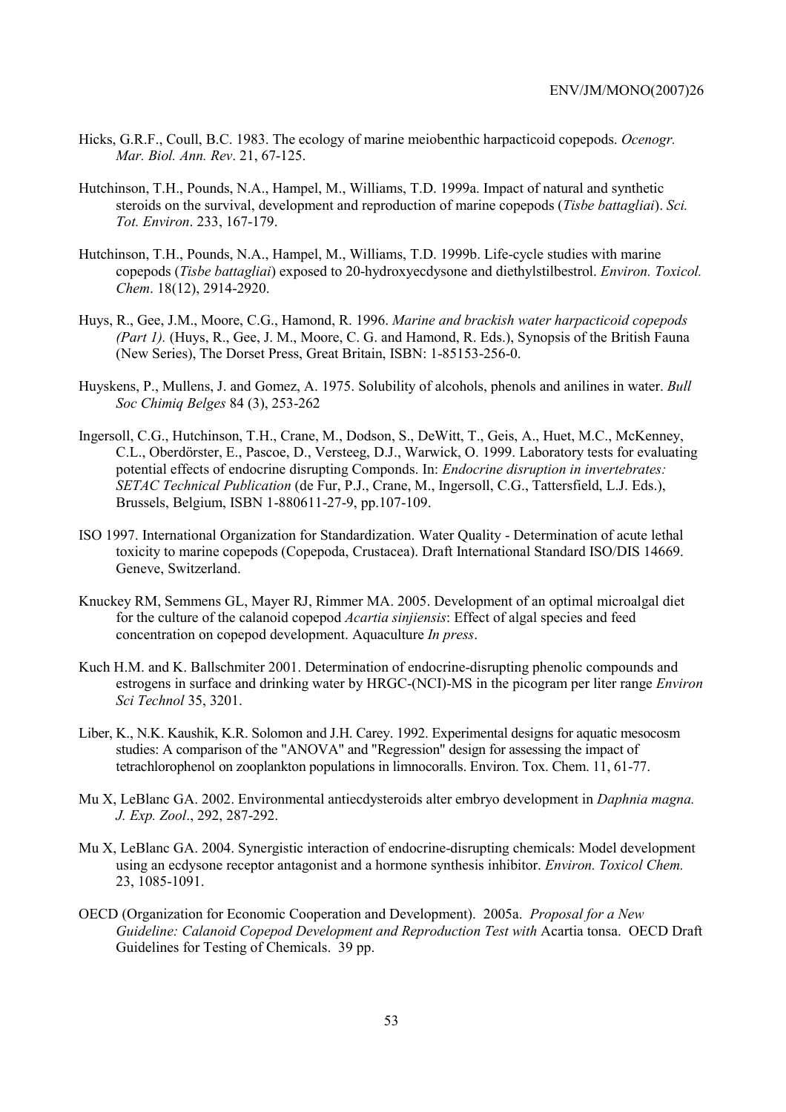- Hicks, G.R.F., Coull, B.C. 1983. The ecology of marine meiobenthic harpacticoid copepods. *Ocenogr. Mar. Biol. Ann. Rev*. 21, 67-125.
- Hutchinson, T.H., Pounds, N.A., Hampel, M., Williams, T.D. 1999a. Impact of natural and synthetic steroids on the survival, development and reproduction of marine copepods (*Tisbe battagliai*). *Sci. Tot. Environ*. 233, 167-179.
- Hutchinson, T.H., Pounds, N.A., Hampel, M., Williams, T.D. 1999b. Life-cycle studies with marine copepods (*Tisbe battagliai*) exposed to 20-hydroxyecdysone and diethylstilbestrol. *Environ. Toxicol. Chem*. 18(12), 2914-2920.
- Huys, R., Gee, J.M., Moore, C.G., Hamond, R. 1996. *Marine and brackish water harpacticoid copepods (Part 1).* (Huys, R., Gee, J. M., Moore, C. G. and Hamond, R. Eds.), Synopsis of the British Fauna (New Series), The Dorset Press, Great Britain, ISBN: 1-85153-256-0.
- Huyskens, P., Mullens, J. and Gomez, A. 1975. Solubility of alcohols, phenols and anilines in water. *Bull Soc Chimiq Belges* 84 (3), 253-262
- Ingersoll, C.G., Hutchinson, T.H., Crane, M., Dodson, S., DeWitt, T., Geis, A., Huet, M.C., McKenney, C.L., Oberdörster, E., Pascoe, D., Versteeg, D.J., Warwick, O. 1999. Laboratory tests for evaluating potential effects of endocrine disrupting Componds. In: *Endocrine disruption in invertebrates: SETAC Technical Publication* (de Fur, P.J., Crane, M., Ingersoll, C.G., Tattersfield, L.J. Eds.), Brussels, Belgium, ISBN 1-880611-27-9, pp.107-109.
- ISO 1997. International Organization for Standardization. Water Quality Determination of acute lethal toxicity to marine copepods (Copepoda, Crustacea). Draft International Standard ISO/DIS 14669. Geneve, Switzerland.
- Knuckey RM, Semmens GL, Mayer RJ, Rimmer MA. 2005. Development of an optimal microalgal diet for the culture of the calanoid copepod *Acartia sinjiensis*: Effect of algal species and feed concentration on copepod development. Aquaculture *In press*.
- Kuch H.M. and K. Ballschmiter 2001. Determination of endocrine-disrupting phenolic compounds and estrogens in surface and drinking water by HRGC-(NCI)-MS in the picogram per liter range *Environ Sci Technol* 35, 3201.
- Liber, K., N.K. Kaushik, K.R. Solomon and J.H. Carey. 1992. Experimental designs for aquatic mesocosm studies: A comparison of the "ANOVA" and "Regression" design for assessing the impact of tetrachlorophenol on zooplankton populations in limnocoralls. Environ. Tox. Chem. 11, 61-77.
- Mu X, LeBlanc GA. 2002. Environmental antiecdysteroids alter embryo development in *Daphnia magna. J. Exp. Zool*., 292, 287-292.
- Mu X, LeBlanc GA. 2004. Synergistic interaction of endocrine-disrupting chemicals: Model development using an ecdysone receptor antagonist and a hormone synthesis inhibitor. *Environ. Toxicol Chem.*  23, 1085-1091.
- OECD (Organization for Economic Cooperation and Development). 2005a. *Proposal for a New Guideline: Calanoid Copepod Development and Reproduction Test with Acartia tonsa. OECD Draft* Guidelines for Testing of Chemicals. 39 pp.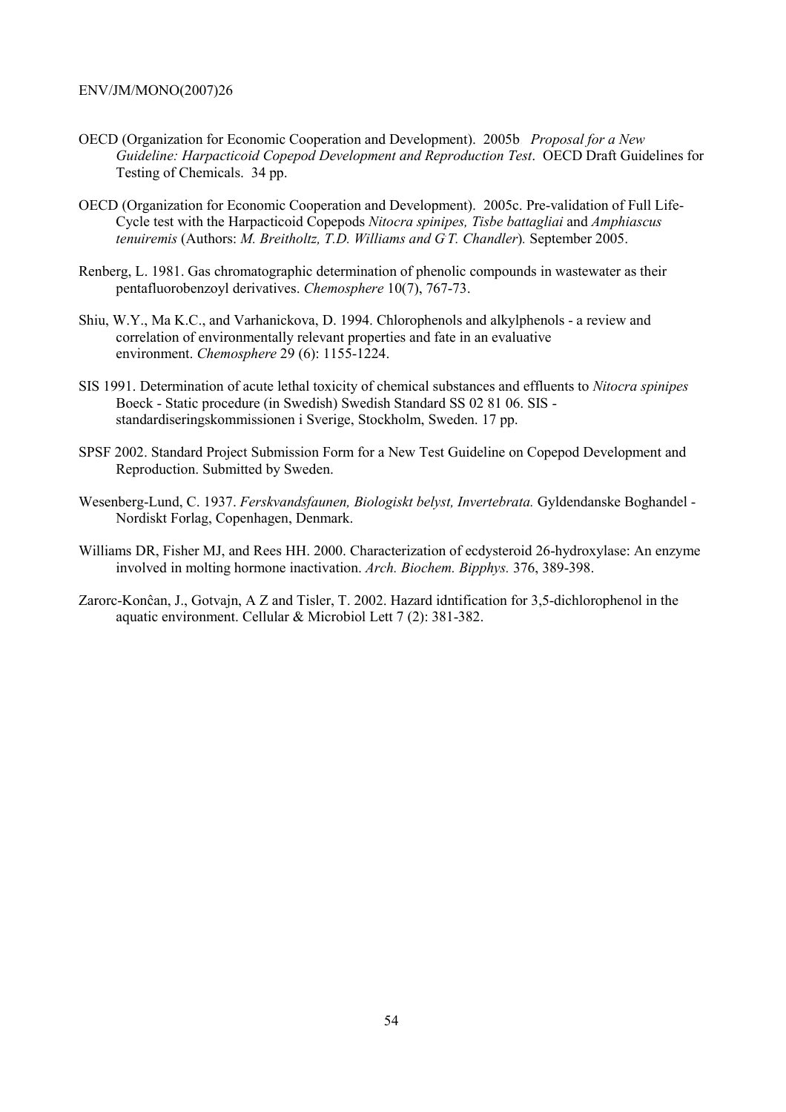- OECD (Organization for Economic Cooperation and Development). 2005b. *Proposal for a New Guideline: Harpacticoid Copepod Development and Reproduction Test*. OECD Draft Guidelines for Testing of Chemicals. 34 pp.
- OECD (Organization for Economic Cooperation and Development). 2005c. Pre-validation of Full Life-Cycle test with the Harpacticoid Copepods *Nitocra spinipes, Tisbe battagliai* and *Amphiascus tenuiremis* (Authors: *M. Breitholtz, T.D. Williams and G. T. Chandler*)*.* September 2005.
- Renberg, L. 1981. Gas chromatographic determination of phenolic compounds in wastewater as their pentafluorobenzoyl derivatives. *Chemosphere* 10(7), 767-73.
- Shiu, W.Y., Ma K.C., and Varhanickova, D. 1994. Chlorophenols and alkylphenols a review and correlation of environmentally relevant properties and fate in an evaluative environment. *Chemosphere* 29 (6): 1155-1224.
- SIS 1991. Determination of acute lethal toxicity of chemical substances and effluents to *Nitocra spinipes*  Boeck - Static procedure (in Swedish) Swedish Standard SS 02 81 06. SIS standardiseringskommissionen i Sverige, Stockholm, Sweden. 17 pp.
- SPSF 2002. Standard Project Submission Form for a New Test Guideline on Copepod Development and Reproduction. Submitted by Sweden.
- Wesenberg-Lund, C. 1937. *Ferskvandsfaunen, Biologiskt belyst, Invertebrata.* Gyldendanske Boghandel Nordiskt Forlag, Copenhagen, Denmark.
- Williams DR, Fisher MJ, and Rees HH. 2000. Characterization of ecdysteroid 26-hydroxylase: An enzyme involved in molting hormone inactivation. *Arch. Biochem. Bipphys.* 376, 389-398.
- Zarorc-Konĉan, J., Gotvajn, A Z and Tisler, T. 2002. Hazard idntification for 3,5-dichlorophenol in the aquatic environment. Cellular & Microbiol Lett 7 (2): 381-382.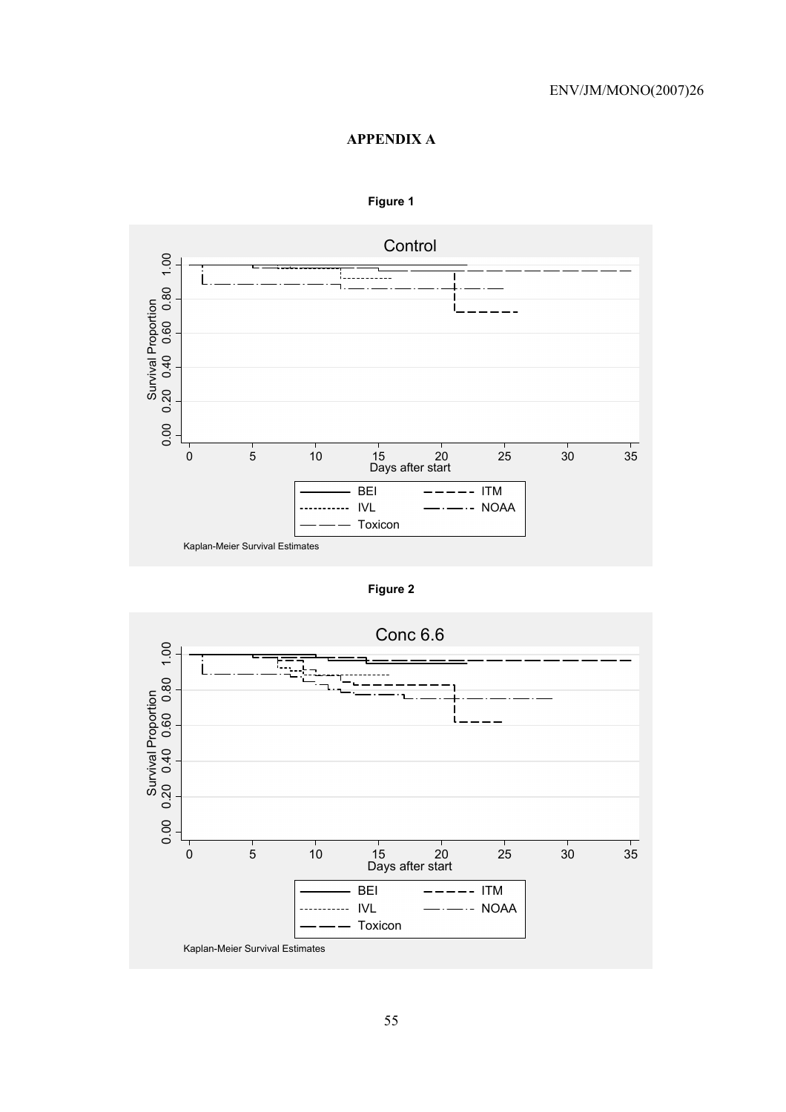## **APPENDIX A**



## **Figure 1**

**Figure 2** 

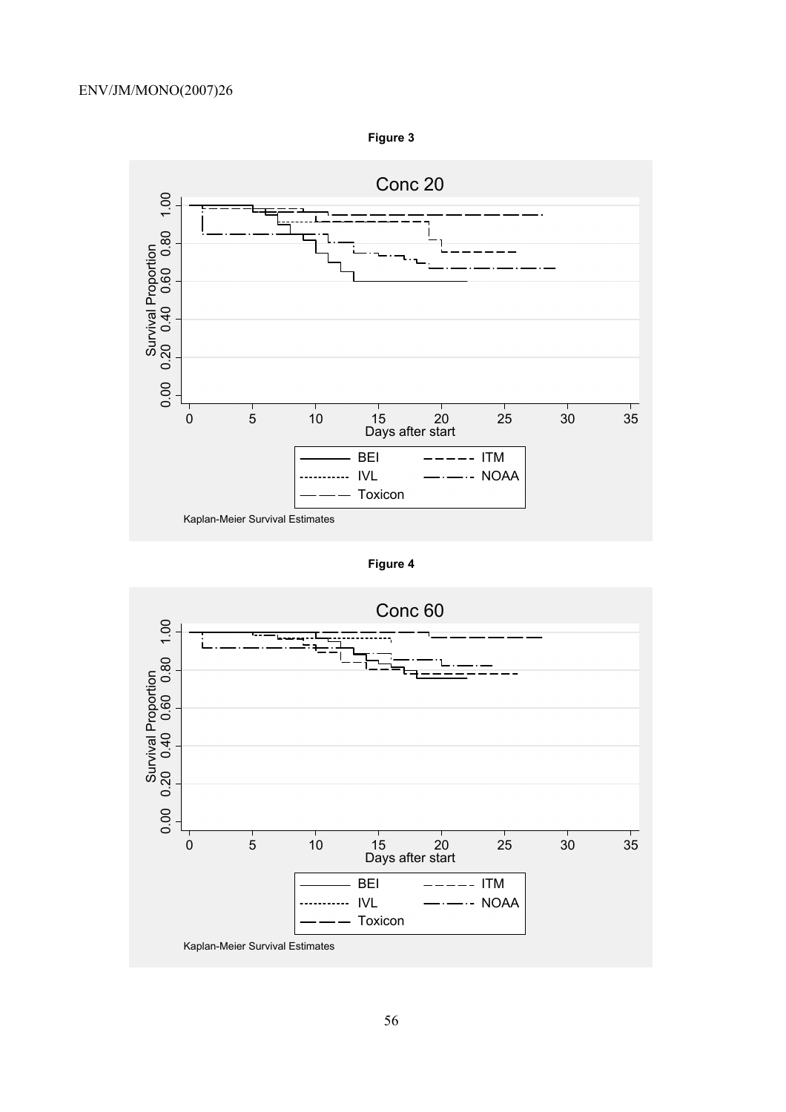

**Figure 3** 

**Figure 4** 

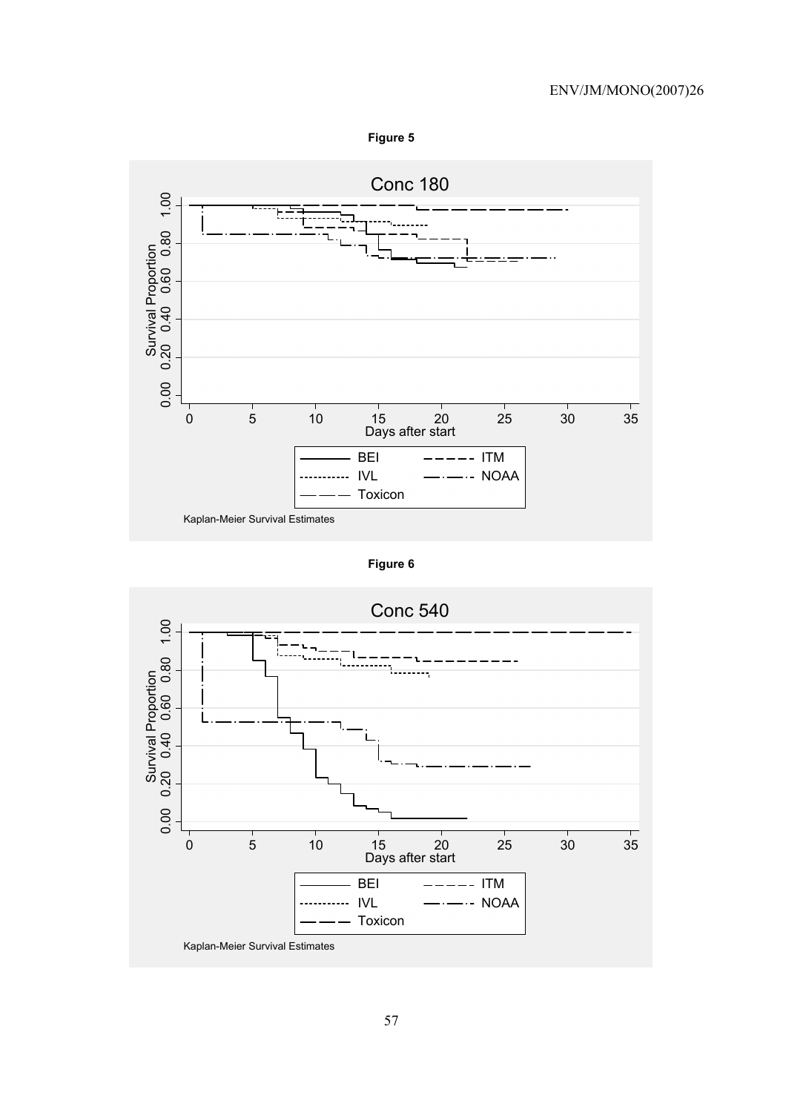



**Figure 6** 

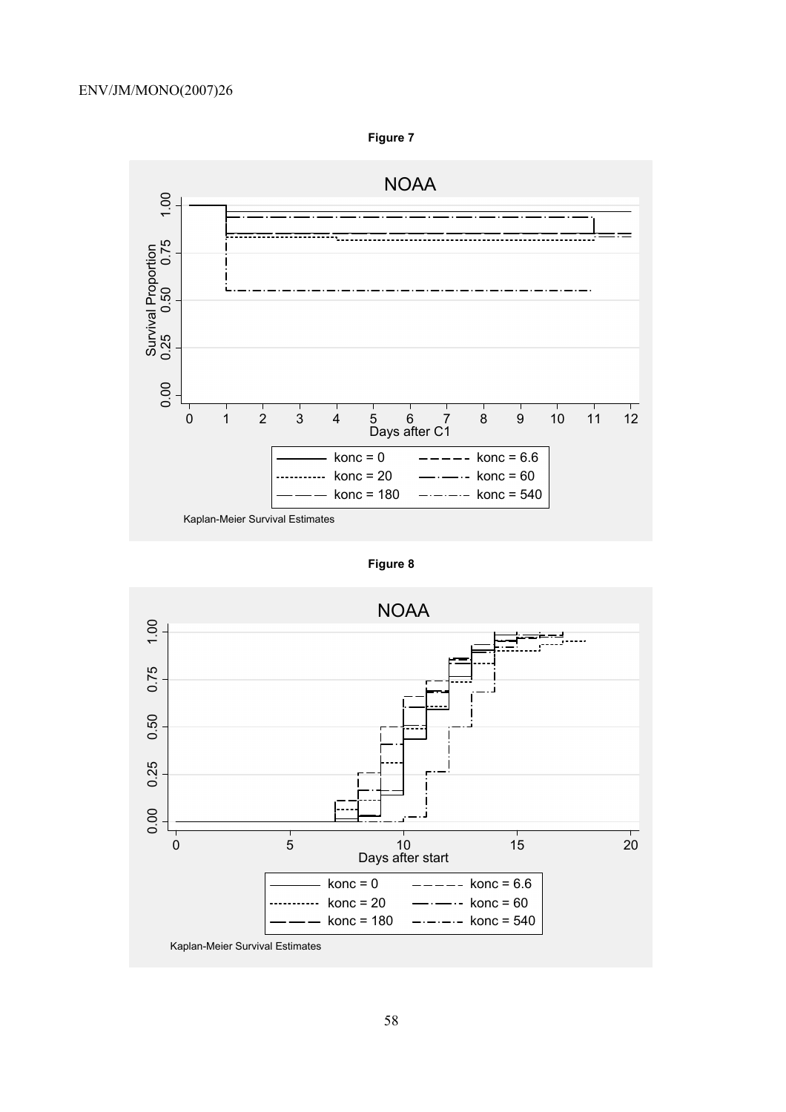

**Figure 7** 

**Figure 8** 

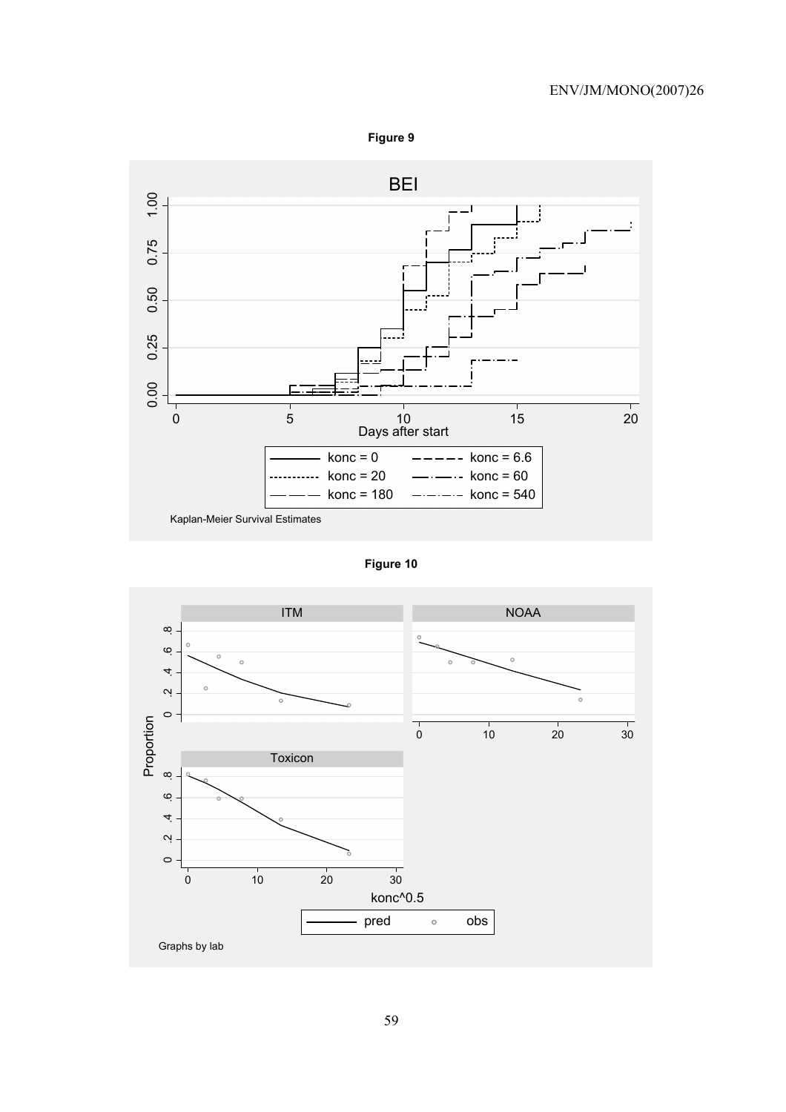



**Figure 10** 

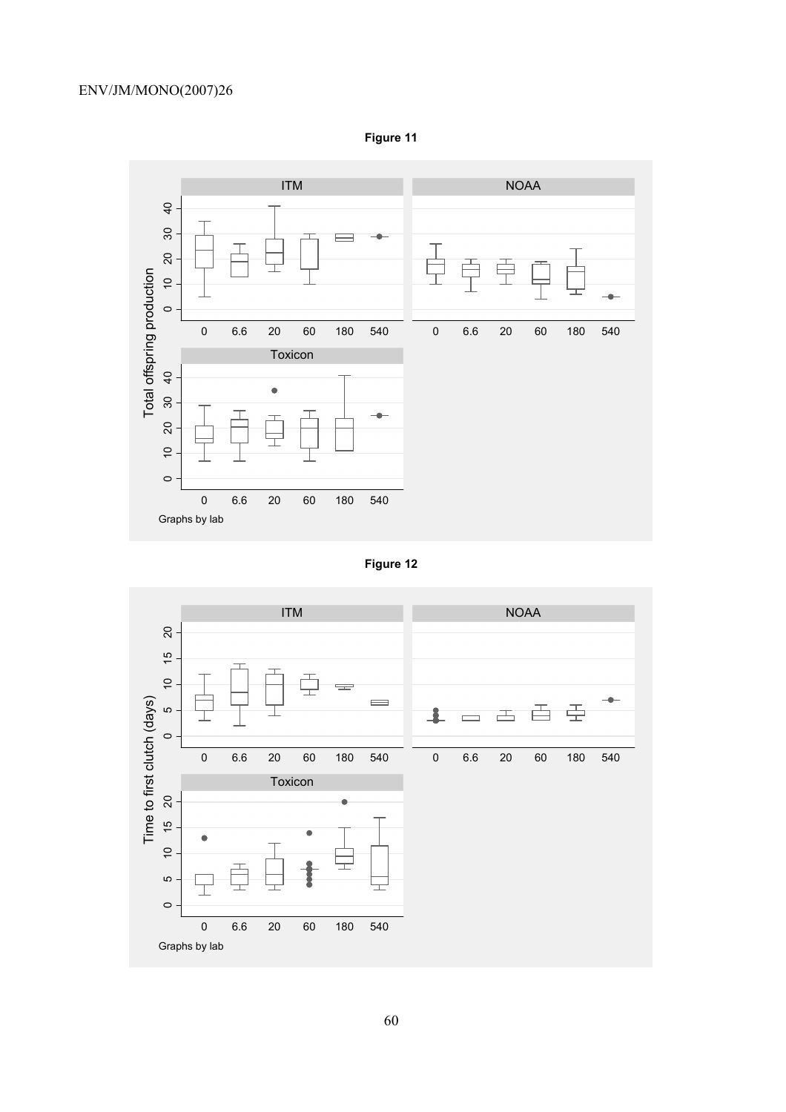

**Figure 11** 



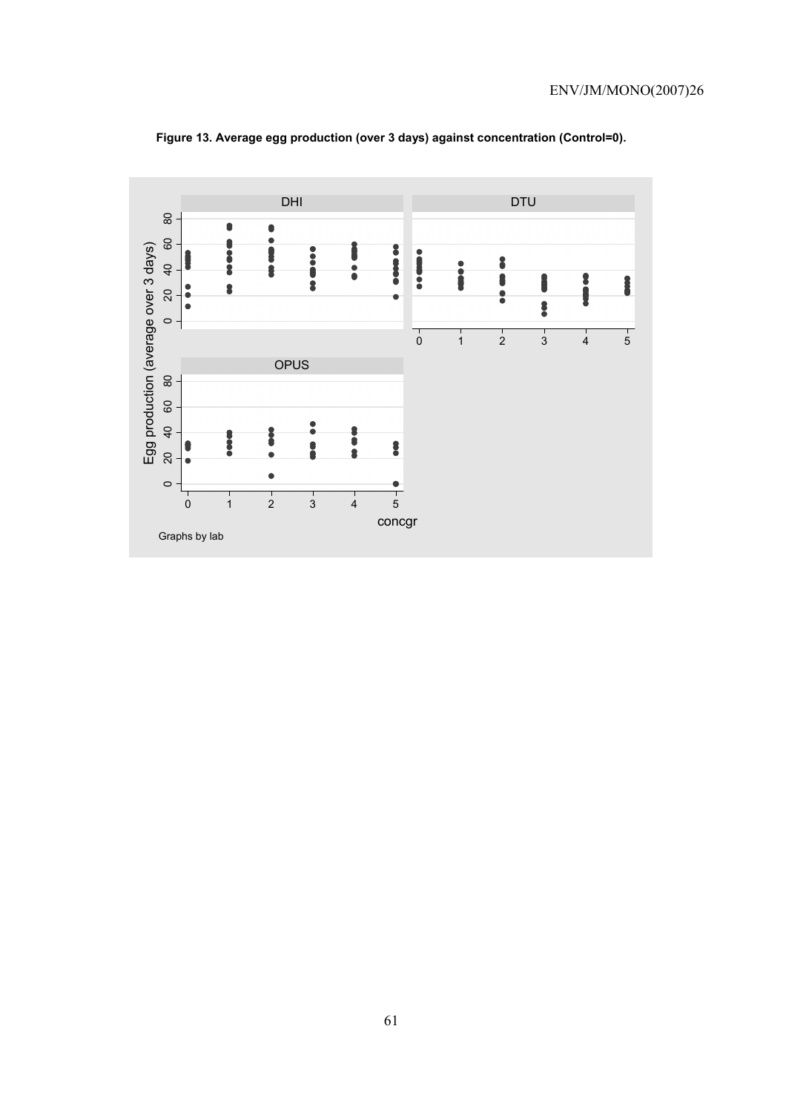

**Figure 13. Average egg production (over 3 days) against concentration (Control=0).**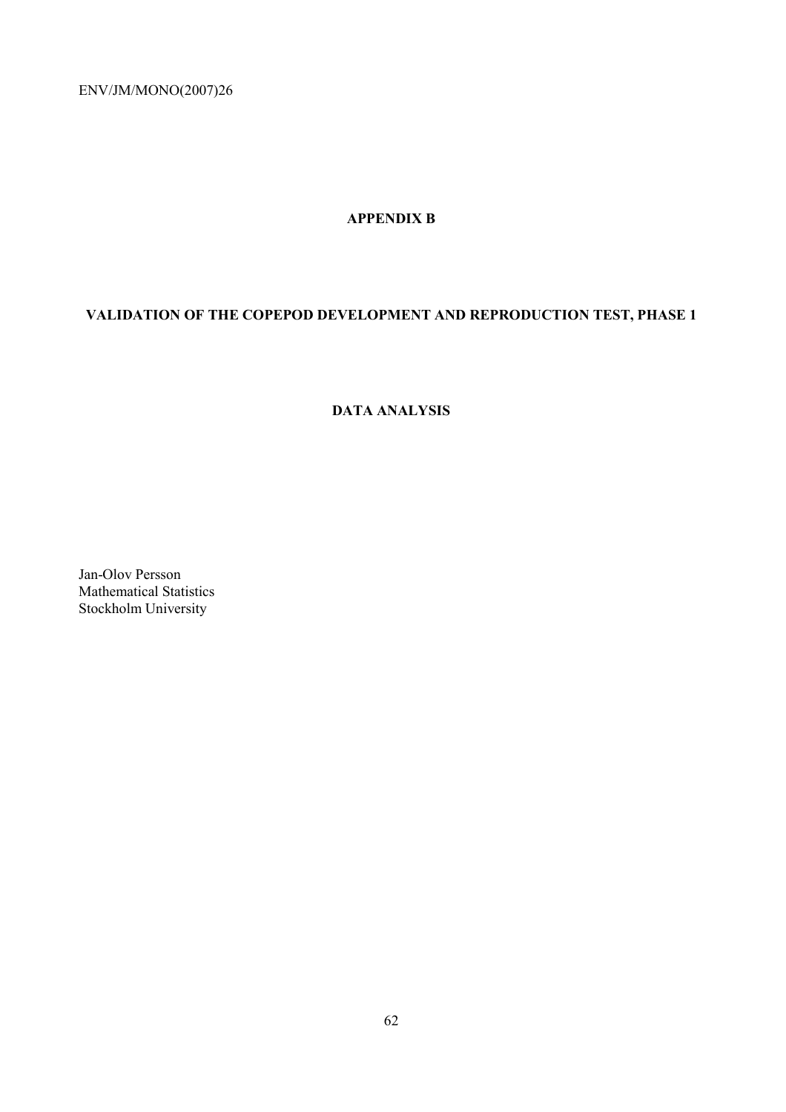## **APPENDIX B**

# **VALIDATION OF THE COPEPOD DEVELOPMENT AND REPRODUCTION TEST, PHASE 1**

## **DATA ANALYSIS**

Jan-Olov Persson Mathematical Statistics Stockholm University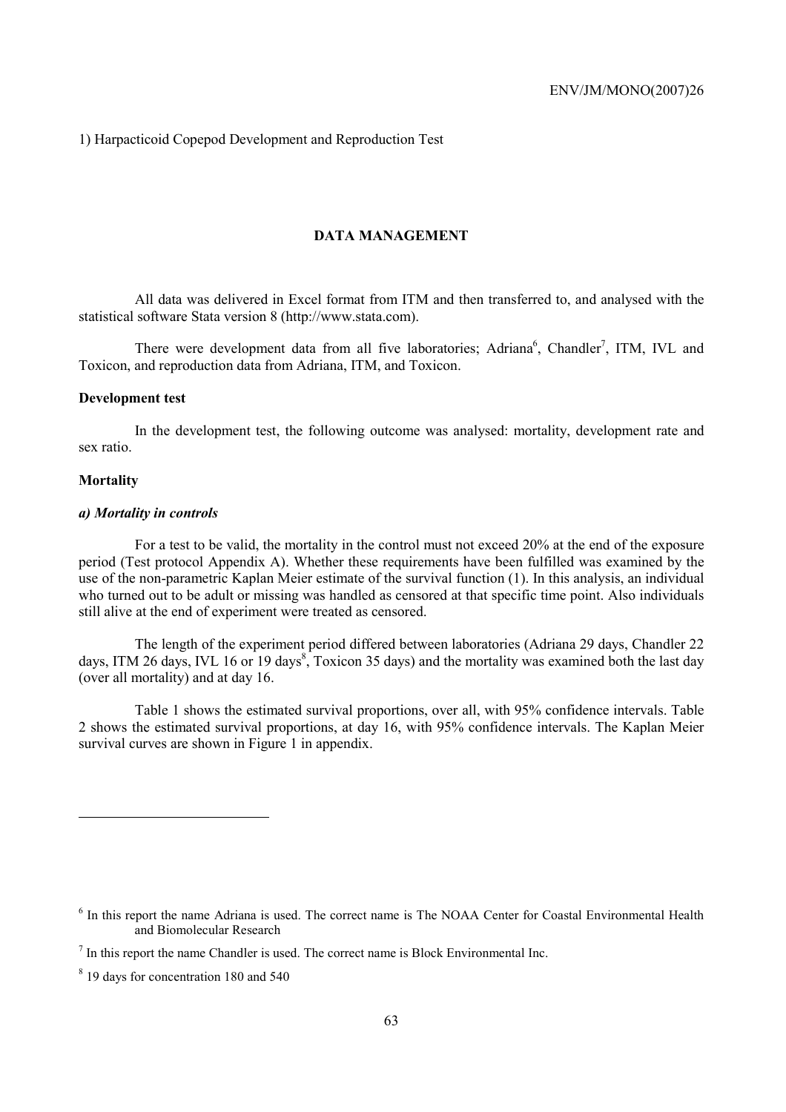1) Harpacticoid Copepod Development and Reproduction Test

## **DATA MANAGEMENT**

All data was delivered in Excel format from ITM and then transferred to, and analysed with the statistical software Stata version 8 (http://www.stata.com).

There were development data from all five laboratories; Adriana<sup>6</sup>, Chandler<sup>7</sup>, ITM, IVL and Toxicon, and reproduction data from Adriana, ITM, and Toxicon.

## **Development test**

In the development test, the following outcome was analysed: mortality, development rate and sex ratio.

#### **Mortality**

## *a) Mortality in controls*

For a test to be valid, the mortality in the control must not exceed 20% at the end of the exposure period (Test protocol Appendix A). Whether these requirements have been fulfilled was examined by the use of the non-parametric Kaplan Meier estimate of the survival function (1). In this analysis, an individual who turned out to be adult or missing was handled as censored at that specific time point. Also individuals still alive at the end of experiment were treated as censored.

The length of the experiment period differed between laboratories (Adriana 29 days, Chandler 22 days, ITM 26 days, IVL 16 or 19 days<sup>8</sup>, Toxicon 35 days) and the mortality was examined both the last day (over all mortality) and at day 16.

Table 1 shows the estimated survival proportions, over all, with 95% confidence intervals. Table 2 shows the estimated survival proportions, at day 16, with 95% confidence intervals. The Kaplan Meier survival curves are shown in Figure 1 in appendix.

<sup>&</sup>lt;sup>6</sup> In this report the name Adriana is used. The correct name is The NOAA Center for Coastal Environmental Health and Biomolecular Research

 $<sup>7</sup>$  In this report the name Chandler is used. The correct name is Block Environmental Inc.</sup>

<sup>8</sup> 19 days for concentration 180 and 540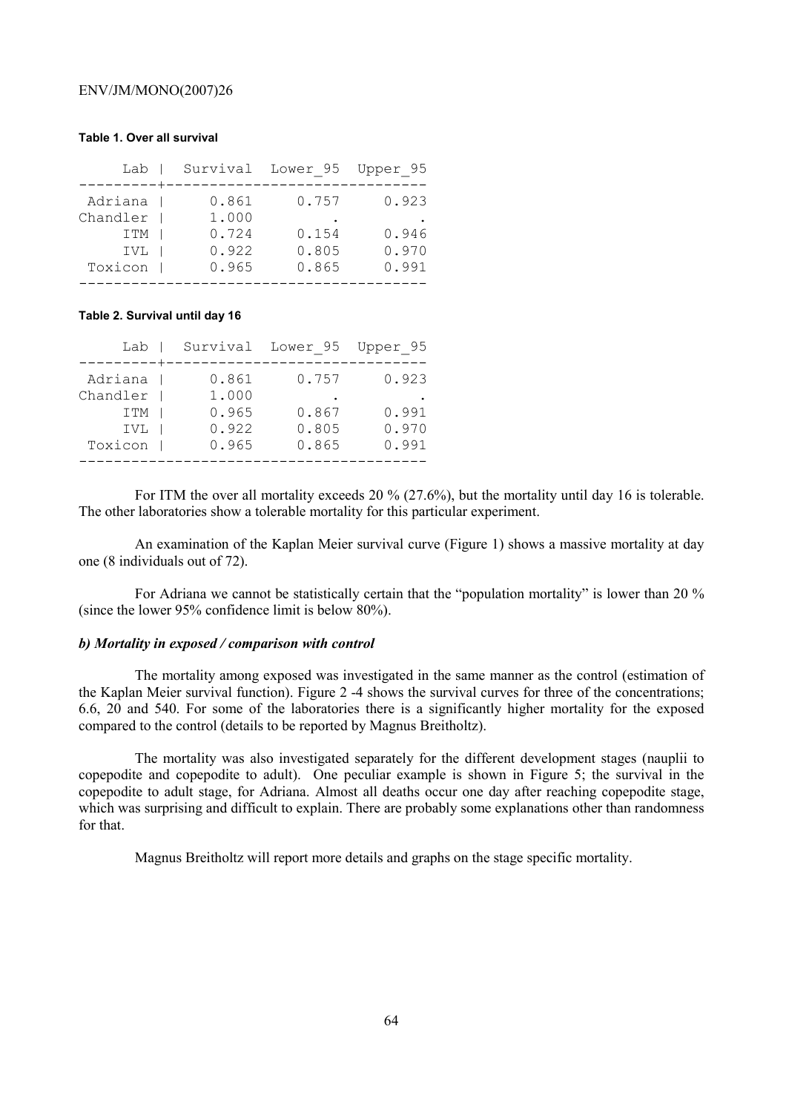#### **Table 1. Over all survival**

| Lab        |       | Survival Lower 95 | Upper 95 |
|------------|-------|-------------------|----------|
|            |       |                   |          |
| Adriana    | 0.861 | 0.757             | 0.923    |
| Chandler   | 1,000 |                   |          |
| <b>ITM</b> | 0.724 | 0.154             | 0.946    |
| IVL        | 0.922 | 0.805             | 0.970    |
| Toxicon    | 0.965 | 0.865             | 0.991    |
|            |       |                   |          |

#### **Table 2. Survival until day 16**

| Lab        |       | Survival Lower 95 | Upper 95 |
|------------|-------|-------------------|----------|
|            |       |                   |          |
| Adriana    | 0.861 | 0.757             | 0.923    |
| Chandler   | 1,000 |                   |          |
| <b>ITM</b> | 0.965 | 0.867             | 0.991    |
| IVL        | 0.922 | 0.805             | 0.970    |
| Toxicon    | 0.965 | 0.865             | 0.991    |
|            |       |                   |          |

For ITM the over all mortality exceeds 20 % (27.6%), but the mortality until day 16 is tolerable. The other laboratories show a tolerable mortality for this particular experiment.

An examination of the Kaplan Meier survival curve (Figure 1) shows a massive mortality at day one (8 individuals out of 72).

For Adriana we cannot be statistically certain that the "population mortality" is lower than 20 % (since the lower 95% confidence limit is below 80%).

## *b) Mortality in exposed / comparison with control*

The mortality among exposed was investigated in the same manner as the control (estimation of the Kaplan Meier survival function). Figure 2 -4 shows the survival curves for three of the concentrations; 6.6, 20 and 540. For some of the laboratories there is a significantly higher mortality for the exposed compared to the control (details to be reported by Magnus Breitholtz).

The mortality was also investigated separately for the different development stages (nauplii to copepodite and copepodite to adult). One peculiar example is shown in Figure 5; the survival in the copepodite to adult stage, for Adriana. Almost all deaths occur one day after reaching copepodite stage, which was surprising and difficult to explain. There are probably some explanations other than randomness for that.

Magnus Breitholtz will report more details and graphs on the stage specific mortality.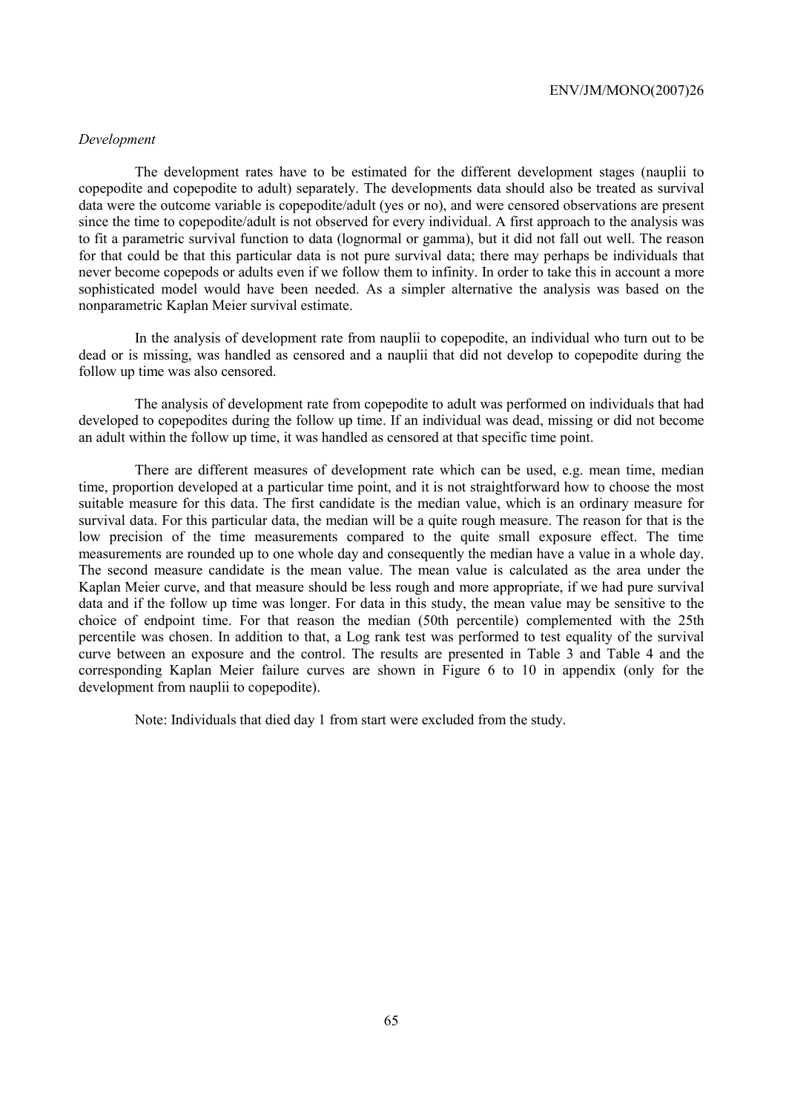## *Development*

The development rates have to be estimated for the different development stages (nauplii to copepodite and copepodite to adult) separately. The developments data should also be treated as survival data were the outcome variable is copepodite/adult (yes or no), and were censored observations are present since the time to copepodite/adult is not observed for every individual. A first approach to the analysis was to fit a parametric survival function to data (lognormal or gamma), but it did not fall out well. The reason for that could be that this particular data is not pure survival data; there may perhaps be individuals that never become copepods or adults even if we follow them to infinity. In order to take this in account a more sophisticated model would have been needed. As a simpler alternative the analysis was based on the nonparametric Kaplan Meier survival estimate.

In the analysis of development rate from nauplii to copepodite, an individual who turn out to be dead or is missing, was handled as censored and a nauplii that did not develop to copepodite during the follow up time was also censored.

The analysis of development rate from copepodite to adult was performed on individuals that had developed to copepodites during the follow up time. If an individual was dead, missing or did not become an adult within the follow up time, it was handled as censored at that specific time point.

There are different measures of development rate which can be used, e.g. mean time, median time, proportion developed at a particular time point, and it is not straightforward how to choose the most suitable measure for this data. The first candidate is the median value, which is an ordinary measure for survival data. For this particular data, the median will be a quite rough measure. The reason for that is the low precision of the time measurements compared to the quite small exposure effect. The time measurements are rounded up to one whole day and consequently the median have a value in a whole day. The second measure candidate is the mean value. The mean value is calculated as the area under the Kaplan Meier curve, and that measure should be less rough and more appropriate, if we had pure survival data and if the follow up time was longer. For data in this study, the mean value may be sensitive to the choice of endpoint time. For that reason the median (50th percentile) complemented with the 25th percentile was chosen. In addition to that, a Log rank test was performed to test equality of the survival curve between an exposure and the control. The results are presented in Table 3 and Table 4 and the corresponding Kaplan Meier failure curves are shown in Figure 6 to 10 in appendix (only for the development from nauplii to copepodite).

Note: Individuals that died day 1 from start were excluded from the study.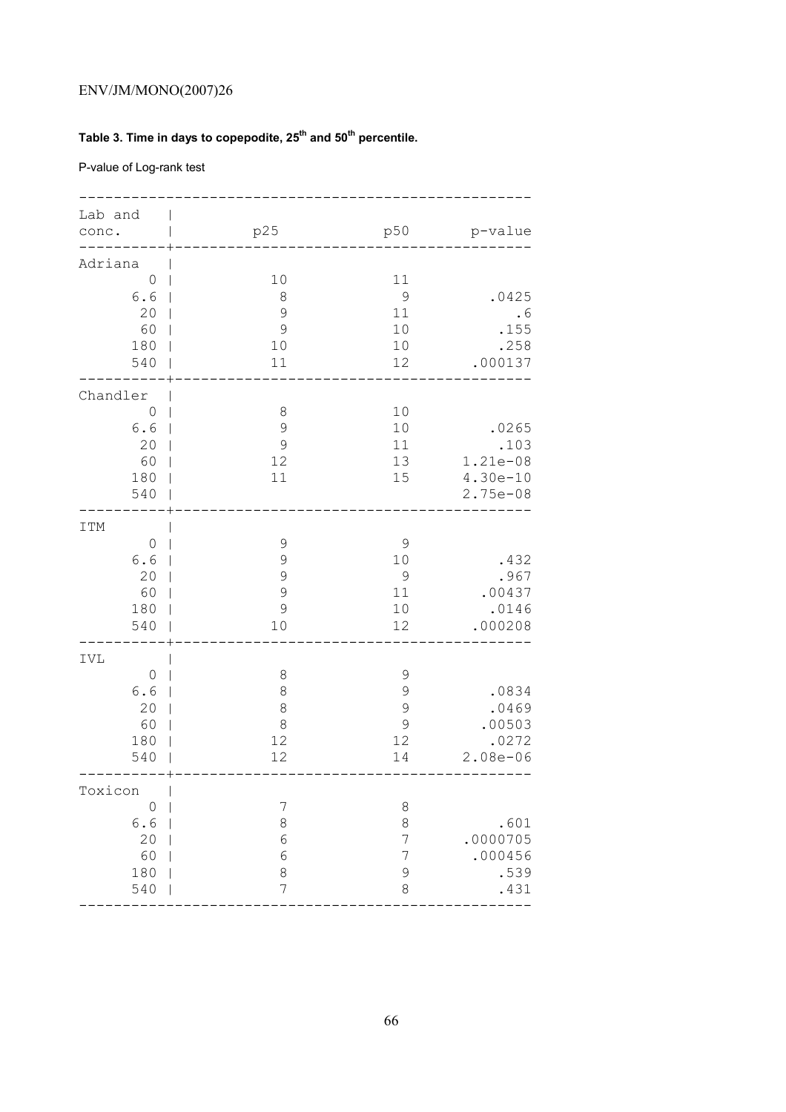# **Table 3. Time in days to copepodite, 25th and 50th percentile.**

P-value of Log-rank test

| Lab and<br>conc.                                            | p25                                                   | p50                                         | p-value                                               |
|-------------------------------------------------------------|-------------------------------------------------------|---------------------------------------------|-------------------------------------------------------|
| Adriana<br>$\circ$<br>6.6<br>20<br>60<br>180<br>540         | 10<br>8<br>9<br>$\mathcal{G}$<br>10<br>11             | 11<br>$\mathcal{G}$<br>11<br>10<br>10<br>12 | .0425<br>.6<br>.155<br>.258<br>.000137                |
| Chandler<br>$\mathbf 0$<br>6.6<br>20<br>60<br>180<br>540    | $\,8\,$<br>$\mathcal{G}$<br>$\mathcal{G}$<br>12<br>11 | 10<br>10<br>11<br>13<br>15                  | .0265<br>.103<br>1.21e-08<br>$4.30e-10$<br>$2.75e-08$ |
| <b>ITM</b><br>$\mathbf 0$<br>6.6<br>20<br>60<br>180<br>540  | $\mathcal{G}$<br>9<br>9<br>9<br>9<br>10               | $\mathcal{G}$<br>10<br>9<br>11<br>10<br>12  | .432<br>.967<br>.00437<br>.0146<br>.000208            |
| IVL<br>$\mathsf{O}\xspace$<br>6.6<br>20<br>60<br>180<br>540 | $\,8\,$<br>$\,8\,$<br>$\,8\,$<br>$\,8\,$<br>12<br>12  | $\mathcal{G}$<br>9<br>9<br>9<br>12<br>14    | .0834<br>.0469<br>.00503<br>.0272<br>$2.08e - 06$     |
| Toxicon<br>$\circ$<br>6.6<br>20<br>60<br>180<br>540         | 7<br>$\,8\,$<br>$\epsilon$<br>6<br>8<br>7             | $\,8\,$<br>8<br>7<br>7<br>9<br>8            | .601<br>.0000705<br>.000456<br>.539<br>.431           |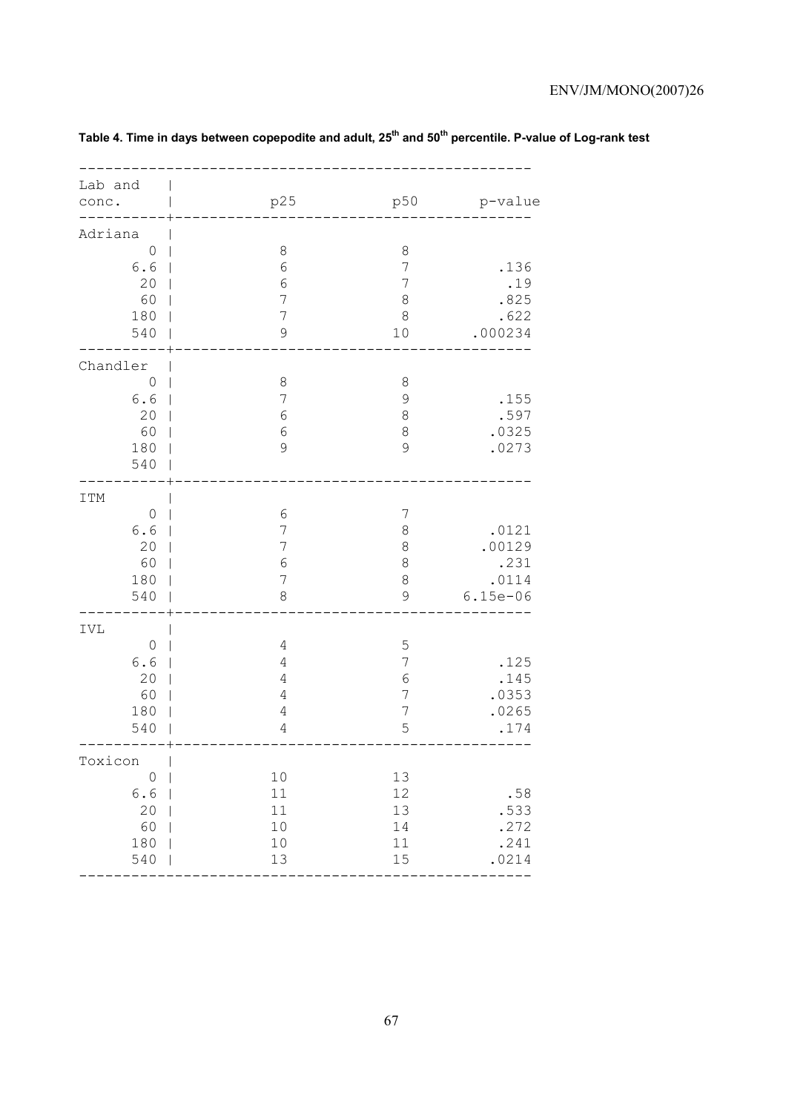| Lab and<br>conc.                                           | p25                                                                            | p50                                                               | p-value                                        |
|------------------------------------------------------------|--------------------------------------------------------------------------------|-------------------------------------------------------------------|------------------------------------------------|
| Adriana<br>$\circledcirc$<br>6.6<br>20<br>60<br>180<br>540 | $\,8\,$<br>$\sqrt{6}$<br>$\sqrt{6}$<br>7<br>$\overline{7}$<br>$\mathcal{G}$    | $\,8\,$<br>$\overline{7}$<br>$\overline{7}$<br>8<br>$\,8\,$<br>10 | .136<br>.19<br>.825<br>.622<br>.000234         |
| Chandler<br>$\circ$<br>6.6<br>20<br>60<br>180<br>540       | $\,8\,$<br>7<br>$\epsilon$<br>$\sqrt{6}$<br>$\mathsf 9$                        | $\,8\,$<br>9<br>8<br>8<br>9                                       | .155<br>.597<br>.0325<br>.0273                 |
| ITM<br>$\mathbf 0$<br>6.6<br>20<br>60<br>180<br>540        | $\epsilon$<br>7<br>7<br>$\sqrt{6}$<br>7<br>8                                   | $\overline{7}$<br>8<br>8<br>8<br>8<br>9                           | .0121<br>.00129<br>.231<br>.0114<br>$6.15e-06$ |
| IVL<br>$\circledcirc$<br>6.6<br>20<br>60<br>180<br>540     | 4<br>$\overline{4}$<br>$\overline{4}$<br>4<br>$\overline{4}$<br>$\overline{4}$ | 5<br>$\overline{7}$<br>$\sqrt{6}$<br>7<br>$\overline{7}$<br>5     | .125<br>.145<br>.0353<br>.0265<br>.174         |
| Toxicon<br>$\mathsf{O}$<br>6.6<br>20<br>60<br>180<br>540   | 10<br>$11\,$<br>11<br>10<br>10<br>13                                           | 13<br>12<br>13<br>14<br>11<br>15                                  | .58<br>.533<br>.272<br>.241<br>.0214           |

# Table 4. Time in days between copepodite and adult, 25<sup>th</sup> and 50<sup>th</sup> percentile. P-value of Log-rank test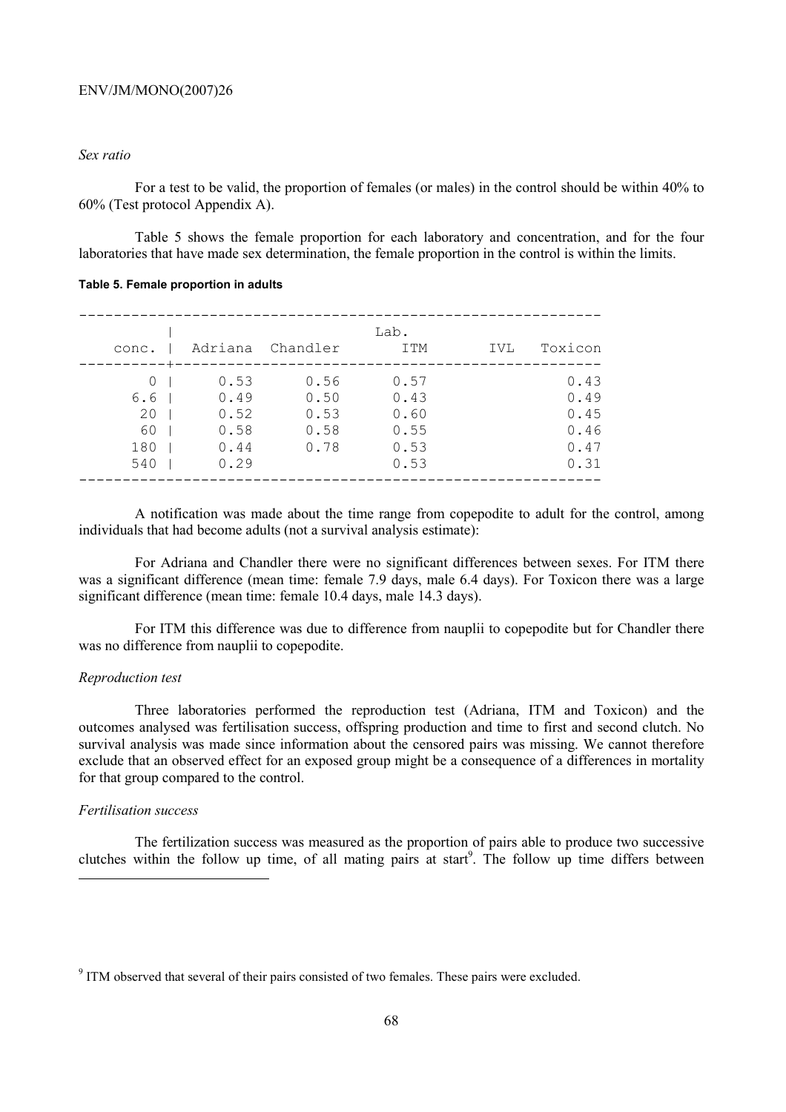## *Sex ratio*

For a test to be valid, the proportion of females (or males) in the control should be within 40% to 60% (Test protocol Appendix A).

Table 5 shows the female proportion for each laboratory and concentration, and for the four laboratories that have made sex determination, the female proportion in the control is within the limits.

**Table 5. Female proportion in adults** 

| conc.                                             | Adriana                                      | Chandler                             | Lab.<br>ITM                                  | IVL | Toxicon                                      |
|---------------------------------------------------|----------------------------------------------|--------------------------------------|----------------------------------------------|-----|----------------------------------------------|
| $\left( \right)$<br>6.6<br>20<br>60<br>180<br>540 | 0.53<br>0.49<br>0.52<br>0.58<br>0.44<br>0.29 | 0.56<br>0.50<br>0.53<br>0.58<br>0.78 | 0.57<br>0.43<br>0.60<br>0.55<br>0.53<br>0.53 |     | 0.43<br>0.49<br>0.45<br>0.46<br>0.47<br>0.31 |

A notification was made about the time range from copepodite to adult for the control, among individuals that had become adults (not a survival analysis estimate):

For Adriana and Chandler there were no significant differences between sexes. For ITM there was a significant difference (mean time: female 7.9 days, male 6.4 days). For Toxicon there was a large significant difference (mean time: female 10.4 days, male 14.3 days).

For ITM this difference was due to difference from nauplii to copepodite but for Chandler there was no difference from nauplii to copepodite.

#### *Reproduction test*

Three laboratories performed the reproduction test (Adriana, ITM and Toxicon) and the outcomes analysed was fertilisation success, offspring production and time to first and second clutch. No survival analysis was made since information about the censored pairs was missing. We cannot therefore exclude that an observed effect for an exposed group might be a consequence of a differences in mortality for that group compared to the control.

## *Fertilisation success*

 $\overline{a}$ 

The fertilization success was measured as the proportion of pairs able to produce two successive clutches within the follow up time, of all mating pairs at start<sup>9</sup>. The follow up time differs between

<sup>&</sup>lt;sup>9</sup> ITM observed that several of their pairs consisted of two females. These pairs were excluded.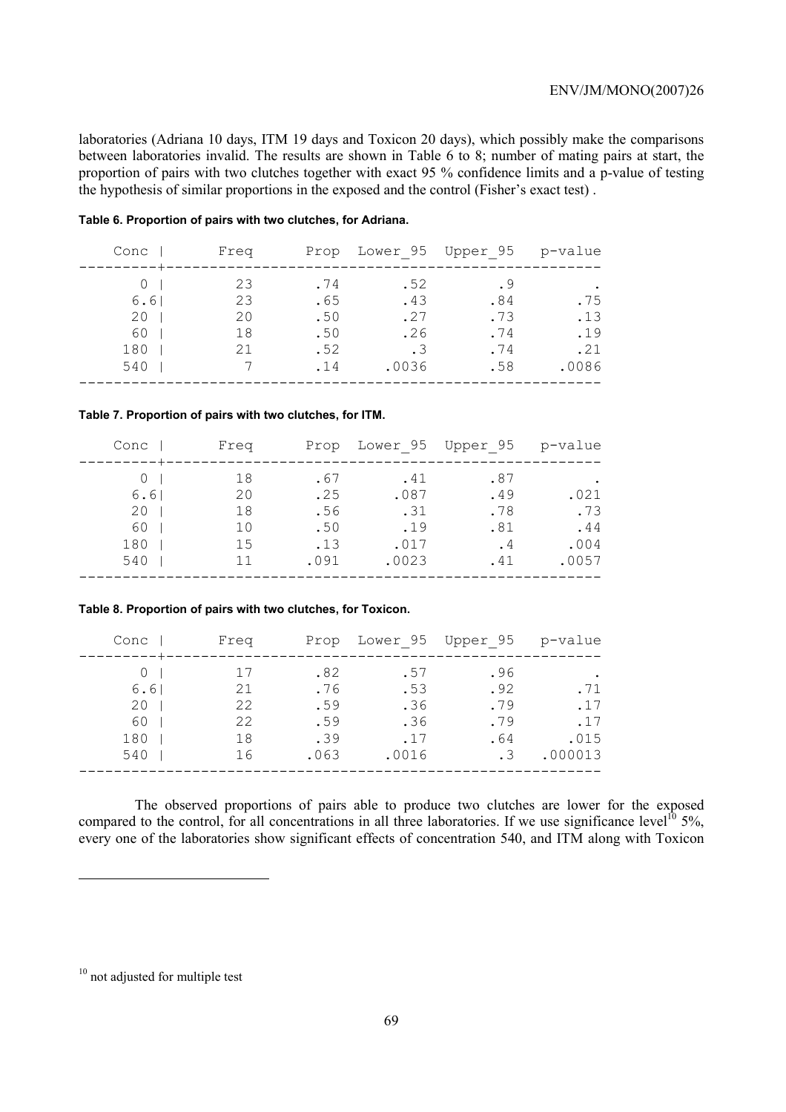laboratories (Adriana 10 days, ITM 19 days and Toxicon 20 days), which possibly make the comparisons between laboratories invalid. The results are shown in Table 6 to 8; number of mating pairs at start, the proportion of pairs with two clutches together with exact 95 % confidence limits and a p-value of testing the hypothesis of similar proportions in the exposed and the control (Fisher's exact test) .

#### **Table 6. Proportion of pairs with two clutches, for Adriana.**

| Conc                    | Freq                       |                                 |                                       | Prop Lower 95 Upper 95 p-value  |                          |
|-------------------------|----------------------------|---------------------------------|---------------------------------------|---------------------------------|--------------------------|
| 6.61<br>20<br>60<br>180 | 23<br>23<br>20<br>18<br>21 | .74<br>.65<br>.50<br>.50<br>.52 | .52<br>.43<br>.27<br>.26<br>$\cdot$ 3 | . 9<br>.84<br>.73<br>.74<br>.74 | .75<br>.13<br>.19<br>.21 |
| 540                     |                            | .14                             | .0036                                 | .58                             | .0086                    |
|                         |                            |                                 |                                       |                                 |                          |

#### **Table 7. Proportion of pairs with two clutches, for ITM.**

| Conc       | Freq     |             |               | Prop Lower 95 Upper 95 p-value |               |
|------------|----------|-------------|---------------|--------------------------------|---------------|
| 6.61       | 18<br>20 | .67<br>.25  | .41<br>.087   | .87<br>.49                     | .021          |
| 20<br>60   | 18<br>10 | .56<br>.50  | .31<br>.19    | .78<br>.81                     | .73<br>.44    |
| 180<br>540 | 15<br>11 | .13<br>.091 | .017<br>.0023 | . 4<br>.41                     | .004<br>.0057 |
|            |          |             |               |                                |               |

#### **Table 8. Proportion of pairs with two clutches, for Toxicon.**

| Conc       | Freq     | Prop        |              | Lower 95 Upper 95 | p-value         |
|------------|----------|-------------|--------------|-------------------|-----------------|
| 6.61       | 17<br>21 | .82<br>.76  | .57<br>.53   | .96<br>.92        | .71             |
| 20<br>60   | 22<br>22 | .59<br>.59  | .36<br>.36   | .79<br>.79        | .17<br>.17      |
| 180<br>540 | 18<br>16 | .39<br>.063 | .17<br>.0016 | .64<br>. 3        | .015<br>.000013 |
|            |          |             |              |                   |                 |

The observed proportions of pairs able to produce two clutches are lower for the exposed compared to the control, for all concentrations in all three laboratories. If we use significance level<sup>10</sup> 5%, every one of the laboratories show significant effects of concentration 540, and ITM along with Toxicon

 $\overline{a}$ 

<sup>&</sup>lt;sup>10</sup> not adjusted for multiple test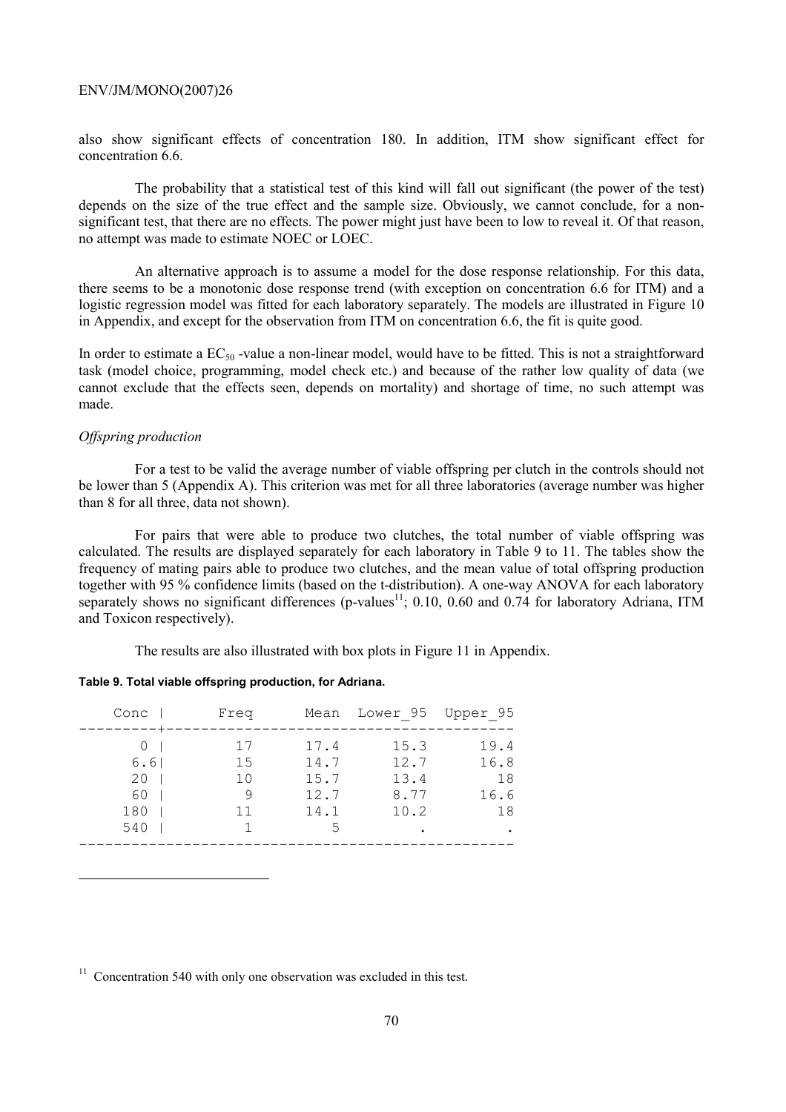also show significant effects of concentration 180. In addition, ITM show significant effect for concentration 6.6.

The probability that a statistical test of this kind will fall out significant (the power of the test) depends on the size of the true effect and the sample size. Obviously, we cannot conclude, for a nonsignificant test, that there are no effects. The power might just have been to low to reveal it. Of that reason, no attempt was made to estimate NOEC or LOEC.

An alternative approach is to assume a model for the dose response relationship. For this data, there seems to be a monotonic dose response trend (with exception on concentration 6.6 for ITM) and a logistic regression model was fitted for each laboratory separately. The models are illustrated in Figure 10 in Appendix, and except for the observation from ITM on concentration 6.6, the fit is quite good.

In order to estimate a  $EC_{50}$  -value a non-linear model, would have to be fitted. This is not a straightforward task (model choice, programming, model check etc.) and because of the rather low quality of data (we cannot exclude that the effects seen, depends on mortality) and shortage of time, no such attempt was made.

## *Offspring production*

 $\overline{a}$ 

For a test to be valid the average number of viable offspring per clutch in the controls should not be lower than 5 (Appendix A). This criterion was met for all three laboratories (average number was higher than 8 for all three, data not shown).

For pairs that were able to produce two clutches, the total number of viable offspring was calculated. The results are displayed separately for each laboratory in Table 9 to 11. The tables show the frequency of mating pairs able to produce two clutches, and the mean value of total offspring production together with 95 % confidence limits (based on the t-distribution). A one-way ANOVA for each laboratory separately shows no significant differences (p-values<sup>11</sup>; 0.10, 0.60 and 0.74 for laboratory Adriana, ITM and Toxicon respectively).

The results are also illustrated with box plots in Figure 11 in Appendix.

|  |  |  | Table 9. Total viable offspring production, for Adriana. |  |  |
|--|--|--|----------------------------------------------------------|--|--|
|--|--|--|----------------------------------------------------------|--|--|

| Conc | Freq      |              | Mean Lower 95 Upper 95 |              |
|------|-----------|--------------|------------------------|--------------|
| 6.6  | 17<br>1.5 | 17.4<br>14.7 | 15.3<br>12.7           | 19.4<br>16.8 |
| 20   | 10        | 15.7         | 13.4                   | 18           |
| 60   | 9         | 12.7         | 8.77                   | 16.6         |
| 180  | 11        | 14.1         | 10.2                   | 18           |
| 540  |           | 5            |                        |              |
|      |           |              |                        |              |

 $11$  Concentration 540 with only one observation was excluded in this test.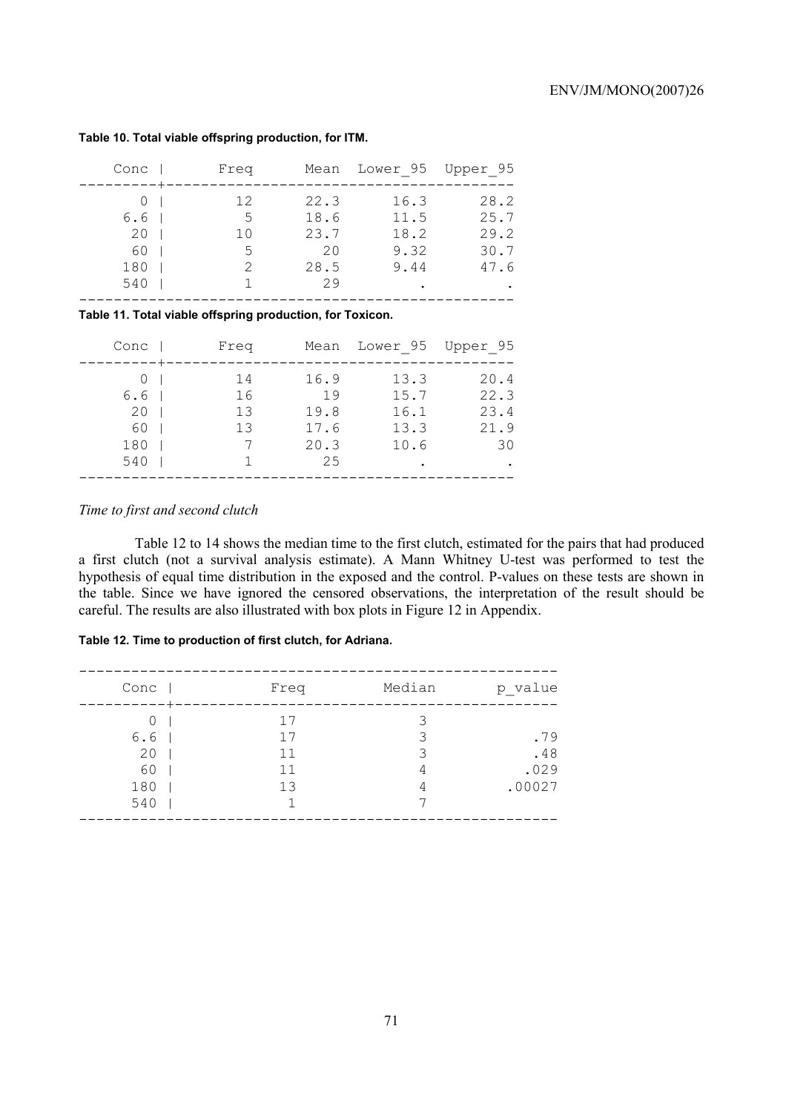| Conc             | Freq | Mean | Lower 95 Upper 95 |      |
|------------------|------|------|-------------------|------|
|                  | 12   | 22.3 | 16.3              | 28.2 |
| 6.6 <sub>1</sub> | 5    | 18.6 | 11.5              | 25.7 |
| 20               | 10   | 23.7 | 18.2              | 29.2 |
| 60               | 5    | 20   | 9.32              | 30.7 |
| 180              | 2    | 28.5 | 9.44              | 47.6 |
| 540              |      | 29   |                   |      |
|                  |      |      |                   |      |

#### **Table 10. Total viable offspring production, for ITM.**

**Table 11. Total viable offspring production, for Toxicon.** 

| Conc | Freq     |            | Mean Lower 95 Upper 95 |              |
|------|----------|------------|------------------------|--------------|
| 6.6  | 14<br>16 | 16.9<br>19 | 13.3<br>15.7           | 20.4<br>22.3 |
| 20   | 1.3      | 19.8       | 16.1                   | 23.4         |
| 60   | 13       | 17.6       | 13.3                   | 21.9         |
| 180  |          | 20.3       | 10.6                   | 30           |
| 540  |          | 2.5        |                        |              |
|      |          |            |                        |              |

## *Time to first and second clutch*

Table 12 to 14 shows the median time to the first clutch, estimated for the pairs that had produced a first clutch (not a survival analysis estimate). A Mann Whitney U-test was performed to test the hypothesis of equal time distribution in the exposed and the control. P-values on these tests are shown in the table. Since we have ignored the censored observations, the interpretation of the result should be careful. The results are also illustrated with box plots in Figure 12 in Appendix.

## **Table 12. Time to production of first clutch, for Adriana.**

| Conc | Freq | Median | p_value |
|------|------|--------|---------|
|      | 17   |        |         |
| 6.6  | 17   | 3      | .79     |
| 20   | 11   | Κ      | .48     |
| 60   | 11   | 4      | .029    |
| 180  | 13   | 4      | .00027  |
| 540  |      |        |         |
|      |      |        |         |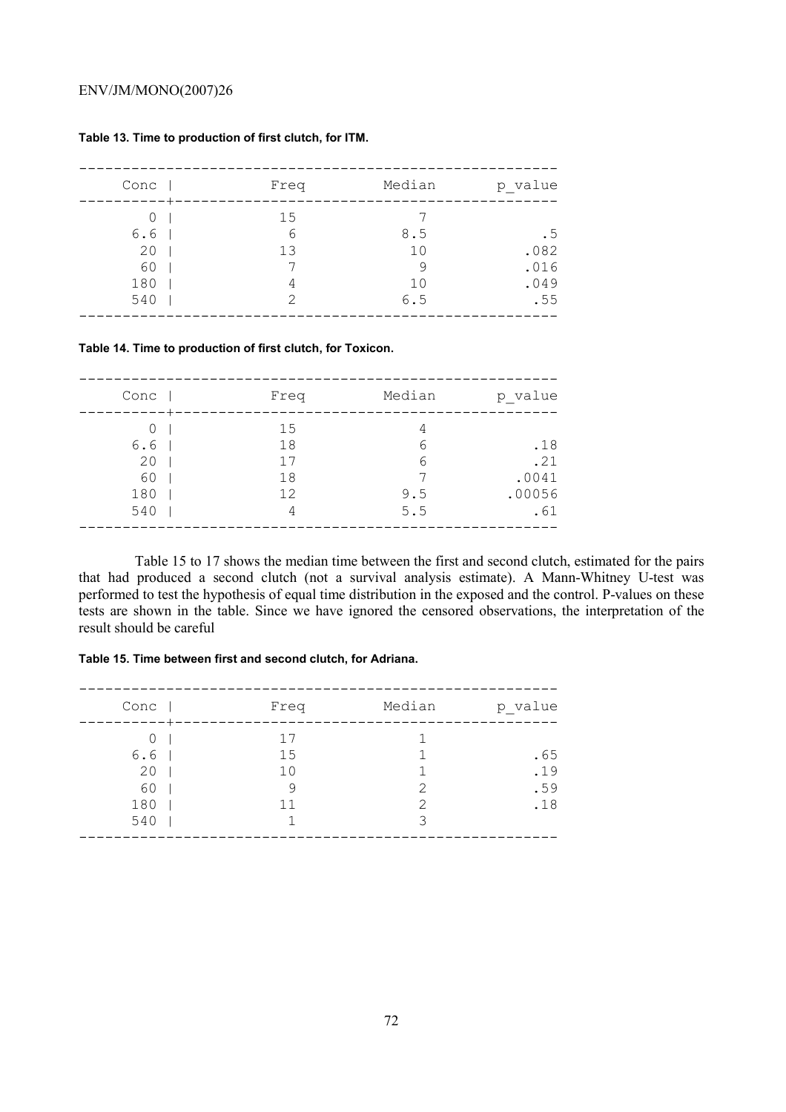| Conc             | Freq               | Median                     | p_value             |
|------------------|--------------------|----------------------------|---------------------|
| 0<br>6.6<br>20   | 15<br>6<br>13      | 8.5<br>10                  | . 5<br>.082         |
| 60<br>180<br>540 | 4<br>$\mathcal{P}$ | 9<br>1 <sub>0</sub><br>6.5 | .016<br>.049<br>.55 |

#### **Table 13. Time to production of first clutch, for ITM.**

#### **Table 14. Time to production of first clutch, for Toxicon.**

| Conc | Freq | Median | p value |
|------|------|--------|---------|
| 0    | 15   | 4      |         |
| 6.6  | 18   | 6      | .18     |
| 20   | 17   | 6      | .21     |
| 60   | 18   |        | .0041   |
| 180  | 12   | 9.5    | .00056  |
| 540  | 4    | 5.5    | .61     |
|      |      |        |         |

Table 15 to 17 shows the median time between the first and second clutch, estimated for the pairs that had produced a second clutch (not a survival analysis estimate). A Mann-Whitney U-test was performed to test the hypothesis of equal time distribution in the exposed and the control. P-values on these tests are shown in the table. Since we have ignored the censored observations, the interpretation of the result should be careful

## **Table 15. Time between first and second clutch, for Adriana.**

| Conc | Freq           | Median | p_value |
|------|----------------|--------|---------|
| Ω    | 17             |        |         |
| 6.6  | 15             |        | .65     |
| 20   | 1 <sub>0</sub> |        | .19     |
| 60   | 9              | 2      | .59     |
| 180  | 11             | っ      | .18     |
| 540  |                | հ      |         |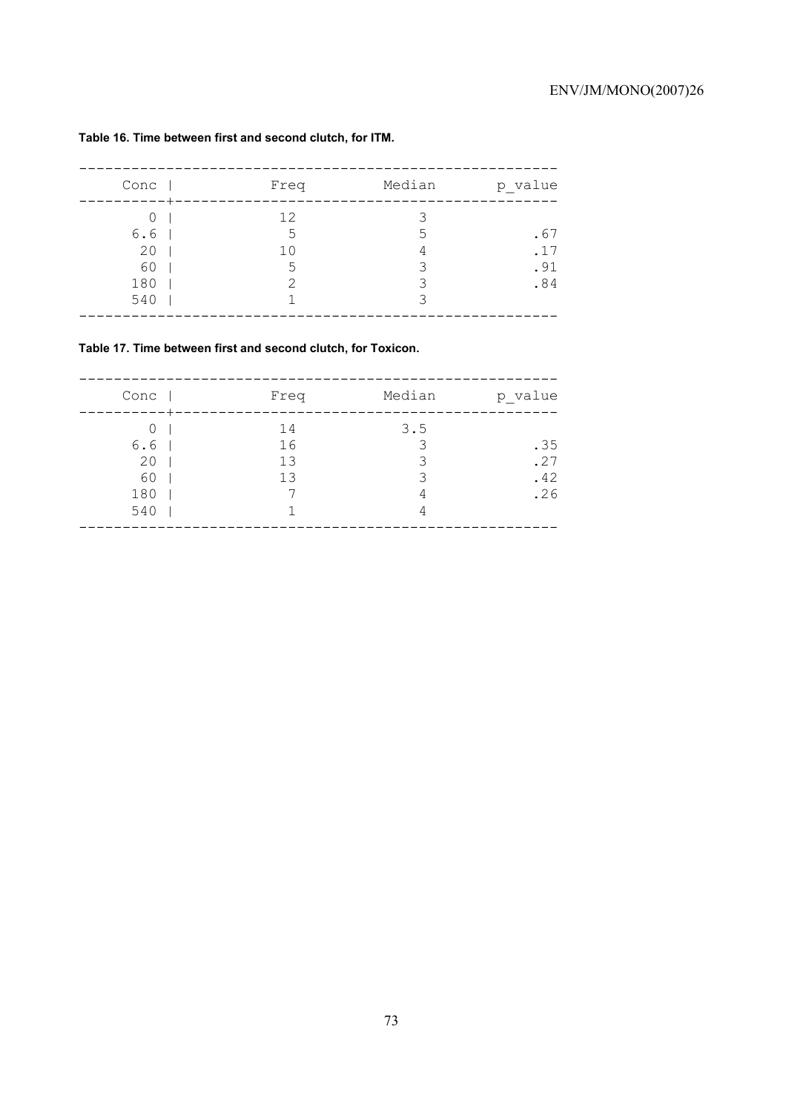| Conc                               | Freq                      | Median            | p value                  |
|------------------------------------|---------------------------|-------------------|--------------------------|
| 0<br>6.6<br>20<br>60<br>180<br>540 | 12<br>.5<br>10<br>.5<br>っ | .5<br>4<br>२<br>२ | .67<br>.17<br>.91<br>.84 |

# **Table 16. Time between first and second clutch, for ITM.**

# **Table 17. Time between first and second clutch, for Toxicon.**

| Conc | Freq | Median | p_value |
|------|------|--------|---------|
| 0    | 14   | 3.5    |         |
| 6.6  | 16   | 3      | .35     |
| 20   | 13   | Κ      | .27     |
| 60   | 13   | 3      | .42     |
| 180  |      | 4      | .26     |
| 540  |      | 4      |         |
|      |      |        |         |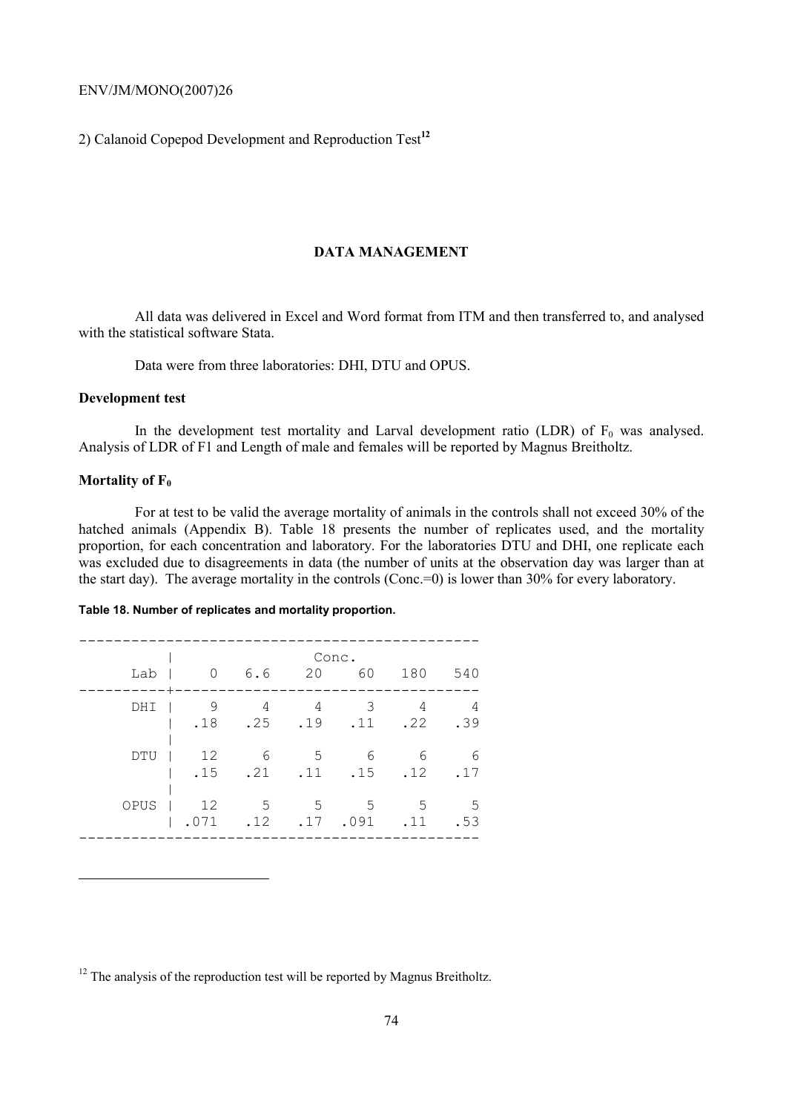2) Calanoid Copepod Development and Reproduction Test**<sup>12</sup>**

# **DATA MANAGEMENT**

All data was delivered in Excel and Word format from ITM and then transferred to, and analysed with the statistical software Stata.

Data were from three laboratories: DHI, DTU and OPUS.

# **Development test**

In the development test mortality and Larval development ratio (LDR) of  $F_0$  was analysed. Analysis of LDR of F1 and Length of male and females will be reported by Magnus Breitholtz.

### **Mortality of F<sub>0</sub>**

 $\overline{a}$ 

For at test to be valid the average mortality of animals in the controls shall not exceed 30% of the hatched animals (Appendix B). Table 18 presents the number of replicates used, and the mortality proportion, for each concentration and laboratory. For the laboratories DTU and DHI, one replicate each was excluded due to disagreements in data (the number of units at the observation day was larger than at the start day). The average mortality in the controls (Conc.=0) is lower than 30% for every laboratory.

#### **Table 18. Number of replicates and mortality proportion.**

| Lab  | $\overline{0}$                  | 6.6                    |                    | Conc.<br>20 60 | 180                | 540        |
|------|---------------------------------|------------------------|--------------------|----------------|--------------------|------------|
| DHI  | 9<br>$1.18$ .25 .19 .11 .22 .39 | 4                      | 4                  | - 3            | 4                  | 4          |
| DTU  | 12<br>.15                       | $6\overline{6}$<br>.21 | $5^{\circ}$<br>.11 | 6<br>.15       | 6<br>.12           | -6<br>.17  |
| OPUS | 12<br>.071                      | $5^{\circ}$<br>.12     | .17                | 555<br>.091    | $5^{\circ}$<br>.11 | - 5<br>.53 |

 $12$  The analysis of the reproduction test will be reported by Magnus Breitholtz.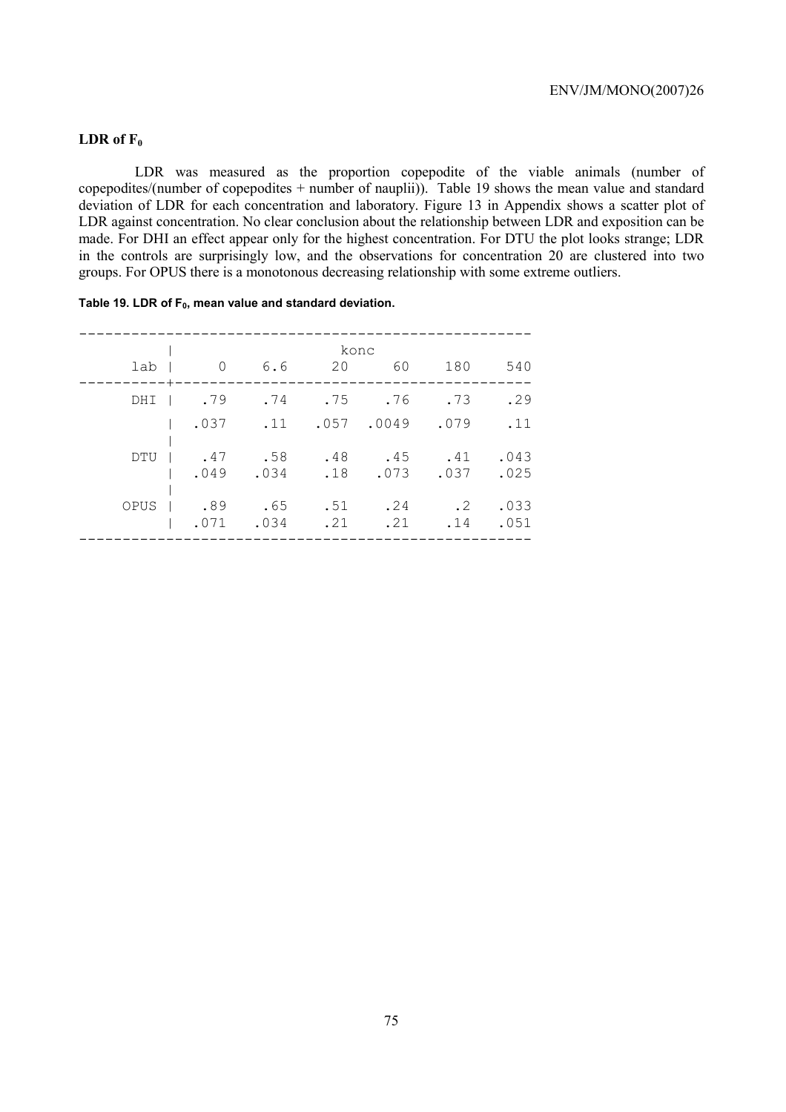# LDR of F<sub>0</sub>

LDR was measured as the proportion copepodite of the viable animals (number of copepodites/(number of copepodites + number of nauplii)). Table 19 shows the mean value and standard deviation of LDR for each concentration and laboratory. Figure 13 in Appendix shows a scatter plot of LDR against concentration. No clear conclusion about the relationship between LDR and exposition can be made. For DHI an effect appear only for the highest concentration. For DTU the plot looks strange; LDR in the controls are surprisingly low, and the observations for concentration 20 are clustered into two groups. For OPUS there is a monotonous decreasing relationship with some extreme outliers.

|      |                |             | konc       |             |                  |              |
|------|----------------|-------------|------------|-------------|------------------|--------------|
| lab  | $\overline{0}$ | 6.6         | 20         | 60          | 180              | 540          |
| DHI  | .79            | .74         |            | $.75 - .76$ | .73              | .29          |
|      | .037           | .11         | .057       | .0049       | .079             | .11          |
| DTU  | .47<br>.049    | .58<br>.034 | .48<br>.18 | .45<br>.073 | .41<br>.037      | .043<br>.025 |
| OPUS | .89<br>.071    | .65<br>.034 | .51<br>.21 | .24<br>.21  | $\cdot$ 2<br>.14 | .033<br>.051 |

----------------------------------------------------

### Table 19. LDR of F<sub>0</sub>, mean value and standard deviation.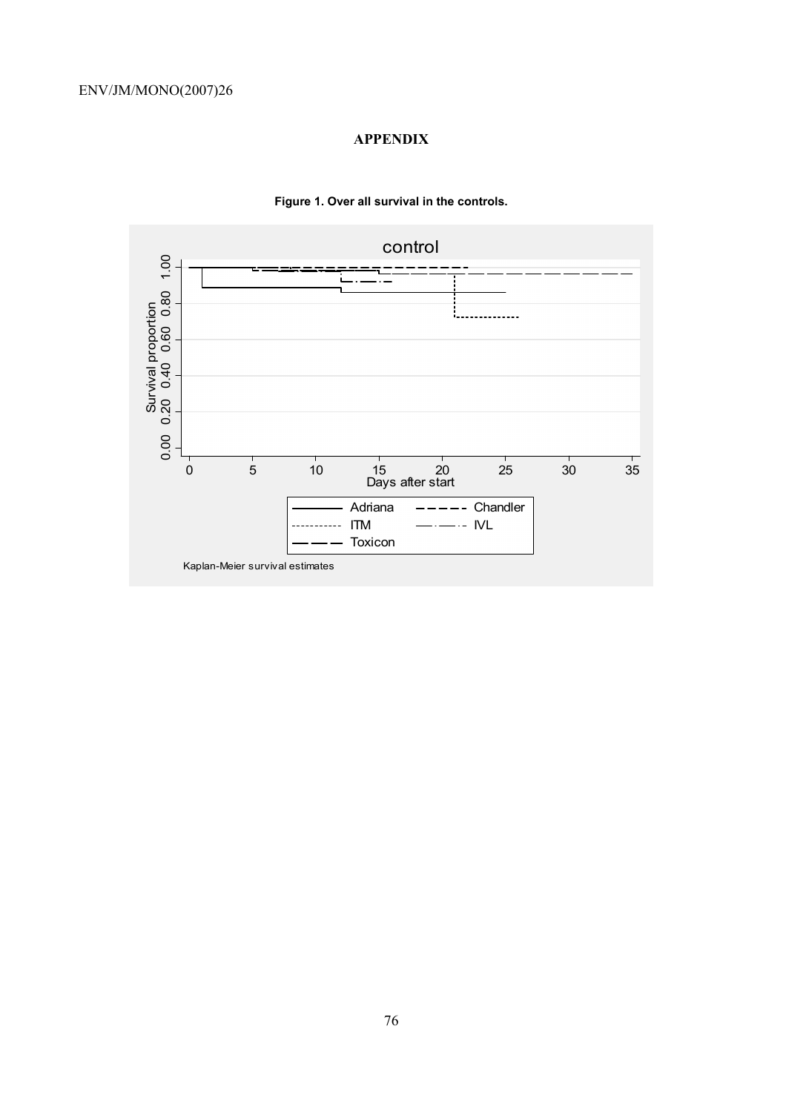# **APPENDIX**



# **Figure 1. Over all survival in the controls.**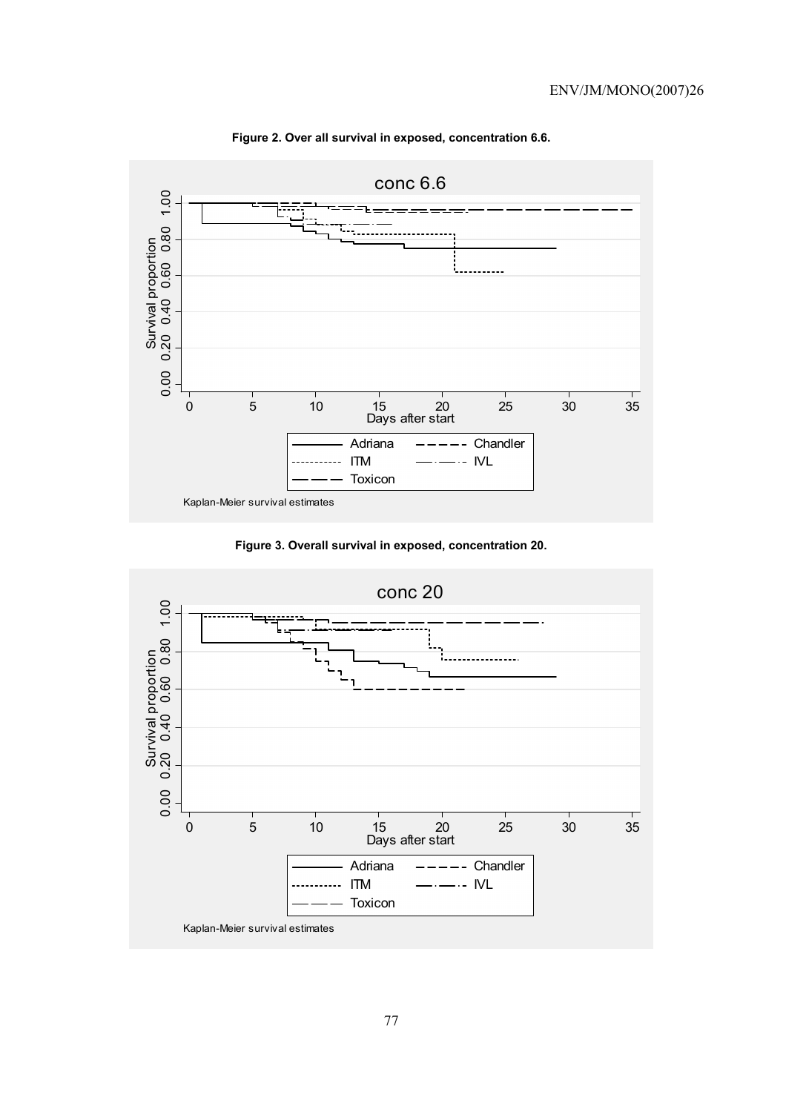

**Figure 2. Over all survival in exposed, concentration 6.6.** 

**Figure 3. Overall survival in exposed, concentration 20.** 

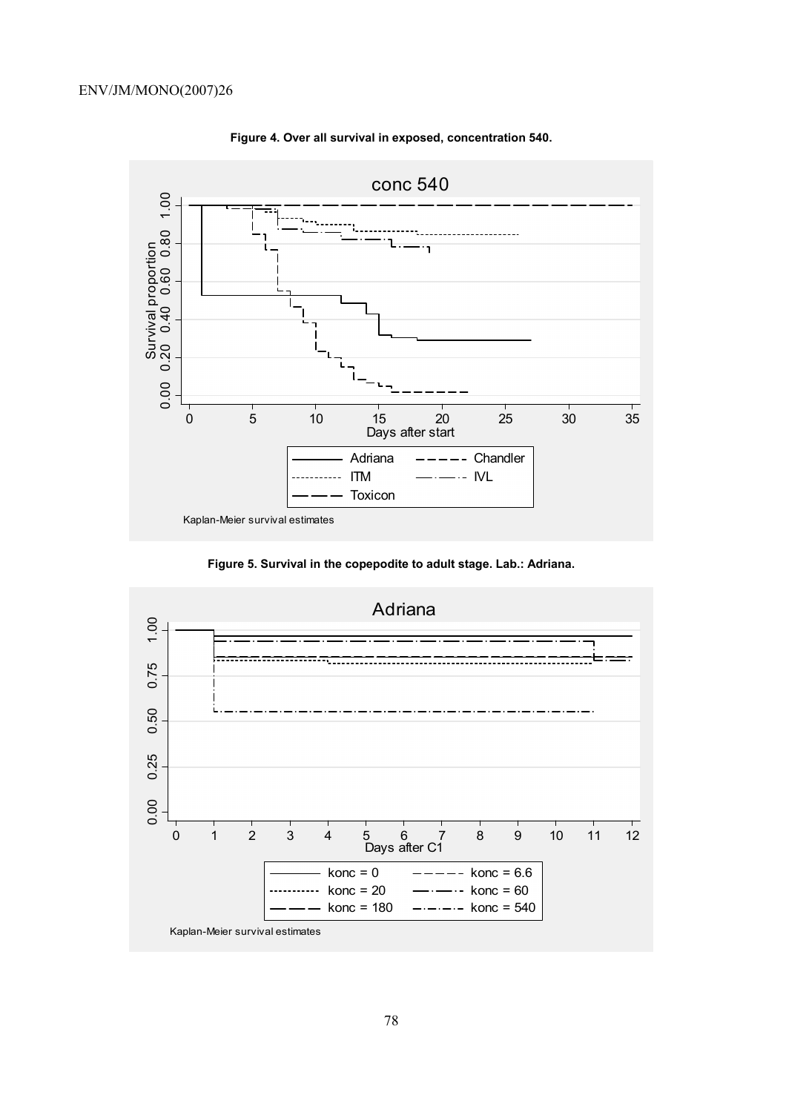

**Figure 4. Over all survival in exposed, concentration 540.** 

**Figure 5. Survival in the copepodite to adult stage. Lab.: Adriana.** 

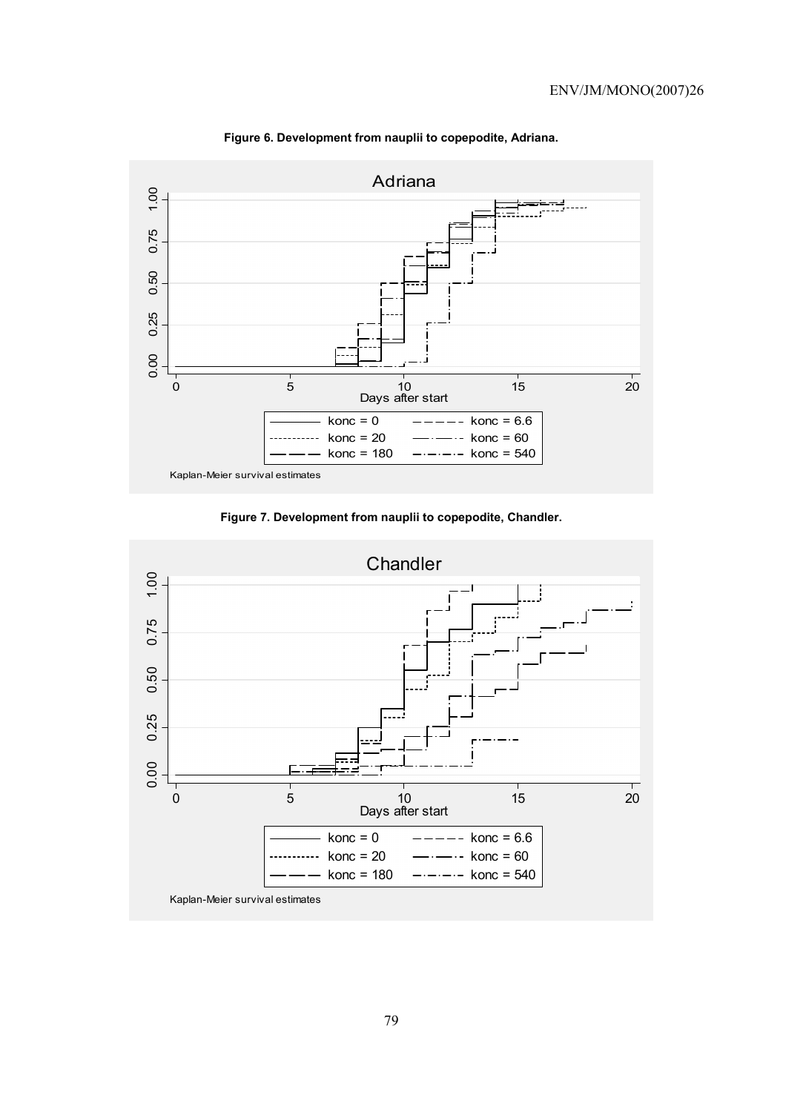

**Figure 6. Development from nauplii to copepodite, Adriana.** 

**Figure 7. Development from nauplii to copepodite, Chandler.** 

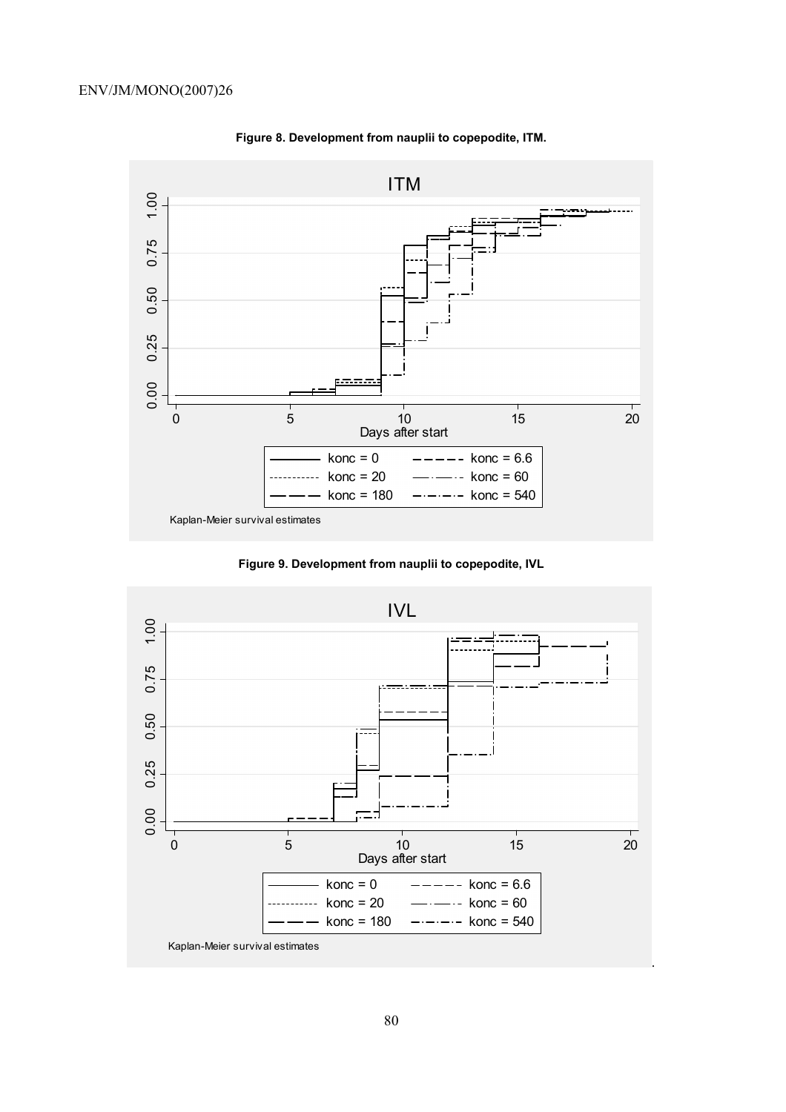

**Figure 8. Development from nauplii to copepodite, ITM.** 

**Figure 9. Development from nauplii to copepodite, IVL** 

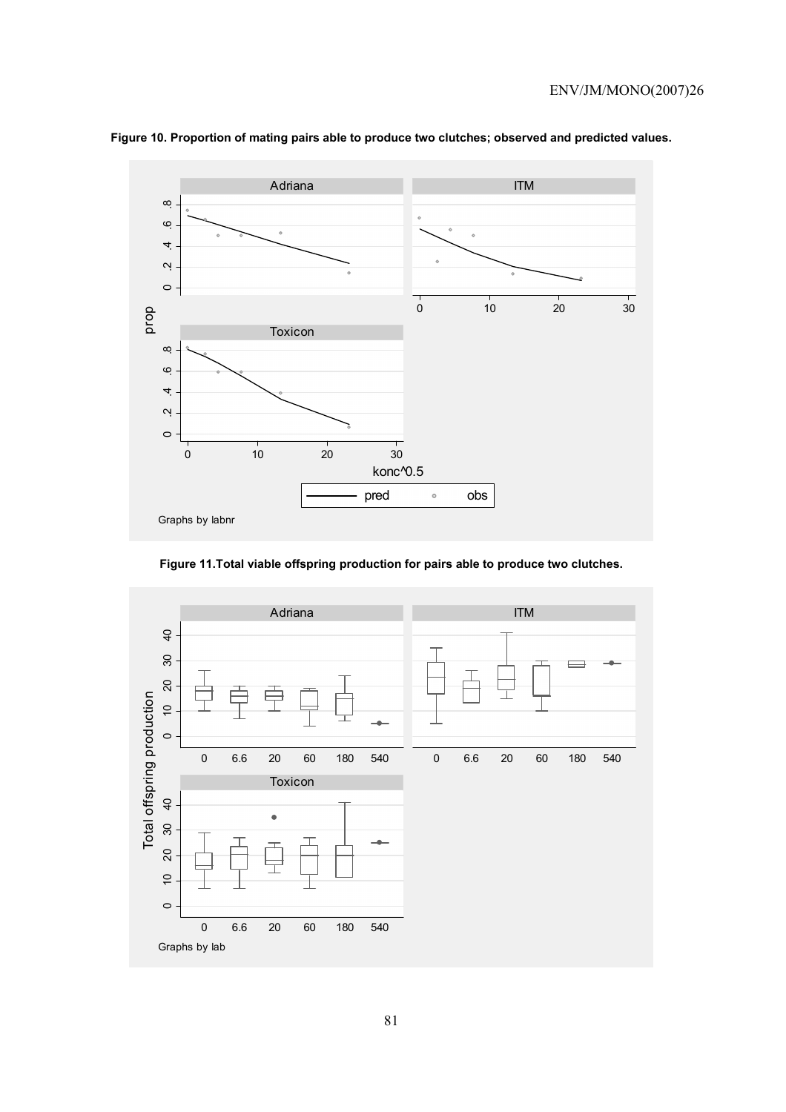

# **Figure 10. Proportion of mating pairs able to produce two clutches; observed and predicted values.**

**Figure 11.Total viable offspring production for pairs able to produce two clutches.** 

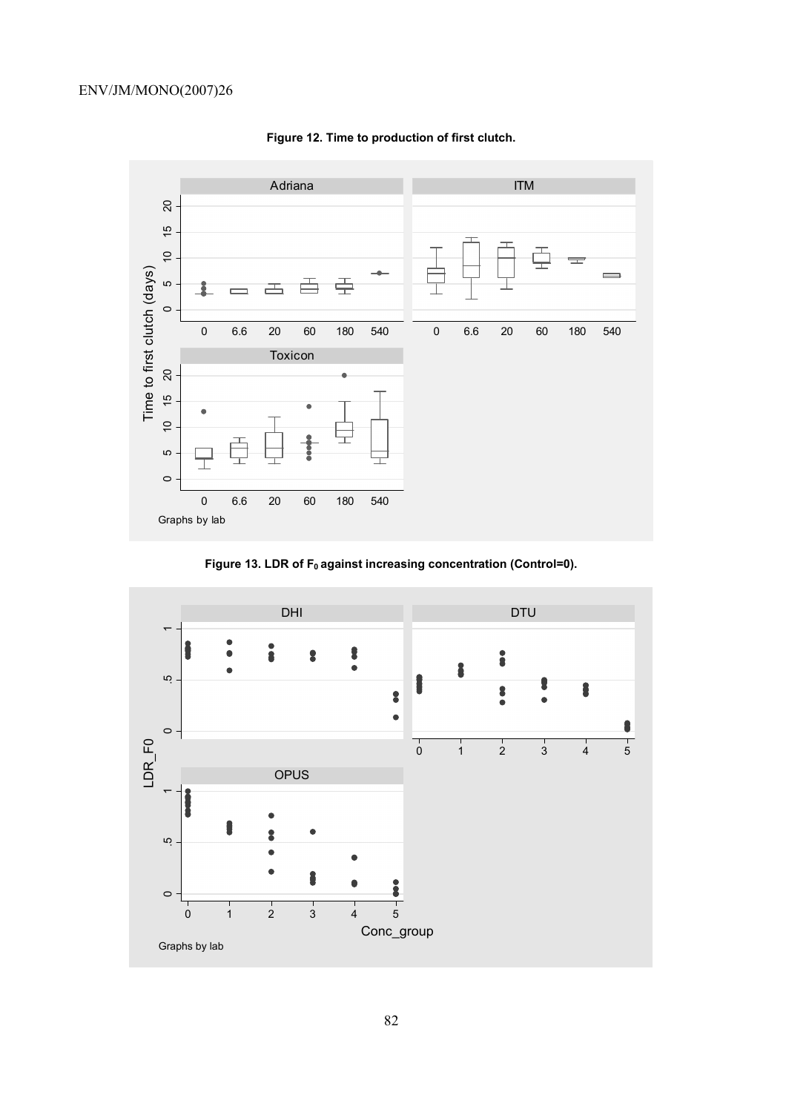

**Figure 12. Time to production of first clutch.** 

Figure 13. LDR of F<sub>0</sub> against increasing concentration (Control=0).

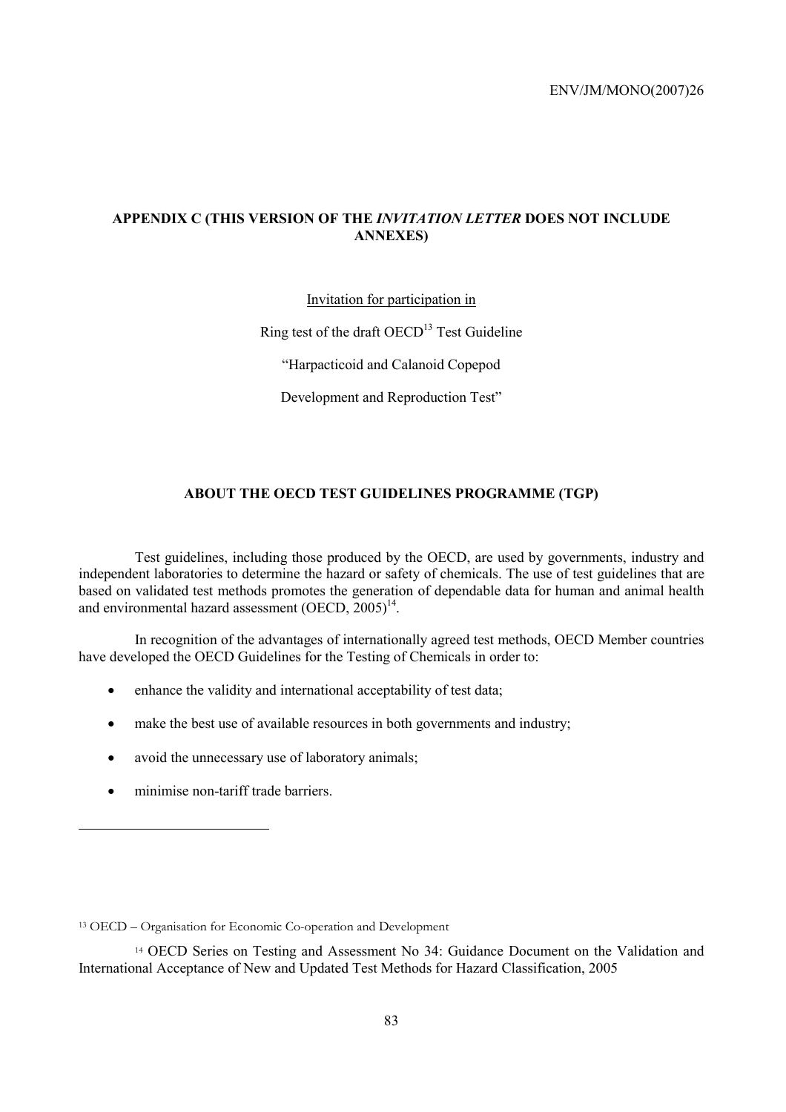# **APPENDIX C (THIS VERSION OF THE** *INVITATION LETTER* **DOES NOT INCLUDE ANNEXES)**

# Invitation for participation in

Ring test of the draft  $OECD<sup>13</sup>$  Test Guideline

"Harpacticoid and Calanoid Copepod

Development and Reproduction Test"

# **ABOUT THE OECD TEST GUIDELINES PROGRAMME (TGP)**

Test guidelines, including those produced by the OECD, are used by governments, industry and independent laboratories to determine the hazard or safety of chemicals. The use of test guidelines that are based on validated test methods promotes the generation of dependable data for human and animal health and environmental hazard assessment  $(OECD, 2005)^{14}$ .

In recognition of the advantages of internationally agreed test methods, OECD Member countries have developed the OECD Guidelines for the Testing of Chemicals in order to:

- enhance the validity and international acceptability of test data;
- make the best use of available resources in both governments and industry;
- avoid the unnecessary use of laboratory animals;
- minimise non-tariff trade barriers.

<sup>13</sup> OECD – Organisation for Economic Co-operation and Development

<sup>14</sup> OECD Series on Testing and Assessment No 34: Guidance Document on the Validation and International Acceptance of New and Updated Test Methods for Hazard Classification, 2005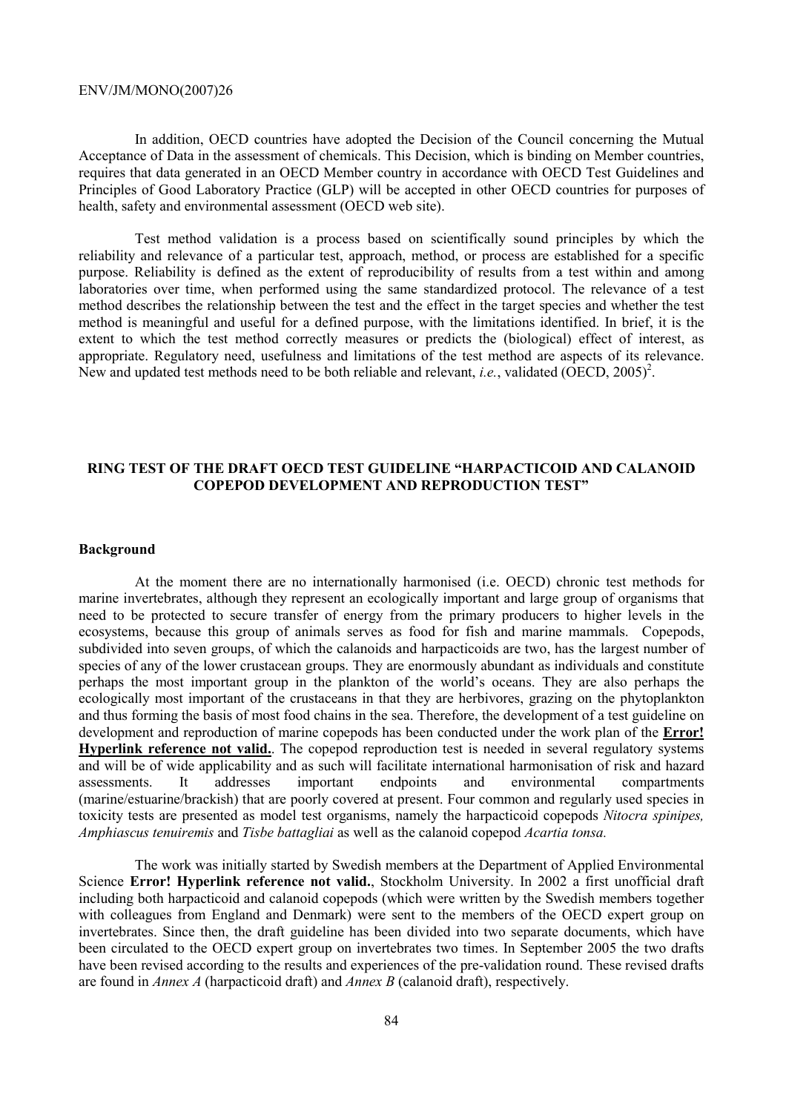In addition, OECD countries have adopted the Decision of the Council concerning the Mutual Acceptance of Data in the assessment of chemicals. This Decision, which is binding on Member countries, requires that data generated in an OECD Member country in accordance with OECD Test Guidelines and Principles of Good Laboratory Practice (GLP) will be accepted in other OECD countries for purposes of health, safety and environmental assessment (OECD web site).

Test method validation is a process based on scientifically sound principles by which the reliability and relevance of a particular test, approach, method, or process are established for a specific purpose. Reliability is defined as the extent of reproducibility of results from a test within and among laboratories over time, when performed using the same standardized protocol. The relevance of a test method describes the relationship between the test and the effect in the target species and whether the test method is meaningful and useful for a defined purpose, with the limitations identified. In brief, it is the extent to which the test method correctly measures or predicts the (biological) effect of interest, as appropriate. Regulatory need, usefulness and limitations of the test method are aspects of its relevance. New and updated test methods need to be both reliable and relevant, *i.e.*, validated  $(\overline{\text{OECD}}, 2005)^2$ .

# **RING TEST OF THE DRAFT OECD TEST GUIDELINE "HARPACTICOID AND CALANOID COPEPOD DEVELOPMENT AND REPRODUCTION TEST"**

#### **Background**

At the moment there are no internationally harmonised (i.e. OECD) chronic test methods for marine invertebrates, although they represent an ecologically important and large group of organisms that need to be protected to secure transfer of energy from the primary producers to higher levels in the ecosystems, because this group of animals serves as food for fish and marine mammals. Copepods, subdivided into seven groups, of which the calanoids and harpacticoids are two, has the largest number of species of any of the lower crustacean groups. They are enormously abundant as individuals and constitute perhaps the most important group in the plankton of the world's oceans. They are also perhaps the ecologically most important of the crustaceans in that they are herbivores, grazing on the phytoplankton and thus forming the basis of most food chains in the sea. Therefore, the development of a test guideline on development and reproduction of marine copepods has been conducted under the work plan of the **Error! Hyperlink reference not valid.**. The copepod reproduction test is needed in several regulatory systems and will be of wide applicability and as such will facilitate international harmonisation of risk and hazard assessments. It addresses important endpoints and environmental compartments (marine/estuarine/brackish) that are poorly covered at present. Four common and regularly used species in toxicity tests are presented as model test organisms, namely the harpacticoid copepods *Nitocra spinipes, Amphiascus tenuiremis* and *Tisbe battagliai* as well as the calanoid copepod *Acartia tonsa.* 

The work was initially started by Swedish members at the Department of Applied Environmental Science **Error! Hyperlink reference not valid.**, Stockholm University. In 2002 a first unofficial draft including both harpacticoid and calanoid copepods (which were written by the Swedish members together with colleagues from England and Denmark) were sent to the members of the OECD expert group on invertebrates. Since then, the draft guideline has been divided into two separate documents, which have been circulated to the OECD expert group on invertebrates two times. In September 2005 the two drafts have been revised according to the results and experiences of the pre-validation round. These revised drafts are found in *Annex A* (harpacticoid draft) and *Annex B* (calanoid draft), respectively.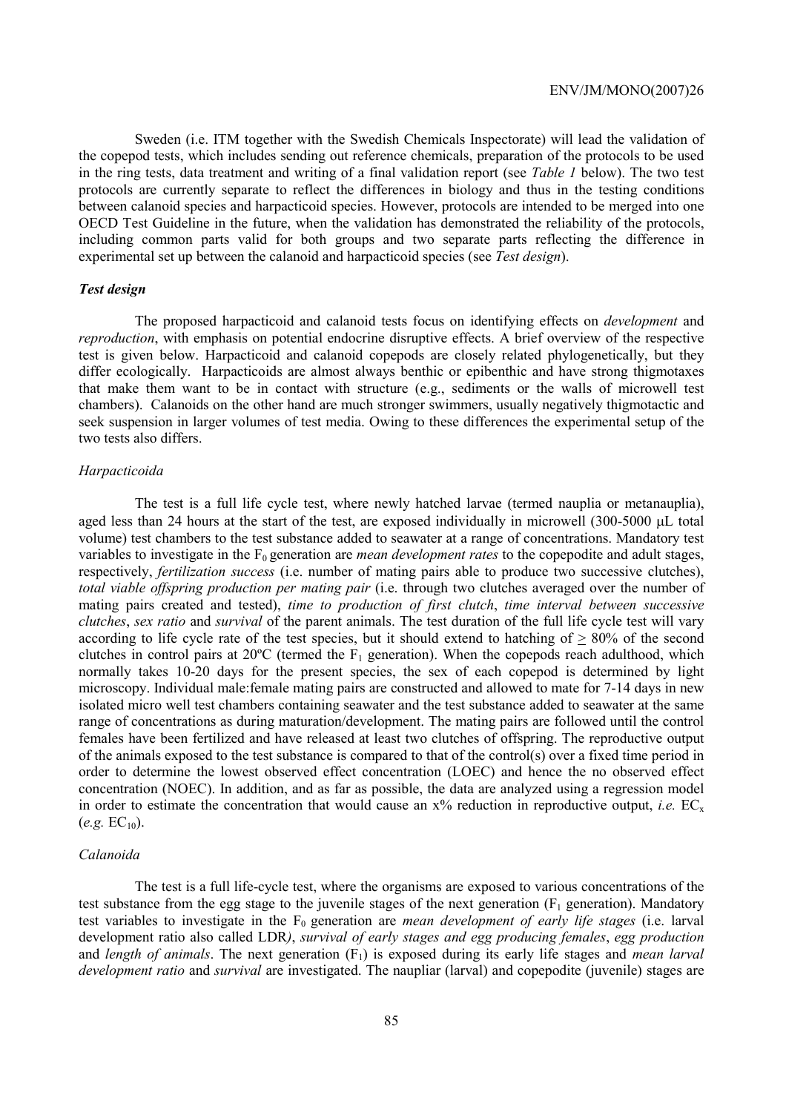Sweden (i.e. ITM together with the Swedish Chemicals Inspectorate) will lead the validation of the copepod tests, which includes sending out reference chemicals, preparation of the protocols to be used in the ring tests, data treatment and writing of a final validation report (see *Table 1* below). The two test protocols are currently separate to reflect the differences in biology and thus in the testing conditions between calanoid species and harpacticoid species. However, protocols are intended to be merged into one OECD Test Guideline in the future, when the validation has demonstrated the reliability of the protocols, including common parts valid for both groups and two separate parts reflecting the difference in experimental set up between the calanoid and harpacticoid species (see *Test design*).

#### *Test design*

The proposed harpacticoid and calanoid tests focus on identifying effects on *development* and *reproduction*, with emphasis on potential endocrine disruptive effects. A brief overview of the respective test is given below. Harpacticoid and calanoid copepods are closely related phylogenetically, but they differ ecologically. Harpacticoids are almost always benthic or epibenthic and have strong thigmotaxes that make them want to be in contact with structure (e.g., sediments or the walls of microwell test chambers). Calanoids on the other hand are much stronger swimmers, usually negatively thigmotactic and seek suspension in larger volumes of test media. Owing to these differences the experimental setup of the two tests also differs.

### *Harpacticoida*

The test is a full life cycle test, where newly hatched larvae (termed nauplia or metanauplia), aged less than 24 hours at the start of the test, are exposed individually in microwell (300-5000 µL total volume) test chambers to the test substance added to seawater at a range of concentrations. Mandatory test variables to investigate in the F<sub>0</sub> generation are *mean development rates* to the copepodite and adult stages, respectively, *fertilization success* (i.e. number of mating pairs able to produce two successive clutches), *total viable offspring production per mating pair* (i.e. through two clutches averaged over the number of mating pairs created and tested), *time to production of first clutch*, *time interval between successive clutches*, *sex ratio* and *survival* of the parent animals. The test duration of the full life cycle test will vary according to life cycle rate of the test species, but it should extend to hatching of  $\geq 80\%$  of the second clutches in control pairs at  $20^{\circ}$ C (termed the F<sub>1</sub> generation). When the copepods reach adulthood, which normally takes 10-20 days for the present species, the sex of each copepod is determined by light microscopy. Individual male:female mating pairs are constructed and allowed to mate for 7-14 days in new isolated micro well test chambers containing seawater and the test substance added to seawater at the same range of concentrations as during maturation/development. The mating pairs are followed until the control females have been fertilized and have released at least two clutches of offspring. The reproductive output of the animals exposed to the test substance is compared to that of the control(s) over a fixed time period in order to determine the lowest observed effect concentration (LOEC) and hence the no observed effect concentration (NOEC). In addition, and as far as possible, the data are analyzed using a regression model in order to estimate the concentration that would cause an  $x\%$  reduction in reproductive output, *i.e.* EC<sub>x</sub>  $(e.g. EC_{10})$ .

### *Calanoida*

The test is a full life-cycle test, where the organisms are exposed to various concentrations of the test substance from the egg stage to the juvenile stages of the next generation ( $F_1$  generation). Mandatory test variables to investigate in the F<sub>0</sub> generation are *mean development of early life stages* (i.e. larval development ratio also called LDR*)*, *survival of early stages and egg producing females*, *egg production* and *length of animals*. The next generation (F<sub>1</sub>) is exposed during its early life stages and *mean larval development ratio* and *survival* are investigated. The naupliar (larval) and copepodite (juvenile) stages are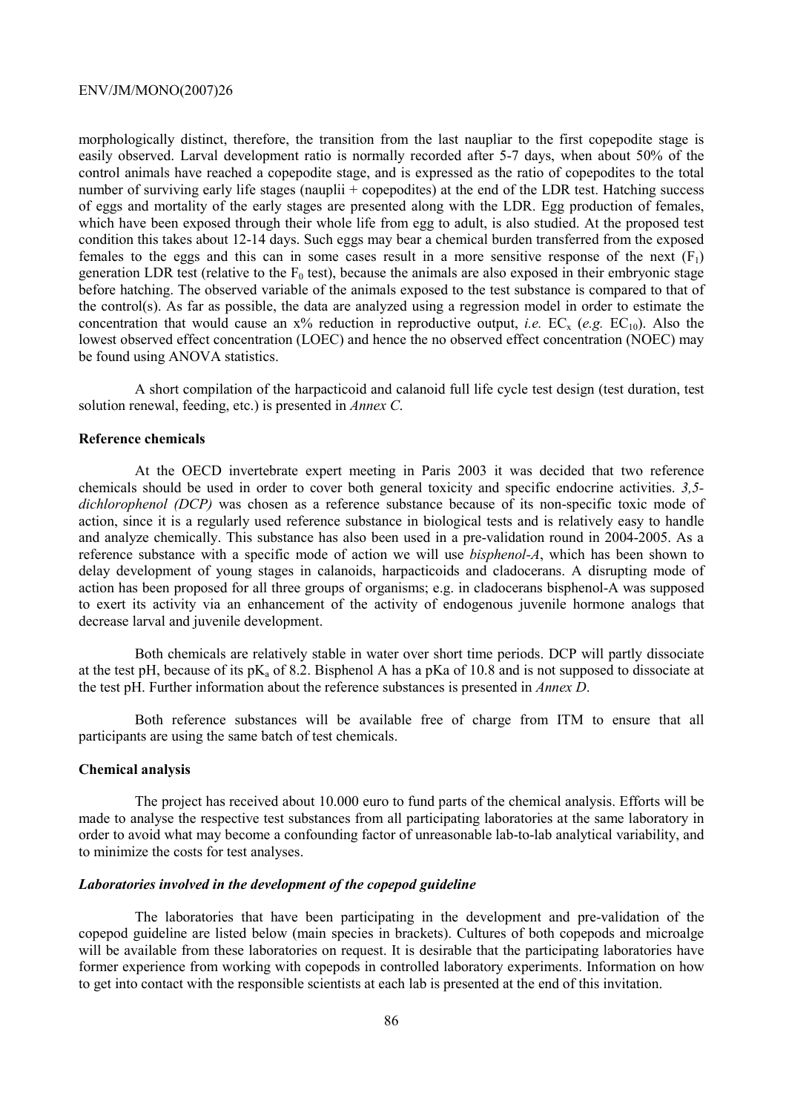morphologically distinct, therefore, the transition from the last naupliar to the first copepodite stage is easily observed. Larval development ratio is normally recorded after 5-7 days, when about 50% of the control animals have reached a copepodite stage, and is expressed as the ratio of copepodites to the total number of surviving early life stages (nauplii + copepodites) at the end of the LDR test. Hatching success of eggs and mortality of the early stages are presented along with the LDR. Egg production of females, which have been exposed through their whole life from egg to adult, is also studied. At the proposed test condition this takes about 12-14 days. Such eggs may bear a chemical burden transferred from the exposed females to the eggs and this can in some cases result in a more sensitive response of the next  $(F_1)$ generation LDR test (relative to the  $F_0$  test), because the animals are also exposed in their embryonic stage before hatching. The observed variable of the animals exposed to the test substance is compared to that of the control(s). As far as possible, the data are analyzed using a regression model in order to estimate the concentration that would cause an  $x\%$  reduction in reproductive output, *i.e.* EC<sub>x</sub> (*e.g.* EC<sub>10</sub>). Also the lowest observed effect concentration (LOEC) and hence the no observed effect concentration (NOEC) may be found using ANOVA statistics.

A short compilation of the harpacticoid and calanoid full life cycle test design (test duration, test solution renewal, feeding, etc.) is presented in *Annex C*.

## **Reference chemicals**

At the OECD invertebrate expert meeting in Paris 2003 it was decided that two reference chemicals should be used in order to cover both general toxicity and specific endocrine activities. *3,5 dichlorophenol (DCP)* was chosen as a reference substance because of its non-specific toxic mode of action, since it is a regularly used reference substance in biological tests and is relatively easy to handle and analyze chemically. This substance has also been used in a pre-validation round in 2004-2005. As a reference substance with a specific mode of action we will use *bisphenol-A*, which has been shown to delay development of young stages in calanoids, harpacticoids and cladocerans. A disrupting mode of action has been proposed for all three groups of organisms; e.g. in cladocerans bisphenol-A was supposed to exert its activity via an enhancement of the activity of endogenous juvenile hormone analogs that decrease larval and juvenile development.

Both chemicals are relatively stable in water over short time periods. DCP will partly dissociate at the test pH, because of its pK<sub>a</sub> of 8.2. Bisphenol A has a pKa of 10.8 and is not supposed to dissociate at the test pH. Further information about the reference substances is presented in *Annex D*.

Both reference substances will be available free of charge from ITM to ensure that all participants are using the same batch of test chemicals.

### **Chemical analysis**

The project has received about 10.000 euro to fund parts of the chemical analysis. Efforts will be made to analyse the respective test substances from all participating laboratories at the same laboratory in order to avoid what may become a confounding factor of unreasonable lab-to-lab analytical variability, and to minimize the costs for test analyses.

#### *Laboratories involved in the development of the copepod guideline*

The laboratories that have been participating in the development and pre-validation of the copepod guideline are listed below (main species in brackets). Cultures of both copepods and microalge will be available from these laboratories on request. It is desirable that the participating laboratories have former experience from working with copepods in controlled laboratory experiments. Information on how to get into contact with the responsible scientists at each lab is presented at the end of this invitation.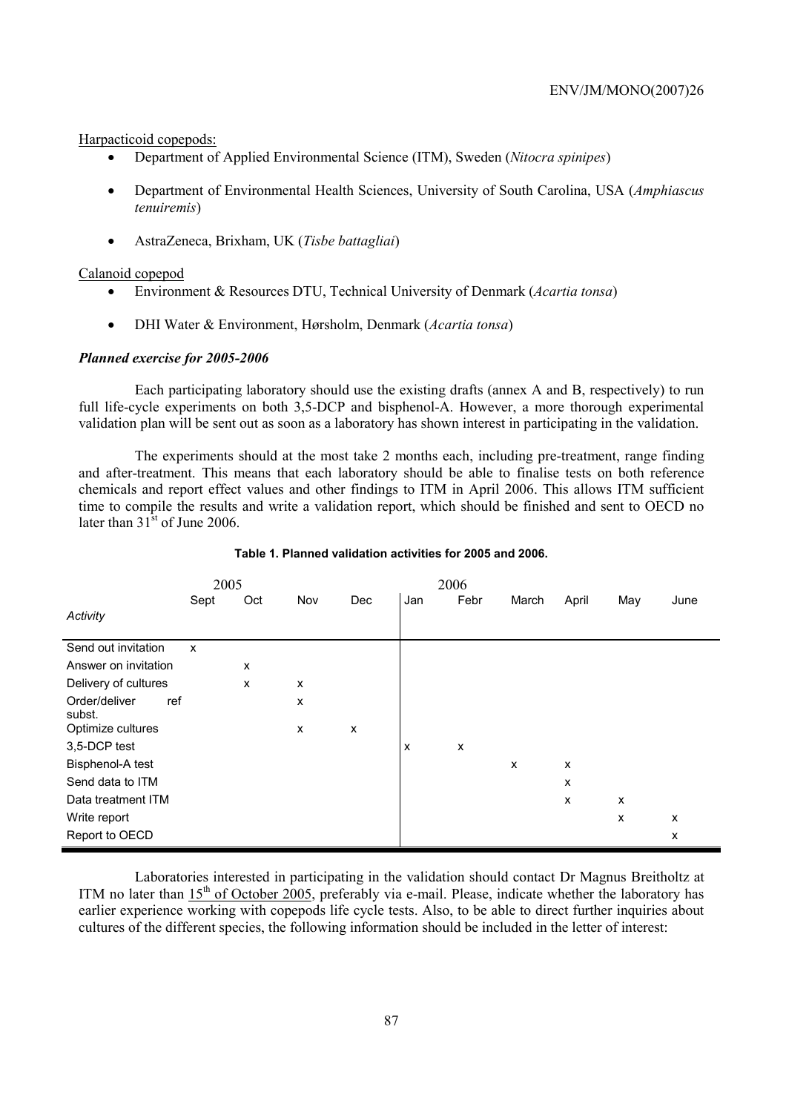Harpacticoid copepods:

- Department of Applied Environmental Science (ITM), Sweden (*Nitocra spinipes*)
- Department of Environmental Health Sciences, University of South Carolina, USA (*Amphiascus tenuiremis*)
- AstraZeneca, Brixham, UK (*Tisbe battagliai*)

### Calanoid copepod

- Environment & Resources DTU, Technical University of Denmark (*Acartia tonsa*)
- DHI Water & Environment, Hørsholm, Denmark (*Acartia tonsa*)

## *Planned exercise for 2005-2006*

Each participating laboratory should use the existing drafts (annex A and B, respectively) to run full life-cycle experiments on both 3,5-DCP and bisphenol-A. However, a more thorough experimental validation plan will be sent out as soon as a laboratory has shown interest in participating in the validation.

The experiments should at the most take 2 months each, including pre-treatment, range finding and after-treatment. This means that each laboratory should be able to finalise tests on both reference chemicals and report effect values and other findings to ITM in April 2006. This allows ITM sufficient time to compile the results and write a validation report, which should be finished and sent to OECD no later than  $31^{\text{st}}$  of June 2006.

|                                | 2005                      |     |     |     |     | 2006 |       |       |     |      |
|--------------------------------|---------------------------|-----|-----|-----|-----|------|-------|-------|-----|------|
|                                | Sept                      | Oct | Nov | Dec | Jan | Febr | March | April | May | June |
| Activity                       |                           |     |     |     |     |      |       |       |     |      |
| Send out invitation            | $\boldsymbol{\mathsf{x}}$ |     |     |     |     |      |       |       |     |      |
| Answer on invitation           |                           | X   |     |     |     |      |       |       |     |      |
| Delivery of cultures           |                           | X   | X   |     |     |      |       |       |     |      |
| Order/deliver<br>ref<br>subst. |                           |     | X   |     |     |      |       |       |     |      |
| Optimize cultures              |                           |     | X   | X   |     |      |       |       |     |      |
| 3,5-DCP test                   |                           |     |     |     | X   | X    |       |       |     |      |
| Bisphenol-A test               |                           |     |     |     |     |      | X     | X     |     |      |
| Send data to ITM               |                           |     |     |     |     |      |       | X     |     |      |
| Data treatment ITM             |                           |     |     |     |     |      |       | X     | x   |      |
| Write report                   |                           |     |     |     |     |      |       |       | x   | X    |
| Report to OECD                 |                           |     |     |     |     |      |       |       |     | X    |

#### **Table 1. Planned validation activities for 2005 and 2006.**

Laboratories interested in participating in the validation should contact Dr Magnus Breitholtz at ITM no later than  $15<sup>th</sup>$  of October 2005, preferably via e-mail. Please, indicate whether the laboratory has earlier experience working with copepods life cycle tests. Also, to be able to direct further inquiries about cultures of the different species, the following information should be included in the letter of interest: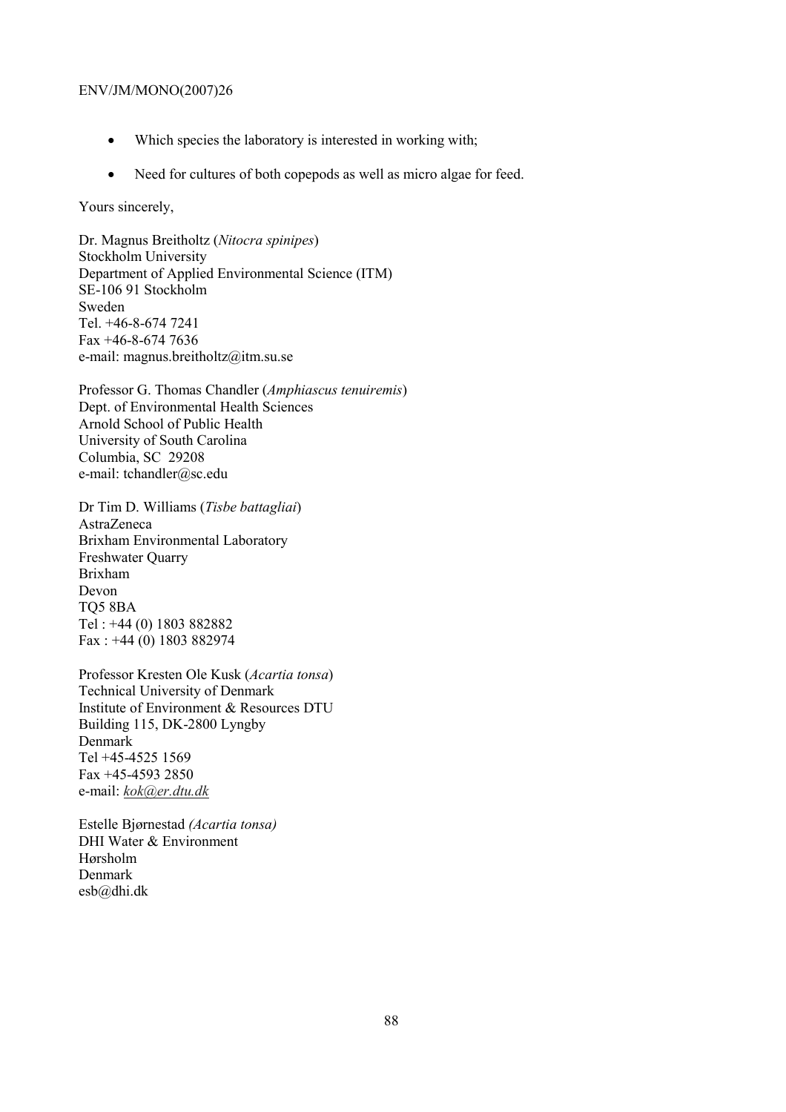- Which species the laboratory is interested in working with;
- Need for cultures of both copepods as well as micro algae for feed.

Yours sincerely,

Dr. Magnus Breitholtz (*Nitocra spinipes*) Stockholm University Department of Applied Environmental Science (ITM) SE-106 91 Stockholm Sweden Tel. +46-8-674 7241 Fax +46-8-674 7636 e-mail: magnus.breitholtz@itm.su.se

Professor G. Thomas Chandler (*Amphiascus tenuiremis*) Dept. of Environmental Health Sciences Arnold School of Public Health University of South Carolina Columbia, SC 29208 e-mail: tchandler@sc.edu

Dr Tim D. Williams (*Tisbe battagliai*) AstraZeneca Brixham Environmental Laboratory Freshwater Quarry Brixham Devon TQ5 8BA Tel : +44 (0) 1803 882882 Fax : +44 (0) 1803 882974

Professor Kresten Ole Kusk (*Acartia tonsa*) Technical University of Denmark Institute of Environment & Resources DTU Building 115, DK-2800 Lyngby Denmark Tel +45-4525 1569 Fax +45-4593 2850 e-mail: *kok@er.dtu.dk*

Estelle Bjørnestad *(Acartia tonsa)* DHI Water & Environment Hørsholm Denmark esb@dhi.dk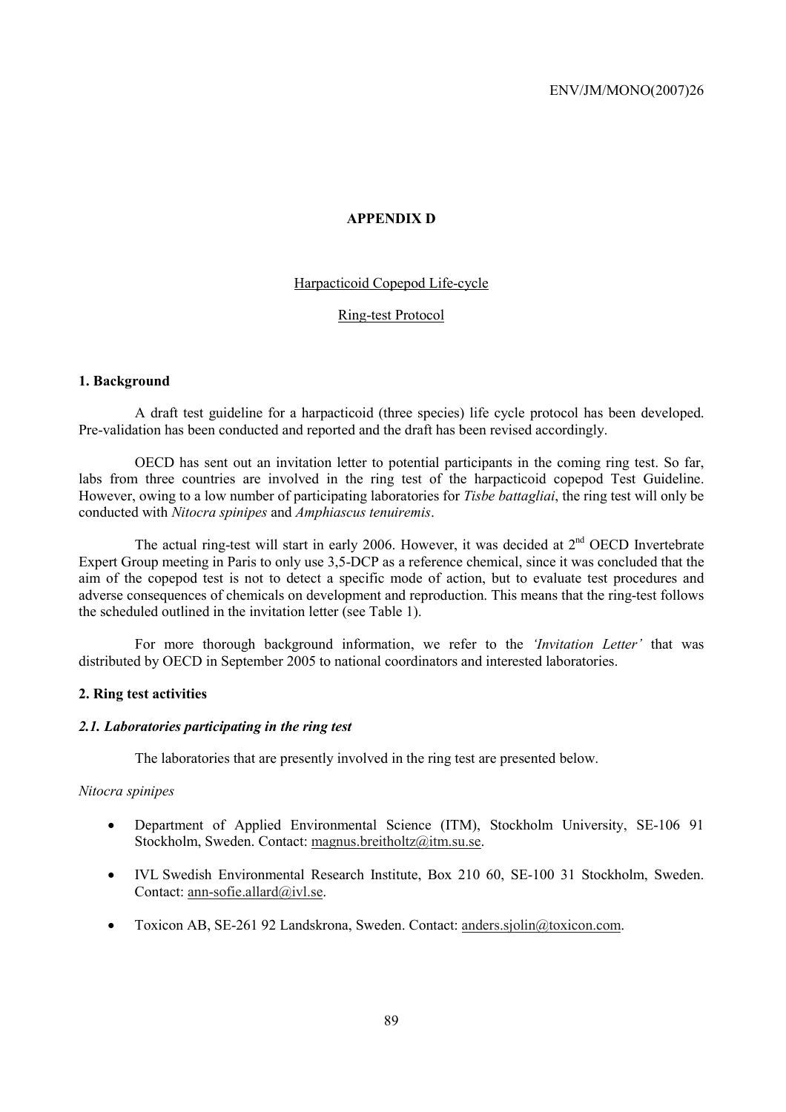# **APPENDIX D**

# Harpacticoid Copepod Life-cycle

# Ring-test Protocol

## **1. Background**

A draft test guideline for a harpacticoid (three species) life cycle protocol has been developed. Pre-validation has been conducted and reported and the draft has been revised accordingly.

OECD has sent out an invitation letter to potential participants in the coming ring test. So far, labs from three countries are involved in the ring test of the harpacticoid copepod Test Guideline. However, owing to a low number of participating laboratories for *Tisbe battagliai*, the ring test will only be conducted with *Nitocra spinipes* and *Amphiascus tenuiremis*.

The actual ring-test will start in early 2006. However, it was decided at  $2<sup>nd</sup>$  OECD Invertebrate Expert Group meeting in Paris to only use 3,5-DCP as a reference chemical, since it was concluded that the aim of the copepod test is not to detect a specific mode of action, but to evaluate test procedures and adverse consequences of chemicals on development and reproduction. This means that the ring-test follows the scheduled outlined in the invitation letter (see Table 1).

For more thorough background information, we refer to the *'Invitation Letter'* that was distributed by OECD in September 2005 to national coordinators and interested laboratories.

## **2. Ring test activities**

### *2.1. Laboratories participating in the ring test*

The laboratories that are presently involved in the ring test are presented below.

### *Nitocra spinipes*

- Department of Applied Environmental Science (ITM), Stockholm University, SE-106 91 Stockholm, Sweden. Contact: magnus.breitholtz@itm.su.se.
- IVL Swedish Environmental Research Institute, Box 210 60, SE-100 31 Stockholm, Sweden. Contact: ann-sofie.allard@ivl.se.
- Toxicon AB, SE-261 92 Landskrona, Sweden. Contact: anders.sjolin@toxicon.com.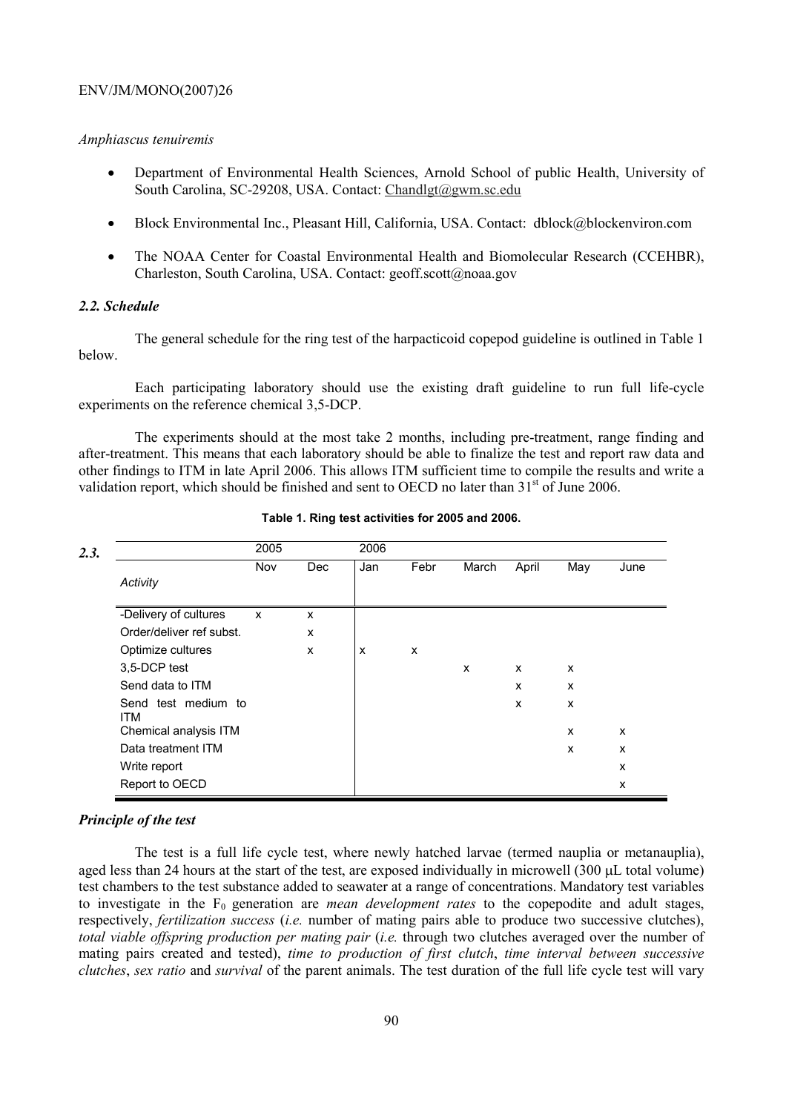### *Amphiascus tenuiremis*

- Department of Environmental Health Sciences, Arnold School of public Health, University of South Carolina, SC-29208, USA. Contact: Chandlgt@gwm.sc.edu
- Block Environmental Inc., Pleasant Hill, California, USA. Contact: dblock@blockenviron.com
- The NOAA Center for Coastal Environmental Health and Biomolecular Research (CCEHBR), Charleston, South Carolina, USA. Contact: geoff.scott@noaa.gov

# *2.2. Schedule*

The general schedule for the ring test of the harpacticoid copepod guideline is outlined in Table 1 below.

Each participating laboratory should use the existing draft guideline to run full life-cycle experiments on the reference chemical 3,5-DCP.

The experiments should at the most take 2 months, including pre-treatment, range finding and after-treatment. This means that each laboratory should be able to finalize the test and report raw data and other findings to ITM in late April 2006. This allows ITM sufficient time to compile the results and write a validation report, which should be finished and sent to OECD no later than  $31<sup>st</sup>$  of June 2006.

| 2.3. |                                             | 2005 |            | 2006 |      |              |       |        |        |
|------|---------------------------------------------|------|------------|------|------|--------------|-------|--------|--------|
|      | Activity                                    | Nov  | <b>Dec</b> | Jan  | Febr | March        | April | May    | June   |
|      | -Delivery of cultures                       | X    | X          |      |      |              |       |        |        |
|      | Order/deliver ref subst.                    |      | X          |      |      |              |       |        |        |
|      | Optimize cultures<br>3.5-DCP test           |      | X          | X    | X    | $\mathsf{x}$ | x     | X      |        |
|      | Send data to ITM                            |      |            |      |      |              | X     | X      |        |
|      | Send test medium to<br>ITM                  |      |            |      |      |              | X     | X      |        |
|      | Chemical analysis ITM<br>Data treatment ITM |      |            |      |      |              |       | X<br>X | X<br>X |
|      | Write report                                |      |            |      |      |              |       |        | X      |
|      | Report to OECD                              |      |            |      |      |              |       |        | X      |

#### **Table 1. Ring test activities for 2005 and 2006.**

### *Principle of the test*

The test is a full life cycle test, where newly hatched larvae (termed nauplia or metanauplia), aged less than 24 hours at the start of the test, are exposed individually in microwell (300 µL total volume) test chambers to the test substance added to seawater at a range of concentrations. Mandatory test variables to investigate in the F<sub>0</sub> generation are *mean development rates* to the copepodite and adult stages, respectively, *fertilization success* (*i.e.* number of mating pairs able to produce two successive clutches), *total viable offspring production per mating pair* (*i.e.* through two clutches averaged over the number of mating pairs created and tested), *time to production of first clutch*, *time interval between successive clutches*, *sex ratio* and *survival* of the parent animals. The test duration of the full life cycle test will vary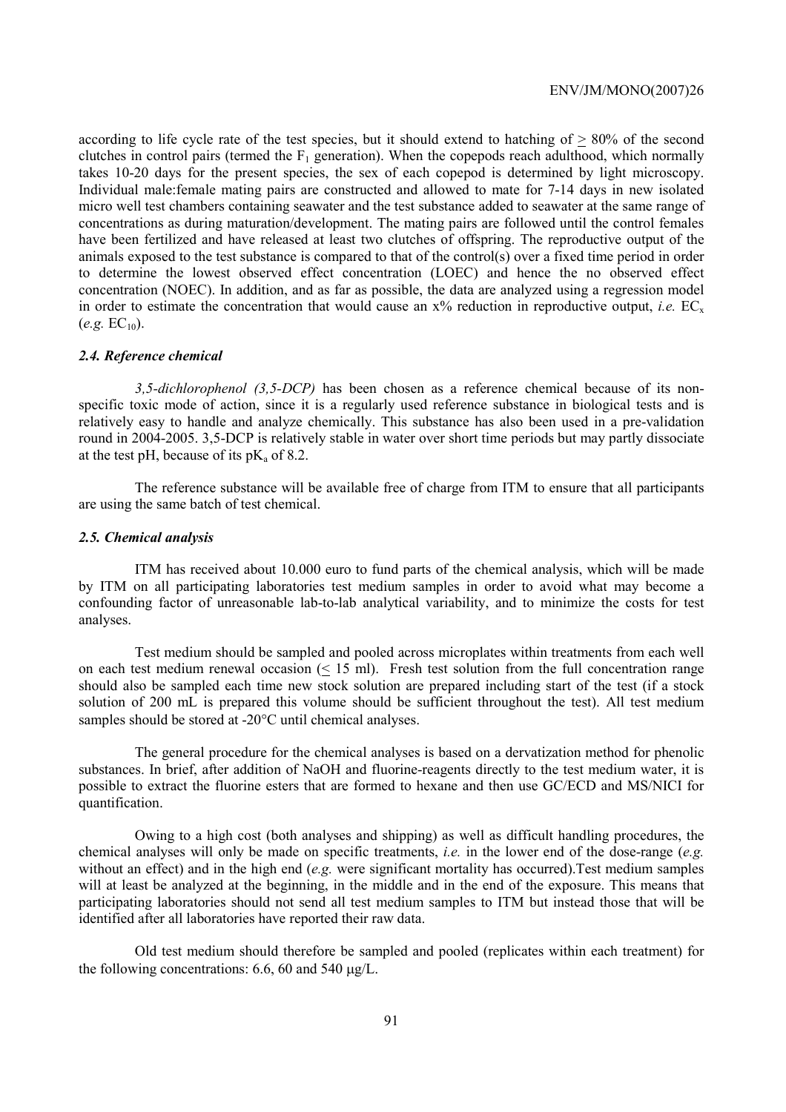according to life cycle rate of the test species, but it should extend to hatching of > 80% of the second clutches in control pairs (termed the  $F_1$  generation). When the copepods reach adulthood, which normally takes 10-20 days for the present species, the sex of each copepod is determined by light microscopy. Individual male:female mating pairs are constructed and allowed to mate for 7-14 days in new isolated micro well test chambers containing seawater and the test substance added to seawater at the same range of concentrations as during maturation/development. The mating pairs are followed until the control females have been fertilized and have released at least two clutches of offspring. The reproductive output of the animals exposed to the test substance is compared to that of the control(s) over a fixed time period in order to determine the lowest observed effect concentration (LOEC) and hence the no observed effect concentration (NOEC). In addition, and as far as possible, the data are analyzed using a regression model in order to estimate the concentration that would cause an  $x\%$  reduction in reproductive output, *i.e.* EC<sub>x</sub>  $(e.g. EC_{10})$ .

#### *2.4. Reference chemical*

*3,5-dichlorophenol (3,5-DCP)* has been chosen as a reference chemical because of its nonspecific toxic mode of action, since it is a regularly used reference substance in biological tests and is relatively easy to handle and analyze chemically. This substance has also been used in a pre-validation round in 2004-2005. 3,5-DCP is relatively stable in water over short time periods but may partly dissociate at the test pH, because of its  $pK_a$  of 8.2.

The reference substance will be available free of charge from ITM to ensure that all participants are using the same batch of test chemical.

#### *2.5. Chemical analysis*

ITM has received about 10.000 euro to fund parts of the chemical analysis, which will be made by ITM on all participating laboratories test medium samples in order to avoid what may become a confounding factor of unreasonable lab-to-lab analytical variability, and to minimize the costs for test analyses.

Test medium should be sampled and pooled across microplates within treatments from each well on each test medium renewal occasion (< 15 ml). Fresh test solution from the full concentration range should also be sampled each time new stock solution are prepared including start of the test (if a stock solution of 200 mL is prepared this volume should be sufficient throughout the test). All test medium samples should be stored at -20°C until chemical analyses.

The general procedure for the chemical analyses is based on a dervatization method for phenolic substances. In brief, after addition of NaOH and fluorine-reagents directly to the test medium water, it is possible to extract the fluorine esters that are formed to hexane and then use GC/ECD and MS/NICI for quantification.

Owing to a high cost (both analyses and shipping) as well as difficult handling procedures, the chemical analyses will only be made on specific treatments, *i.e.* in the lower end of the dose-range (*e.g.*  without an effect) and in the high end (*e.g.* were significant mortality has occurred).Test medium samples will at least be analyzed at the beginning, in the middle and in the end of the exposure. This means that participating laboratories should not send all test medium samples to ITM but instead those that will be identified after all laboratories have reported their raw data.

Old test medium should therefore be sampled and pooled (replicates within each treatment) for the following concentrations: 6.6, 60 and 540 µg/L.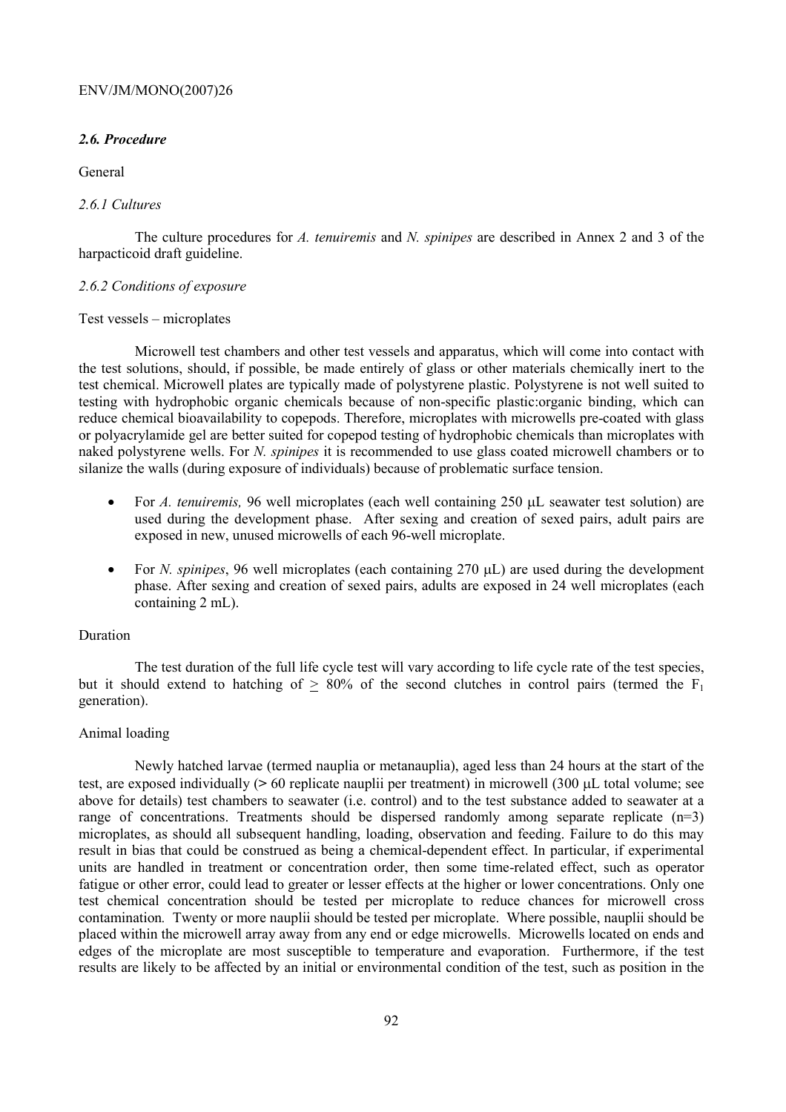# *2.6. Procedure*

# General

# *2.6.1 Cultures*

The culture procedures for *A. tenuiremis* and *N. spinipes* are described in Annex 2 and 3 of the harpacticoid draft guideline.

# *2.6.2 Conditions of exposure*

### Test vessels – microplates

Microwell test chambers and other test vessels and apparatus, which will come into contact with the test solutions, should, if possible, be made entirely of glass or other materials chemically inert to the test chemical. Microwell plates are typically made of polystyrene plastic. Polystyrene is not well suited to testing with hydrophobic organic chemicals because of non-specific plastic:organic binding, which can reduce chemical bioavailability to copepods. Therefore, microplates with microwells pre-coated with glass or polyacrylamide gel are better suited for copepod testing of hydrophobic chemicals than microplates with naked polystyrene wells. For *N. spinipes* it is recommended to use glass coated microwell chambers or to silanize the walls (during exposure of individuals) because of problematic surface tension.

- For *A. tenuiremis*, 96 well microplates (each well containing 250 µL seawater test solution) are used during the development phase. After sexing and creation of sexed pairs, adult pairs are exposed in new, unused microwells of each 96-well microplate.
- For *N. spinipes*, 96 well microplates (each containing 270 µL) are used during the development phase. After sexing and creation of sexed pairs, adults are exposed in 24 well microplates (each containing 2 mL).

# Duration

The test duration of the full life cycle test will vary according to life cycle rate of the test species, but it should extend to hatching of  $> 80\%$  of the second clutches in control pairs (termed the F<sub>1</sub> generation).

# Animal loading

Newly hatched larvae (termed nauplia or metanauplia), aged less than 24 hours at the start of the test, are exposed individually (**>** 60 replicate nauplii per treatment) in microwell (300 µL total volume; see above for details) test chambers to seawater (i.e. control) and to the test substance added to seawater at a range of concentrations. Treatments should be dispersed randomly among separate replicate  $(n=3)$ microplates, as should all subsequent handling, loading, observation and feeding. Failure to do this may result in bias that could be construed as being a chemical-dependent effect. In particular, if experimental units are handled in treatment or concentration order, then some time-related effect, such as operator fatigue or other error, could lead to greater or lesser effects at the higher or lower concentrations. Only one test chemical concentration should be tested per microplate to reduce chances for microwell cross contamination*.* Twenty or more nauplii should be tested per microplate. Where possible, nauplii should be placed within the microwell array away from any end or edge microwells. Microwells located on ends and edges of the microplate are most susceptible to temperature and evaporation. Furthermore, if the test results are likely to be affected by an initial or environmental condition of the test, such as position in the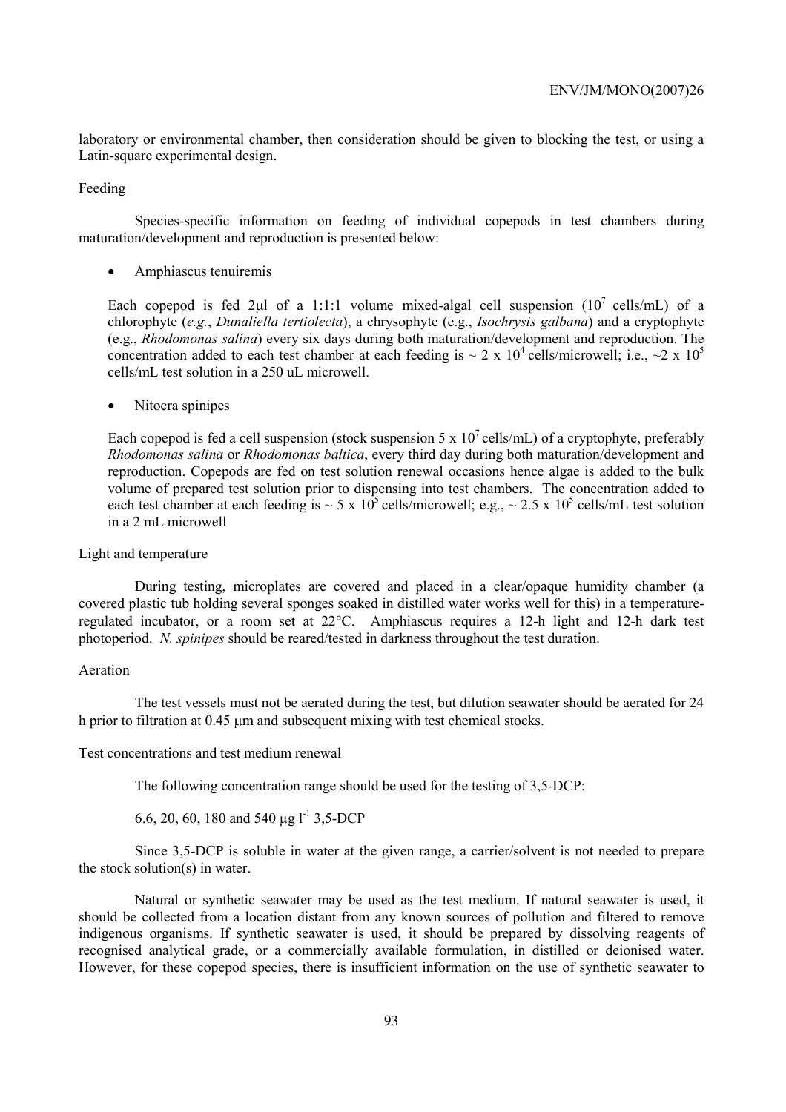laboratory or environmental chamber, then consideration should be given to blocking the test, or using a Latin-square experimental design.

Feeding

Species-specific information on feeding of individual copepods in test chambers during maturation/development and reproduction is presented below:

• Amphiascus tenuiremis

Each copepod is fed 2µl of a 1:1:1 volume mixed-algal cell suspension  $(10^7 \text{ cells/mL})$  of a chlorophyte (*e.g.*, *Dunaliella tertiolecta*), a chrysophyte (e.g., *Isochrysis galbana*) and a cryptophyte (e.g., *Rhodomonas salina*) every six days during both maturation/development and reproduction. The concentration added to each test chamber at each feeding is  $\sim 2 \times 10^4$  cells/microwell; i.e.,  $\sim$ 2 x 10<sup>5</sup> cells/mL test solution in a 250 uL microwell.

• Nitocra spinipes

Each copepod is fed a cell suspension (stock suspension 5 x  $10^7$  cells/mL) of a cryptophyte, preferably *Rhodomonas salina* or *Rhodomonas baltica*, every third day during both maturation/development and reproduction. Copepods are fed on test solution renewal occasions hence algae is added to the bulk volume of prepared test solution prior to dispensing into test chambers. The concentration added to each test chamber at each feeding is  $\sim 5 \times 10^5$  cells/microwell; e.g.,  $\sim 2.5 \times 10^5$  cells/mL test solution in a 2 mL microwell

## Light and temperature

During testing, microplates are covered and placed in a clear/opaque humidity chamber (a covered plastic tub holding several sponges soaked in distilled water works well for this) in a temperatureregulated incubator, or a room set at 22°C. Amphiascus requires a 12-h light and 12-h dark test photoperiod. *N. spinipes* should be reared/tested in darkness throughout the test duration.

## Aeration

The test vessels must not be aerated during the test, but dilution seawater should be aerated for 24 h prior to filtration at 0.45  $\mu$ m and subsequent mixing with test chemical stocks.

### Test concentrations and test medium renewal

The following concentration range should be used for the testing of 3,5-DCP:

6.6, 20, 60, 180 and 540  $\mu$ g l<sup>-1</sup> 3.5-DCP

Since 3,5-DCP is soluble in water at the given range, a carrier/solvent is not needed to prepare the stock solution(s) in water.

Natural or synthetic seawater may be used as the test medium. If natural seawater is used, it should be collected from a location distant from any known sources of pollution and filtered to remove indigenous organisms. If synthetic seawater is used, it should be prepared by dissolving reagents of recognised analytical grade, or a commercially available formulation, in distilled or deionised water. However, for these copepod species, there is insufficient information on the use of synthetic seawater to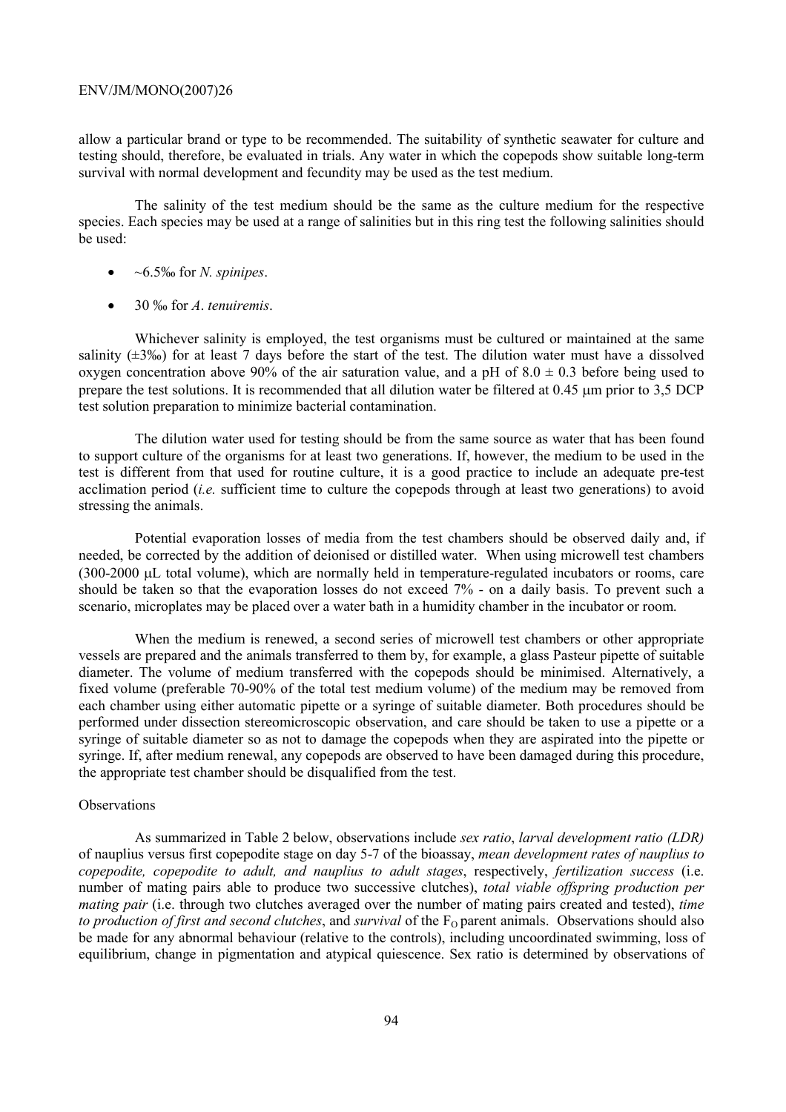allow a particular brand or type to be recommended. The suitability of synthetic seawater for culture and testing should, therefore, be evaluated in trials. Any water in which the copepods show suitable long-term survival with normal development and fecundity may be used as the test medium.

The salinity of the test medium should be the same as the culture medium for the respective species. Each species may be used at a range of salinities but in this ring test the following salinities should be used:

- ~6.5‰ for *N. spinipes*.
- 30 ‰ for *A*. *tenuiremis*.

Whichever salinity is employed, the test organisms must be cultured or maintained at the same salinity ( $\pm$ 3‰) for at least 7 days before the start of the test. The dilution water must have a dissolved oxygen concentration above 90% of the air saturation value, and a pH of  $8.0 \pm 0.3$  before being used to prepare the test solutions. It is recommended that all dilution water be filtered at 0.45 µm prior to 3.5 DCP test solution preparation to minimize bacterial contamination.

The dilution water used for testing should be from the same source as water that has been found to support culture of the organisms for at least two generations. If, however, the medium to be used in the test is different from that used for routine culture, it is a good practice to include an adequate pre-test acclimation period (*i.e.* sufficient time to culture the copepods through at least two generations) to avoid stressing the animals.

Potential evaporation losses of media from the test chambers should be observed daily and, if needed, be corrected by the addition of deionised or distilled water. When using microwell test chambers (300-2000 µL total volume), which are normally held in temperature-regulated incubators or rooms, care should be taken so that the evaporation losses do not exceed 7% - on a daily basis. To prevent such a scenario, microplates may be placed over a water bath in a humidity chamber in the incubator or room.

When the medium is renewed, a second series of microwell test chambers or other appropriate vessels are prepared and the animals transferred to them by, for example, a glass Pasteur pipette of suitable diameter. The volume of medium transferred with the copepods should be minimised. Alternatively, a fixed volume (preferable 70-90% of the total test medium volume) of the medium may be removed from each chamber using either automatic pipette or a syringe of suitable diameter. Both procedures should be performed under dissection stereomicroscopic observation, and care should be taken to use a pipette or a syringe of suitable diameter so as not to damage the copepods when they are aspirated into the pipette or syringe. If, after medium renewal, any copepods are observed to have been damaged during this procedure, the appropriate test chamber should be disqualified from the test.

# **Observations**

As summarized in Table 2 below, observations include *sex ratio*, *larval development ratio (LDR)* of nauplius versus first copepodite stage on day 5-7 of the bioassay, *mean development rates of nauplius to copepodite, copepodite to adult, and nauplius to adult stages*, respectively, *fertilization success* (i.e. number of mating pairs able to produce two successive clutches), *total viable offspring production per mating pair* (i.e. through two clutches averaged over the number of mating pairs created and tested), *time to production of first and second clutches*, and *survival* of the F<sub>O</sub> parent animals. Observations should also be made for any abnormal behaviour (relative to the controls), including uncoordinated swimming, loss of equilibrium, change in pigmentation and atypical quiescence. Sex ratio is determined by observations of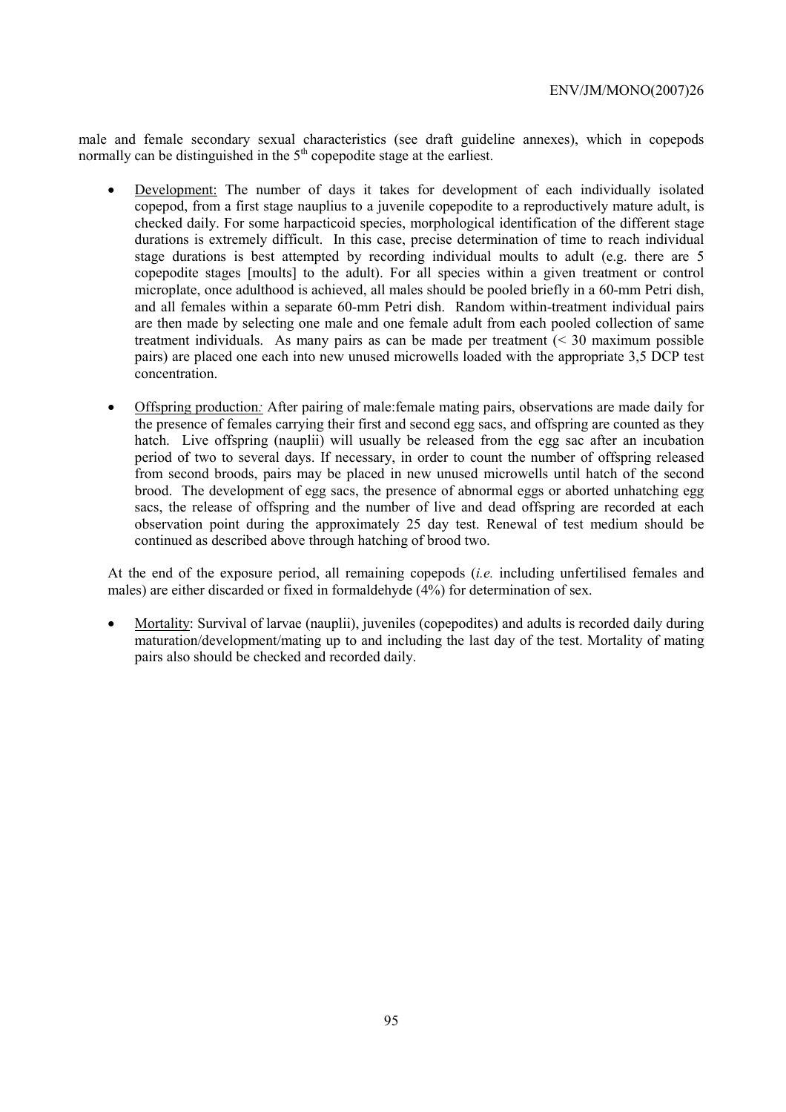male and female secondary sexual characteristics (see draft guideline annexes), which in copepods normally can be distinguished in the  $5<sup>th</sup>$  copepodite stage at the earliest.

- Development: The number of days it takes for development of each individually isolated copepod, from a first stage nauplius to a juvenile copepodite to a reproductively mature adult, is checked daily. For some harpacticoid species, morphological identification of the different stage durations is extremely difficult. In this case, precise determination of time to reach individual stage durations is best attempted by recording individual moults to adult (e.g. there are 5 copepodite stages [moults] to the adult). For all species within a given treatment or control microplate, once adulthood is achieved, all males should be pooled briefly in a 60-mm Petri dish, and all females within a separate 60-mm Petri dish. Random within-treatment individual pairs are then made by selecting one male and one female adult from each pooled collection of same treatment individuals. As many pairs as can be made per treatment (< 30 maximum possible pairs) are placed one each into new unused microwells loaded with the appropriate 3,5 DCP test concentration.
- Offspring production*:* After pairing of male:female mating pairs, observations are made daily for the presence of females carrying their first and second egg sacs, and offspring are counted as they hatch. Live offspring (nauplii) will usually be released from the egg sac after an incubation period of two to several days. If necessary, in order to count the number of offspring released from second broods, pairs may be placed in new unused microwells until hatch of the second brood.The development of egg sacs, the presence of abnormal eggs or aborted unhatching egg sacs, the release of offspring and the number of live and dead offspring are recorded at each observation point during the approximately 25 day test. Renewal of test medium should be continued as described above through hatching of brood two.

At the end of the exposure period, all remaining copepods (*i.e.* including unfertilised females and males) are either discarded or fixed in formaldehyde (4%) for determination of sex.

• Mortality: Survival of larvae (nauplii), juveniles (copepodites) and adults is recorded daily during maturation/development/mating up to and including the last day of the test. Mortality of mating pairs also should be checked and recorded daily.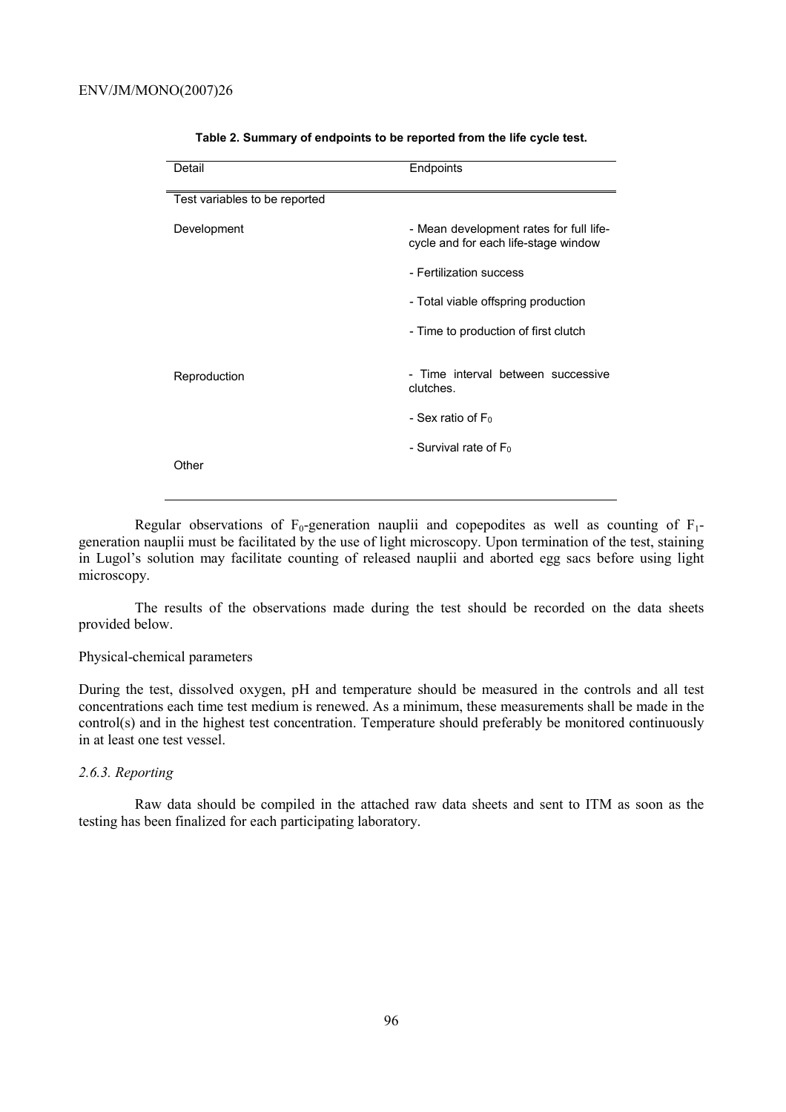| Detail                        | Endpoints                                                                       |
|-------------------------------|---------------------------------------------------------------------------------|
| Test variables to be reported |                                                                                 |
| Development                   | - Mean development rates for full life-<br>cycle and for each life-stage window |
|                               | - Fertilization success                                                         |
|                               | - Total viable offspring production                                             |
|                               | - Time to production of first clutch                                            |
| Reproduction                  | - Time interval between successive<br>clutches.                                 |
|                               | - Sex ratio of $F_0$                                                            |
| Other                         | - Survival rate of $F_0$                                                        |

#### **Table 2. Summary of endpoints to be reported from the life cycle test.**

Regular observations of  $F_0$ -generation nauplii and copepodites as well as counting of  $F_1$ generation nauplii must be facilitated by the use of light microscopy. Upon termination of the test, staining in Lugol's solution may facilitate counting of released nauplii and aborted egg sacs before using light microscopy.

The results of the observations made during the test should be recorded on the data sheets provided below.

# Physical-chemical parameters

During the test, dissolved oxygen, pH and temperature should be measured in the controls and all test concentrations each time test medium is renewed. As a minimum, these measurements shall be made in the control(s) and in the highest test concentration. Temperature should preferably be monitored continuously in at least one test vessel.

# *2.6.3. Reporting*

Raw data should be compiled in the attached raw data sheets and sent to ITM as soon as the testing has been finalized for each participating laboratory.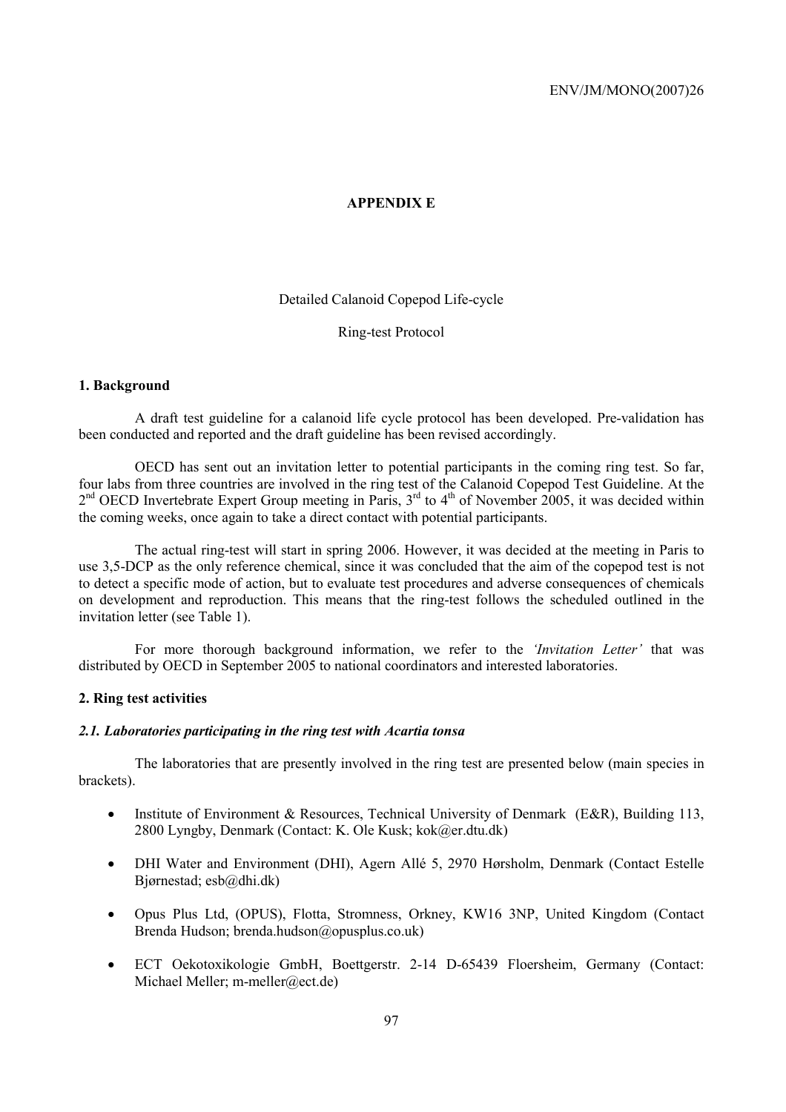# **APPENDIX E**

Detailed Calanoid Copepod Life-cycle

Ring-test Protocol

### **1. Background**

A draft test guideline for a calanoid life cycle protocol has been developed. Pre-validation has been conducted and reported and the draft guideline has been revised accordingly.

OECD has sent out an invitation letter to potential participants in the coming ring test. So far, four labs from three countries are involved in the ring test of the Calanoid Copepod Test Guideline. At the  $2<sup>nd</sup>$  OECD Invertebrate Expert Group meeting in Paris,  $3<sup>rd</sup>$  to 4<sup>th</sup> of November 2005, it was decided within the coming weeks, once again to take a direct contact with potential participants.

The actual ring-test will start in spring 2006. However, it was decided at the meeting in Paris to use 3,5-DCP as the only reference chemical, since it was concluded that the aim of the copepod test is not to detect a specific mode of action, but to evaluate test procedures and adverse consequences of chemicals on development and reproduction. This means that the ring-test follows the scheduled outlined in the invitation letter (see Table 1).

For more thorough background information, we refer to the *'Invitation Letter'* that was distributed by OECD in September 2005 to national coordinators and interested laboratories.

# **2. Ring test activities**

# *2.1. Laboratories participating in the ring test with Acartia tonsa*

The laboratories that are presently involved in the ring test are presented below (main species in brackets).

- Institute of Environment & Resources, Technical University of Denmark (E&R), Building 113, 2800 Lyngby, Denmark (Contact: K. Ole Kusk; kok@er.dtu.dk)
- DHI Water and Environment (DHI), Agern Allé 5, 2970 Hørsholm, Denmark (Contact Estelle Bjørnestad; esb@dhi.dk)
- Opus Plus Ltd, (OPUS), Flotta, Stromness, Orkney, KW16 3NP, United Kingdom (Contact Brenda Hudson; brenda.hudson@opusplus.co.uk)
- ECT Oekotoxikologie GmbH, Boettgerstr. 2-14 D-65439 Floersheim, Germany (Contact: Michael Meller; m-meller@ect.de)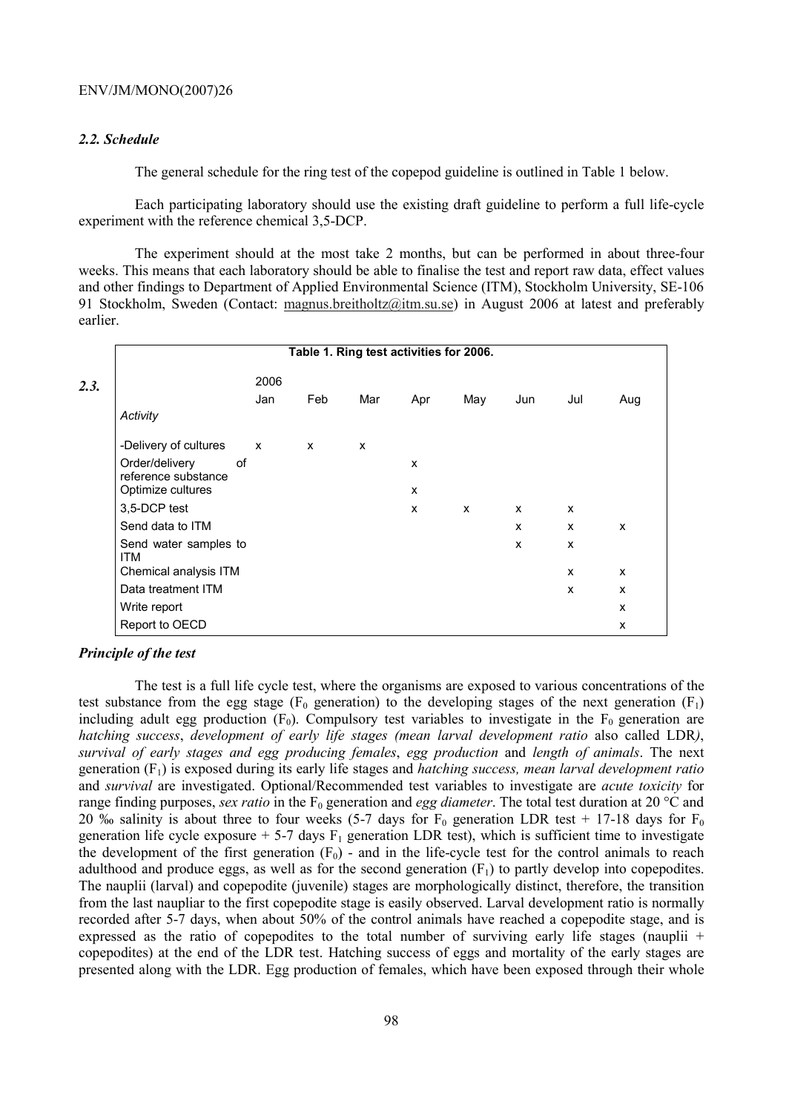# *2.2. Schedule*

The general schedule for the ring test of the copepod guideline is outlined in Table 1 below.

Each participating laboratory should use the existing draft guideline to perform a full life-cycle experiment with the reference chemical 3,5-DCP.

The experiment should at the most take 2 months, but can be performed in about three-four weeks. This means that each laboratory should be able to finalise the test and report raw data, effect values and other findings to Department of Applied Environmental Science (ITM), Stockholm University, SE-106 91 Stockholm, Sweden (Contact: magnus.breitholtz@itm.su.se) in August 2006 at latest and preferably earlier.

|                                       |    |              |              | Table 1. Ring test activities for 2006. |     |     |              |              |                           |
|---------------------------------------|----|--------------|--------------|-----------------------------------------|-----|-----|--------------|--------------|---------------------------|
|                                       |    | 2006         |              |                                         |     |     |              |              |                           |
|                                       |    | Jan          | Feb          | Mar                                     | Apr | May | Jun          | Jul          | Aug                       |
| Activity                              |    |              |              |                                         |     |     |              |              |                           |
| -Delivery of cultures                 |    | $\mathsf{x}$ | $\mathsf{x}$ | X                                       |     |     |              |              |                           |
| Order/delivery<br>reference substance | οf |              |              |                                         | X   |     |              |              |                           |
| Optimize cultures                     |    |              |              |                                         | X   |     |              |              |                           |
| 3,5-DCP test                          |    |              |              |                                         | X   | X   | $\mathsf{x}$ | X            |                           |
| Send data to ITM                      |    |              |              |                                         |     |     | x            | $\mathsf{x}$ | $\boldsymbol{\mathsf{x}}$ |
| Send water samples to<br><b>ITM</b>   |    |              |              |                                         |     |     | X            | X            |                           |
| Chemical analysis ITM                 |    |              |              |                                         |     |     |              | X            | $\boldsymbol{\mathsf{x}}$ |
| Data treatment ITM                    |    |              |              |                                         |     |     |              | X            | X                         |
| Write report                          |    |              |              |                                         |     |     |              |              | X                         |
| Report to OECD                        |    |              |              |                                         |     |     |              |              | X                         |

## *Principle of the test*

The test is a full life cycle test, where the organisms are exposed to various concentrations of the test substance from the egg stage ( $F_0$  generation) to the developing stages of the next generation ( $F_1$ ) including adult egg production  $(F_0)$ . Compulsory test variables to investigate in the  $F_0$  generation are *hatching success*, *development of early life stages (mean larval development ratio* also called LDR*)*, *survival of early stages and egg producing females*, *egg production* and *length of animals*. The next generation (F1) is exposed during its early life stages and *hatching success, mean larval development ratio*  and *survival* are investigated. Optional/Recommended test variables to investigate are *acute toxicity* for range finding purposes, *sex ratio* in the  $F_0$  generation and *egg diameter*. The total test duration at 20 °C and 20 ‰ salinity is about three to four weeks (5-7 days for  $F_0$  generation LDR test + 17-18 days for  $F_0$ generation life cycle exposure  $+ 5-7$  days  $F_1$  generation LDR test), which is sufficient time to investigate the development of the first generation  $(F_0)$  - and in the life-cycle test for the control animals to reach adulthood and produce eggs, as well as for the second generation  $(F_1)$  to partly develop into copepodites. The nauplii (larval) and copepodite (juvenile) stages are morphologically distinct, therefore, the transition from the last naupliar to the first copepodite stage is easily observed. Larval development ratio is normally recorded after 5-7 days, when about 50% of the control animals have reached a copepodite stage, and is expressed as the ratio of copepodites to the total number of surviving early life stages (nauplii  $+$ copepodites) at the end of the LDR test. Hatching success of eggs and mortality of the early stages are presented along with the LDR. Egg production of females, which have been exposed through their whole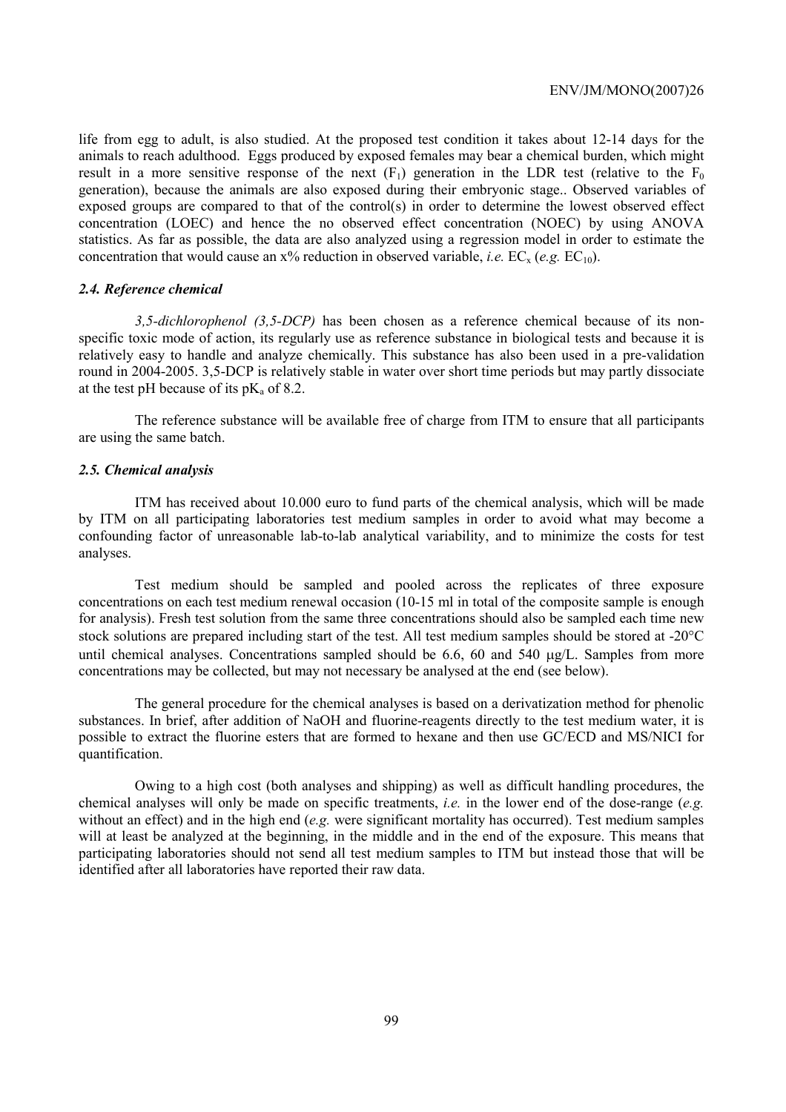life from egg to adult, is also studied. At the proposed test condition it takes about 12-14 days for the animals to reach adulthood. Eggs produced by exposed females may bear a chemical burden, which might result in a more sensitive response of the next  $(F_1)$  generation in the LDR test (relative to the  $F_0$ generation), because the animals are also exposed during their embryonic stage.. Observed variables of exposed groups are compared to that of the control(s) in order to determine the lowest observed effect concentration (LOEC) and hence the no observed effect concentration (NOEC) by using ANOVA statistics. As far as possible, the data are also analyzed using a regression model in order to estimate the concentration that would cause an  $x\%$  reduction in observed variable, *i.e.* EC<sub>x</sub> (*e.g.* EC<sub>10</sub>).

#### *2.4. Reference chemical*

*3,5-dichlorophenol (3,5-DCP)* has been chosen as a reference chemical because of its nonspecific toxic mode of action, its regularly use as reference substance in biological tests and because it is relatively easy to handle and analyze chemically. This substance has also been used in a pre-validation round in 2004-2005. 3,5-DCP is relatively stable in water over short time periods but may partly dissociate at the test pH because of its  $pK_a$  of 8.2.

The reference substance will be available free of charge from ITM to ensure that all participants are using the same batch.

#### *2.5. Chemical analysis*

ITM has received about 10.000 euro to fund parts of the chemical analysis, which will be made by ITM on all participating laboratories test medium samples in order to avoid what may become a confounding factor of unreasonable lab-to-lab analytical variability, and to minimize the costs for test analyses.

Test medium should be sampled and pooled across the replicates of three exposure concentrations on each test medium renewal occasion (10-15 ml in total of the composite sample is enough for analysis). Fresh test solution from the same three concentrations should also be sampled each time new stock solutions are prepared including start of the test. All test medium samples should be stored at -20°C until chemical analyses. Concentrations sampled should be 6.6, 60 and 540  $\mu$ g/L. Samples from more concentrations may be collected, but may not necessary be analysed at the end (see below).

The general procedure for the chemical analyses is based on a derivatization method for phenolic substances. In brief, after addition of NaOH and fluorine-reagents directly to the test medium water, it is possible to extract the fluorine esters that are formed to hexane and then use GC/ECD and MS/NICI for quantification.

Owing to a high cost (both analyses and shipping) as well as difficult handling procedures, the chemical analyses will only be made on specific treatments, *i.e.* in the lower end of the dose-range (*e.g.*  without an effect) and in the high end *(e.g.* were significant mortality has occurred). Test medium samples will at least be analyzed at the beginning, in the middle and in the end of the exposure. This means that participating laboratories should not send all test medium samples to ITM but instead those that will be identified after all laboratories have reported their raw data.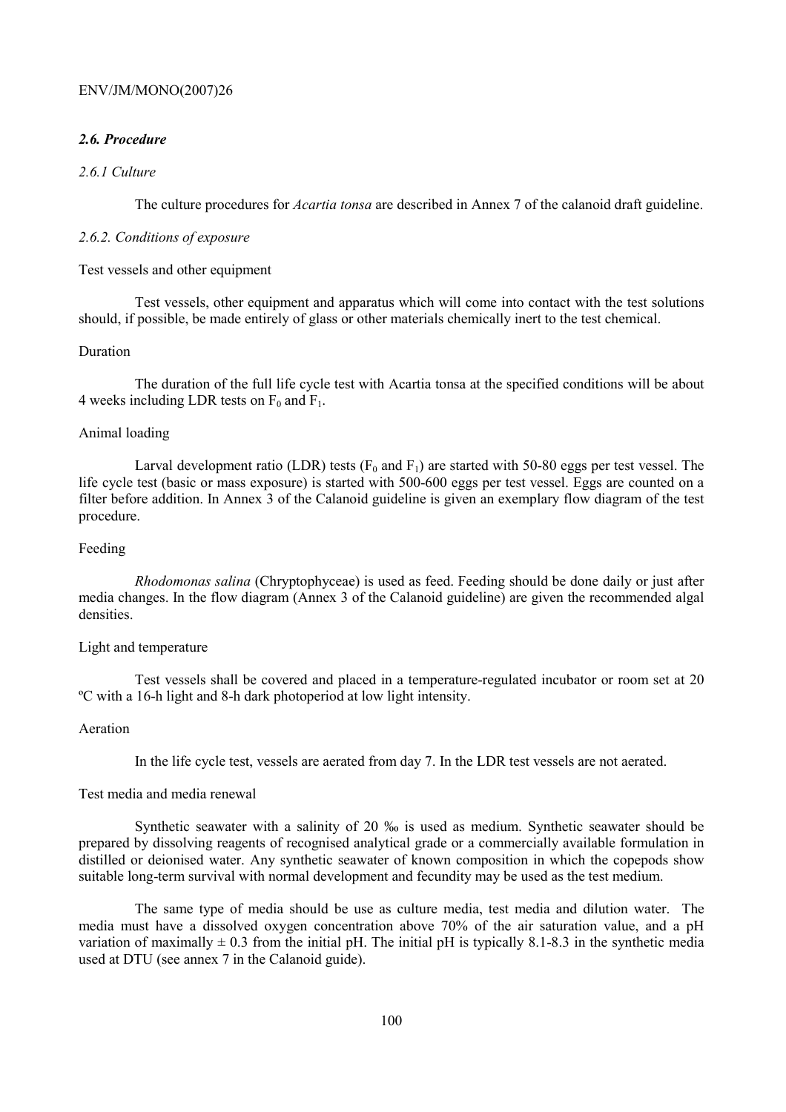# *2.6. Procedure*

# *2.6.1 Culture*

The culture procedures for *Acartia tonsa* are described in Annex 7 of the calanoid draft guideline.

# *2.6.2. Conditions of exposure*

### Test vessels and other equipment

Test vessels, other equipment and apparatus which will come into contact with the test solutions should, if possible, be made entirely of glass or other materials chemically inert to the test chemical.

### Duration

The duration of the full life cycle test with Acartia tonsa at the specified conditions will be about 4 weeks including LDR tests on  $F_0$  and  $F_1$ .

### Animal loading

Larval development ratio (LDR) tests ( $F_0$  and  $F_1$ ) are started with 50-80 eggs per test vessel. The life cycle test (basic or mass exposure) is started with 500-600 eggs per test vessel. Eggs are counted on a filter before addition. In Annex 3 of the Calanoid guideline is given an exemplary flow diagram of the test procedure.

### Feeding

*Rhodomonas salina* (Chryptophyceae) is used as feed. Feeding should be done daily or just after media changes. In the flow diagram (Annex 3 of the Calanoid guideline) are given the recommended algal densities.

# Light and temperature

Test vessels shall be covered and placed in a temperature-regulated incubator or room set at 20 ºC with a 16-h light and 8-h dark photoperiod at low light intensity.

# Aeration

In the life cycle test, vessels are aerated from day 7. In the LDR test vessels are not aerated.

### Test media and media renewal

Synthetic seawater with a salinity of 20 ‰ is used as medium. Synthetic seawater should be prepared by dissolving reagents of recognised analytical grade or a commercially available formulation in distilled or deionised water. Any synthetic seawater of known composition in which the copepods show suitable long-term survival with normal development and fecundity may be used as the test medium.

The same type of media should be use as culture media, test media and dilution water. The media must have a dissolved oxygen concentration above 70% of the air saturation value, and a pH variation of maximally  $\pm$  0.3 from the initial pH. The initial pH is typically 8.1-8.3 in the synthetic media used at DTU (see annex 7 in the Calanoid guide).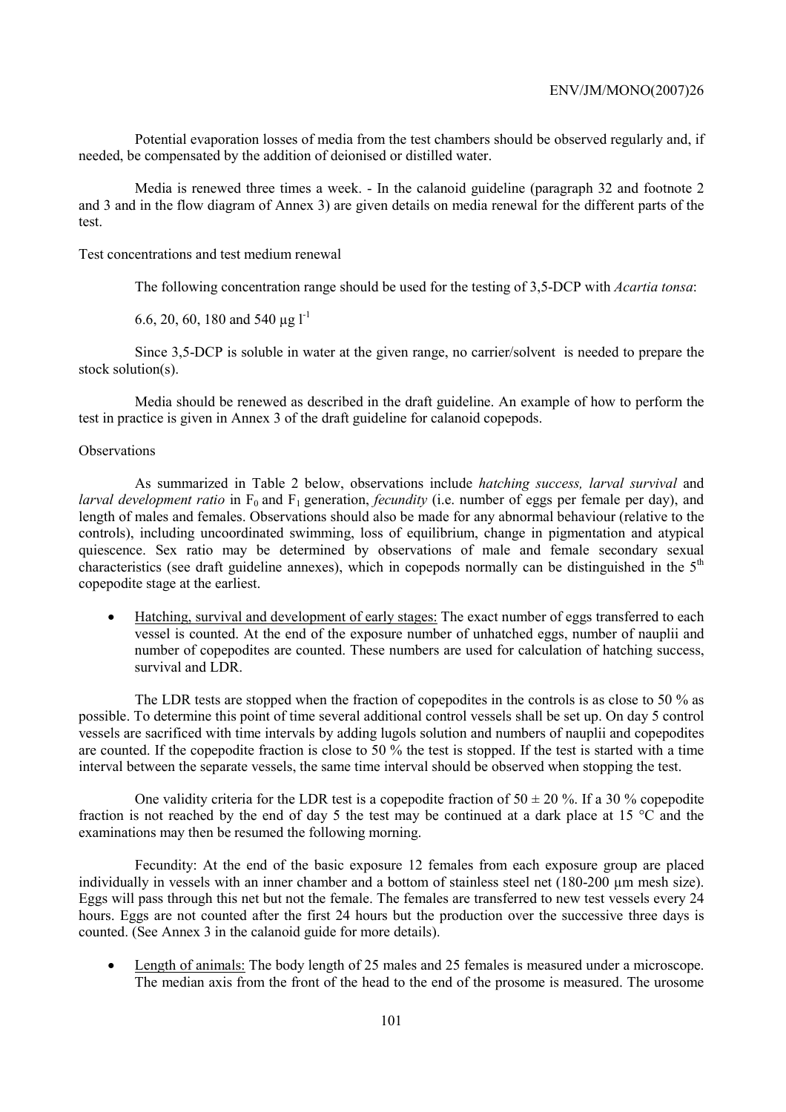Potential evaporation losses of media from the test chambers should be observed regularly and, if needed, be compensated by the addition of deionised or distilled water.

Media is renewed three times a week. - In the calanoid guideline (paragraph 32 and footnote 2 and 3 and in the flow diagram of Annex 3) are given details on media renewal for the different parts of the test.

Test concentrations and test medium renewal

The following concentration range should be used for the testing of 3,5-DCP with *Acartia tonsa*:

6.6, 20, 60, 180 and 540  $\mu$ g l<sup>-1</sup>

Since 3,5-DCP is soluble in water at the given range, no carrier/solvent is needed to prepare the stock solution(s).

Media should be renewed as described in the draft guideline. An example of how to perform the test in practice is given in Annex 3 of the draft guideline for calanoid copepods.

## **Observations**

As summarized in Table 2 below, observations include *hatching success, larval survival* and *larval development ratio* in  $F_0$  and  $F_1$  generation, *fecundity* (i.e. number of eggs per female per day), and length of males and females. Observations should also be made for any abnormal behaviour (relative to the controls), including uncoordinated swimming, loss of equilibrium, change in pigmentation and atypical quiescence. Sex ratio may be determined by observations of male and female secondary sexual characteristics (see draft guideline annexes), which in copepods normally can be distinguished in the  $5<sup>th</sup>$ copepodite stage at the earliest.

• Hatching, survival and development of early stages: The exact number of eggs transferred to each vessel is counted. At the end of the exposure number of unhatched eggs, number of nauplii and number of copepodites are counted. These numbers are used for calculation of hatching success, survival and LDR.

The LDR tests are stopped when the fraction of copepodites in the controls is as close to 50 % as possible. To determine this point of time several additional control vessels shall be set up. On day 5 control vessels are sacrificed with time intervals by adding lugols solution and numbers of nauplii and copepodites are counted. If the copepodite fraction is close to 50 % the test is stopped. If the test is started with a time interval between the separate vessels, the same time interval should be observed when stopping the test.

One validity criteria for the LDR test is a copepodite fraction of  $50 \pm 20$  %. If a 30 % copepodite fraction is not reached by the end of day 5 the test may be continued at a dark place at 15 °C and the examinations may then be resumed the following morning.

Fecundity: At the end of the basic exposure 12 females from each exposure group are placed individually in vessels with an inner chamber and a bottom of stainless steel net (180-200 µm mesh size). Eggs will pass through this net but not the female. The females are transferred to new test vessels every 24 hours. Eggs are not counted after the first 24 hours but the production over the successive three days is counted. (See Annex 3 in the calanoid guide for more details).

• Length of animals: The body length of 25 males and 25 females is measured under a microscope. The median axis from the front of the head to the end of the prosome is measured. The urosome